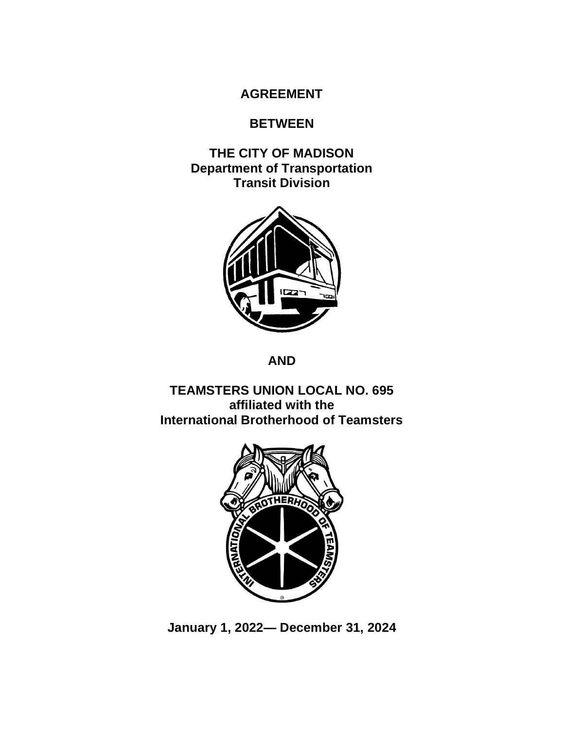## **AGREEMENT**

## **BETWEEN**

**THE CITY OF MADISON Department of Transportation Transit Division**



**AND**

**TEAMSTERS UNION LOCAL NO. 695 affiliated with the International Brotherhood of Teamsters**



**January 1, 2022— December 31, 2024**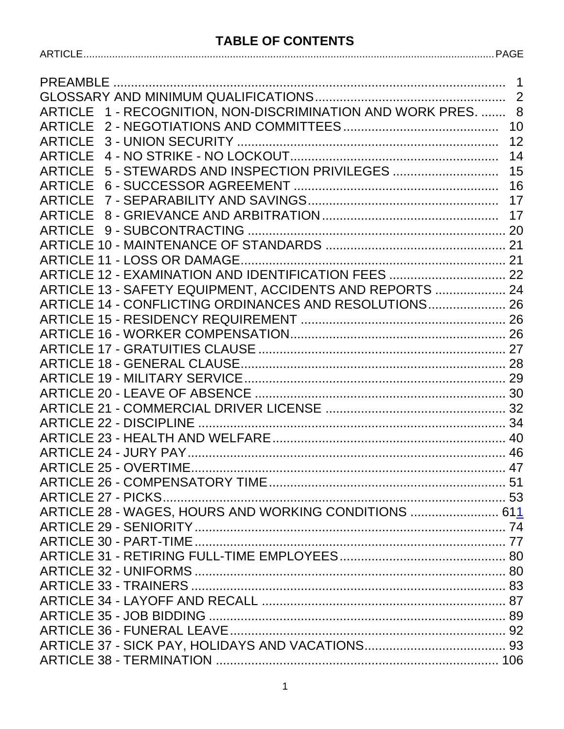#### **TABLE OF CONTENTS**

| ARTICLE 1 - RECOGNITION, NON-DISCRIMINATION AND WORK PRES.  8 |    |
|---------------------------------------------------------------|----|
|                                                               |    |
|                                                               | 12 |
|                                                               |    |
| ARTICLE 5 - STEWARDS AND INSPECTION PRIVILEGES  15            |    |
|                                                               |    |
|                                                               |    |
|                                                               |    |
|                                                               |    |
|                                                               |    |
|                                                               |    |
| ARTICLE 12 - EXAMINATION AND IDENTIFICATION FEES  22          |    |
| ARTICLE 13 - SAFETY EQUIPMENT, ACCIDENTS AND REPORTS  24      |    |
| ARTICLE 14 - CONFLICTING ORDINANCES AND RESOLUTIONS 26        |    |
|                                                               |    |
|                                                               |    |
|                                                               |    |
|                                                               |    |
|                                                               |    |
|                                                               |    |
|                                                               |    |
|                                                               |    |
|                                                               |    |
|                                                               |    |
|                                                               |    |
|                                                               |    |
|                                                               |    |
| ARTICLE 28 - WAGES, HOURS AND WORKING CONDITIONS  611         |    |
|                                                               |    |
|                                                               |    |
|                                                               |    |
|                                                               |    |
|                                                               |    |
|                                                               |    |
|                                                               |    |
|                                                               |    |
|                                                               |    |
|                                                               |    |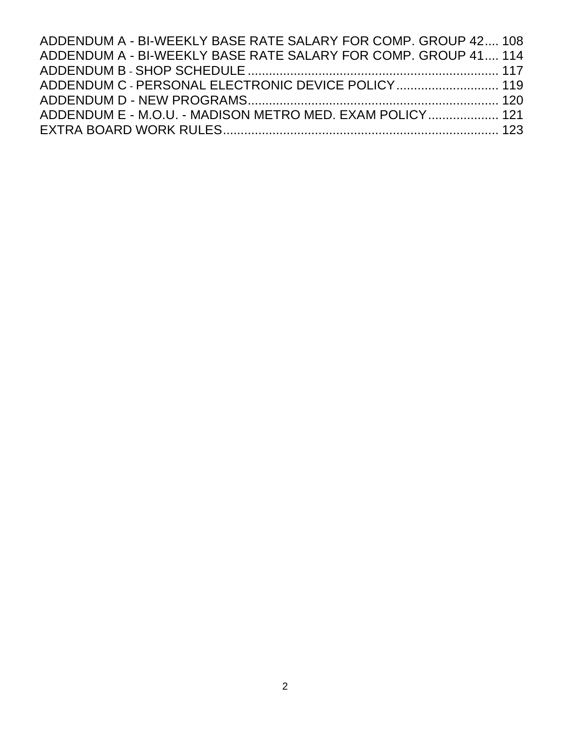| ADDENDUM A - BI-WEEKLY BASE RATE SALARY FOR COMP, GROUP 42, 108 |  |
|-----------------------------------------------------------------|--|
| ADDENDUM A - BI-WEEKLY BASE RATE SALARY FOR COMP. GROUP 41 114  |  |
|                                                                 |  |
| ADDENDUM C - PERSONAL ELECTRONIC DEVICE POLICY 119              |  |
|                                                                 |  |
| ADDENDUM E - M.O.U. - MADISON METRO MED. EXAM POLICY 121        |  |
|                                                                 |  |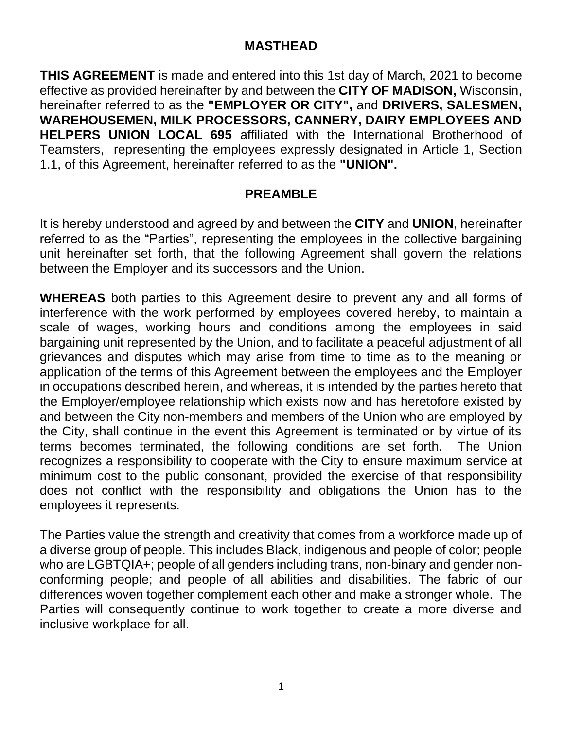### **MASTHEAD**

**THIS AGREEMENT** is made and entered into this 1st day of March, 2021 to become effective as provided hereinafter by and between the **CITY OF MADISON,** Wisconsin, hereinafter referred to as the **"EMPLOYER OR CITY",** and **DRIVERS, SALESMEN, WAREHOUSEMEN, MILK PROCESSORS, CANNERY, DAIRY EMPLOYEES AND HELPERS UNION LOCAL 695** affiliated with the International Brotherhood of Teamsters, representing the employees expressly designated in Article 1, Section 1.1, of this Agreement, hereinafter referred to as the **"UNION".**

## **PREAMBLE**

<span id="page-3-0"></span>It is hereby understood and agreed by and between the **CITY** and **UNION**, hereinafter referred to as the "Parties", representing the employees in the collective bargaining unit hereinafter set forth, that the following Agreement shall govern the relations between the Employer and its successors and the Union.

**WHEREAS** both parties to this Agreement desire to prevent any and all forms of interference with the work performed by employees covered hereby, to maintain a scale of wages, working hours and conditions among the employees in said bargaining unit represented by the Union, and to facilitate a peaceful adjustment of all grievances and disputes which may arise from time to time as to the meaning or application of the terms of this Agreement between the employees and the Employer in occupations described herein, and whereas, it is intended by the parties hereto that the Employer/employee relationship which exists now and has heretofore existed by and between the City non-members and members of the Union who are employed by the City, shall continue in the event this Agreement is terminated or by virtue of its terms becomes terminated, the following conditions are set forth. The Union recognizes a responsibility to cooperate with the City to ensure maximum service at minimum cost to the public consonant, provided the exercise of that responsibility does not conflict with the responsibility and obligations the Union has to the employees it represents.

The Parties value the strength and creativity that comes from a workforce made up of a diverse group of people. This includes Black, indigenous and people of color; people who are LGBTQIA+; people of all genders including trans, non-binary and gender nonconforming people; and people of all abilities and disabilities. The fabric of our differences woven together complement each other and make a stronger whole. The Parties will consequently continue to work together to create a more diverse and inclusive workplace for all.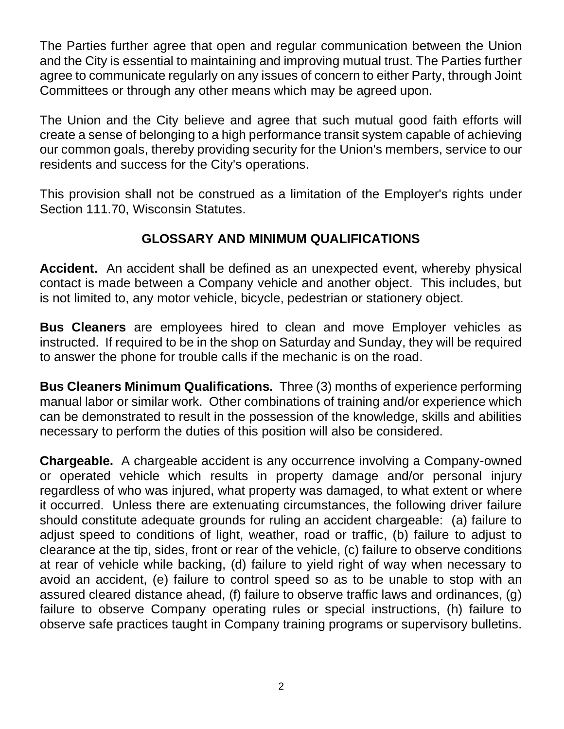The Parties further agree that open and regular communication between the Union and the City is essential to maintaining and improving mutual trust. The Parties further agree to communicate regularly on any issues of concern to either Party, through Joint Committees or through any other means which may be agreed upon.

The Union and the City believe and agree that such mutual good faith efforts will create a sense of belonging to a high performance transit system capable of achieving our common goals, thereby providing security for the Union's members, service to our residents and success for the City's operations.

This provision shall not be construed as a limitation of the Employer's rights under Section 111.70, Wisconsin Statutes.

# **GLOSSARY AND MINIMUM QUALIFICATIONS**

<span id="page-4-0"></span>**Accident.** An accident shall be defined as an unexpected event, whereby physical contact is made between a Company vehicle and another object. This includes, but is not limited to, any motor vehicle, bicycle, pedestrian or stationery object.

**Bus Cleaners** are employees hired to clean and move Employer vehicles as instructed. If required to be in the shop on Saturday and Sunday, they will be required to answer the phone for trouble calls if the mechanic is on the road.

**Bus Cleaners Minimum Qualifications.** Three (3) months of experience performing manual labor or similar work. Other combinations of training and/or experience which can be demonstrated to result in the possession of the knowledge, skills and abilities necessary to perform the duties of this position will also be considered.

**Chargeable.** A chargeable accident is any occurrence involving a Company-owned or operated vehicle which results in property damage and/or personal injury regardless of who was injured, what property was damaged, to what extent or where it occurred. Unless there are extenuating circumstances, the following driver failure should constitute adequate grounds for ruling an accident chargeable: (a) failure to adjust speed to conditions of light, weather, road or traffic, (b) failure to adjust to clearance at the tip, sides, front or rear of the vehicle, (c) failure to observe conditions at rear of vehicle while backing, (d) failure to yield right of way when necessary to avoid an accident, (e) failure to control speed so as to be unable to stop with an assured cleared distance ahead, (f) failure to observe traffic laws and ordinances, (g) failure to observe Company operating rules or special instructions, (h) failure to observe safe practices taught in Company training programs or supervisory bulletins.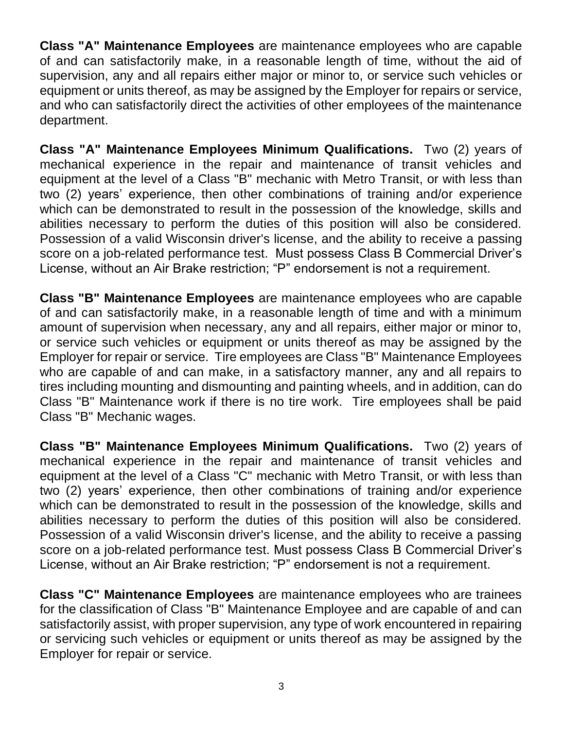**Class "A" Maintenance Employees** are maintenance employees who are capable of and can satisfactorily make, in a reasonable length of time, without the aid of supervision, any and all repairs either major or minor to, or service such vehicles or equipment or units thereof, as may be assigned by the Employer for repairs or service, and who can satisfactorily direct the activities of other employees of the maintenance department.

**Class "A" Maintenance Employees Minimum Qualifications.** Two (2) years of mechanical experience in the repair and maintenance of transit vehicles and equipment at the level of a Class "B" mechanic with Metro Transit, or with less than two (2) years' experience, then other combinations of training and/or experience which can be demonstrated to result in the possession of the knowledge, skills and abilities necessary to perform the duties of this position will also be considered. Possession of a valid Wisconsin driver's license, and the ability to receive a passing score on a job-related performance test. Must possess Class B Commercial Driver's License, without an Air Brake restriction; "P" endorsement is not a requirement.

**Class "B" Maintenance Employees** are maintenance employees who are capable of and can satisfactorily make, in a reasonable length of time and with a minimum amount of supervision when necessary, any and all repairs, either major or minor to, or service such vehicles or equipment or units thereof as may be assigned by the Employer for repair or service. Tire employees are Class "B" Maintenance Employees who are capable of and can make, in a satisfactory manner, any and all repairs to tires including mounting and dismounting and painting wheels, and in addition, can do Class "B" Maintenance work if there is no tire work. Tire employees shall be paid Class "B" Mechanic wages.

**Class "B" Maintenance Employees Minimum Qualifications.** Two (2) years of mechanical experience in the repair and maintenance of transit vehicles and equipment at the level of a Class "C" mechanic with Metro Transit, or with less than two (2) years' experience, then other combinations of training and/or experience which can be demonstrated to result in the possession of the knowledge, skills and abilities necessary to perform the duties of this position will also be considered. Possession of a valid Wisconsin driver's license, and the ability to receive a passing score on a job-related performance test. Must possess Class B Commercial Driver's License, without an Air Brake restriction; "P" endorsement is not a requirement.

**Class "C" Maintenance Employees** are maintenance employees who are trainees for the classification of Class "B" Maintenance Employee and are capable of and can satisfactorily assist, with proper supervision, any type of work encountered in repairing or servicing such vehicles or equipment or units thereof as may be assigned by the Employer for repair or service.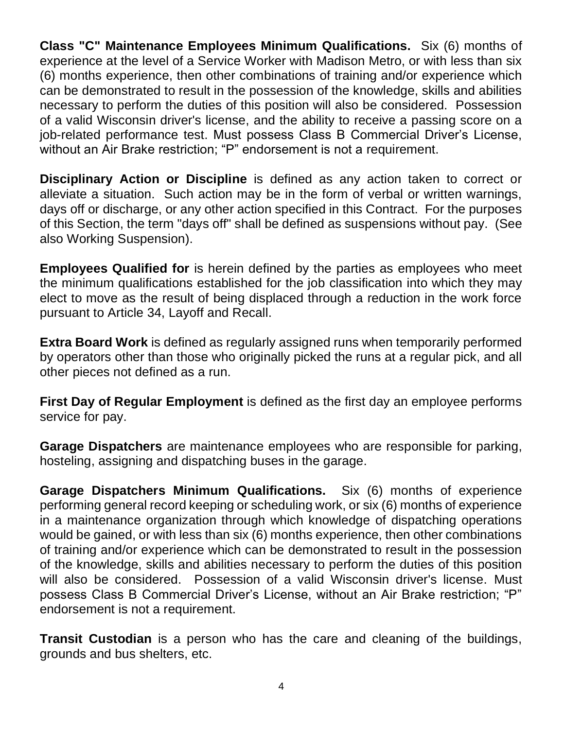**Class "C" Maintenance Employees Minimum Qualifications.** Six (6) months of experience at the level of a Service Worker with Madison Metro, or with less than six (6) months experience, then other combinations of training and/or experience which can be demonstrated to result in the possession of the knowledge, skills and abilities necessary to perform the duties of this position will also be considered. Possession of a valid Wisconsin driver's license, and the ability to receive a passing score on a job-related performance test. Must possess Class B Commercial Driver's License, without an Air Brake restriction; "P" endorsement is not a requirement.

**Disciplinary Action or Discipline** is defined as any action taken to correct or alleviate a situation. Such action may be in the form of verbal or written warnings, days off or discharge, or any other action specified in this Contract. For the purposes of this Section, the term "days off" shall be defined as suspensions without pay. (See also Working Suspension).

**Employees Qualified for** is herein defined by the parties as employees who meet the minimum qualifications established for the job classification into which they may elect to move as the result of being displaced through a reduction in the work force pursuant to Article 34, Layoff and Recall.

**Extra Board Work** is defined as regularly assigned runs when temporarily performed by operators other than those who originally picked the runs at a regular pick, and all other pieces not defined as a run.

**First Day of Regular Employment** is defined as the first day an employee performs service for pay.

**Garage Dispatchers** are maintenance employees who are responsible for parking, hosteling, assigning and dispatching buses in the garage.

**Garage Dispatchers Minimum Qualifications.** Six (6) months of experience performing general record keeping or scheduling work, or six (6) months of experience in a maintenance organization through which knowledge of dispatching operations would be gained, or with less than six (6) months experience, then other combinations of training and/or experience which can be demonstrated to result in the possession of the knowledge, skills and abilities necessary to perform the duties of this position will also be considered. Possession of a valid Wisconsin driver's license. Must possess Class B Commercial Driver's License, without an Air Brake restriction; "P" endorsement is not a requirement.

**Transit Custodian** is a person who has the care and cleaning of the buildings, grounds and bus shelters, etc.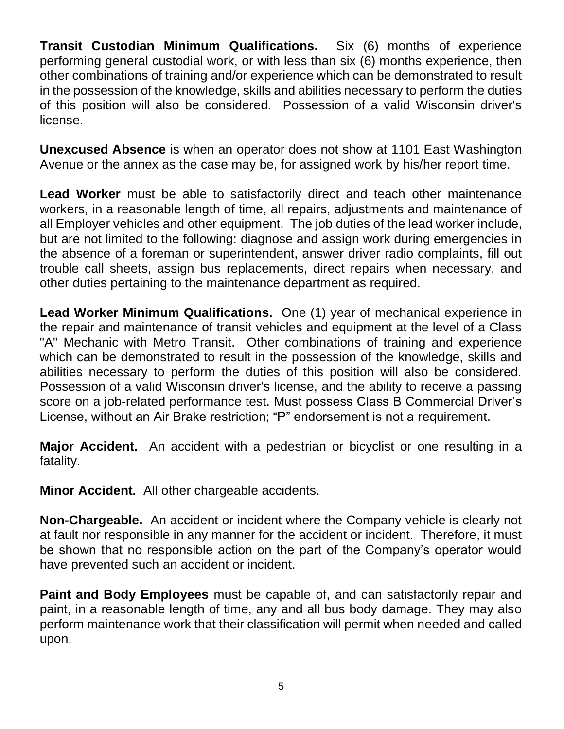**Transit Custodian Minimum Qualifications.** Six (6) months of experience performing general custodial work, or with less than six (6) months experience, then other combinations of training and/or experience which can be demonstrated to result in the possession of the knowledge, skills and abilities necessary to perform the duties of this position will also be considered. Possession of a valid Wisconsin driver's license.

**Unexcused Absence** is when an operator does not show at 1101 East Washington Avenue or the annex as the case may be, for assigned work by his/her report time.

**Lead Worker** must be able to satisfactorily direct and teach other maintenance workers, in a reasonable length of time, all repairs, adjustments and maintenance of all Employer vehicles and other equipment. The job duties of the lead worker include, but are not limited to the following: diagnose and assign work during emergencies in the absence of a foreman or superintendent, answer driver radio complaints, fill out trouble call sheets, assign bus replacements, direct repairs when necessary, and other duties pertaining to the maintenance department as required.

**Lead Worker Minimum Qualifications.** One (1) year of mechanical experience in the repair and maintenance of transit vehicles and equipment at the level of a Class "A" Mechanic with Metro Transit. Other combinations of training and experience which can be demonstrated to result in the possession of the knowledge, skills and abilities necessary to perform the duties of this position will also be considered. Possession of a valid Wisconsin driver's license, and the ability to receive a passing score on a job-related performance test. Must possess Class B Commercial Driver's License, without an Air Brake restriction; "P" endorsement is not a requirement.

**Major Accident.** An accident with a pedestrian or bicyclist or one resulting in a fatality.

**Minor Accident.** All other chargeable accidents.

**Non-Chargeable.** An accident or incident where the Company vehicle is clearly not at fault nor responsible in any manner for the accident or incident. Therefore, it must be shown that no responsible action on the part of the Company's operator would have prevented such an accident or incident.

**Paint and Body Employees** must be capable of, and can satisfactorily repair and paint, in a reasonable length of time, any and all bus body damage. They may also perform maintenance work that their classification will permit when needed and called upon.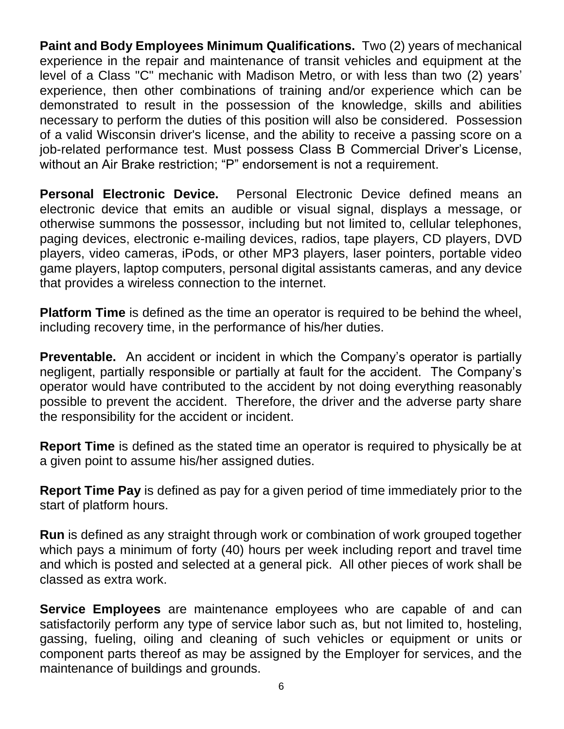**Paint and Body Employees Minimum Qualifications.** Two (2) years of mechanical experience in the repair and maintenance of transit vehicles and equipment at the level of a Class "C" mechanic with Madison Metro, or with less than two (2) years' experience, then other combinations of training and/or experience which can be demonstrated to result in the possession of the knowledge, skills and abilities necessary to perform the duties of this position will also be considered. Possession of a valid Wisconsin driver's license, and the ability to receive a passing score on a job-related performance test. Must possess Class B Commercial Driver's License, without an Air Brake restriction; "P" endorsement is not a requirement.

**Personal Electronic Device.** Personal Electronic Device defined means an electronic device that emits an audible or visual signal, displays a message, or otherwise summons the possessor, including but not limited to, cellular telephones, paging devices, electronic e-mailing devices, radios, tape players, CD players, DVD players, video cameras, iPods, or other MP3 players, laser pointers, portable video game players, laptop computers, personal digital assistants cameras, and any device that provides a wireless connection to the internet.

**Platform Time** is defined as the time an operator is required to be behind the wheel, including recovery time, in the performance of his/her duties.

**Preventable.** An accident or incident in which the Company's operator is partially negligent, partially responsible or partially at fault for the accident. The Company's operator would have contributed to the accident by not doing everything reasonably possible to prevent the accident. Therefore, the driver and the adverse party share the responsibility for the accident or incident.

**Report Time** is defined as the stated time an operator is required to physically be at a given point to assume his/her assigned duties.

**Report Time Pay** is defined as pay for a given period of time immediately prior to the start of platform hours.

**Run** is defined as any straight through work or combination of work grouped together which pays a minimum of forty (40) hours per week including report and travel time and which is posted and selected at a general pick. All other pieces of work shall be classed as extra work.

**Service Employees** are maintenance employees who are capable of and can satisfactorily perform any type of service labor such as, but not limited to, hosteling, gassing, fueling, oiling and cleaning of such vehicles or equipment or units or component parts thereof as may be assigned by the Employer for services, and the maintenance of buildings and grounds.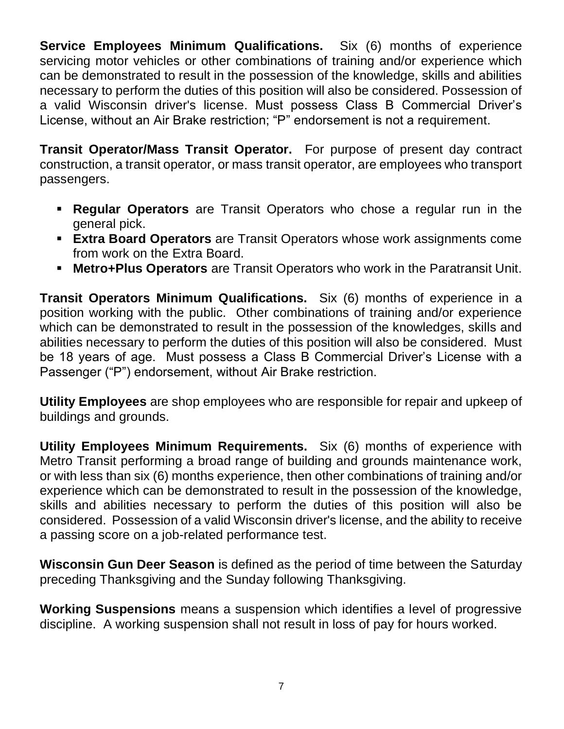**Service Employees Minimum Qualifications.** Six (6) months of experience servicing motor vehicles or other combinations of training and/or experience which can be demonstrated to result in the possession of the knowledge, skills and abilities necessary to perform the duties of this position will also be considered. Possession of a valid Wisconsin driver's license. Must possess Class B Commercial Driver's License, without an Air Brake restriction; "P" endorsement is not a requirement.

**Transit Operator/Mass Transit Operator.** For purpose of present day contract construction, a transit operator, or mass transit operator, are employees who transport passengers.

- **Regular Operators** are Transit Operators who chose a regular run in the general pick.
- **Extra Board Operators** are Transit Operators whose work assignments come from work on the Extra Board.
- **Metro+Plus Operators** are Transit Operators who work in the Paratransit Unit.

**Transit Operators Minimum Qualifications.** Six (6) months of experience in a position working with the public. Other combinations of training and/or experience which can be demonstrated to result in the possession of the knowledges, skills and abilities necessary to perform the duties of this position will also be considered. Must be 18 years of age. Must possess a Class B Commercial Driver's License with a Passenger ("P") endorsement, without Air Brake restriction.

**Utility Employees** are shop employees who are responsible for repair and upkeep of buildings and grounds.

**Utility Employees Minimum Requirements.** Six (6) months of experience with Metro Transit performing a broad range of building and grounds maintenance work, or with less than six (6) months experience, then other combinations of training and/or experience which can be demonstrated to result in the possession of the knowledge, skills and abilities necessary to perform the duties of this position will also be considered. Possession of a valid Wisconsin driver's license, and the ability to receive a passing score on a job-related performance test.

**Wisconsin Gun Deer Season** is defined as the period of time between the Saturday preceding Thanksgiving and the Sunday following Thanksgiving.

**Working Suspensions** means a suspension which identifies a level of progressive discipline. A working suspension shall not result in loss of pay for hours worked.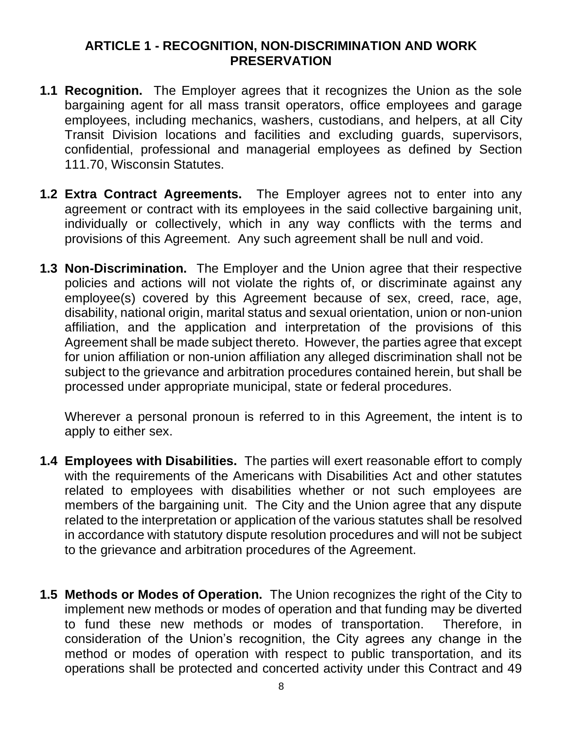#### **ARTICLE 1 - RECOGNITION, NON-DISCRIMINATION AND WORK PRESERVATION**

- <span id="page-10-0"></span>**1.1 Recognition.** The Employer agrees that it recognizes the Union as the sole bargaining agent for all mass transit operators, office employees and garage employees, including mechanics, washers, custodians, and helpers, at all City Transit Division locations and facilities and excluding guards, supervisors, confidential, professional and managerial employees as defined by Section 111.70, Wisconsin Statutes.
- **1.2 Extra Contract Agreements.** The Employer agrees not to enter into any agreement or contract with its employees in the said collective bargaining unit, individually or collectively, which in any way conflicts with the terms and provisions of this Agreement. Any such agreement shall be null and void.
- **1.3 Non-Discrimination.** The Employer and the Union agree that their respective policies and actions will not violate the rights of, or discriminate against any employee(s) covered by this Agreement because of sex, creed, race, age, disability, national origin, marital status and sexual orientation, union or non-union affiliation, and the application and interpretation of the provisions of this Agreement shall be made subject thereto. However, the parties agree that except for union affiliation or non-union affiliation any alleged discrimination shall not be subject to the grievance and arbitration procedures contained herein, but shall be processed under appropriate municipal, state or federal procedures.

Wherever a personal pronoun is referred to in this Agreement, the intent is to apply to either sex.

- **1.4 Employees with Disabilities.** The parties will exert reasonable effort to comply with the requirements of the Americans with Disabilities Act and other statutes related to employees with disabilities whether or not such employees are members of the bargaining unit. The City and the Union agree that any dispute related to the interpretation or application of the various statutes shall be resolved in accordance with statutory dispute resolution procedures and will not be subject to the grievance and arbitration procedures of the Agreement.
- **1.5 Methods or Modes of Operation.** The Union recognizes the right of the City to implement new methods or modes of operation and that funding may be diverted to fund these new methods or modes of transportation. Therefore, in consideration of the Union's recognition, the City agrees any change in the method or modes of operation with respect to public transportation, and its operations shall be protected and concerted activity under this Contract and 49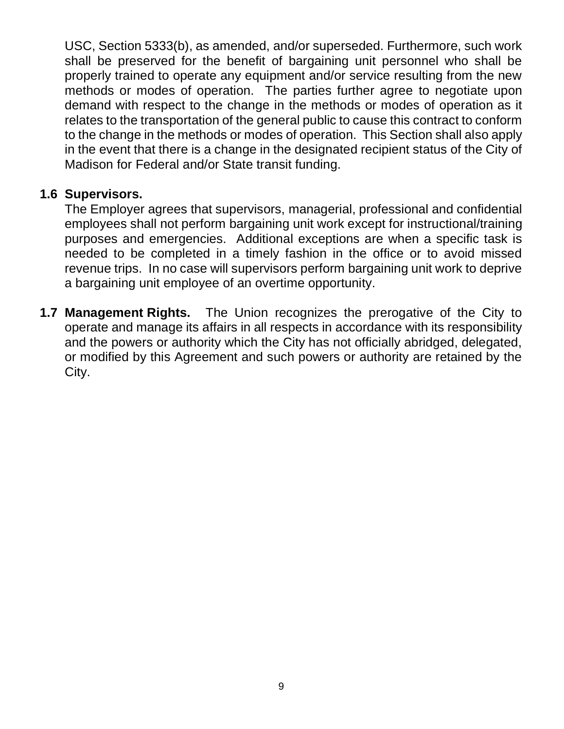USC, Section 5333(b), as amended, and/or superseded. Furthermore, such work shall be preserved for the benefit of bargaining unit personnel who shall be properly trained to operate any equipment and/or service resulting from the new methods or modes of operation. The parties further agree to negotiate upon demand with respect to the change in the methods or modes of operation as it relates to the transportation of the general public to cause this contract to conform to the change in the methods or modes of operation. This Section shall also apply in the event that there is a change in the designated recipient status of the City of Madison for Federal and/or State transit funding.

### **1.6 Supervisors.**

The Employer agrees that supervisors, managerial, professional and confidential employees shall not perform bargaining unit work except for instructional/training purposes and emergencies. Additional exceptions are when a specific task is needed to be completed in a timely fashion in the office or to avoid missed revenue trips. In no case will supervisors perform bargaining unit work to deprive a bargaining unit employee of an overtime opportunity.

**1.7 Management Rights.** The Union recognizes the prerogative of the City to operate and manage its affairs in all respects in accordance with its responsibility and the powers or authority which the City has not officially abridged, delegated, or modified by this Agreement and such powers or authority are retained by the City.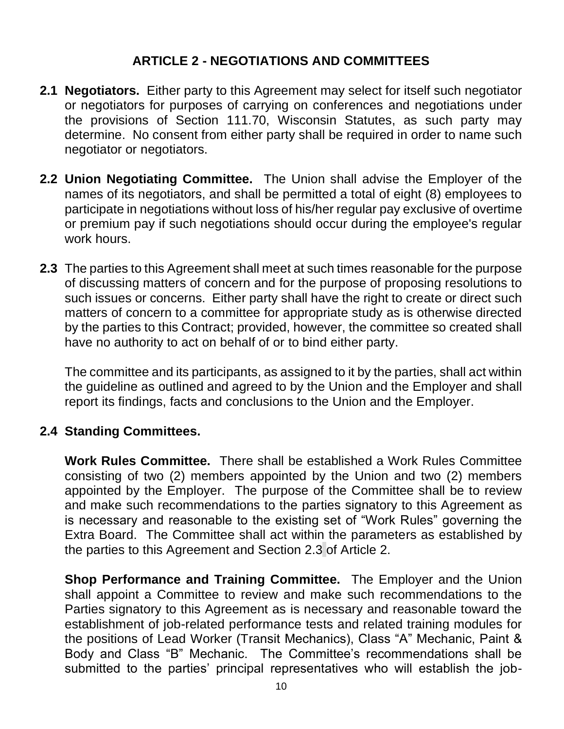# **ARTICLE 2 - NEGOTIATIONS AND COMMITTEES**

- <span id="page-12-0"></span>**2.1 Negotiators.** Either party to this Agreement may select for itself such negotiator or negotiators for purposes of carrying on conferences and negotiations under the provisions of Section 111.70, Wisconsin Statutes, as such party may determine. No consent from either party shall be required in order to name such negotiator or negotiators.
- **2.2 Union Negotiating Committee.** The Union shall advise the Employer of the names of its negotiators, and shall be permitted a total of eight (8) employees to participate in negotiations without loss of his/her regular pay exclusive of overtime or premium pay if such negotiations should occur during the employee's regular work hours.
- **2.3** The parties to this Agreement shall meet at such times reasonable for the purpose of discussing matters of concern and for the purpose of proposing resolutions to such issues or concerns. Either party shall have the right to create or direct such matters of concern to a committee for appropriate study as is otherwise directed by the parties to this Contract; provided, however, the committee so created shall have no authority to act on behalf of or to bind either party.

The committee and its participants, as assigned to it by the parties, shall act within the guideline as outlined and agreed to by the Union and the Employer and shall report its findings, facts and conclusions to the Union and the Employer.

# **2.4 Standing Committees.**

**Work Rules Committee.** There shall be established a Work Rules Committee consisting of two (2) members appointed by the Union and two (2) members appointed by the Employer. The purpose of the Committee shall be to review and make such recommendations to the parties signatory to this Agreement as is necessary and reasonable to the existing set of "Work Rules" governing the Extra Board. The Committee shall act within the parameters as established by the parties to this Agreement and Section 2.3 of Article 2.

**Shop Performance and Training Committee.** The Employer and the Union shall appoint a Committee to review and make such recommendations to the Parties signatory to this Agreement as is necessary and reasonable toward the establishment of job-related performance tests and related training modules for the positions of Lead Worker (Transit Mechanics), Class "A" Mechanic, Paint & Body and Class "B" Mechanic. The Committee's recommendations shall be submitted to the parties' principal representatives who will establish the job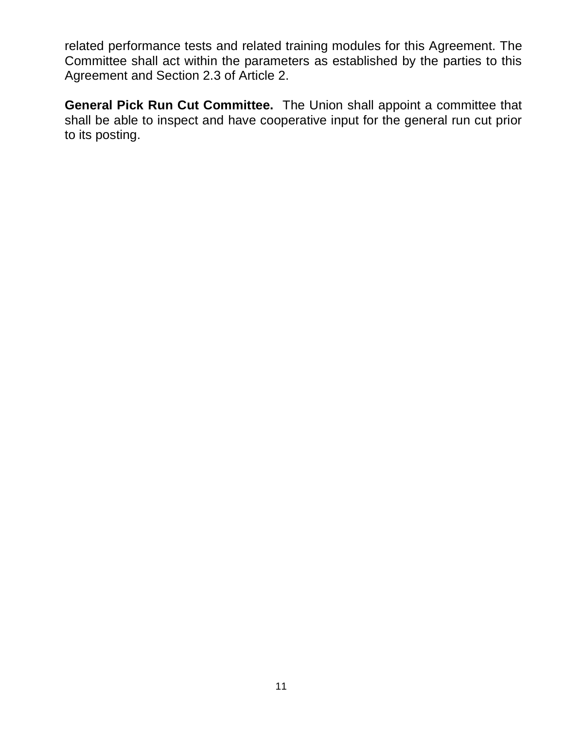related performance tests and related training modules for this Agreement. The Committee shall act within the parameters as established by the parties to this Agreement and Section 2.3 of Article 2.

<span id="page-13-0"></span>**General Pick Run Cut Committee.** The Union shall appoint a committee that shall be able to inspect and have cooperative input for the general run cut prior to its posting.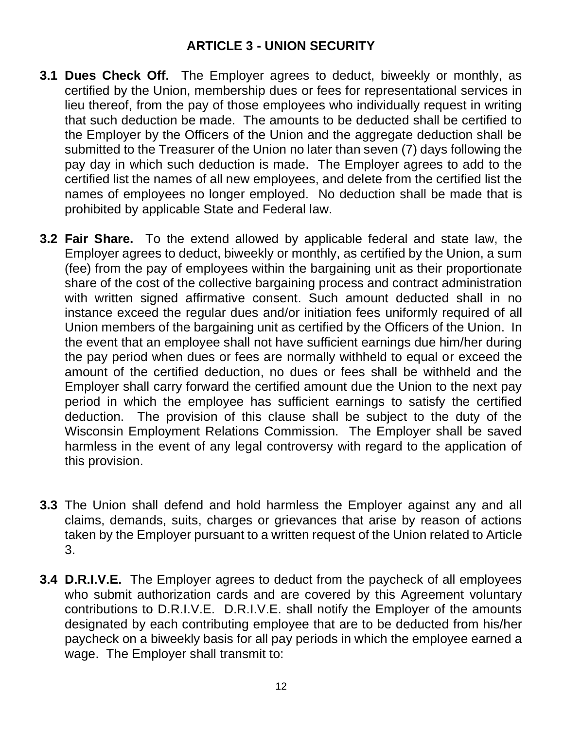- **3.1 Dues Check Off.** The Employer agrees to deduct, biweekly or monthly, as certified by the Union, membership dues or fees for representational services in lieu thereof, from the pay of those employees who individually request in writing that such deduction be made. The amounts to be deducted shall be certified to the Employer by the Officers of the Union and the aggregate deduction shall be submitted to the Treasurer of the Union no later than seven (7) days following the pay day in which such deduction is made. The Employer agrees to add to the certified list the names of all new employees, and delete from the certified list the names of employees no longer employed. No deduction shall be made that is prohibited by applicable State and Federal law.
- **3.2 Fair Share.** To the extend allowed by applicable federal and state law, the Employer agrees to deduct, biweekly or monthly, as certified by the Union, a sum (fee) from the pay of employees within the bargaining unit as their proportionate share of the cost of the collective bargaining process and contract administration with written signed affirmative consent. Such amount deducted shall in no instance exceed the regular dues and/or initiation fees uniformly required of all Union members of the bargaining unit as certified by the Officers of the Union. In the event that an employee shall not have sufficient earnings due him/her during the pay period when dues or fees are normally withheld to equal or exceed the amount of the certified deduction, no dues or fees shall be withheld and the Employer shall carry forward the certified amount due the Union to the next pay period in which the employee has sufficient earnings to satisfy the certified deduction. The provision of this clause shall be subject to the duty of the Wisconsin Employment Relations Commission. The Employer shall be saved harmless in the event of any legal controversy with regard to the application of this provision.
- **3.3** The Union shall defend and hold harmless the Employer against any and all claims, demands, suits, charges or grievances that arise by reason of actions taken by the Employer pursuant to a written request of the Union related to Article 3.
- **3.4 D.R.I.V.E.** The Employer agrees to deduct from the paycheck of all employees who submit authorization cards and are covered by this Agreement voluntary contributions to D.R.I.V.E. D.R.I.V.E. shall notify the Employer of the amounts designated by each contributing employee that are to be deducted from his/her paycheck on a biweekly basis for all pay periods in which the employee earned a wage. The Employer shall transmit to: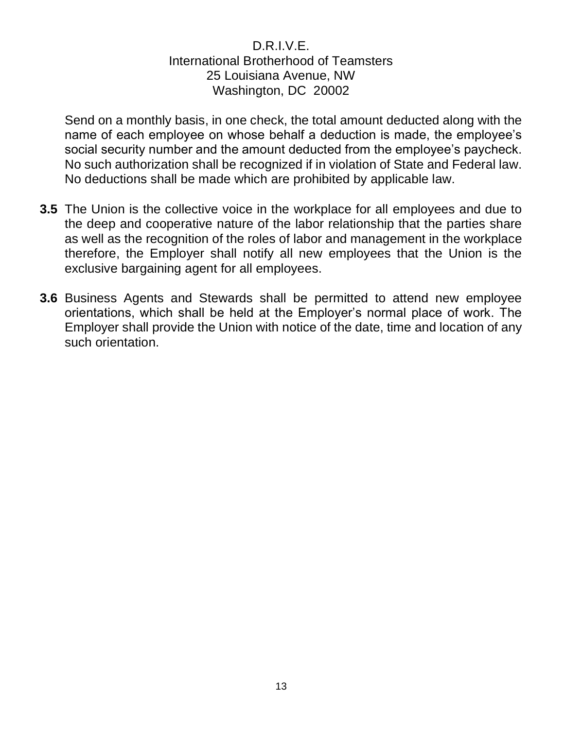#### D.R.I.V.E. International Brotherhood of Teamsters 25 Louisiana Avenue, NW Washington, DC 20002

Send on a monthly basis, in one check, the total amount deducted along with the name of each employee on whose behalf a deduction is made, the employee's social security number and the amount deducted from the employee's paycheck. No such authorization shall be recognized if in violation of State and Federal law. No deductions shall be made which are prohibited by applicable law.

- **3.5** The Union is the collective voice in the workplace for all employees and due to the deep and cooperative nature of the labor relationship that the parties share as well as the recognition of the roles of labor and management in the workplace therefore, the Employer shall notify all new employees that the Union is the exclusive bargaining agent for all employees.
- **3.6** Business Agents and Stewards shall be permitted to attend new employee orientations, which shall be held at the Employer's normal place of work. The Employer shall provide the Union with notice of the date, time and location of any such orientation.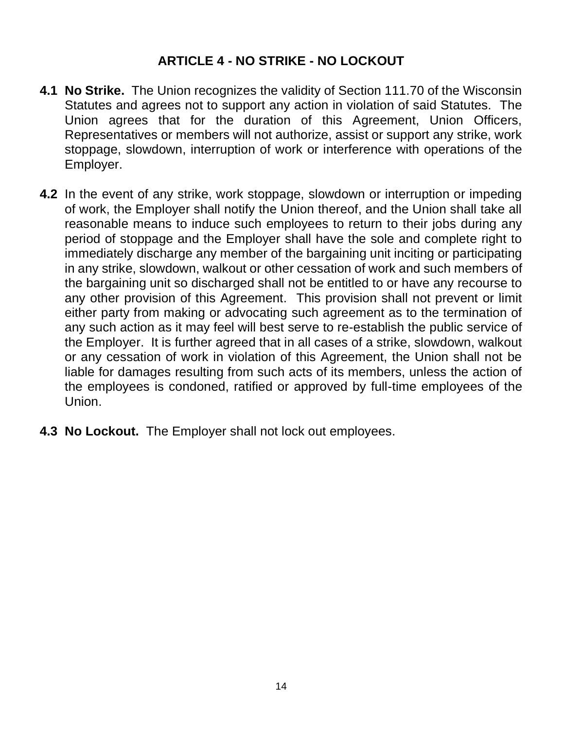# **ARTICLE 4 - NO STRIKE - NO LOCKOUT**

- <span id="page-16-0"></span>**4.1 No Strike.** The Union recognizes the validity of Section 111.70 of the Wisconsin Statutes and agrees not to support any action in violation of said Statutes. The Union agrees that for the duration of this Agreement, Union Officers, Representatives or members will not authorize, assist or support any strike, work stoppage, slowdown, interruption of work or interference with operations of the Employer.
- **4.2** In the event of any strike, work stoppage, slowdown or interruption or impeding of work, the Employer shall notify the Union thereof, and the Union shall take all reasonable means to induce such employees to return to their jobs during any period of stoppage and the Employer shall have the sole and complete right to immediately discharge any member of the bargaining unit inciting or participating in any strike, slowdown, walkout or other cessation of work and such members of the bargaining unit so discharged shall not be entitled to or have any recourse to any other provision of this Agreement. This provision shall not prevent or limit either party from making or advocating such agreement as to the termination of any such action as it may feel will best serve to re-establish the public service of the Employer. It is further agreed that in all cases of a strike, slowdown, walkout or any cessation of work in violation of this Agreement, the Union shall not be liable for damages resulting from such acts of its members, unless the action of the employees is condoned, ratified or approved by full-time employees of the Union.
- **4.3 No Lockout.** The Employer shall not lock out employees.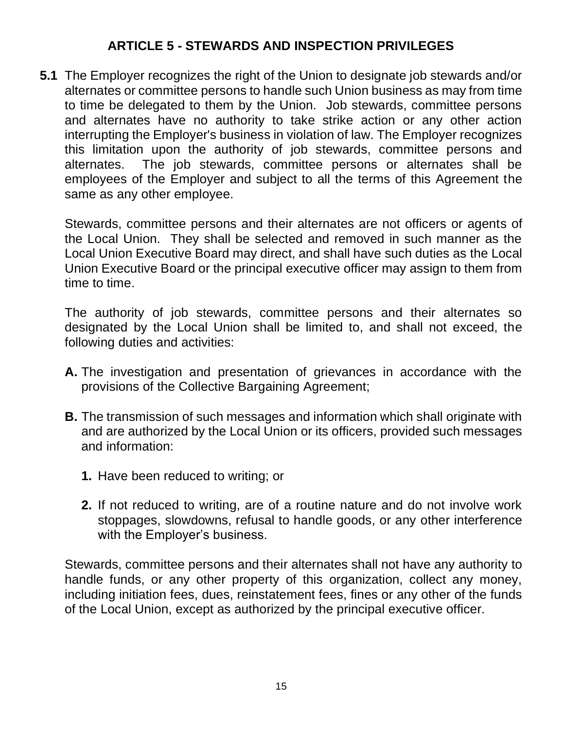# **ARTICLE 5 - STEWARDS AND INSPECTION PRIVILEGES**

<span id="page-17-0"></span>**5.1** The Employer recognizes the right of the Union to designate job stewards and/or alternates or committee persons to handle such Union business as may from time to time be delegated to them by the Union. Job stewards, committee persons and alternates have no authority to take strike action or any other action interrupting the Employer's business in violation of law. The Employer recognizes this limitation upon the authority of job stewards, committee persons and alternates. The job stewards, committee persons or alternates shall be employees of the Employer and subject to all the terms of this Agreement the same as any other employee.

Stewards, committee persons and their alternates are not officers or agents of the Local Union. They shall be selected and removed in such manner as the Local Union Executive Board may direct, and shall have such duties as the Local Union Executive Board or the principal executive officer may assign to them from time to time.

The authority of job stewards, committee persons and their alternates so designated by the Local Union shall be limited to, and shall not exceed, the following duties and activities:

- **A.** The investigation and presentation of grievances in accordance with the provisions of the Collective Bargaining Agreement;
- **B.** The transmission of such messages and information which shall originate with and are authorized by the Local Union or its officers, provided such messages and information:
	- **1.** Have been reduced to writing; or
	- **2.** If not reduced to writing, are of a routine nature and do not involve work stoppages, slowdowns, refusal to handle goods, or any other interference with the Employer's business.

Stewards, committee persons and their alternates shall not have any authority to handle funds, or any other property of this organization, collect any money, including initiation fees, dues, reinstatement fees, fines or any other of the funds of the Local Union, except as authorized by the principal executive officer.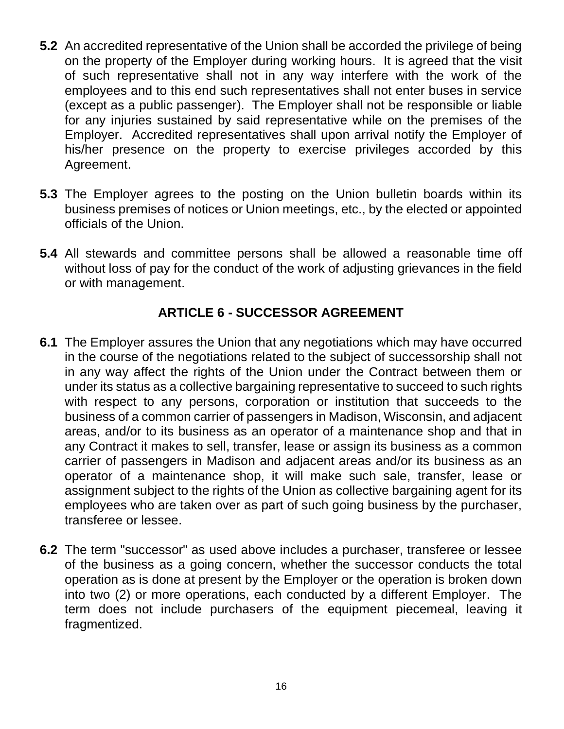- **5.2** An accredited representative of the Union shall be accorded the privilege of being on the property of the Employer during working hours. It is agreed that the visit of such representative shall not in any way interfere with the work of the employees and to this end such representatives shall not enter buses in service (except as a public passenger). The Employer shall not be responsible or liable for any injuries sustained by said representative while on the premises of the Employer. Accredited representatives shall upon arrival notify the Employer of his/her presence on the property to exercise privileges accorded by this Agreement.
- **5.3** The Employer agrees to the posting on the Union bulletin boards within its business premises of notices or Union meetings, etc., by the elected or appointed officials of the Union.
- **5.4** All stewards and committee persons shall be allowed a reasonable time off without loss of pay for the conduct of the work of adjusting grievances in the field or with management.

# **ARTICLE 6 - SUCCESSOR AGREEMENT**

- <span id="page-18-0"></span>**6.1** The Employer assures the Union that any negotiations which may have occurred in the course of the negotiations related to the subject of successorship shall not in any way affect the rights of the Union under the Contract between them or under its status as a collective bargaining representative to succeed to such rights with respect to any persons, corporation or institution that succeeds to the business of a common carrier of passengers in Madison, Wisconsin, and adjacent areas, and/or to its business as an operator of a maintenance shop and that in any Contract it makes to sell, transfer, lease or assign its business as a common carrier of passengers in Madison and adjacent areas and/or its business as an operator of a maintenance shop, it will make such sale, transfer, lease or assignment subject to the rights of the Union as collective bargaining agent for its employees who are taken over as part of such going business by the purchaser, transferee or lessee.
- **6.2** The term "successor" as used above includes a purchaser, transferee or lessee of the business as a going concern, whether the successor conducts the total operation as is done at present by the Employer or the operation is broken down into two (2) or more operations, each conducted by a different Employer. The term does not include purchasers of the equipment piecemeal, leaving it fragmentized.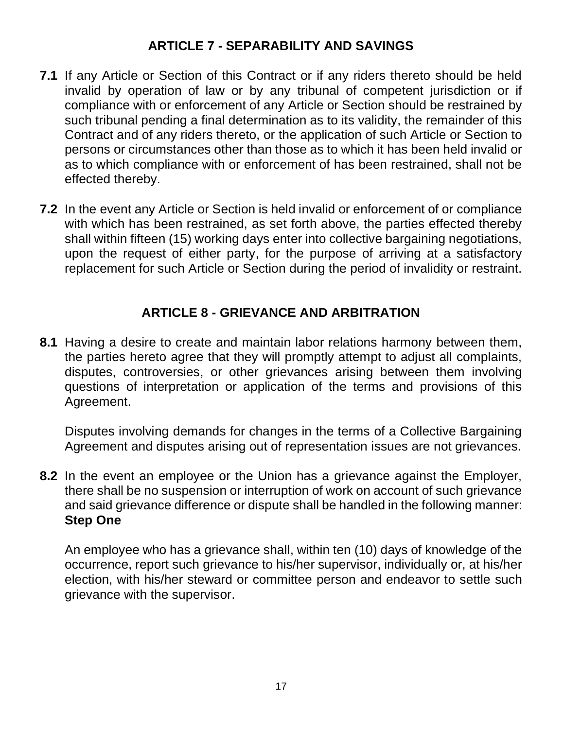## **ARTICLE 7 - SEPARABILITY AND SAVINGS**

- <span id="page-19-0"></span>**7.1** If any Article or Section of this Contract or if any riders thereto should be held invalid by operation of law or by any tribunal of competent jurisdiction or if compliance with or enforcement of any Article or Section should be restrained by such tribunal pending a final determination as to its validity, the remainder of this Contract and of any riders thereto, or the application of such Article or Section to persons or circumstances other than those as to which it has been held invalid or as to which compliance with or enforcement of has been restrained, shall not be effected thereby.
- **7.2** In the event any Article or Section is held invalid or enforcement of or compliance with which has been restrained, as set forth above, the parties effected thereby shall within fifteen (15) working days enter into collective bargaining negotiations, upon the request of either party, for the purpose of arriving at a satisfactory replacement for such Article or Section during the period of invalidity or restraint.

# **ARTICLE 8 - GRIEVANCE AND ARBITRATION**

<span id="page-19-1"></span>**8.1** Having a desire to create and maintain labor relations harmony between them, the parties hereto agree that they will promptly attempt to adjust all complaints, disputes, controversies, or other grievances arising between them involving questions of interpretation or application of the terms and provisions of this Agreement.

Disputes involving demands for changes in the terms of a Collective Bargaining Agreement and disputes arising out of representation issues are not grievances.

**8.2** In the event an employee or the Union has a grievance against the Employer, there shall be no suspension or interruption of work on account of such grievance and said grievance difference or dispute shall be handled in the following manner: **Step One**

An employee who has a grievance shall, within ten (10) days of knowledge of the occurrence, report such grievance to his/her supervisor, individually or, at his/her election, with his/her steward or committee person and endeavor to settle such grievance with the supervisor.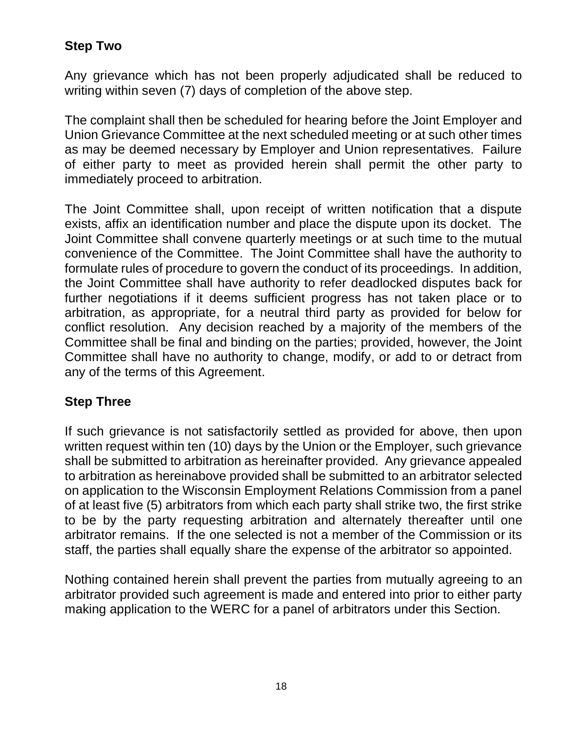# **Step Two**

Any grievance which has not been properly adjudicated shall be reduced to writing within seven (7) days of completion of the above step.

The complaint shall then be scheduled for hearing before the Joint Employer and Union Grievance Committee at the next scheduled meeting or at such other times as may be deemed necessary by Employer and Union representatives. Failure of either party to meet as provided herein shall permit the other party to immediately proceed to arbitration.

The Joint Committee shall, upon receipt of written notification that a dispute exists, affix an identification number and place the dispute upon its docket. The Joint Committee shall convene quarterly meetings or at such time to the mutual convenience of the Committee. The Joint Committee shall have the authority to formulate rules of procedure to govern the conduct of its proceedings. In addition, the Joint Committee shall have authority to refer deadlocked disputes back for further negotiations if it deems sufficient progress has not taken place or to arbitration, as appropriate, for a neutral third party as provided for below for conflict resolution. Any decision reached by a majority of the members of the Committee shall be final and binding on the parties; provided, however, the Joint Committee shall have no authority to change, modify, or add to or detract from any of the terms of this Agreement.

# **Step Three**

If such grievance is not satisfactorily settled as provided for above, then upon written request within ten (10) days by the Union or the Employer, such grievance shall be submitted to arbitration as hereinafter provided. Any grievance appealed to arbitration as hereinabove provided shall be submitted to an arbitrator selected on application to the Wisconsin Employment Relations Commission from a panel of at least five (5) arbitrators from which each party shall strike two, the first strike to be by the party requesting arbitration and alternately thereafter until one arbitrator remains. If the one selected is not a member of the Commission or its staff, the parties shall equally share the expense of the arbitrator so appointed.

Nothing contained herein shall prevent the parties from mutually agreeing to an arbitrator provided such agreement is made and entered into prior to either party making application to the WERC for a panel of arbitrators under this Section.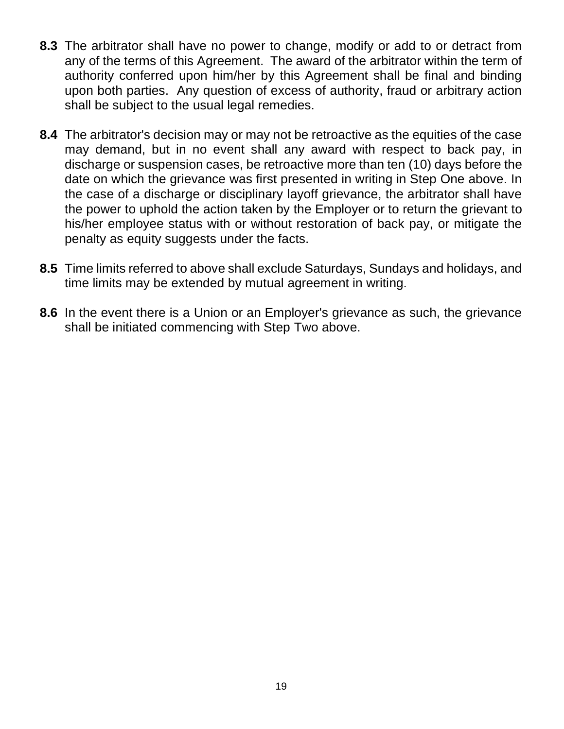- **8.3** The arbitrator shall have no power to change, modify or add to or detract from any of the terms of this Agreement. The award of the arbitrator within the term of authority conferred upon him/her by this Agreement shall be final and binding upon both parties. Any question of excess of authority, fraud or arbitrary action shall be subject to the usual legal remedies.
- **8.4** The arbitrator's decision may or may not be retroactive as the equities of the case may demand, but in no event shall any award with respect to back pay, in discharge or suspension cases, be retroactive more than ten (10) days before the date on which the grievance was first presented in writing in Step One above. In the case of a discharge or disciplinary layoff grievance, the arbitrator shall have the power to uphold the action taken by the Employer or to return the grievant to his/her employee status with or without restoration of back pay, or mitigate the penalty as equity suggests under the facts.
- **8.5** Time limits referred to above shall exclude Saturdays, Sundays and holidays, and time limits may be extended by mutual agreement in writing.
- **8.6** In the event there is a Union or an Employer's grievance as such, the grievance shall be initiated commencing with Step Two above.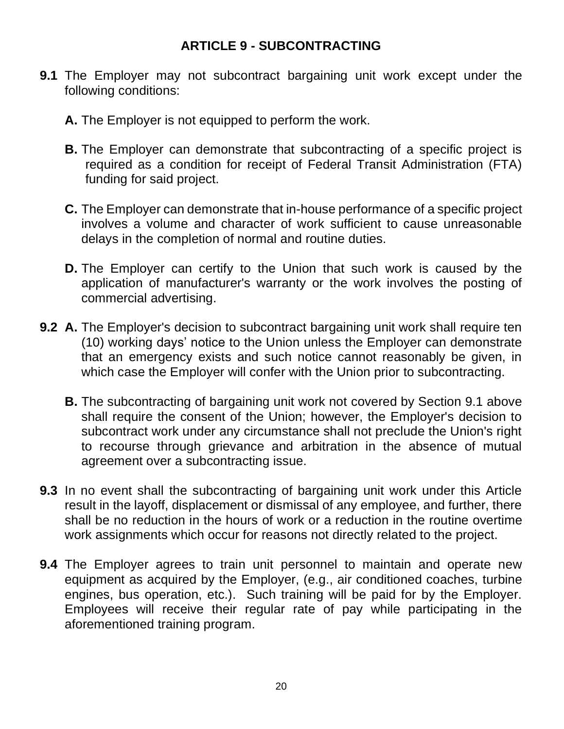### **ARTICLE 9 - SUBCONTRACTING**

- <span id="page-22-0"></span>**9.1** The Employer may not subcontract bargaining unit work except under the following conditions:
	- **A.** The Employer is not equipped to perform the work.
	- **B.** The Employer can demonstrate that subcontracting of a specific project is required as a condition for receipt of Federal Transit Administration (FTA) funding for said project.
	- **C.** The Employer can demonstrate that in-house performance of a specific project involves a volume and character of work sufficient to cause unreasonable delays in the completion of normal and routine duties.
	- **D.** The Employer can certify to the Union that such work is caused by the application of manufacturer's warranty or the work involves the posting of commercial advertising.
- **9.2 A.** The Employer's decision to subcontract bargaining unit work shall require ten (10) working days' notice to the Union unless the Employer can demonstrate that an emergency exists and such notice cannot reasonably be given, in which case the Employer will confer with the Union prior to subcontracting.
	- **B.** The subcontracting of bargaining unit work not covered by Section 9.1 above shall require the consent of the Union; however, the Employer's decision to subcontract work under any circumstance shall not preclude the Union's right to recourse through grievance and arbitration in the absence of mutual agreement over a subcontracting issue.
- **9.3** In no event shall the subcontracting of bargaining unit work under this Article result in the layoff, displacement or dismissal of any employee, and further, there shall be no reduction in the hours of work or a reduction in the routine overtime work assignments which occur for reasons not directly related to the project.
- **9.4** The Employer agrees to train unit personnel to maintain and operate new equipment as acquired by the Employer, (e.g., air conditioned coaches, turbine engines, bus operation, etc.). Such training will be paid for by the Employer. Employees will receive their regular rate of pay while participating in the aforementioned training program.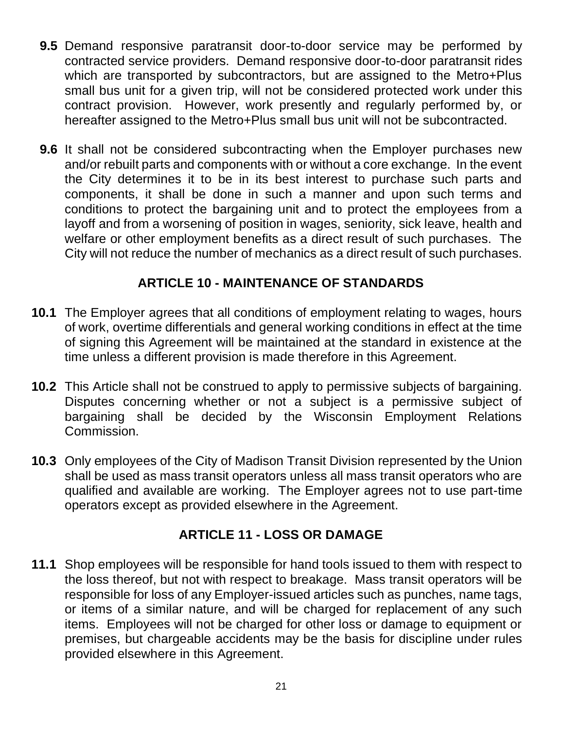- **9.5** Demand responsive paratransit door-to-door service may be performed by contracted service providers. Demand responsive door-to-door paratransit rides which are transported by subcontractors, but are assigned to the Metro+Plus small bus unit for a given trip, will not be considered protected work under this contract provision. However, work presently and regularly performed by, or hereafter assigned to the Metro+Plus small bus unit will not be subcontracted.
- **9.6** It shall not be considered subcontracting when the Employer purchases new and/or rebuilt parts and components with or without a core exchange. In the event the City determines it to be in its best interest to purchase such parts and components, it shall be done in such a manner and upon such terms and conditions to protect the bargaining unit and to protect the employees from a layoff and from a worsening of position in wages, seniority, sick leave, health and welfare or other employment benefits as a direct result of such purchases. The City will not reduce the number of mechanics as a direct result of such purchases.

# **ARTICLE 10 - MAINTENANCE OF STANDARDS**

- <span id="page-23-0"></span>**10.1** The Employer agrees that all conditions of employment relating to wages, hours of work, overtime differentials and general working conditions in effect at the time of signing this Agreement will be maintained at the standard in existence at the time unless a different provision is made therefore in this Agreement.
- **10.2** This Article shall not be construed to apply to permissive subjects of bargaining. Disputes concerning whether or not a subject is a permissive subject of bargaining shall be decided by the Wisconsin Employment Relations Commission.
- **10.3** Only employees of the City of Madison Transit Division represented by the Union shall be used as mass transit operators unless all mass transit operators who are qualified and available are working. The Employer agrees not to use part-time operators except as provided elsewhere in the Agreement.

# **ARTICLE 11 - LOSS OR DAMAGE**

<span id="page-23-1"></span>**11.1** Shop employees will be responsible for hand tools issued to them with respect to the loss thereof, but not with respect to breakage. Mass transit operators will be responsible for loss of any Employer-issued articles such as punches, name tags, or items of a similar nature, and will be charged for replacement of any such items. Employees will not be charged for other loss or damage to equipment or premises, but chargeable accidents may be the basis for discipline under rules provided elsewhere in this Agreement.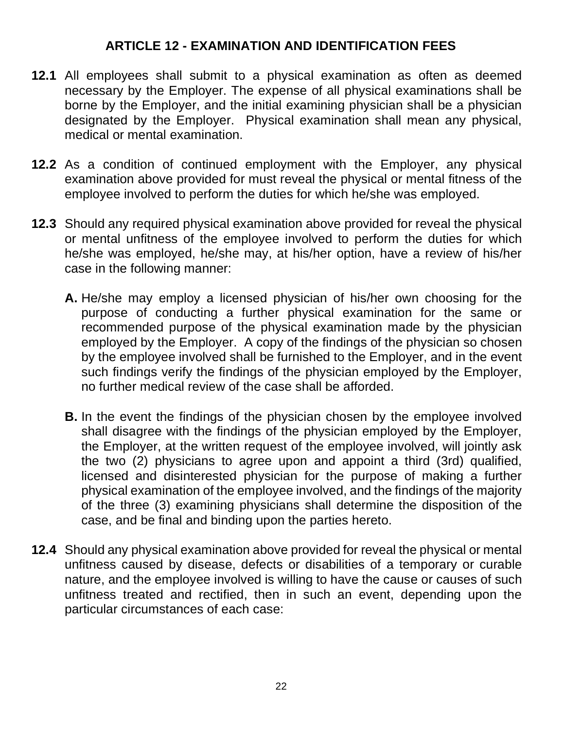### **ARTICLE 12 - EXAMINATION AND IDENTIFICATION FEES**

- <span id="page-24-0"></span>**12.1** All employees shall submit to a physical examination as often as deemed necessary by the Employer. The expense of all physical examinations shall be borne by the Employer, and the initial examining physician shall be a physician designated by the Employer. Physical examination shall mean any physical, medical or mental examination.
- **12.2** As a condition of continued employment with the Employer, any physical examination above provided for must reveal the physical or mental fitness of the employee involved to perform the duties for which he/she was employed.
- **12.3** Should any required physical examination above provided for reveal the physical or mental unfitness of the employee involved to perform the duties for which he/she was employed, he/she may, at his/her option, have a review of his/her case in the following manner:
	- **A.** He/she may employ a licensed physician of his/her own choosing for the purpose of conducting a further physical examination for the same or recommended purpose of the physical examination made by the physician employed by the Employer. A copy of the findings of the physician so chosen by the employee involved shall be furnished to the Employer, and in the event such findings verify the findings of the physician employed by the Employer, no further medical review of the case shall be afforded.
	- **B.** In the event the findings of the physician chosen by the employee involved shall disagree with the findings of the physician employed by the Employer, the Employer, at the written request of the employee involved, will jointly ask the two (2) physicians to agree upon and appoint a third (3rd) qualified, licensed and disinterested physician for the purpose of making a further physical examination of the employee involved, and the findings of the majority of the three (3) examining physicians shall determine the disposition of the case, and be final and binding upon the parties hereto.
- **12.4** Should any physical examination above provided for reveal the physical or mental unfitness caused by disease, defects or disabilities of a temporary or curable nature, and the employee involved is willing to have the cause or causes of such unfitness treated and rectified, then in such an event, depending upon the particular circumstances of each case: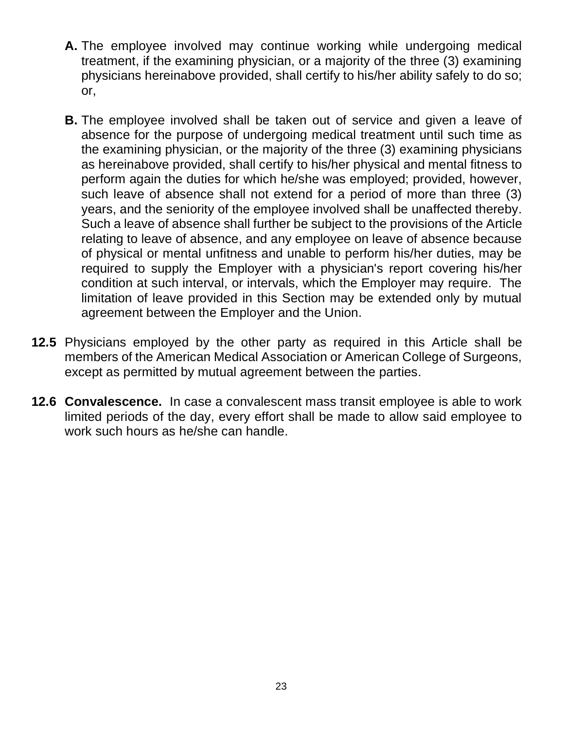- **A.** The employee involved may continue working while undergoing medical treatment, if the examining physician, or a majority of the three (3) examining physicians hereinabove provided, shall certify to his/her ability safely to do so; or,
- **B.** The employee involved shall be taken out of service and given a leave of absence for the purpose of undergoing medical treatment until such time as the examining physician, or the majority of the three (3) examining physicians as hereinabove provided, shall certify to his/her physical and mental fitness to perform again the duties for which he/she was employed; provided, however, such leave of absence shall not extend for a period of more than three (3) years, and the seniority of the employee involved shall be unaffected thereby. Such a leave of absence shall further be subject to the provisions of the Article relating to leave of absence, and any employee on leave of absence because of physical or mental unfitness and unable to perform his/her duties, may be required to supply the Employer with a physician's report covering his/her condition at such interval, or intervals, which the Employer may require. The limitation of leave provided in this Section may be extended only by mutual agreement between the Employer and the Union.
- **12.5** Physicians employed by the other party as required in this Article shall be members of the American Medical Association or American College of Surgeons, except as permitted by mutual agreement between the parties.
- **12.6 Convalescence.** In case a convalescent mass transit employee is able to work limited periods of the day, every effort shall be made to allow said employee to work such hours as he/she can handle.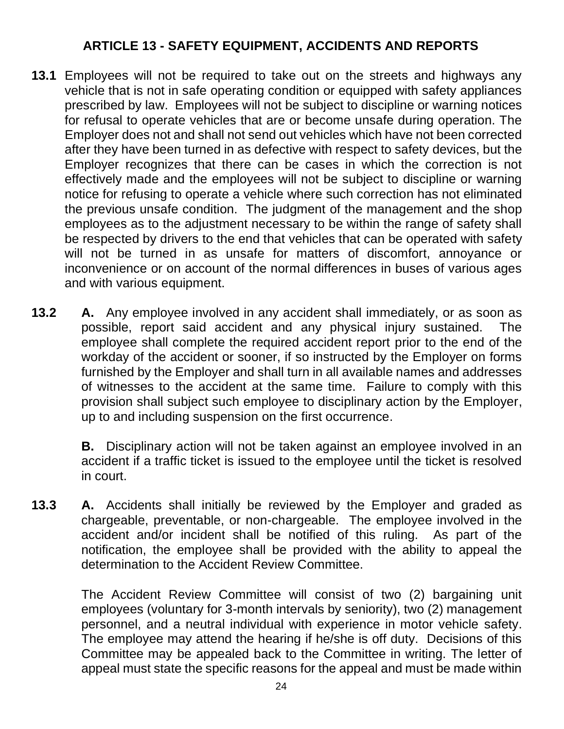# **ARTICLE 13 - SAFETY EQUIPMENT, ACCIDENTS AND REPORTS**

- <span id="page-26-0"></span>**13.1** Employees will not be required to take out on the streets and highways any vehicle that is not in safe operating condition or equipped with safety appliances prescribed by law. Employees will not be subject to discipline or warning notices for refusal to operate vehicles that are or become unsafe during operation. The Employer does not and shall not send out vehicles which have not been corrected after they have been turned in as defective with respect to safety devices, but the Employer recognizes that there can be cases in which the correction is not effectively made and the employees will not be subject to discipline or warning notice for refusing to operate a vehicle where such correction has not eliminated the previous unsafe condition. The judgment of the management and the shop employees as to the adjustment necessary to be within the range of safety shall be respected by drivers to the end that vehicles that can be operated with safety will not be turned in as unsafe for matters of discomfort, annoyance or inconvenience or on account of the normal differences in buses of various ages and with various equipment.
- **13.2 A.** Any employee involved in any accident shall immediately, or as soon as possible, report said accident and any physical injury sustained. The employee shall complete the required accident report prior to the end of the workday of the accident or sooner, if so instructed by the Employer on forms furnished by the Employer and shall turn in all available names and addresses of witnesses to the accident at the same time. Failure to comply with this provision shall subject such employee to disciplinary action by the Employer, up to and including suspension on the first occurrence.

**B.** Disciplinary action will not be taken against an employee involved in an accident if a traffic ticket is issued to the employee until the ticket is resolved in court.

**13.3 A.** Accidents shall initially be reviewed by the Employer and graded as chargeable, preventable, or non-chargeable. The employee involved in the accident and/or incident shall be notified of this ruling. As part of the notification, the employee shall be provided with the ability to appeal the determination to the Accident Review Committee.

> The Accident Review Committee will consist of two (2) bargaining unit employees (voluntary for 3-month intervals by seniority), two (2) management personnel, and a neutral individual with experience in motor vehicle safety. The employee may attend the hearing if he/she is off duty. Decisions of this Committee may be appealed back to the Committee in writing. The letter of appeal must state the specific reasons for the appeal and must be made within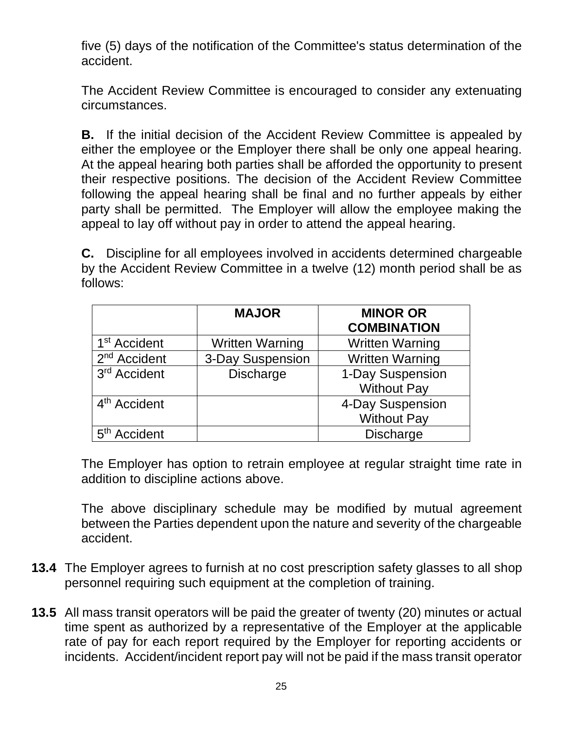five (5) days of the notification of the Committee's status determination of the accident.

The Accident Review Committee is encouraged to consider any extenuating circumstances.

**B.** If the initial decision of the Accident Review Committee is appealed by either the employee or the Employer there shall be only one appeal hearing. At the appeal hearing both parties shall be afforded the opportunity to present their respective positions. The decision of the Accident Review Committee following the appeal hearing shall be final and no further appeals by either party shall be permitted. The Employer will allow the employee making the appeal to lay off without pay in order to attend the appeal hearing.

**C.** Discipline for all employees involved in accidents determined chargeable by the Accident Review Committee in a twelve (12) month period shall be as follows:

|                          | <b>MAJOR</b>           | <b>MINOR OR</b>        |
|--------------------------|------------------------|------------------------|
|                          |                        | <b>COMBINATION</b>     |
| 1 <sup>st</sup> Accident | <b>Written Warning</b> | <b>Written Warning</b> |
| $2nd$ Accident           | 3-Day Suspension       | <b>Written Warning</b> |
| 3 <sup>rd</sup> Accident | <b>Discharge</b>       | 1-Day Suspension       |
|                          |                        | <b>Without Pay</b>     |
| 4 <sup>th</sup> Accident |                        | 4-Day Suspension       |
|                          |                        | <b>Without Pay</b>     |
| 5 <sup>th</sup> Accident |                        | <b>Discharge</b>       |

The Employer has option to retrain employee at regular straight time rate in addition to discipline actions above.

The above disciplinary schedule may be modified by mutual agreement between the Parties dependent upon the nature and severity of the chargeable accident.

- **13.4** The Employer agrees to furnish at no cost prescription safety glasses to all shop personnel requiring such equipment at the completion of training.
- **13.5** All mass transit operators will be paid the greater of twenty (20) minutes or actual time spent as authorized by a representative of the Employer at the applicable rate of pay for each report required by the Employer for reporting accidents or incidents. Accident/incident report pay will not be paid if the mass transit operator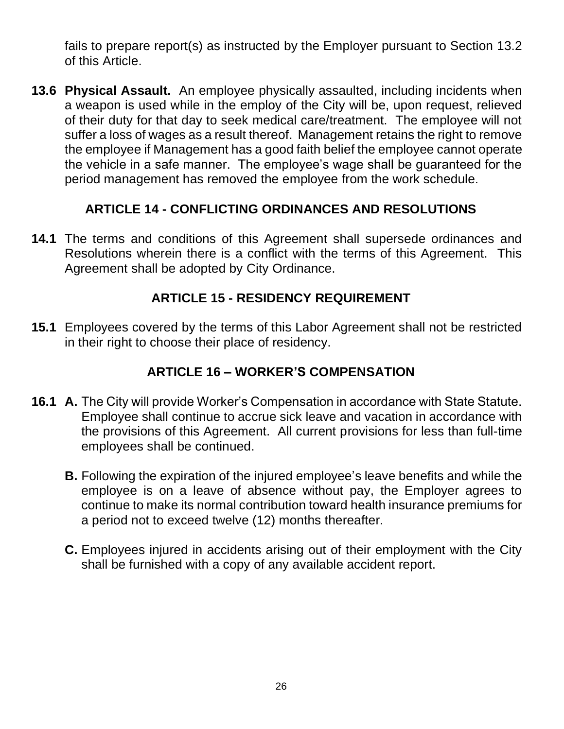fails to prepare report(s) as instructed by the Employer pursuant to Section 13.2 of this Article.

**13.6 Physical Assault.** An employee physically assaulted, including incidents when a weapon is used while in the employ of the City will be, upon request, relieved of their duty for that day to seek medical care/treatment. The employee will not suffer a loss of wages as a result thereof. Management retains the right to remove the employee if Management has a good faith belief the employee cannot operate the vehicle in a safe manner. The employee's wage shall be guaranteed for the period management has removed the employee from the work schedule.

# **ARTICLE 14 - CONFLICTING ORDINANCES AND RESOLUTIONS**

<span id="page-28-0"></span>**14.1** The terms and conditions of this Agreement shall supersede ordinances and Resolutions wherein there is a conflict with the terms of this Agreement. This Agreement shall be adopted by City Ordinance.

# **ARTICLE 15 - RESIDENCY REQUIREMENT**

<span id="page-28-1"></span>**15.1** Employees covered by the terms of this Labor Agreement shall not be restricted in their right to choose their place of residency.

# **ARTICLE 16 – WORKER'S COMPENSATION**

- <span id="page-28-2"></span>**16.1 A.** The City will provide Worker's Compensation in accordance with State Statute. Employee shall continue to accrue sick leave and vacation in accordance with the provisions of this Agreement. All current provisions for less than full-time employees shall be continued.
	- **B.** Following the expiration of the injured employee's leave benefits and while the employee is on a leave of absence without pay, the Employer agrees to continue to make its normal contribution toward health insurance premiums for a period not to exceed twelve (12) months thereafter.
	- **C.** Employees injured in accidents arising out of their employment with the City shall be furnished with a copy of any available accident report.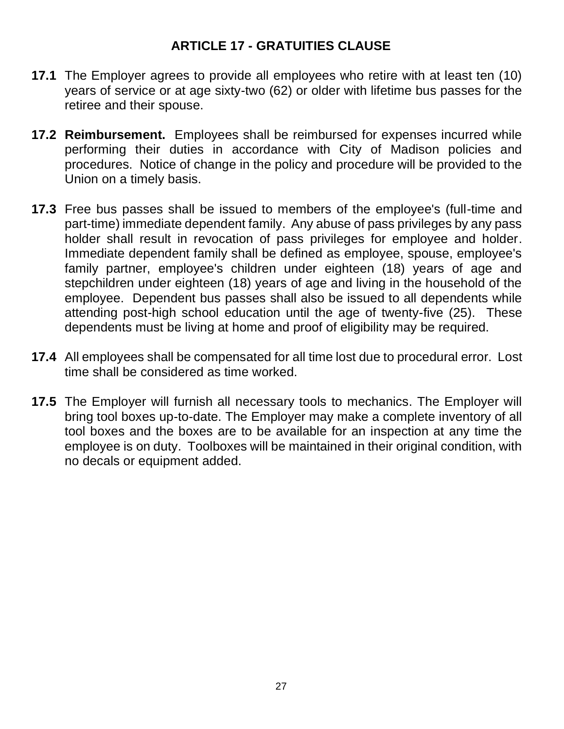### **ARTICLE 17 - GRATUITIES CLAUSE**

- <span id="page-29-0"></span>**17.1** The Employer agrees to provide all employees who retire with at least ten (10) years of service or at age sixty-two (62) or older with lifetime bus passes for the retiree and their spouse.
- **17.2 Reimbursement.** Employees shall be reimbursed for expenses incurred while performing their duties in accordance with City of Madison policies and procedures. Notice of change in the policy and procedure will be provided to the Union on a timely basis.
- **17.3** Free bus passes shall be issued to members of the employee's (full-time and part-time) immediate dependent family. Any abuse of pass privileges by any pass holder shall result in revocation of pass privileges for employee and holder. Immediate dependent family shall be defined as employee, spouse, employee's family partner, employee's children under eighteen (18) years of age and stepchildren under eighteen (18) years of age and living in the household of the employee. Dependent bus passes shall also be issued to all dependents while attending post-high school education until the age of twenty-five (25). These dependents must be living at home and proof of eligibility may be required.
- **17.4** All employees shall be compensated for all time lost due to procedural error. Lost time shall be considered as time worked.
- **17.5** The Employer will furnish all necessary tools to mechanics. The Employer will bring tool boxes up-to-date. The Employer may make a complete inventory of all tool boxes and the boxes are to be available for an inspection at any time the employee is on duty. Toolboxes will be maintained in their original condition, with no decals or equipment added.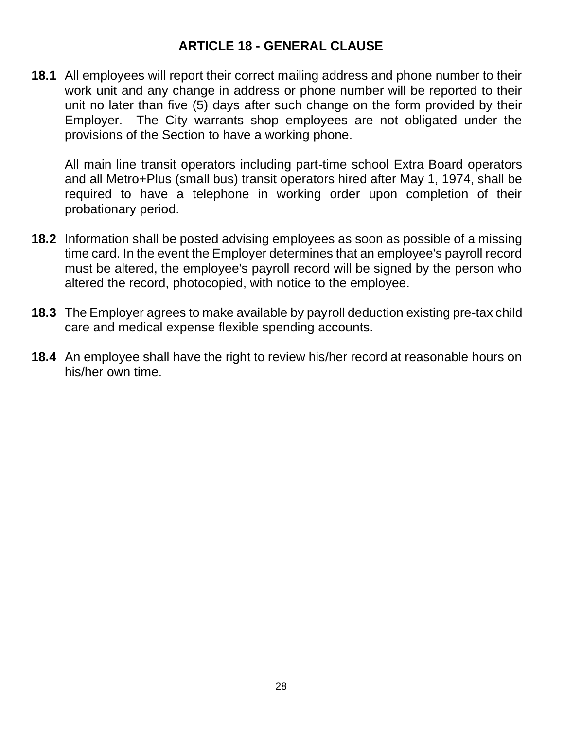### **ARTICLE 18 - GENERAL CLAUSE**

<span id="page-30-0"></span>**18.1** All employees will report their correct mailing address and phone number to their work unit and any change in address or phone number will be reported to their unit no later than five (5) days after such change on the form provided by their Employer. The City warrants shop employees are not obligated under the provisions of the Section to have a working phone.

All main line transit operators including part-time school Extra Board operators and all Metro+Plus (small bus) transit operators hired after May 1, 1974, shall be required to have a telephone in working order upon completion of their probationary period.

- **18.2** Information shall be posted advising employees as soon as possible of a missing time card. In the event the Employer determines that an employee's payroll record must be altered, the employee's payroll record will be signed by the person who altered the record, photocopied, with notice to the employee.
- **18.3** The Employer agrees to make available by payroll deduction existing pre-tax child care and medical expense flexible spending accounts.
- **18.4** An employee shall have the right to review his/her record at reasonable hours on his/her own time.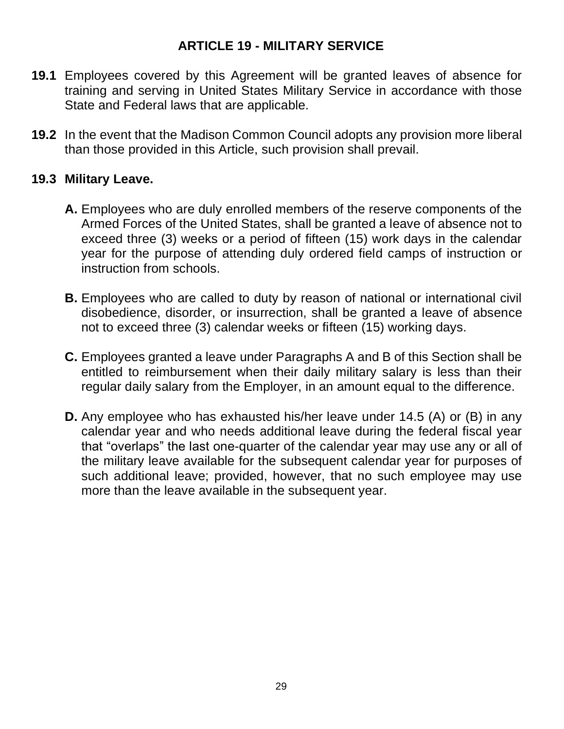### **ARTICLE 19 - MILITARY SERVICE**

- <span id="page-31-0"></span>**19.1** Employees covered by this Agreement will be granted leaves of absence for training and serving in United States Military Service in accordance with those State and Federal laws that are applicable.
- **19.2** In the event that the Madison Common Council adopts any provision more liberal than those provided in this Article, such provision shall prevail.

### **19.3 Military Leave.**

- **A.** Employees who are duly enrolled members of the reserve components of the Armed Forces of the United States, shall be granted a leave of absence not to exceed three (3) weeks or a period of fifteen (15) work days in the calendar year for the purpose of attending duly ordered field camps of instruction or instruction from schools.
- **B.** Employees who are called to duty by reason of national or international civil disobedience, disorder, or insurrection, shall be granted a leave of absence not to exceed three (3) calendar weeks or fifteen (15) working days.
- **C.** Employees granted a leave under Paragraphs A and B of this Section shall be entitled to reimbursement when their daily military salary is less than their regular daily salary from the Employer, in an amount equal to the difference.
- **D.** Any employee who has exhausted his/her leave under 14.5 (A) or (B) in any calendar year and who needs additional leave during the federal fiscal year that "overlaps" the last one-quarter of the calendar year may use any or all of the military leave available for the subsequent calendar year for purposes of such additional leave; provided, however, that no such employee may use more than the leave available in the subsequent year.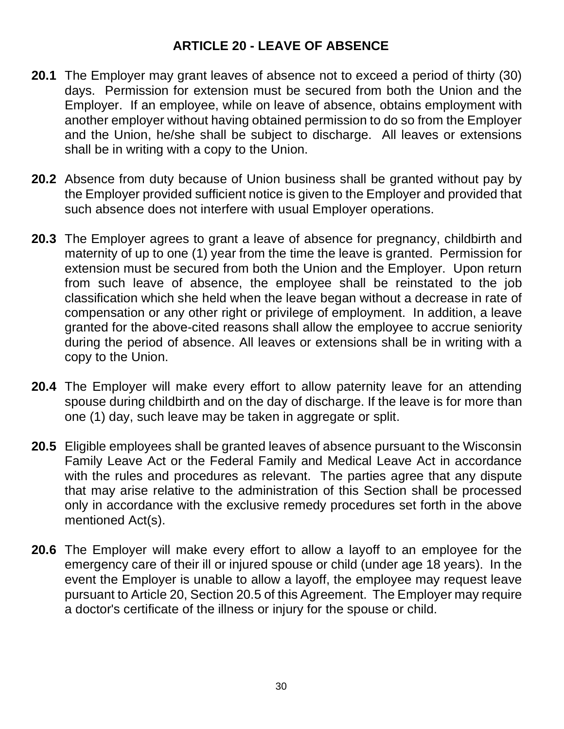## **ARTICLE 20 - LEAVE OF ABSENCE**

- <span id="page-32-0"></span>**20.1** The Employer may grant leaves of absence not to exceed a period of thirty (30) days. Permission for extension must be secured from both the Union and the Employer. If an employee, while on leave of absence, obtains employment with another employer without having obtained permission to do so from the Employer and the Union, he/she shall be subject to discharge. All leaves or extensions shall be in writing with a copy to the Union.
- **20.2** Absence from duty because of Union business shall be granted without pay by the Employer provided sufficient notice is given to the Employer and provided that such absence does not interfere with usual Employer operations.
- **20.3** The Employer agrees to grant a leave of absence for pregnancy, childbirth and maternity of up to one (1) year from the time the leave is granted. Permission for extension must be secured from both the Union and the Employer. Upon return from such leave of absence, the employee shall be reinstated to the job classification which she held when the leave began without a decrease in rate of compensation or any other right or privilege of employment. In addition, a leave granted for the above-cited reasons shall allow the employee to accrue seniority during the period of absence. All leaves or extensions shall be in writing with a copy to the Union.
- **20.4** The Employer will make every effort to allow paternity leave for an attending spouse during childbirth and on the day of discharge. If the leave is for more than one (1) day, such leave may be taken in aggregate or split.
- **20.5** Eligible employees shall be granted leaves of absence pursuant to the Wisconsin Family Leave Act or the Federal Family and Medical Leave Act in accordance with the rules and procedures as relevant. The parties agree that any dispute that may arise relative to the administration of this Section shall be processed only in accordance with the exclusive remedy procedures set forth in the above mentioned Act(s).
- **20.6** The Employer will make every effort to allow a layoff to an employee for the emergency care of their ill or injured spouse or child (under age 18 years). In the event the Employer is unable to allow a layoff, the employee may request leave pursuant to Article 20, Section 20.5 of this Agreement. The Employer may require a doctor's certificate of the illness or injury for the spouse or child.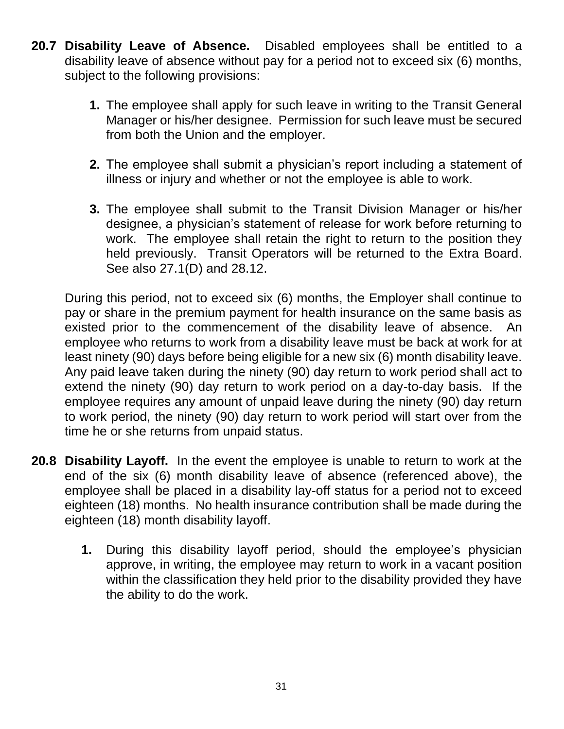- **20.7 Disability Leave of Absence.** Disabled employees shall be entitled to a disability leave of absence without pay for a period not to exceed six (6) months, subject to the following provisions:
	- **1.** The employee shall apply for such leave in writing to the Transit General Manager or his/her designee. Permission for such leave must be secured from both the Union and the employer.
	- **2.** The employee shall submit a physician's report including a statement of illness or injury and whether or not the employee is able to work.
	- **3.** The employee shall submit to the Transit Division Manager or his/her designee, a physician's statement of release for work before returning to work. The employee shall retain the right to return to the position they held previously. Transit Operators will be returned to the Extra Board. See also 27.1(D) and 28.12.

During this period, not to exceed six (6) months, the Employer shall continue to pay or share in the premium payment for health insurance on the same basis as existed prior to the commencement of the disability leave of absence. An employee who returns to work from a disability leave must be back at work for at least ninety (90) days before being eligible for a new six (6) month disability leave. Any paid leave taken during the ninety (90) day return to work period shall act to extend the ninety (90) day return to work period on a day-to-day basis. If the employee requires any amount of unpaid leave during the ninety (90) day return to work period, the ninety (90) day return to work period will start over from the time he or she returns from unpaid status.

- **20.8 Disability Layoff.** In the event the employee is unable to return to work at the end of the six (6) month disability leave of absence (referenced above), the employee shall be placed in a disability lay-off status for a period not to exceed eighteen (18) months. No health insurance contribution shall be made during the eighteen (18) month disability layoff.
	- **1.** During this disability layoff period, should the employee's physician approve, in writing, the employee may return to work in a vacant position within the classification they held prior to the disability provided they have the ability to do the work.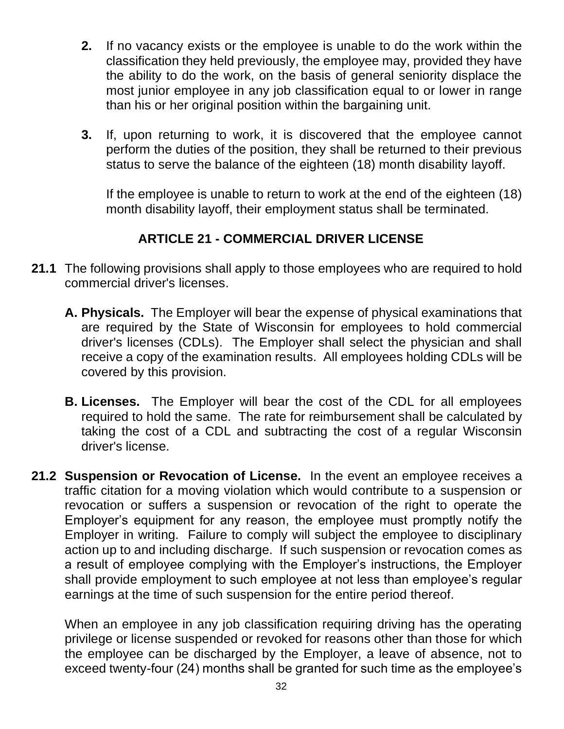- **2.** If no vacancy exists or the employee is unable to do the work within the classification they held previously, the employee may, provided they have the ability to do the work, on the basis of general seniority displace the most junior employee in any job classification equal to or lower in range than his or her original position within the bargaining unit.
- **3.** If, upon returning to work, it is discovered that the employee cannot perform the duties of the position, they shall be returned to their previous status to serve the balance of the eighteen (18) month disability layoff.

If the employee is unable to return to work at the end of the eighteen (18) month disability layoff, their employment status shall be terminated.

# **ARTICLE 21 - COMMERCIAL DRIVER LICENSE**

- <span id="page-34-0"></span>**21.1** The following provisions shall apply to those employees who are required to hold commercial driver's licenses.
	- **A. Physicals.** The Employer will bear the expense of physical examinations that are required by the State of Wisconsin for employees to hold commercial driver's licenses (CDLs). The Employer shall select the physician and shall receive a copy of the examination results. All employees holding CDLs will be covered by this provision.
	- **B. Licenses.** The Employer will bear the cost of the CDL for all employees required to hold the same. The rate for reimbursement shall be calculated by taking the cost of a CDL and subtracting the cost of a regular Wisconsin driver's license.
- **21.2 Suspension or Revocation of License.** In the event an employee receives a traffic citation for a moving violation which would contribute to a suspension or revocation or suffers a suspension or revocation of the right to operate the Employer's equipment for any reason, the employee must promptly notify the Employer in writing. Failure to comply will subject the employee to disciplinary action up to and including discharge. If such suspension or revocation comes as a result of employee complying with the Employer's instructions, the Employer shall provide employment to such employee at not less than employee's regular earnings at the time of such suspension for the entire period thereof.

When an employee in any job classification requiring driving has the operating privilege or license suspended or revoked for reasons other than those for which the employee can be discharged by the Employer, a leave of absence, not to exceed twenty-four (24) months shall be granted for such time as the employee's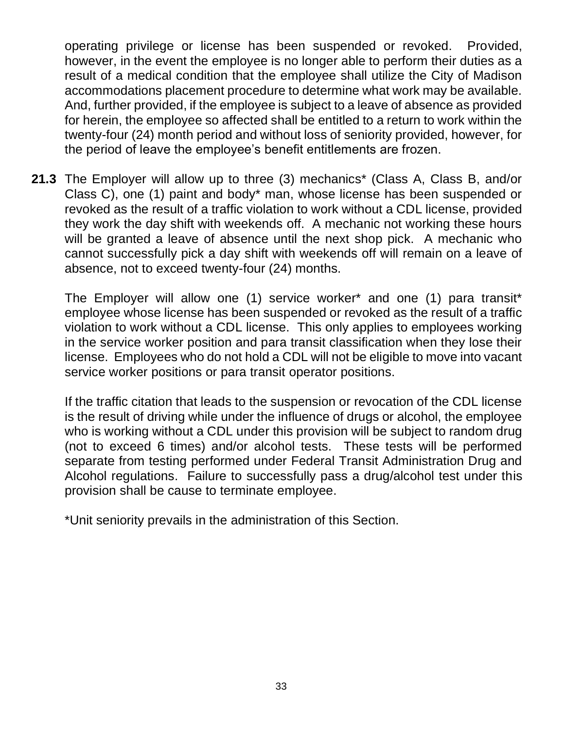operating privilege or license has been suspended or revoked. Provided, however, in the event the employee is no longer able to perform their duties as a result of a medical condition that the employee shall utilize the City of Madison accommodations placement procedure to determine what work may be available. And, further provided, if the employee is subject to a leave of absence as provided for herein, the employee so affected shall be entitled to a return to work within the twenty-four (24) month period and without loss of seniority provided, however, for the period of leave the employee's benefit entitlements are frozen.

**21.3** The Employer will allow up to three (3) mechanics\* (Class A, Class B, and/or Class C), one (1) paint and body\* man, whose license has been suspended or revoked as the result of a traffic violation to work without a CDL license, provided they work the day shift with weekends off. A mechanic not working these hours will be granted a leave of absence until the next shop pick. A mechanic who cannot successfully pick a day shift with weekends off will remain on a leave of absence, not to exceed twenty-four (24) months.

The Employer will allow one (1) service worker\* and one (1) para transit\* employee whose license has been suspended or revoked as the result of a traffic violation to work without a CDL license. This only applies to employees working in the service worker position and para transit classification when they lose their license. Employees who do not hold a CDL will not be eligible to move into vacant service worker positions or para transit operator positions.

If the traffic citation that leads to the suspension or revocation of the CDL license is the result of driving while under the influence of drugs or alcohol, the employee who is working without a CDL under this provision will be subject to random drug (not to exceed 6 times) and/or alcohol tests. These tests will be performed separate from testing performed under Federal Transit Administration Drug and Alcohol regulations. Failure to successfully pass a drug/alcohol test under this provision shall be cause to terminate employee.

\*Unit seniority prevails in the administration of this Section.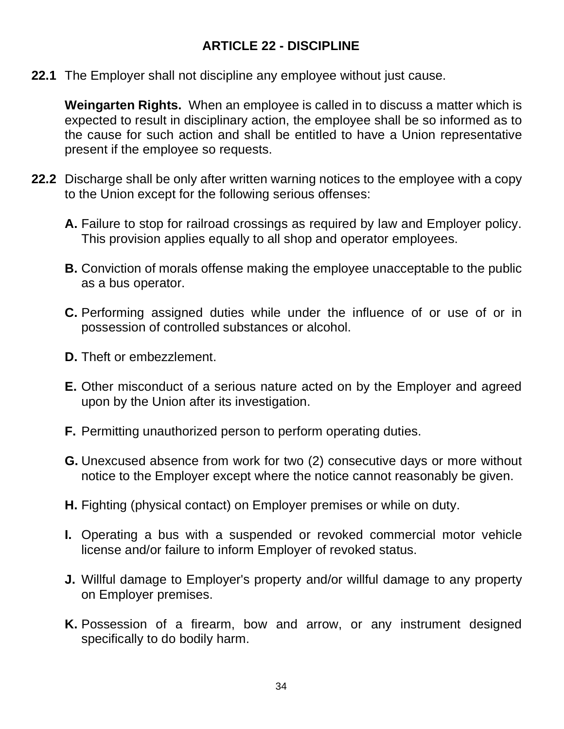## **ARTICLE 22 - DISCIPLINE**

**22.1** The Employer shall not discipline any employee without just cause.

**Weingarten Rights.** When an employee is called in to discuss a matter which is expected to result in disciplinary action, the employee shall be so informed as to the cause for such action and shall be entitled to have a Union representative present if the employee so requests.

- **22.2** Discharge shall be only after written warning notices to the employee with a copy to the Union except for the following serious offenses:
	- **A.** Failure to stop for railroad crossings as required by law and Employer policy. This provision applies equally to all shop and operator employees.
	- **B.** Conviction of morals offense making the employee unacceptable to the public as a bus operator.
	- **C.** Performing assigned duties while under the influence of or use of or in possession of controlled substances or alcohol.
	- **D.** Theft or embezzlement.
	- **E.** Other misconduct of a serious nature acted on by the Employer and agreed upon by the Union after its investigation.
	- **F.** Permitting unauthorized person to perform operating duties.
	- **G.** Unexcused absence from work for two (2) consecutive days or more without notice to the Employer except where the notice cannot reasonably be given.
	- **H.** Fighting (physical contact) on Employer premises or while on duty.
	- **I.** Operating a bus with a suspended or revoked commercial motor vehicle license and/or failure to inform Employer of revoked status.
	- **J.** Willful damage to Employer's property and/or willful damage to any property on Employer premises.
	- **K.** Possession of a firearm, bow and arrow, or any instrument designed specifically to do bodily harm.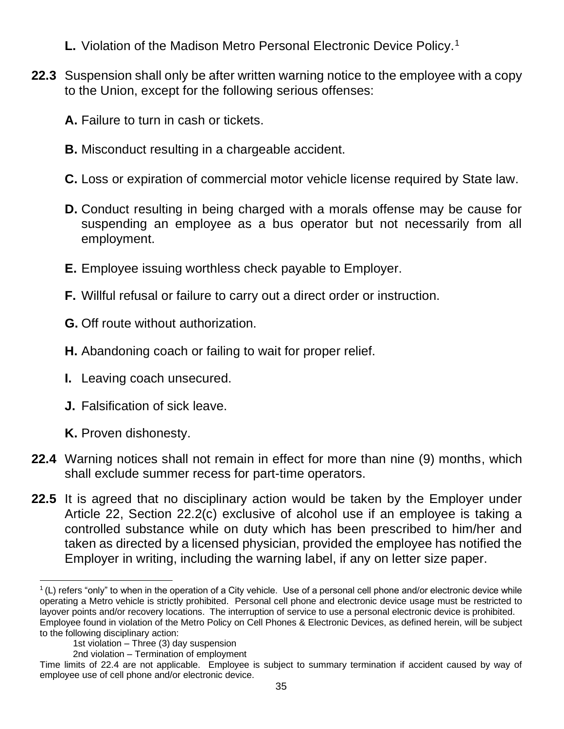- **L.** Violation of the Madison Metro Personal Electronic Device Policy.<sup>1</sup>
- **22.3** Suspension shall only be after written warning notice to the employee with a copy to the Union, except for the following serious offenses:
	- **A.** Failure to turn in cash or tickets.
	- **B.** Misconduct resulting in a chargeable accident.
	- **C.** Loss or expiration of commercial motor vehicle license required by State law.
	- **D.** Conduct resulting in being charged with a morals offense may be cause for suspending an employee as a bus operator but not necessarily from all employment.
	- **E.** Employee issuing worthless check payable to Employer.
	- **F.** Willful refusal or failure to carry out a direct order or instruction.
	- **G.** Off route without authorization.
	- **H.** Abandoning coach or failing to wait for proper relief.
	- **I.** Leaving coach unsecured.
	- **J.** Falsification of sick leave.
	- **K.** Proven dishonesty.
- **22.4** Warning notices shall not remain in effect for more than nine (9) months, which shall exclude summer recess for part-time operators.
- **22.5** It is agreed that no disciplinary action would be taken by the Employer under Article 22, Section 22.2(c) exclusive of alcohol use if an employee is taking a controlled substance while on duty which has been prescribed to him/her and taken as directed by a licensed physician, provided the employee has notified the Employer in writing, including the warning label, if any on letter size paper.

<sup>&</sup>lt;sup>1</sup> (L) refers "only" to when in the operation of a City vehicle. Use of a personal cell phone and/or electronic device while operating a Metro vehicle is strictly prohibited. Personal cell phone and electronic device usage must be restricted to layover points and/or recovery locations. The interruption of service to use a personal electronic device is prohibited. Employee found in violation of the Metro Policy on Cell Phones & Electronic Devices, as defined herein, will be subject to the following disciplinary action:

<sup>1</sup>st violation – Three (3) day suspension

<sup>2</sup>nd violation – Termination of employment

Time limits of 22.4 are not applicable. Employee is subject to summary termination if accident caused by way of employee use of cell phone and/or electronic device.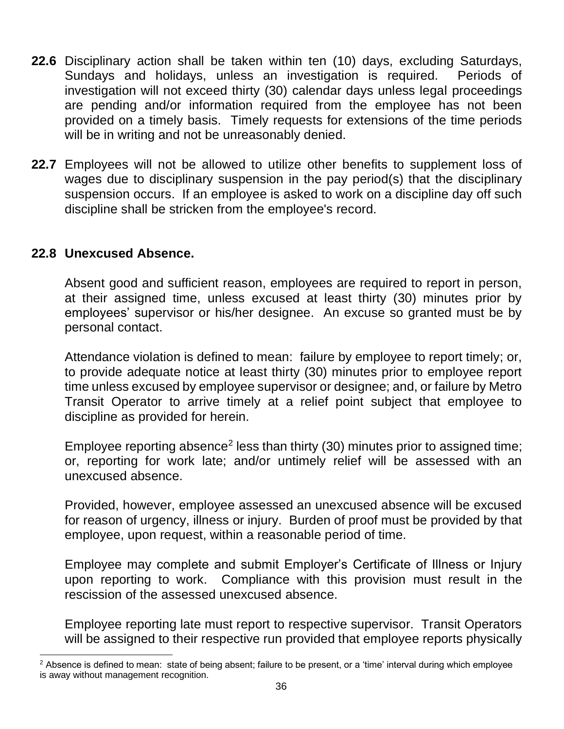- **22.6** Disciplinary action shall be taken within ten (10) days, excluding Saturdays, Sundays and holidays, unless an investigation is required. Periods of investigation will not exceed thirty (30) calendar days unless legal proceedings are pending and/or information required from the employee has not been provided on a timely basis. Timely requests for extensions of the time periods will be in writing and not be unreasonably denied.
- **22.7** Employees will not be allowed to utilize other benefits to supplement loss of wages due to disciplinary suspension in the pay period(s) that the disciplinary suspension occurs. If an employee is asked to work on a discipline day off such discipline shall be stricken from the employee's record.

#### **22.8 Unexcused Absence.**

Absent good and sufficient reason, employees are required to report in person, at their assigned time, unless excused at least thirty (30) minutes prior by employees' supervisor or his/her designee. An excuse so granted must be by personal contact.

Attendance violation is defined to mean: failure by employee to report timely; or, to provide adequate notice at least thirty (30) minutes prior to employee report time unless excused by employee supervisor or designee; and, or failure by Metro Transit Operator to arrive timely at a relief point subject that employee to discipline as provided for herein.

Employee reporting absence<sup>2</sup> less than thirty (30) minutes prior to assigned time; or, reporting for work late; and/or untimely relief will be assessed with an unexcused absence.

Provided, however, employee assessed an unexcused absence will be excused for reason of urgency, illness or injury. Burden of proof must be provided by that employee, upon request, within a reasonable period of time.

Employee may complete and submit Employer's Certificate of Illness or Injury upon reporting to work. Compliance with this provision must result in the rescission of the assessed unexcused absence.

Employee reporting late must report to respective supervisor. Transit Operators will be assigned to their respective run provided that employee reports physically

 $2$  Absence is defined to mean: state of being absent; failure to be present, or a 'time' interval during which employee is away without management recognition.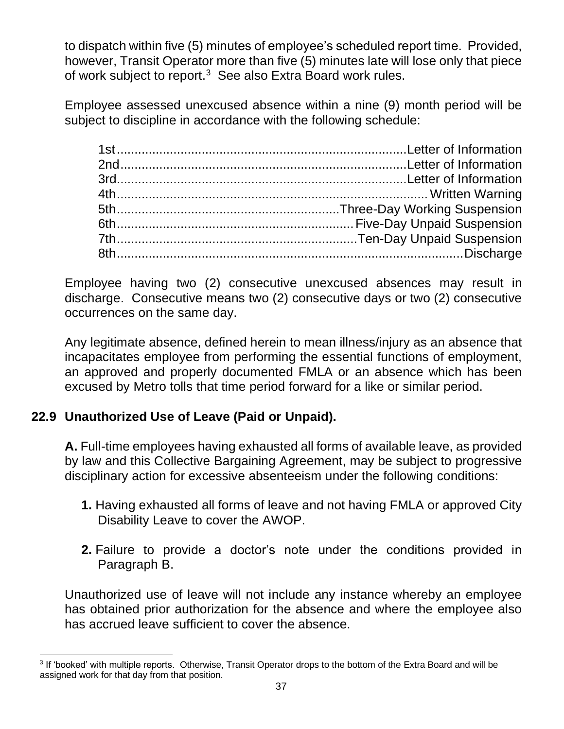to dispatch within five (5) minutes of employee's scheduled report time. Provided, however, Transit Operator more than five (5) minutes late will lose only that piece of work subject to report. $3$  See also Extra Board work rules.

Employee assessed unexcused absence within a nine (9) month period will be subject to discipline in accordance with the following schedule:

Employee having two (2) consecutive unexcused absences may result in discharge. Consecutive means two (2) consecutive days or two (2) consecutive occurrences on the same day.

Any legitimate absence, defined herein to mean illness/injury as an absence that incapacitates employee from performing the essential functions of employment, an approved and properly documented FMLA or an absence which has been excused by Metro tolls that time period forward for a like or similar period.

## **22.9 Unauthorized Use of Leave (Paid or Unpaid).**

**A.** Full-time employees having exhausted all forms of available leave, as provided by law and this Collective Bargaining Agreement, may be subject to progressive disciplinary action for excessive absenteeism under the following conditions:

- **1.** Having exhausted all forms of leave and not having FMLA or approved City Disability Leave to cover the AWOP.
- **2.** Failure to provide a doctor's note under the conditions provided in Paragraph B.

Unauthorized use of leave will not include any instance whereby an employee has obtained prior authorization for the absence and where the employee also has accrued leave sufficient to cover the absence.

<sup>3</sup> If 'booked' with multiple reports. Otherwise, Transit Operator drops to the bottom of the Extra Board and will be assigned work for that day from that position.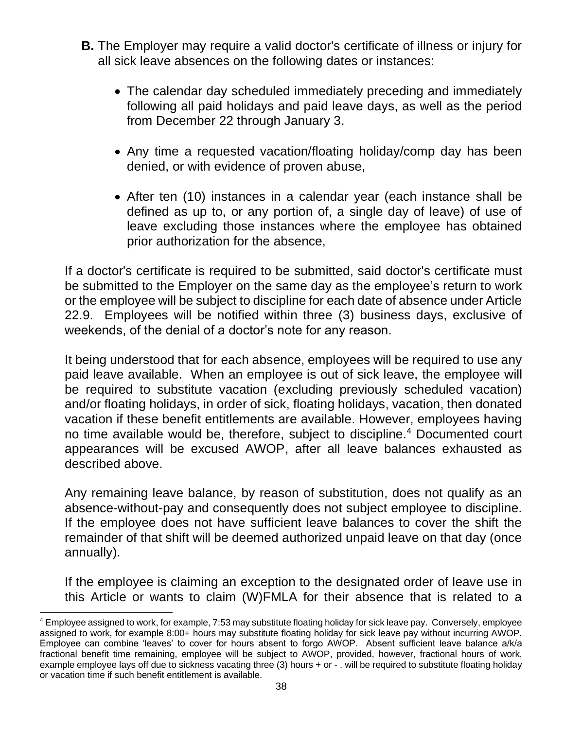- **B.** The Employer may require a valid doctor's certificate of illness or injury for all sick leave absences on the following dates or instances:
	- The calendar day scheduled immediately preceding and immediately following all paid holidays and paid leave days, as well as the period from December 22 through January 3.
	- Any time a requested vacation/floating holiday/comp day has been denied, or with evidence of proven abuse,
	- After ten (10) instances in a calendar year (each instance shall be defined as up to, or any portion of, a single day of leave) of use of leave excluding those instances where the employee has obtained prior authorization for the absence,

If a doctor's certificate is required to be submitted, said doctor's certificate must be submitted to the Employer on the same day as the employee's return to work or the employee will be subject to discipline for each date of absence under Article 22.9. Employees will be notified within three (3) business days, exclusive of weekends, of the denial of a doctor's note for any reason.

It being understood that for each absence, employees will be required to use any paid leave available. When an employee is out of sick leave, the employee will be required to substitute vacation (excluding previously scheduled vacation) and/or floating holidays, in order of sick, floating holidays, vacation, then donated vacation if these benefit entitlements are available. However, employees having no time available would be, therefore, subject to discipline.<sup>4</sup> Documented court appearances will be excused AWOP, after all leave balances exhausted as described above.

Any remaining leave balance, by reason of substitution, does not qualify as an absence-without-pay and consequently does not subject employee to discipline. If the employee does not have sufficient leave balances to cover the shift the remainder of that shift will be deemed authorized unpaid leave on that day (once annually).

If the employee is claiming an exception to the designated order of leave use in this Article or wants to claim (W)FMLA for their absence that is related to a

<sup>4</sup> Employee assigned to work, for example, 7:53 may substitute floating holiday for sick leave pay. Conversely, employee assigned to work, for example 8:00+ hours may substitute floating holiday for sick leave pay without incurring AWOP. Employee can combine 'leaves' to cover for hours absent to forgo AWOP. Absent sufficient leave balance a/k/a fractional benefit time remaining, employee will be subject to AWOP, provided, however, fractional hours of work, example employee lays off due to sickness vacating three (3) hours + or - , will be required to substitute floating holiday or vacation time if such benefit entitlement is available.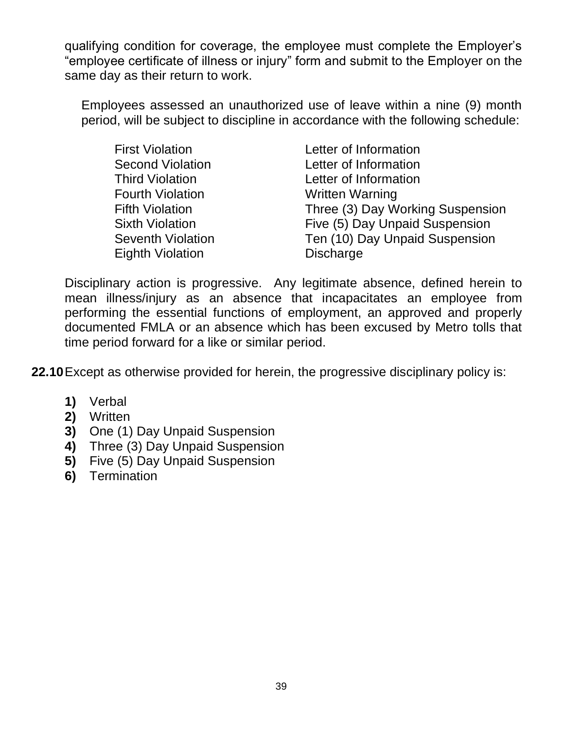qualifying condition for coverage, the employee must complete the Employer's "employee certificate of illness or injury" form and submit to the Employer on the same day as their return to work.

Employees assessed an unauthorized use of leave within a nine (9) month period, will be subject to discipline in accordance with the following schedule:

| Letter of Information            |
|----------------------------------|
| Letter of Information            |
| Letter of Information            |
| <b>Written Warning</b>           |
| Three (3) Day Working Suspension |
| Five (5) Day Unpaid Suspension   |
| Ten (10) Day Unpaid Suspension   |
| <b>Discharge</b>                 |
|                                  |

Disciplinary action is progressive. Any legitimate absence, defined herein to mean illness/injury as an absence that incapacitates an employee from performing the essential functions of employment, an approved and properly documented FMLA or an absence which has been excused by Metro tolls that time period forward for a like or similar period.

**22.10**Except as otherwise provided for herein, the progressive disciplinary policy is:

- **1)** Verbal
- **2)** Written
- **3)** One (1) Day Unpaid Suspension
- **4)** Three (3) Day Unpaid Suspension
- **5)** Five (5) Day Unpaid Suspension
- **6)** Termination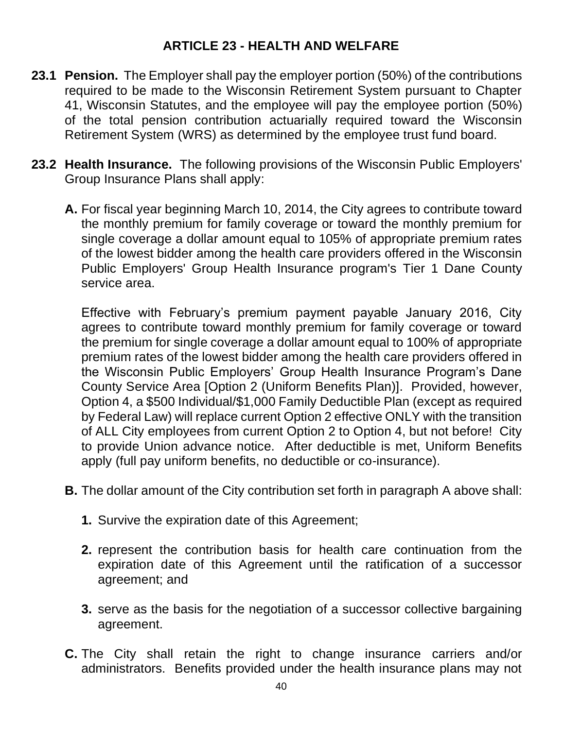#### **ARTICLE 23 - HEALTH AND WELFARE**

- **23.1 Pension.** The Employer shall pay the employer portion (50%) of the contributions required to be made to the Wisconsin Retirement System pursuant to Chapter 41, Wisconsin Statutes, and the employee will pay the employee portion (50%) of the total pension contribution actuarially required toward the Wisconsin Retirement System (WRS) as determined by the employee trust fund board.
- **23.2 Health Insurance.** The following provisions of the Wisconsin Public Employers' Group Insurance Plans shall apply:
	- **A.** For fiscal year beginning March 10, 2014, the City agrees to contribute toward the monthly premium for family coverage or toward the monthly premium for single coverage a dollar amount equal to 105% of appropriate premium rates of the lowest bidder among the health care providers offered in the Wisconsin Public Employers' Group Health Insurance program's Tier 1 Dane County service area.

Effective with February's premium payment payable January 2016, City agrees to contribute toward monthly premium for family coverage or toward the premium for single coverage a dollar amount equal to 100% of appropriate premium rates of the lowest bidder among the health care providers offered in the Wisconsin Public Employers' Group Health Insurance Program's Dane County Service Area [Option 2 (Uniform Benefits Plan)]. Provided, however, Option 4, a \$500 Individual/\$1,000 Family Deductible Plan (except as required by Federal Law) will replace current Option 2 effective ONLY with the transition of ALL City employees from current Option 2 to Option 4, but not before! City to provide Union advance notice. After deductible is met, Uniform Benefits apply (full pay uniform benefits, no deductible or co-insurance).

- **B.** The dollar amount of the City contribution set forth in paragraph A above shall:
	- **1.** Survive the expiration date of this Agreement;
	- **2.** represent the contribution basis for health care continuation from the expiration date of this Agreement until the ratification of a successor agreement; and
	- **3.** serve as the basis for the negotiation of a successor collective bargaining agreement.
- **C.** The City shall retain the right to change insurance carriers and/or administrators. Benefits provided under the health insurance plans may not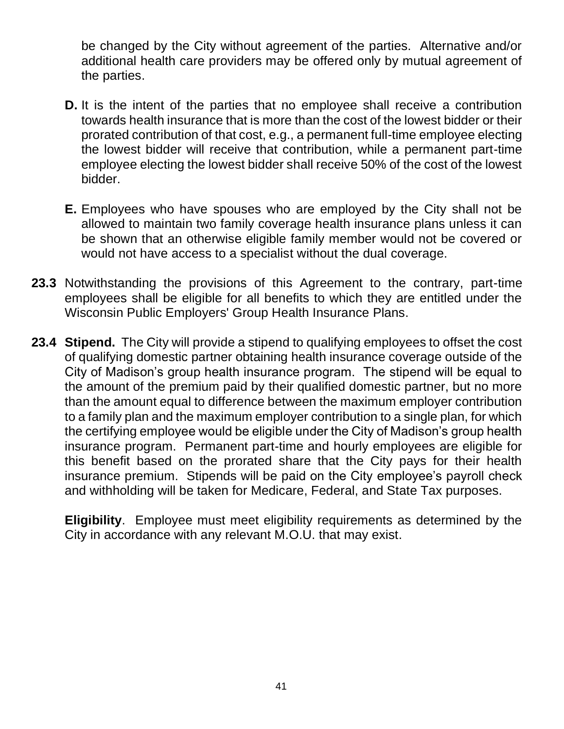be changed by the City without agreement of the parties. Alternative and/or additional health care providers may be offered only by mutual agreement of the parties.

- **D.** It is the intent of the parties that no employee shall receive a contribution towards health insurance that is more than the cost of the lowest bidder or their prorated contribution of that cost, e.g., a permanent full-time employee electing the lowest bidder will receive that contribution, while a permanent part-time employee electing the lowest bidder shall receive 50% of the cost of the lowest bidder.
- **E.** Employees who have spouses who are employed by the City shall not be allowed to maintain two family coverage health insurance plans unless it can be shown that an otherwise eligible family member would not be covered or would not have access to a specialist without the dual coverage.
- **23.3** Notwithstanding the provisions of this Agreement to the contrary, part-time employees shall be eligible for all benefits to which they are entitled under the Wisconsin Public Employers' Group Health Insurance Plans.
- **23.4 Stipend.** The City will provide a stipend to qualifying employees to offset the cost of qualifying domestic partner obtaining health insurance coverage outside of the City of Madison's group health insurance program. The stipend will be equal to the amount of the premium paid by their qualified domestic partner, but no more than the amount equal to difference between the maximum employer contribution to a family plan and the maximum employer contribution to a single plan, for which the certifying employee would be eligible under the City of Madison's group health insurance program. Permanent part-time and hourly employees are eligible for this benefit based on the prorated share that the City pays for their health insurance premium. Stipends will be paid on the City employee's payroll check and withholding will be taken for Medicare, Federal, and State Tax purposes.

**Eligibility**. Employee must meet eligibility requirements as determined by the City in accordance with any relevant M.O.U. that may exist.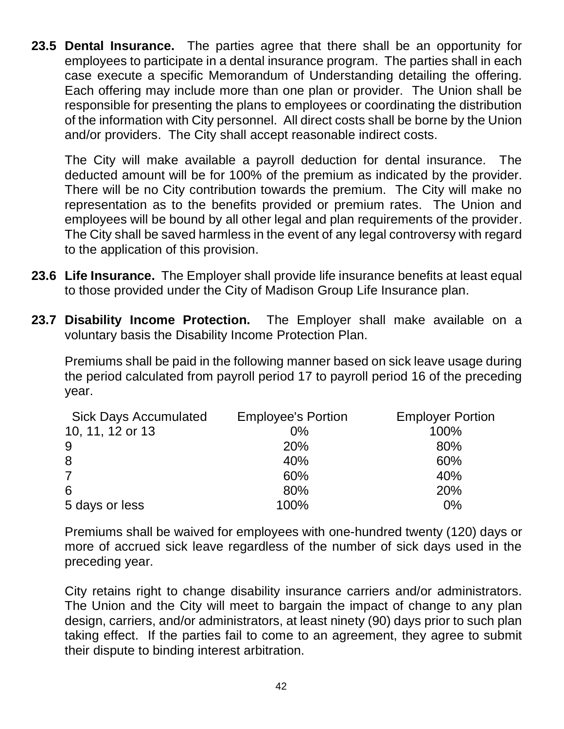**23.5 Dental Insurance.** The parties agree that there shall be an opportunity for employees to participate in a dental insurance program. The parties shall in each case execute a specific Memorandum of Understanding detailing the offering. Each offering may include more than one plan or provider. The Union shall be responsible for presenting the plans to employees or coordinating the distribution of the information with City personnel. All direct costs shall be borne by the Union and/or providers. The City shall accept reasonable indirect costs.

The City will make available a payroll deduction for dental insurance. The deducted amount will be for 100% of the premium as indicated by the provider. There will be no City contribution towards the premium. The City will make no representation as to the benefits provided or premium rates. The Union and employees will be bound by all other legal and plan requirements of the provider. The City shall be saved harmless in the event of any legal controversy with regard to the application of this provision.

- **23.6 Life Insurance.** The Employer shall provide life insurance benefits at least equal to those provided under the City of Madison Group Life Insurance plan.
- **23.7 Disability Income Protection.** The Employer shall make available on a voluntary basis the Disability Income Protection Plan.

Premiums shall be paid in the following manner based on sick leave usage during the period calculated from payroll period 17 to payroll period 16 of the preceding year.

| <b>Sick Days Accumulated</b> | <b>Employee's Portion</b> | <b>Employer Portion</b> |
|------------------------------|---------------------------|-------------------------|
| 10, 11, 12 or 13             | $0\%$                     | 100%                    |
| 9                            | <b>20%</b>                | 80%                     |
| 8                            | 40%                       | 60%                     |
| $\overline{7}$               | 60%                       | 40%                     |
| 6                            | 80%                       | 20%                     |
| 5 days or less               | 100%                      | $0\%$                   |

Premiums shall be waived for employees with one-hundred twenty (120) days or more of accrued sick leave regardless of the number of sick days used in the preceding year.

City retains right to change disability insurance carriers and/or administrators. The Union and the City will meet to bargain the impact of change to any plan design, carriers, and/or administrators, at least ninety (90) days prior to such plan taking effect. If the parties fail to come to an agreement, they agree to submit their dispute to binding interest arbitration.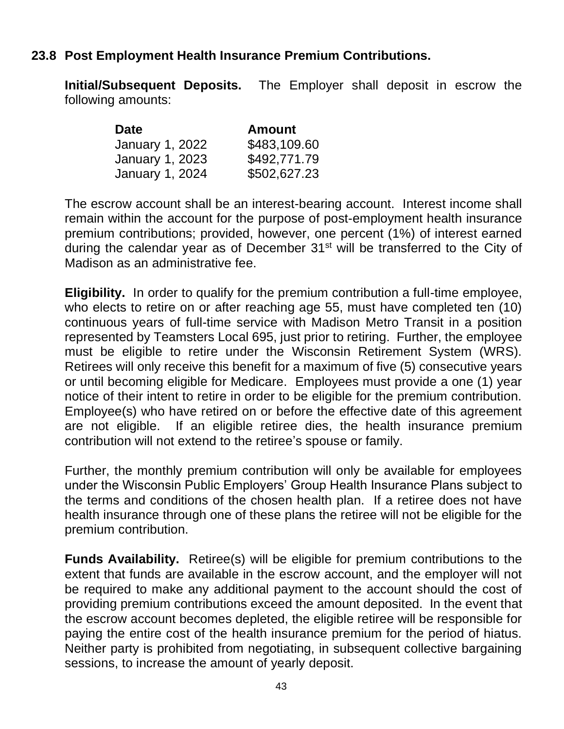#### **23.8 Post Employment Health Insurance Premium Contributions.**

**Initial/Subsequent Deposits.** The Employer shall deposit in escrow the following amounts:

| <b>Date</b>            | <b>Amount</b> |
|------------------------|---------------|
| January 1, 2022        | \$483,109.60  |
| <b>January 1, 2023</b> | \$492,771.79  |
| <b>January 1, 2024</b> | \$502,627.23  |

The escrow account shall be an interest-bearing account. Interest income shall remain within the account for the purpose of post-employment health insurance premium contributions; provided, however, one percent (1%) of interest earned during the calendar year as of December  $31<sup>st</sup>$  will be transferred to the City of Madison as an administrative fee.

**Eligibility.** In order to qualify for the premium contribution a full-time employee, who elects to retire on or after reaching age 55, must have completed ten (10) continuous years of full-time service with Madison Metro Transit in a position represented by Teamsters Local 695, just prior to retiring. Further, the employee must be eligible to retire under the Wisconsin Retirement System (WRS). Retirees will only receive this benefit for a maximum of five (5) consecutive years or until becoming eligible for Medicare. Employees must provide a one (1) year notice of their intent to retire in order to be eligible for the premium contribution. Employee(s) who have retired on or before the effective date of this agreement are not eligible. If an eligible retiree dies, the health insurance premium contribution will not extend to the retiree's spouse or family.

Further, the monthly premium contribution will only be available for employees under the Wisconsin Public Employers' Group Health Insurance Plans subject to the terms and conditions of the chosen health plan. If a retiree does not have health insurance through one of these plans the retiree will not be eligible for the premium contribution.

**Funds Availability.** Retiree(s) will be eligible for premium contributions to the extent that funds are available in the escrow account, and the employer will not be required to make any additional payment to the account should the cost of providing premium contributions exceed the amount deposited. In the event that the escrow account becomes depleted, the eligible retiree will be responsible for paying the entire cost of the health insurance premium for the period of hiatus. Neither party is prohibited from negotiating, in subsequent collective bargaining sessions, to increase the amount of yearly deposit.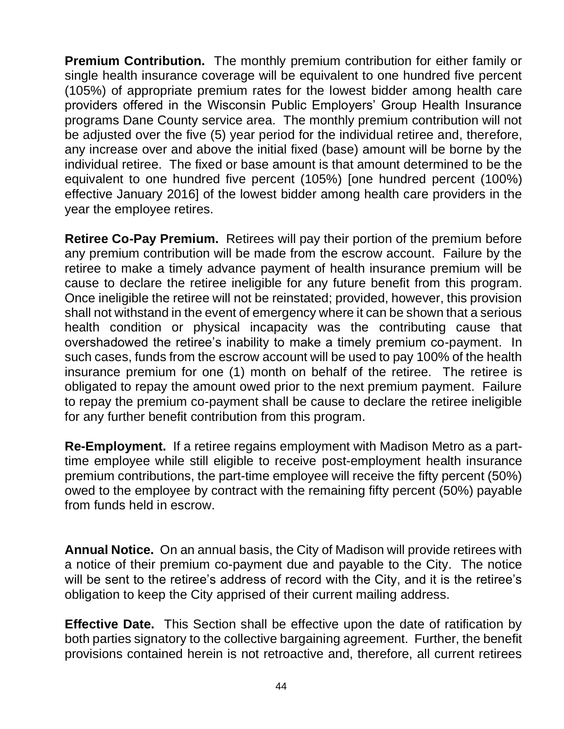**Premium Contribution.** The monthly premium contribution for either family or single health insurance coverage will be equivalent to one hundred five percent (105%) of appropriate premium rates for the lowest bidder among health care providers offered in the Wisconsin Public Employers' Group Health Insurance programs Dane County service area. The monthly premium contribution will not be adjusted over the five (5) year period for the individual retiree and, therefore, any increase over and above the initial fixed (base) amount will be borne by the individual retiree. The fixed or base amount is that amount determined to be the equivalent to one hundred five percent (105%) [one hundred percent (100%) effective January 2016] of the lowest bidder among health care providers in the year the employee retires.

**Retiree Co-Pay Premium.** Retirees will pay their portion of the premium before any premium contribution will be made from the escrow account. Failure by the retiree to make a timely advance payment of health insurance premium will be cause to declare the retiree ineligible for any future benefit from this program. Once ineligible the retiree will not be reinstated; provided, however, this provision shall not withstand in the event of emergency where it can be shown that a serious health condition or physical incapacity was the contributing cause that overshadowed the retiree's inability to make a timely premium co-payment. In such cases, funds from the escrow account will be used to pay 100% of the health insurance premium for one (1) month on behalf of the retiree. The retiree is obligated to repay the amount owed prior to the next premium payment. Failure to repay the premium co-payment shall be cause to declare the retiree ineligible for any further benefit contribution from this program.

**Re-Employment.** If a retiree regains employment with Madison Metro as a parttime employee while still eligible to receive post-employment health insurance premium contributions, the part-time employee will receive the fifty percent (50%) owed to the employee by contract with the remaining fifty percent (50%) payable from funds held in escrow.

**Annual Notice.** On an annual basis, the City of Madison will provide retirees with a notice of their premium co-payment due and payable to the City. The notice will be sent to the retiree's address of record with the City, and it is the retiree's obligation to keep the City apprised of their current mailing address.

**Effective Date.** This Section shall be effective upon the date of ratification by both parties signatory to the collective bargaining agreement. Further, the benefit provisions contained herein is not retroactive and, therefore, all current retirees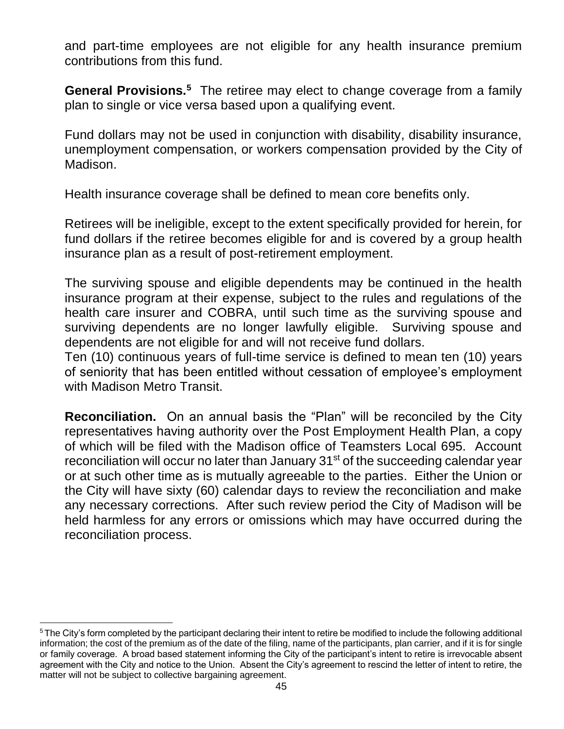and part-time employees are not eligible for any health insurance premium contributions from this fund.

General Provisions.<sup>5</sup> The retiree may elect to change coverage from a family plan to single or vice versa based upon a qualifying event.

Fund dollars may not be used in conjunction with disability, disability insurance, unemployment compensation, or workers compensation provided by the City of Madison.

Health insurance coverage shall be defined to mean core benefits only.

Retirees will be ineligible, except to the extent specifically provided for herein, for fund dollars if the retiree becomes eligible for and is covered by a group health insurance plan as a result of post-retirement employment.

The surviving spouse and eligible dependents may be continued in the health insurance program at their expense, subject to the rules and regulations of the health care insurer and COBRA, until such time as the surviving spouse and surviving dependents are no longer lawfully eligible. Surviving spouse and dependents are not eligible for and will not receive fund dollars.

Ten (10) continuous years of full-time service is defined to mean ten (10) years of seniority that has been entitled without cessation of employee's employment with Madison Metro Transit.

**Reconciliation.** On an annual basis the "Plan" will be reconciled by the City representatives having authority over the Post Employment Health Plan, a copy of which will be filed with the Madison office of Teamsters Local 695. Account reconciliation will occur no later than January 31<sup>st</sup> of the succeeding calendar year or at such other time as is mutually agreeable to the parties. Either the Union or the City will have sixty (60) calendar days to review the reconciliation and make any necessary corrections. After such review period the City of Madison will be held harmless for any errors or omissions which may have occurred during the reconciliation process.

<sup>&</sup>lt;sup>5</sup>The City's form completed by the participant declaring their intent to retire be modified to include the following additional information; the cost of the premium as of the date of the filing, name of the participants, plan carrier, and if it is for single or family coverage. A broad based statement informing the City of the participant's intent to retire is irrevocable absent agreement with the City and notice to the Union. Absent the City's agreement to rescind the letter of intent to retire, the matter will not be subject to collective bargaining agreement.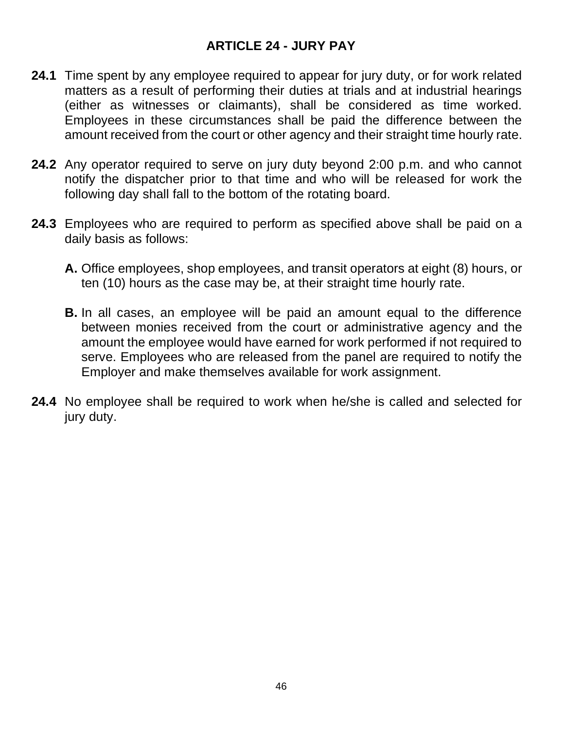### **ARTICLE 24 - JURY PAY**

- **24.1** Time spent by any employee required to appear for jury duty, or for work related matters as a result of performing their duties at trials and at industrial hearings (either as witnesses or claimants), shall be considered as time worked. Employees in these circumstances shall be paid the difference between the amount received from the court or other agency and their straight time hourly rate.
- **24.2** Any operator required to serve on jury duty beyond 2:00 p.m. and who cannot notify the dispatcher prior to that time and who will be released for work the following day shall fall to the bottom of the rotating board.
- **24.3** Employees who are required to perform as specified above shall be paid on a daily basis as follows:
	- **A.** Office employees, shop employees, and transit operators at eight (8) hours, or ten (10) hours as the case may be, at their straight time hourly rate.
	- **B.** In all cases, an employee will be paid an amount equal to the difference between monies received from the court or administrative agency and the amount the employee would have earned for work performed if not required to serve. Employees who are released from the panel are required to notify the Employer and make themselves available for work assignment.
- **24.4** No employee shall be required to work when he/she is called and selected for jury duty.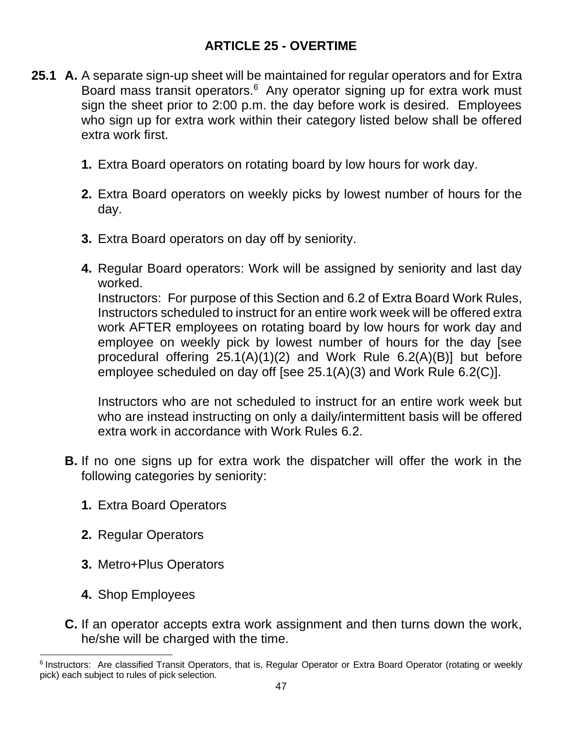## **ARTICLE 25 - OVERTIME**

- **25.1 A.** A separate sign-up sheet will be maintained for regular operators and for Extra Board mass transit operators.<sup>6</sup> Any operator signing up for extra work must sign the sheet prior to 2:00 p.m. the day before work is desired. Employees who sign up for extra work within their category listed below shall be offered extra work first.
	- **1.** Extra Board operators on rotating board by low hours for work day.
	- **2.** Extra Board operators on weekly picks by lowest number of hours for the day.
	- **3.** Extra Board operators on day off by seniority.
	- **4.** Regular Board operators: Work will be assigned by seniority and last day worked.

Instructors: For purpose of this Section and 6.2 of Extra Board Work Rules, Instructors scheduled to instruct for an entire work week will be offered extra work AFTER employees on rotating board by low hours for work day and employee on weekly pick by lowest number of hours for the day [see procedural offering 25.1(A)(1)(2) and Work Rule 6.2(A)(B)] but before employee scheduled on day off [see 25.1(A)(3) and Work Rule 6.2(C)].

Instructors who are not scheduled to instruct for an entire work week but who are instead instructing on only a daily/intermittent basis will be offered extra work in accordance with Work Rules 6.2.

- **B.** If no one signs up for extra work the dispatcher will offer the work in the following categories by seniority:
	- **1.** Extra Board Operators
	- **2.** Regular Operators
	- **3.** Metro+Plus Operators
	- **4.** Shop Employees
- **C.** If an operator accepts extra work assignment and then turns down the work, he/she will be charged with the time.

<sup>&</sup>lt;sup>6</sup> Instructors: Are classified Transit Operators, that is, Regular Operator or Extra Board Operator (rotating or weekly pick) each subject to rules of pick selection.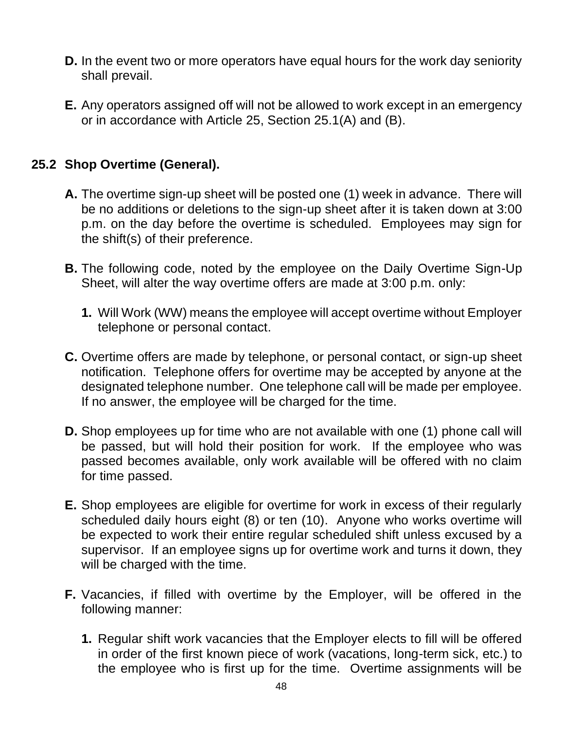- **D.** In the event two or more operators have equal hours for the work day seniority shall prevail.
- **E.** Any operators assigned off will not be allowed to work except in an emergency or in accordance with Article 25, Section 25.1(A) and (B).

## **25.2 Shop Overtime (General).**

- **A.** The overtime sign-up sheet will be posted one (1) week in advance. There will be no additions or deletions to the sign-up sheet after it is taken down at 3:00 p.m. on the day before the overtime is scheduled. Employees may sign for the shift(s) of their preference.
- **B.** The following code, noted by the employee on the Daily Overtime Sign-Up Sheet, will alter the way overtime offers are made at 3:00 p.m. only:
	- **1.** Will Work (WW) means the employee will accept overtime without Employer telephone or personal contact.
- **C.** Overtime offers are made by telephone, or personal contact, or sign-up sheet notification. Telephone offers for overtime may be accepted by anyone at the designated telephone number. One telephone call will be made per employee. If no answer, the employee will be charged for the time.
- **D.** Shop employees up for time who are not available with one (1) phone call will be passed, but will hold their position for work. If the employee who was passed becomes available, only work available will be offered with no claim for time passed.
- **E.** Shop employees are eligible for overtime for work in excess of their regularly scheduled daily hours eight (8) or ten (10). Anyone who works overtime will be expected to work their entire regular scheduled shift unless excused by a supervisor. If an employee signs up for overtime work and turns it down, they will be charged with the time.
- **F.** Vacancies, if filled with overtime by the Employer, will be offered in the following manner:
	- **1.** Regular shift work vacancies that the Employer elects to fill will be offered in order of the first known piece of work (vacations, long-term sick, etc.) to the employee who is first up for the time. Overtime assignments will be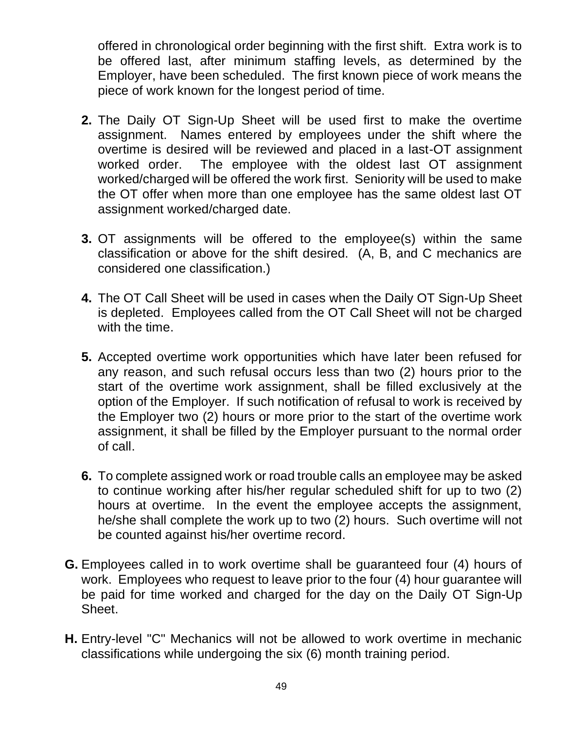offered in chronological order beginning with the first shift. Extra work is to be offered last, after minimum staffing levels, as determined by the Employer, have been scheduled. The first known piece of work means the piece of work known for the longest period of time.

- **2.** The Daily OT Sign-Up Sheet will be used first to make the overtime assignment. Names entered by employees under the shift where the overtime is desired will be reviewed and placed in a last-OT assignment worked order. The employee with the oldest last OT assignment worked/charged will be offered the work first. Seniority will be used to make the OT offer when more than one employee has the same oldest last OT assignment worked/charged date.
- **3.** OT assignments will be offered to the employee(s) within the same classification or above for the shift desired. (A, B, and C mechanics are considered one classification.)
- **4.** The OT Call Sheet will be used in cases when the Daily OT Sign-Up Sheet is depleted. Employees called from the OT Call Sheet will not be charged with the time.
- **5.** Accepted overtime work opportunities which have later been refused for any reason, and such refusal occurs less than two (2) hours prior to the start of the overtime work assignment, shall be filled exclusively at the option of the Employer. If such notification of refusal to work is received by the Employer two (2) hours or more prior to the start of the overtime work assignment, it shall be filled by the Employer pursuant to the normal order of call.
- **6.** To complete assigned work or road trouble calls an employee may be asked to continue working after his/her regular scheduled shift for up to two (2) hours at overtime. In the event the employee accepts the assignment, he/she shall complete the work up to two (2) hours. Such overtime will not be counted against his/her overtime record.
- **G.** Employees called in to work overtime shall be guaranteed four (4) hours of work. Employees who request to leave prior to the four (4) hour guarantee will be paid for time worked and charged for the day on the Daily OT Sign-Up Sheet.
- **H.** Entry-level "C" Mechanics will not be allowed to work overtime in mechanic classifications while undergoing the six (6) month training period.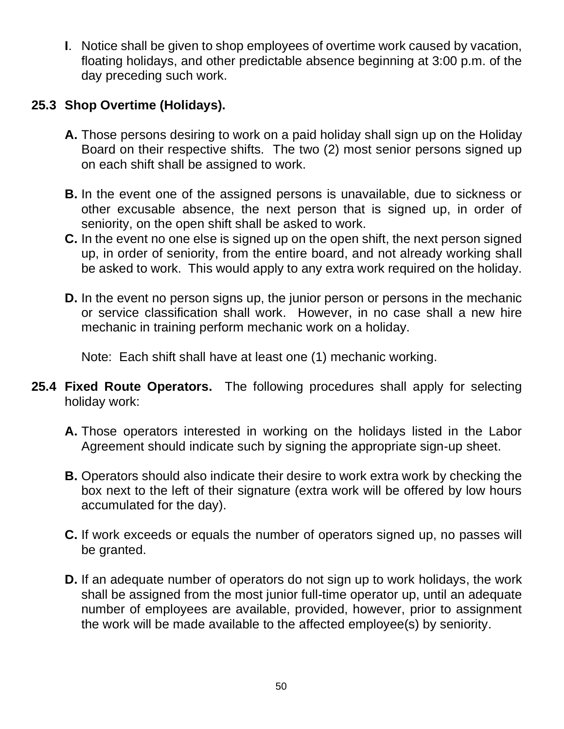**I**. Notice shall be given to shop employees of overtime work caused by vacation, floating holidays, and other predictable absence beginning at 3:00 p.m. of the day preceding such work.

# **25.3 Shop Overtime (Holidays).**

- **A.** Those persons desiring to work on a paid holiday shall sign up on the Holiday Board on their respective shifts. The two (2) most senior persons signed up on each shift shall be assigned to work.
- **B.** In the event one of the assigned persons is unavailable, due to sickness or other excusable absence, the next person that is signed up, in order of seniority, on the open shift shall be asked to work.
- **C.** In the event no one else is signed up on the open shift, the next person signed up, in order of seniority, from the entire board, and not already working shall be asked to work. This would apply to any extra work required on the holiday.
- **D.** In the event no person signs up, the junior person or persons in the mechanic or service classification shall work. However, in no case shall a new hire mechanic in training perform mechanic work on a holiday.

Note: Each shift shall have at least one (1) mechanic working.

- **25.4 Fixed Route Operators.** The following procedures shall apply for selecting holiday work:
	- **A.** Those operators interested in working on the holidays listed in the Labor Agreement should indicate such by signing the appropriate sign-up sheet.
	- **B.** Operators should also indicate their desire to work extra work by checking the box next to the left of their signature (extra work will be offered by low hours accumulated for the day).
	- **C.** If work exceeds or equals the number of operators signed up, no passes will be granted.
	- **D.** If an adequate number of operators do not sign up to work holidays, the work shall be assigned from the most junior full-time operator up, until an adequate number of employees are available, provided, however, prior to assignment the work will be made available to the affected employee(s) by seniority.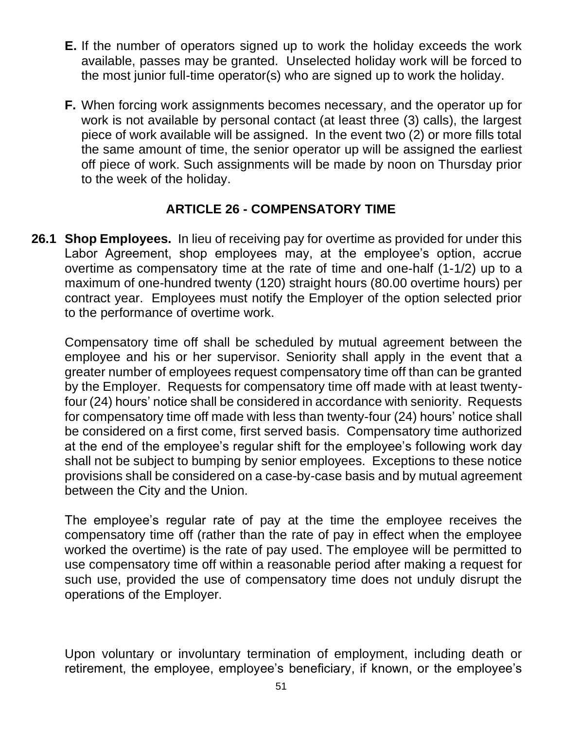- **E.** If the number of operators signed up to work the holiday exceeds the work available, passes may be granted. Unselected holiday work will be forced to the most junior full-time operator(s) who are signed up to work the holiday.
- **F.** When forcing work assignments becomes necessary, and the operator up for work is not available by personal contact (at least three (3) calls), the largest piece of work available will be assigned. In the event two (2) or more fills total the same amount of time, the senior operator up will be assigned the earliest off piece of work. Such assignments will be made by noon on Thursday prior to the week of the holiday.

# **ARTICLE 26 - COMPENSATORY TIME**

**26.1 Shop Employees.** In lieu of receiving pay for overtime as provided for under this Labor Agreement, shop employees may, at the employee's option, accrue overtime as compensatory time at the rate of time and one-half (1-1/2) up to a maximum of one-hundred twenty (120) straight hours (80.00 overtime hours) per contract year. Employees must notify the Employer of the option selected prior to the performance of overtime work.

Compensatory time off shall be scheduled by mutual agreement between the employee and his or her supervisor. Seniority shall apply in the event that a greater number of employees request compensatory time off than can be granted by the Employer. Requests for compensatory time off made with at least twentyfour (24) hours' notice shall be considered in accordance with seniority. Requests for compensatory time off made with less than twenty-four (24) hours' notice shall be considered on a first come, first served basis. Compensatory time authorized at the end of the employee's regular shift for the employee's following work day shall not be subject to bumping by senior employees. Exceptions to these notice provisions shall be considered on a case-by-case basis and by mutual agreement between the City and the Union.

The employee's regular rate of pay at the time the employee receives the compensatory time off (rather than the rate of pay in effect when the employee worked the overtime) is the rate of pay used. The employee will be permitted to use compensatory time off within a reasonable period after making a request for such use, provided the use of compensatory time does not unduly disrupt the operations of the Employer.

Upon voluntary or involuntary termination of employment, including death or retirement, the employee, employee's beneficiary, if known, or the employee's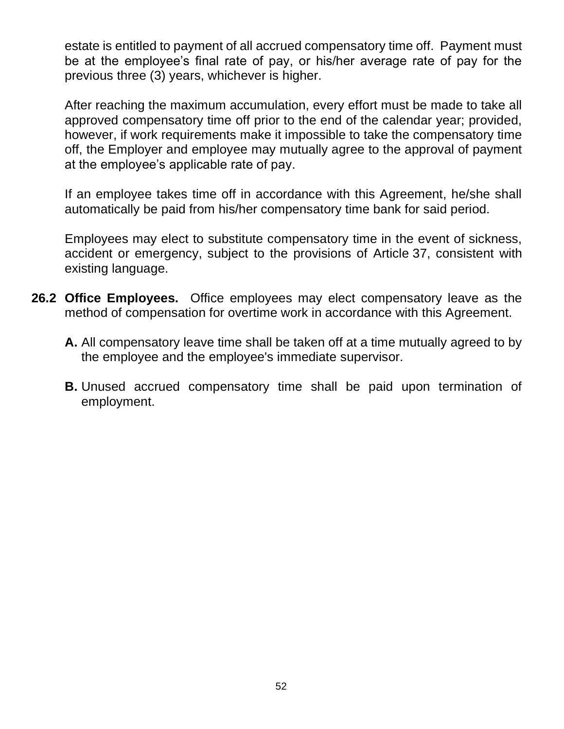estate is entitled to payment of all accrued compensatory time off. Payment must be at the employee's final rate of pay, or his/her average rate of pay for the previous three (3) years, whichever is higher.

After reaching the maximum accumulation, every effort must be made to take all approved compensatory time off prior to the end of the calendar year; provided, however, if work requirements make it impossible to take the compensatory time off, the Employer and employee may mutually agree to the approval of payment at the employee's applicable rate of pay.

If an employee takes time off in accordance with this Agreement, he/she shall automatically be paid from his/her compensatory time bank for said period.

Employees may elect to substitute compensatory time in the event of sickness, accident or emergency, subject to the provisions of Article 37, consistent with existing language.

- **26.2 Office Employees.** Office employees may elect compensatory leave as the method of compensation for overtime work in accordance with this Agreement.
	- **A.** All compensatory leave time shall be taken off at a time mutually agreed to by the employee and the employee's immediate supervisor.
	- **B.** Unused accrued compensatory time shall be paid upon termination of employment.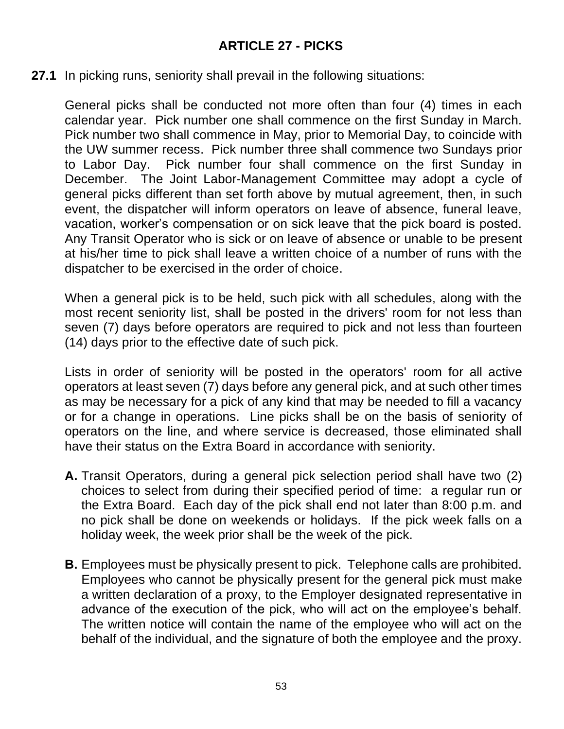## **ARTICLE 27 - PICKS**

#### **27.1** In picking runs, seniority shall prevail in the following situations:

General picks shall be conducted not more often than four (4) times in each calendar year. Pick number one shall commence on the first Sunday in March. Pick number two shall commence in May, prior to Memorial Day, to coincide with the UW summer recess. Pick number three shall commence two Sundays prior to Labor Day. Pick number four shall commence on the first Sunday in December. The Joint Labor-Management Committee may adopt a cycle of general picks different than set forth above by mutual agreement, then, in such event, the dispatcher will inform operators on leave of absence, funeral leave, vacation, worker's compensation or on sick leave that the pick board is posted. Any Transit Operator who is sick or on leave of absence or unable to be present at his/her time to pick shall leave a written choice of a number of runs with the dispatcher to be exercised in the order of choice.

When a general pick is to be held, such pick with all schedules, along with the most recent seniority list, shall be posted in the drivers' room for not less than seven (7) days before operators are required to pick and not less than fourteen (14) days prior to the effective date of such pick.

Lists in order of seniority will be posted in the operators' room for all active operators at least seven (7) days before any general pick, and at such other times as may be necessary for a pick of any kind that may be needed to fill a vacancy or for a change in operations. Line picks shall be on the basis of seniority of operators on the line, and where service is decreased, those eliminated shall have their status on the Extra Board in accordance with seniority.

- **A.** Transit Operators, during a general pick selection period shall have two (2) choices to select from during their specified period of time: a regular run or the Extra Board. Each day of the pick shall end not later than 8:00 p.m. and no pick shall be done on weekends or holidays. If the pick week falls on a holiday week, the week prior shall be the week of the pick.
- **B.** Employees must be physically present to pick. Telephone calls are prohibited. Employees who cannot be physically present for the general pick must make a written declaration of a proxy, to the Employer designated representative in advance of the execution of the pick, who will act on the employee's behalf. The written notice will contain the name of the employee who will act on the behalf of the individual, and the signature of both the employee and the proxy.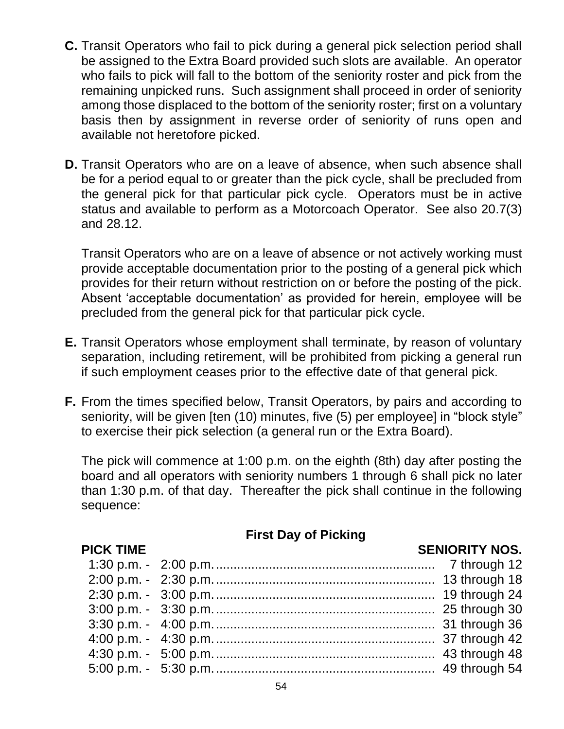- **C.** Transit Operators who fail to pick during a general pick selection period shall be assigned to the Extra Board provided such slots are available. An operator who fails to pick will fall to the bottom of the seniority roster and pick from the remaining unpicked runs. Such assignment shall proceed in order of seniority among those displaced to the bottom of the seniority roster; first on a voluntary basis then by assignment in reverse order of seniority of runs open and available not heretofore picked.
- **D.** Transit Operators who are on a leave of absence, when such absence shall be for a period equal to or greater than the pick cycle, shall be precluded from the general pick for that particular pick cycle. Operators must be in active status and available to perform as a Motorcoach Operator. See also 20.7(3) and 28.12.

Transit Operators who are on a leave of absence or not actively working must provide acceptable documentation prior to the posting of a general pick which provides for their return without restriction on or before the posting of the pick. Absent 'acceptable documentation' as provided for herein, employee will be precluded from the general pick for that particular pick cycle.

- **E.** Transit Operators whose employment shall terminate, by reason of voluntary separation, including retirement, will be prohibited from picking a general run if such employment ceases prior to the effective date of that general pick.
- **F.** From the times specified below, Transit Operators, by pairs and according to seniority, will be given [ten (10) minutes, five (5) per employee] in "block style" to exercise their pick selection (a general run or the Extra Board).

The pick will commence at 1:00 p.m. on the eighth (8th) day after posting the board and all operators with seniority numbers 1 through 6 shall pick no later than 1:30 p.m. of that day. Thereafter the pick shall continue in the following sequence:

# **First Day of Picking**

#### **PICK TIME SENIORITY NOS.**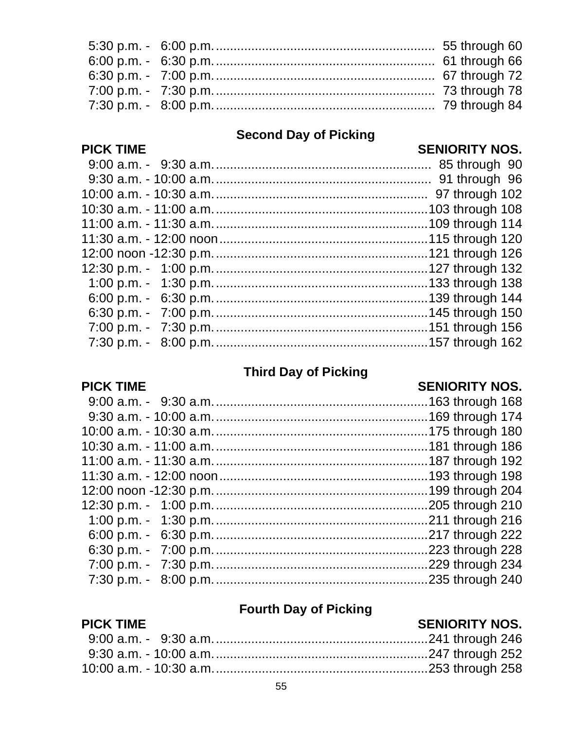#### **Second Day of Picking**

#### **SENIORITY NOS.**

#### 

#### **Third Day of Picking**

#### **PICK TIME**

**PICK TIME** 

#### **SENIORITY NOS.**

#### **Fourth Day of Picking**

#### **PICK TIME SENIORITY NOS.**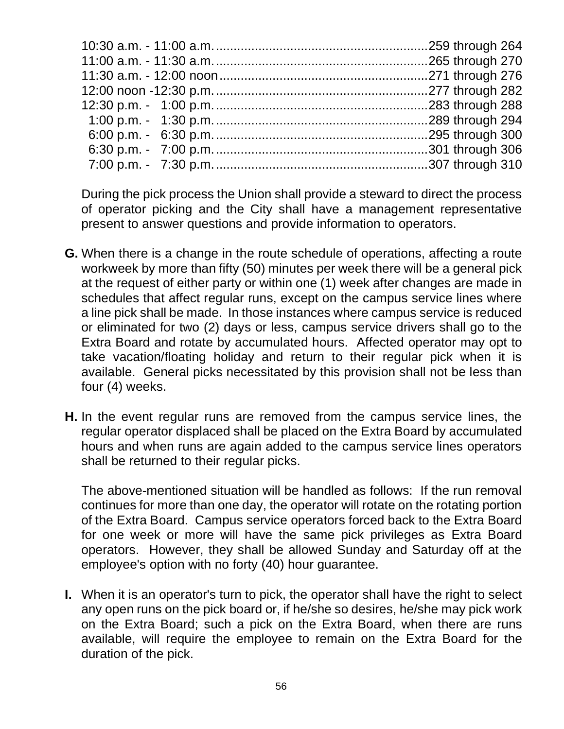During the pick process the Union shall provide a steward to direct the process of operator picking and the City shall have a management representative present to answer questions and provide information to operators.

- **G.** When there is a change in the route schedule of operations, affecting a route workweek by more than fifty (50) minutes per week there will be a general pick at the request of either party or within one (1) week after changes are made in schedules that affect regular runs, except on the campus service lines where a line pick shall be made. In those instances where campus service is reduced or eliminated for two (2) days or less, campus service drivers shall go to the Extra Board and rotate by accumulated hours. Affected operator may opt to take vacation/floating holiday and return to their regular pick when it is available. General picks necessitated by this provision shall not be less than four (4) weeks.
- **H.** In the event regular runs are removed from the campus service lines, the regular operator displaced shall be placed on the Extra Board by accumulated hours and when runs are again added to the campus service lines operators shall be returned to their regular picks.

The above-mentioned situation will be handled as follows: If the run removal continues for more than one day, the operator will rotate on the rotating portion of the Extra Board. Campus service operators forced back to the Extra Board for one week or more will have the same pick privileges as Extra Board operators. However, they shall be allowed Sunday and Saturday off at the employee's option with no forty (40) hour guarantee.

**I.** When it is an operator's turn to pick, the operator shall have the right to select any open runs on the pick board or, if he/she so desires, he/she may pick work on the Extra Board; such a pick on the Extra Board, when there are runs available, will require the employee to remain on the Extra Board for the duration of the pick.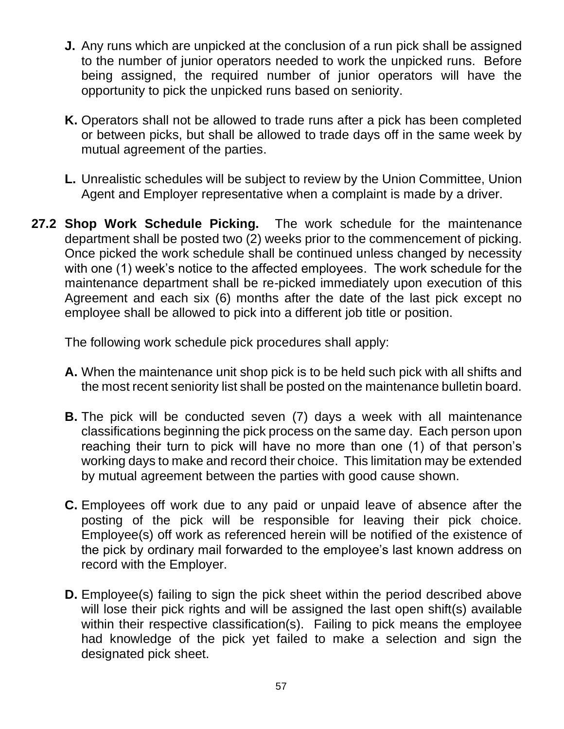- **J.** Any runs which are unpicked at the conclusion of a run pick shall be assigned to the number of junior operators needed to work the unpicked runs. Before being assigned, the required number of junior operators will have the opportunity to pick the unpicked runs based on seniority.
- **K.** Operators shall not be allowed to trade runs after a pick has been completed or between picks, but shall be allowed to trade days off in the same week by mutual agreement of the parties.
- **L.** Unrealistic schedules will be subject to review by the Union Committee, Union Agent and Employer representative when a complaint is made by a driver.
- **27.2 Shop Work Schedule Picking.** The work schedule for the maintenance department shall be posted two (2) weeks prior to the commencement of picking. Once picked the work schedule shall be continued unless changed by necessity with one (1) week's notice to the affected employees. The work schedule for the maintenance department shall be re-picked immediately upon execution of this Agreement and each six (6) months after the date of the last pick except no employee shall be allowed to pick into a different job title or position.

The following work schedule pick procedures shall apply:

- **A.** When the maintenance unit shop pick is to be held such pick with all shifts and the most recent seniority list shall be posted on the maintenance bulletin board.
- **B.** The pick will be conducted seven (7) days a week with all maintenance classifications beginning the pick process on the same day. Each person upon reaching their turn to pick will have no more than one (1) of that person's working days to make and record their choice. This limitation may be extended by mutual agreement between the parties with good cause shown.
- **C.** Employees off work due to any paid or unpaid leave of absence after the posting of the pick will be responsible for leaving their pick choice. Employee(s) off work as referenced herein will be notified of the existence of the pick by ordinary mail forwarded to the employee's last known address on record with the Employer.
- **D.** Employee(s) failing to sign the pick sheet within the period described above will lose their pick rights and will be assigned the last open shift(s) available within their respective classification(s). Failing to pick means the employee had knowledge of the pick yet failed to make a selection and sign the designated pick sheet.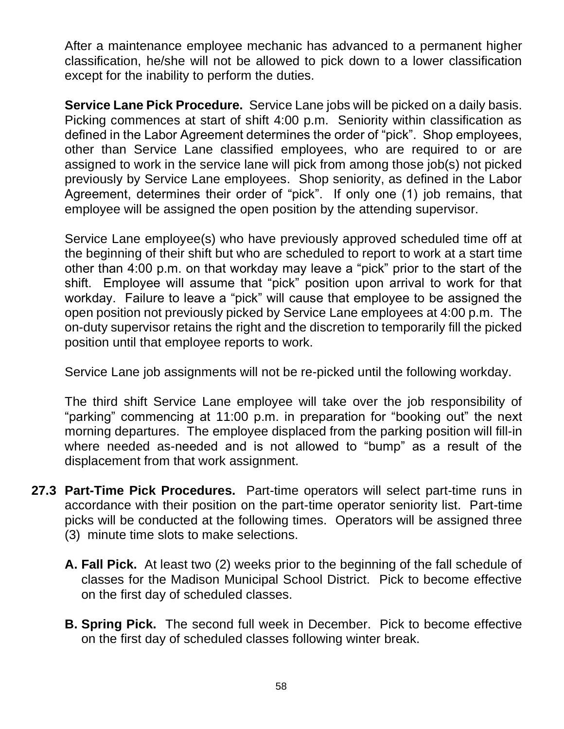After a maintenance employee mechanic has advanced to a permanent higher classification, he/she will not be allowed to pick down to a lower classification except for the inability to perform the duties.

**Service Lane Pick Procedure.** Service Lane jobs will be picked on a daily basis. Picking commences at start of shift 4:00 p.m. Seniority within classification as defined in the Labor Agreement determines the order of "pick". Shop employees, other than Service Lane classified employees, who are required to or are assigned to work in the service lane will pick from among those job(s) not picked previously by Service Lane employees. Shop seniority, as defined in the Labor Agreement, determines their order of "pick". If only one (1) job remains, that employee will be assigned the open position by the attending supervisor.

Service Lane employee(s) who have previously approved scheduled time off at the beginning of their shift but who are scheduled to report to work at a start time other than 4:00 p.m. on that workday may leave a "pick" prior to the start of the shift. Employee will assume that "pick" position upon arrival to work for that workday. Failure to leave a "pick" will cause that employee to be assigned the open position not previously picked by Service Lane employees at 4:00 p.m. The on-duty supervisor retains the right and the discretion to temporarily fill the picked position until that employee reports to work.

Service Lane job assignments will not be re-picked until the following workday.

The third shift Service Lane employee will take over the job responsibility of "parking" commencing at 11:00 p.m. in preparation for "booking out" the next morning departures. The employee displaced from the parking position will fill-in where needed as-needed and is not allowed to "bump" as a result of the displacement from that work assignment.

- **27.3 Part-Time Pick Procedures.** Part-time operators will select part-time runs in accordance with their position on the part-time operator seniority list. Part-time picks will be conducted at the following times. Operators will be assigned three (3) minute time slots to make selections.
	- **A. Fall Pick.** At least two (2) weeks prior to the beginning of the fall schedule of classes for the Madison Municipal School District. Pick to become effective on the first day of scheduled classes.
	- **B. Spring Pick.** The second full week in December. Pick to become effective on the first day of scheduled classes following winter break.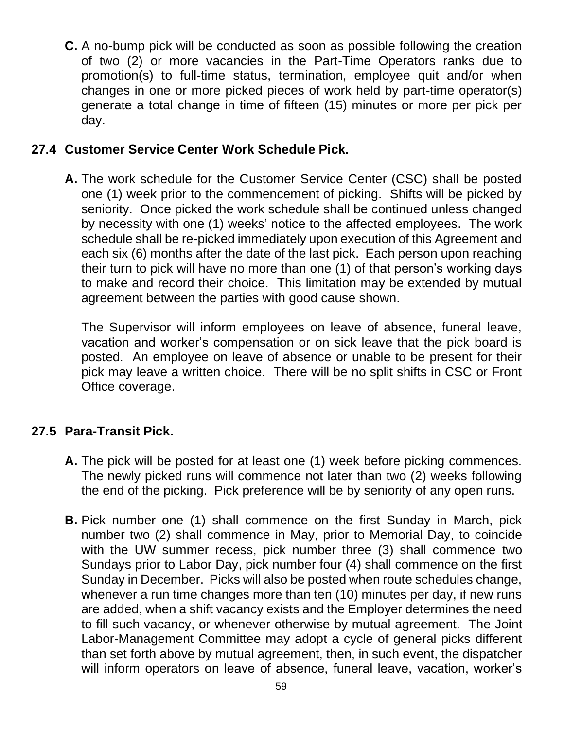**C.** A no-bump pick will be conducted as soon as possible following the creation of two (2) or more vacancies in the Part-Time Operators ranks due to promotion(s) to full-time status, termination, employee quit and/or when changes in one or more picked pieces of work held by part-time operator(s) generate a total change in time of fifteen (15) minutes or more per pick per day.

#### **27.4 Customer Service Center Work Schedule Pick.**

**A.** The work schedule for the Customer Service Center (CSC) shall be posted one (1) week prior to the commencement of picking. Shifts will be picked by seniority. Once picked the work schedule shall be continued unless changed by necessity with one (1) weeks' notice to the affected employees. The work schedule shall be re-picked immediately upon execution of this Agreement and each six (6) months after the date of the last pick. Each person upon reaching their turn to pick will have no more than one (1) of that person's working days to make and record their choice. This limitation may be extended by mutual agreement between the parties with good cause shown.

The Supervisor will inform employees on leave of absence, funeral leave, vacation and worker's compensation or on sick leave that the pick board is posted. An employee on leave of absence or unable to be present for their pick may leave a written choice. There will be no split shifts in CSC or Front Office coverage.

## **27.5 Para-Transit Pick.**

- **A.** The pick will be posted for at least one (1) week before picking commences. The newly picked runs will commence not later than two (2) weeks following the end of the picking. Pick preference will be by seniority of any open runs.
- **B.** Pick number one (1) shall commence on the first Sunday in March, pick number two (2) shall commence in May, prior to Memorial Day, to coincide with the UW summer recess, pick number three (3) shall commence two Sundays prior to Labor Day, pick number four (4) shall commence on the first Sunday in December. Picks will also be posted when route schedules change, whenever a run time changes more than ten (10) minutes per day, if new runs are added, when a shift vacancy exists and the Employer determines the need to fill such vacancy, or whenever otherwise by mutual agreement. The Joint Labor-Management Committee may adopt a cycle of general picks different than set forth above by mutual agreement, then, in such event, the dispatcher will inform operators on leave of absence, funeral leave, vacation, worker's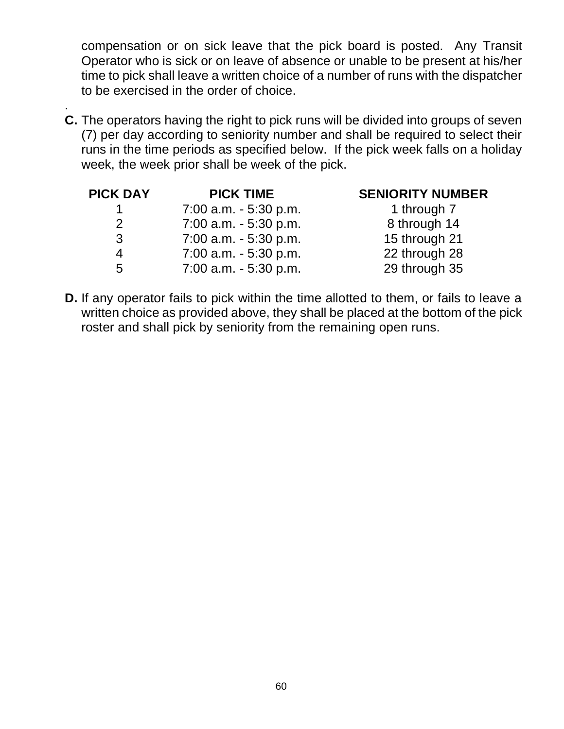compensation or on sick leave that the pick board is posted. Any Transit Operator who is sick or on leave of absence or unable to be present at his/her time to pick shall leave a written choice of a number of runs with the dispatcher to be exercised in the order of choice.

. **C.** The operators having the right to pick runs will be divided into groups of seven (7) per day according to seniority number and shall be required to select their runs in the time periods as specified below. If the pick week falls on a holiday week, the week prior shall be week of the pick.

| <b>PICK DAY</b> | <b>PICK TIME</b>         | <b>SENIORITY NUMBER</b> |
|-----------------|--------------------------|-------------------------|
|                 | $7:00$ a.m. $-5:30$ p.m. | 1 through 7             |
| 2               | $7:00$ a.m. $-5:30$ p.m. | 8 through 14            |
| 3               | $7:00$ a.m. $-5:30$ p.m. | 15 through 21           |
| 4               | $7:00$ a.m. $-5:30$ p.m. | 22 through 28           |
| 5               | $7:00$ a.m. $-5:30$ p.m. | 29 through 35           |

**D.** If any operator fails to pick within the time allotted to them, or fails to leave a written choice as provided above, they shall be placed at the bottom of the pick roster and shall pick by seniority from the remaining open runs.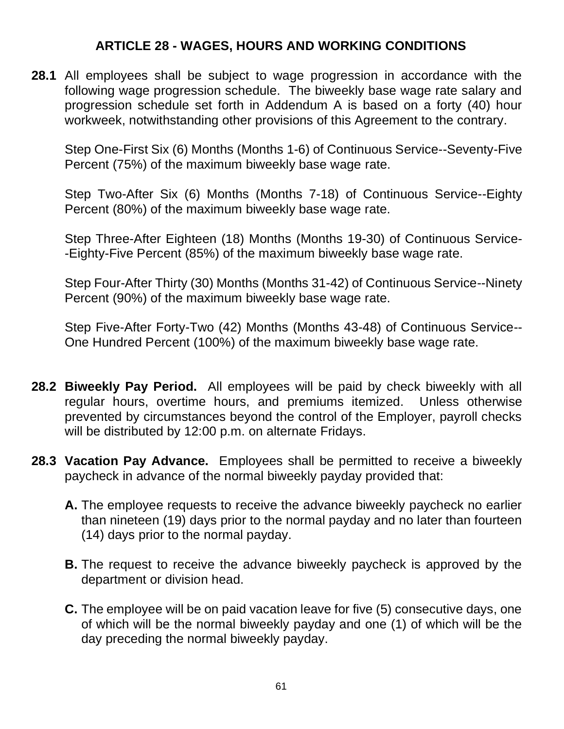#### **ARTICLE 28 - WAGES, HOURS AND WORKING CONDITIONS**

**28.1** All employees shall be subject to wage progression in accordance with the following wage progression schedule. The biweekly base wage rate salary and progression schedule set forth in Addendum A is based on a forty (40) hour workweek, notwithstanding other provisions of this Agreement to the contrary.

Step One-First Six (6) Months (Months 1-6) of Continuous Service--Seventy-Five Percent (75%) of the maximum biweekly base wage rate.

Step Two-After Six (6) Months (Months 7-18) of Continuous Service--Eighty Percent (80%) of the maximum biweekly base wage rate.

Step Three-After Eighteen (18) Months (Months 19-30) of Continuous Service- -Eighty-Five Percent (85%) of the maximum biweekly base wage rate.

Step Four-After Thirty (30) Months (Months 31-42) of Continuous Service--Ninety Percent (90%) of the maximum biweekly base wage rate.

Step Five-After Forty-Two (42) Months (Months 43-48) of Continuous Service-- One Hundred Percent (100%) of the maximum biweekly base wage rate.

- **28.2 Biweekly Pay Period.** All employees will be paid by check biweekly with all regular hours, overtime hours, and premiums itemized. Unless otherwise prevented by circumstances beyond the control of the Employer, payroll checks will be distributed by 12:00 p.m. on alternate Fridays.
- **28.3 Vacation Pay Advance.** Employees shall be permitted to receive a biweekly paycheck in advance of the normal biweekly payday provided that:
	- **A.** The employee requests to receive the advance biweekly paycheck no earlier than nineteen (19) days prior to the normal payday and no later than fourteen (14) days prior to the normal payday.
	- **B.** The request to receive the advance biweekly paycheck is approved by the department or division head.
	- **C.** The employee will be on paid vacation leave for five (5) consecutive days, one of which will be the normal biweekly payday and one (1) of which will be the day preceding the normal biweekly payday.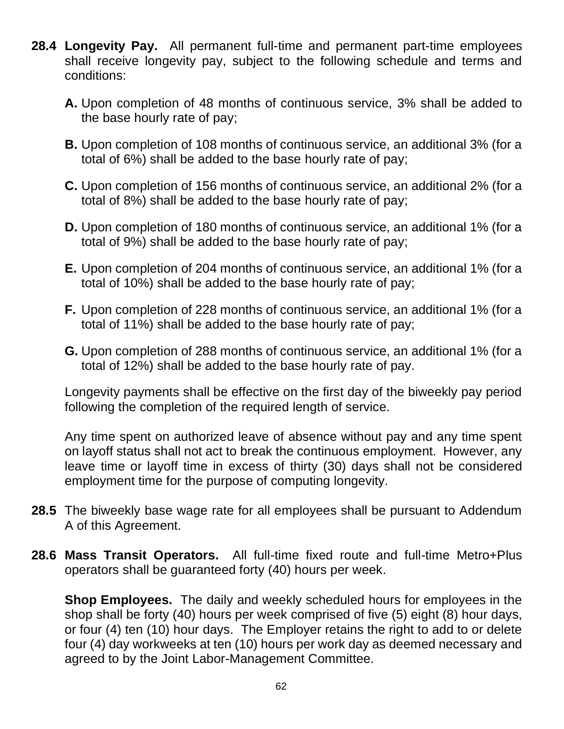- **28.4 Longevity Pay.** All permanent full-time and permanent part-time employees shall receive longevity pay, subject to the following schedule and terms and conditions:
	- **A.** Upon completion of 48 months of continuous service, 3% shall be added to the base hourly rate of pay;
	- **B.** Upon completion of 108 months of continuous service, an additional 3% (for a total of 6%) shall be added to the base hourly rate of pay;
	- **C.** Upon completion of 156 months of continuous service, an additional 2% (for a total of 8%) shall be added to the base hourly rate of pay;
	- **D.** Upon completion of 180 months of continuous service, an additional 1% (for a total of 9%) shall be added to the base hourly rate of pay;
	- **E.** Upon completion of 204 months of continuous service, an additional 1% (for a total of 10%) shall be added to the base hourly rate of pay;
	- **F.** Upon completion of 228 months of continuous service, an additional 1% (for a total of 11%) shall be added to the base hourly rate of pay;
	- **G.** Upon completion of 288 months of continuous service, an additional 1% (for a total of 12%) shall be added to the base hourly rate of pay.

Longevity payments shall be effective on the first day of the biweekly pay period following the completion of the required length of service.

Any time spent on authorized leave of absence without pay and any time spent on layoff status shall not act to break the continuous employment. However, any leave time or layoff time in excess of thirty (30) days shall not be considered employment time for the purpose of computing longevity.

- **28.5** The biweekly base wage rate for all employees shall be pursuant to Addendum A of this Agreement.
- **28.6 Mass Transit Operators.** All full-time fixed route and full-time Metro+Plus operators shall be guaranteed forty (40) hours per week.

**Shop Employees.** The daily and weekly scheduled hours for employees in the shop shall be forty (40) hours per week comprised of five (5) eight (8) hour days, or four (4) ten (10) hour days. The Employer retains the right to add to or delete four (4) day workweeks at ten (10) hours per work day as deemed necessary and agreed to by the Joint Labor-Management Committee.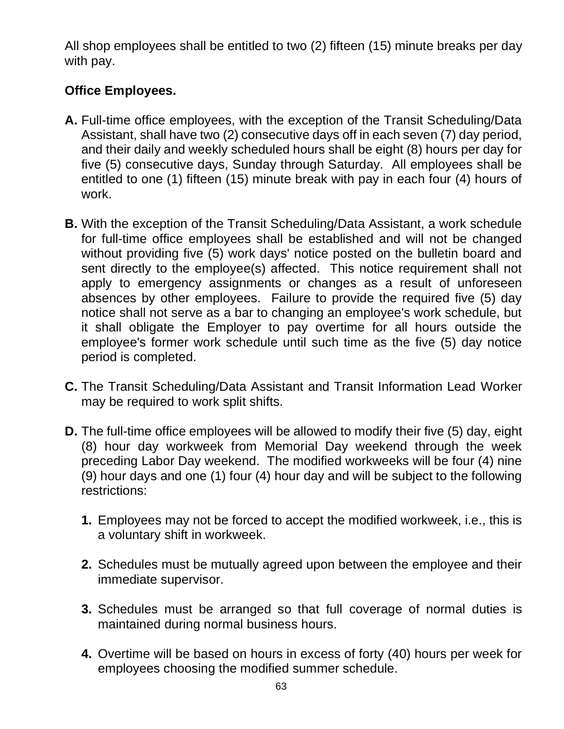All shop employees shall be entitled to two (2) fifteen (15) minute breaks per day with pay.

# **Office Employees.**

- **A.** Full-time office employees, with the exception of the Transit Scheduling/Data Assistant, shall have two (2) consecutive days off in each seven (7) day period, and their daily and weekly scheduled hours shall be eight (8) hours per day for five (5) consecutive days, Sunday through Saturday. All employees shall be entitled to one (1) fifteen (15) minute break with pay in each four (4) hours of work.
- **B.** With the exception of the Transit Scheduling/Data Assistant, a work schedule for full-time office employees shall be established and will not be changed without providing five (5) work days' notice posted on the bulletin board and sent directly to the employee(s) affected. This notice requirement shall not apply to emergency assignments or changes as a result of unforeseen absences by other employees. Failure to provide the required five (5) day notice shall not serve as a bar to changing an employee's work schedule, but it shall obligate the Employer to pay overtime for all hours outside the employee's former work schedule until such time as the five (5) day notice period is completed.
- **C.** The Transit Scheduling/Data Assistant and Transit Information Lead Worker may be required to work split shifts.
- **D.** The full-time office employees will be allowed to modify their five (5) day, eight (8) hour day workweek from Memorial Day weekend through the week preceding Labor Day weekend. The modified workweeks will be four (4) nine (9) hour days and one (1) four (4) hour day and will be subject to the following restrictions:
	- **1.** Employees may not be forced to accept the modified workweek, i.e., this is a voluntary shift in workweek.
	- **2.** Schedules must be mutually agreed upon between the employee and their immediate supervisor.
	- **3.** Schedules must be arranged so that full coverage of normal duties is maintained during normal business hours.
	- **4.** Overtime will be based on hours in excess of forty (40) hours per week for employees choosing the modified summer schedule.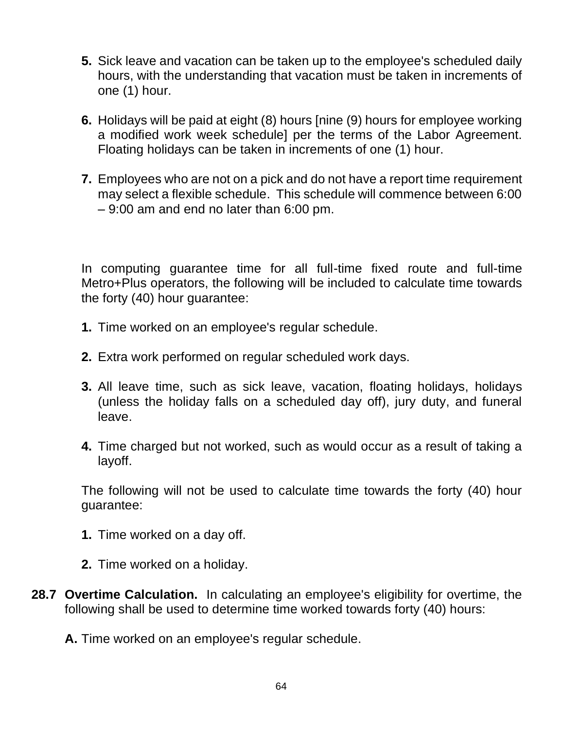- **5.** Sick leave and vacation can be taken up to the employee's scheduled daily hours, with the understanding that vacation must be taken in increments of one (1) hour.
- **6.** Holidays will be paid at eight (8) hours [nine (9) hours for employee working a modified work week schedule] per the terms of the Labor Agreement. Floating holidays can be taken in increments of one (1) hour.
- **7.** Employees who are not on a pick and do not have a report time requirement may select a flexible schedule. This schedule will commence between 6:00 – 9:00 am and end no later than 6:00 pm.

In computing guarantee time for all full-time fixed route and full-time Metro+Plus operators, the following will be included to calculate time towards the forty (40) hour guarantee:

- **1.** Time worked on an employee's regular schedule.
- **2.** Extra work performed on regular scheduled work days.
- **3.** All leave time, such as sick leave, vacation, floating holidays, holidays (unless the holiday falls on a scheduled day off), jury duty, and funeral leave.
- **4.** Time charged but not worked, such as would occur as a result of taking a layoff.

The following will not be used to calculate time towards the forty (40) hour guarantee:

- **1.** Time worked on a day off.
- **2.** Time worked on a holiday.
- **28.7 Overtime Calculation.** In calculating an employee's eligibility for overtime, the following shall be used to determine time worked towards forty (40) hours:
	- **A.** Time worked on an employee's regular schedule.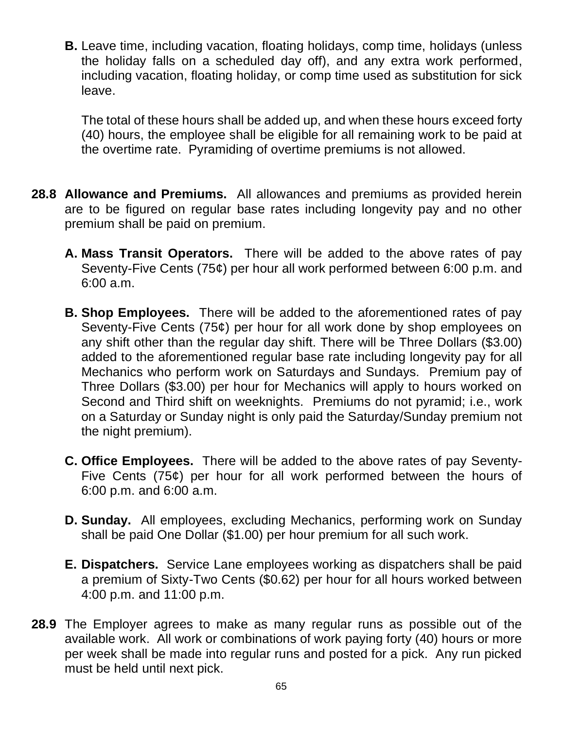**B.** Leave time, including vacation, floating holidays, comp time, holidays (unless the holiday falls on a scheduled day off), and any extra work performed, including vacation, floating holiday, or comp time used as substitution for sick leave.

The total of these hours shall be added up, and when these hours exceed forty (40) hours, the employee shall be eligible for all remaining work to be paid at the overtime rate. Pyramiding of overtime premiums is not allowed.

- **28.8 Allowance and Premiums.** All allowances and premiums as provided herein are to be figured on regular base rates including longevity pay and no other premium shall be paid on premium.
	- **A. Mass Transit Operators.** There will be added to the above rates of pay Seventy-Five Cents (75¢) per hour all work performed between 6:00 p.m. and 6:00 a.m.
	- **B. Shop Employees.** There will be added to the aforementioned rates of pay Seventy-Five Cents (75¢) per hour for all work done by shop employees on any shift other than the regular day shift. There will be Three Dollars (\$3.00) added to the aforementioned regular base rate including longevity pay for all Mechanics who perform work on Saturdays and Sundays. Premium pay of Three Dollars (\$3.00) per hour for Mechanics will apply to hours worked on Second and Third shift on weeknights. Premiums do not pyramid; i.e., work on a Saturday or Sunday night is only paid the Saturday/Sunday premium not the night premium).
	- **C. Office Employees.** There will be added to the above rates of pay Seventy-Five Cents (75¢) per hour for all work performed between the hours of 6:00 p.m. and 6:00 a.m.
	- **D. Sunday.** All employees, excluding Mechanics, performing work on Sunday shall be paid One Dollar (\$1.00) per hour premium for all such work.
	- **E. Dispatchers.** Service Lane employees working as dispatchers shall be paid a premium of Sixty-Two Cents (\$0.62) per hour for all hours worked between 4:00 p.m. and 11:00 p.m.
- **28.9** The Employer agrees to make as many regular runs as possible out of the available work. All work or combinations of work paying forty (40) hours or more per week shall be made into regular runs and posted for a pick. Any run picked must be held until next pick.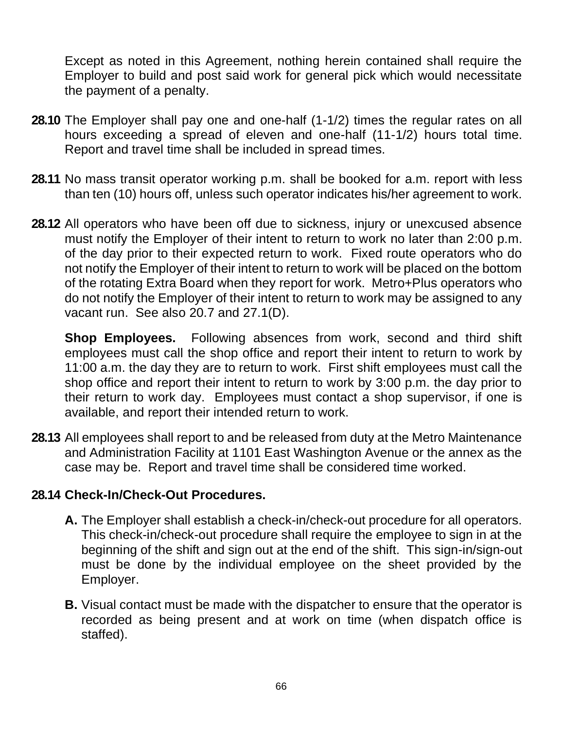Except as noted in this Agreement, nothing herein contained shall require the Employer to build and post said work for general pick which would necessitate the payment of a penalty.

- **28.10** The Employer shall pay one and one-half (1-1/2) times the regular rates on all hours exceeding a spread of eleven and one-half (11-1/2) hours total time. Report and travel time shall be included in spread times.
- **28.11** No mass transit operator working p.m. shall be booked for a.m. report with less than ten (10) hours off, unless such operator indicates his/her agreement to work.
- **28.12** All operators who have been off due to sickness, injury or unexcused absence must notify the Employer of their intent to return to work no later than 2:00 p.m. of the day prior to their expected return to work. Fixed route operators who do not notify the Employer of their intent to return to work will be placed on the bottom of the rotating Extra Board when they report for work. Metro+Plus operators who do not notify the Employer of their intent to return to work may be assigned to any vacant run. See also 20.7 and 27.1(D).

**Shop Employees.** Following absences from work, second and third shift employees must call the shop office and report their intent to return to work by 11:00 a.m. the day they are to return to work. First shift employees must call the shop office and report their intent to return to work by 3:00 p.m. the day prior to their return to work day. Employees must contact a shop supervisor, if one is available, and report their intended return to work.

**28.13** All employees shall report to and be released from duty at the Metro Maintenance and Administration Facility at 1101 East Washington Avenue or the annex as the case may be. Report and travel time shall be considered time worked.

#### **28.14 Check-In/Check-Out Procedures.**

- **A.** The Employer shall establish a check-in/check-out procedure for all operators. This check-in/check-out procedure shall require the employee to sign in at the beginning of the shift and sign out at the end of the shift. This sign-in/sign-out must be done by the individual employee on the sheet provided by the Employer.
- **B.** Visual contact must be made with the dispatcher to ensure that the operator is recorded as being present and at work on time (when dispatch office is staffed).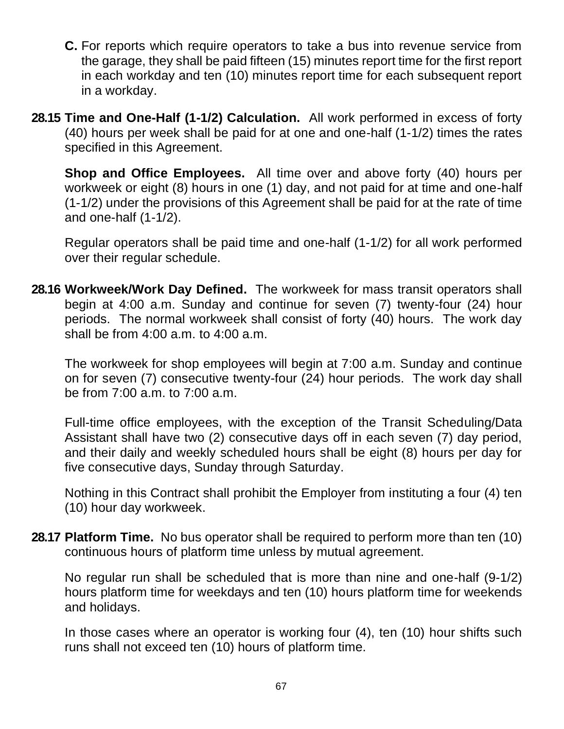- **C.** For reports which require operators to take a bus into revenue service from the garage, they shall be paid fifteen (15) minutes report time for the first report in each workday and ten (10) minutes report time for each subsequent report in a workday.
- **28.15 Time and One-Half (1-1/2) Calculation.** All work performed in excess of forty (40) hours per week shall be paid for at one and one-half (1-1/2) times the rates specified in this Agreement.

**Shop and Office Employees.** All time over and above forty (40) hours per workweek or eight (8) hours in one (1) day, and not paid for at time and one-half (1-1/2) under the provisions of this Agreement shall be paid for at the rate of time and one-half (1-1/2).

Regular operators shall be paid time and one-half (1-1/2) for all work performed over their regular schedule.

**28.16 Workweek/Work Day Defined.** The workweek for mass transit operators shall begin at 4:00 a.m. Sunday and continue for seven (7) twenty-four (24) hour periods. The normal workweek shall consist of forty (40) hours. The work day shall be from 4:00 a.m. to 4:00 a.m.

The workweek for shop employees will begin at 7:00 a.m. Sunday and continue on for seven (7) consecutive twenty-four (24) hour periods. The work day shall be from 7:00 a.m. to 7:00 a.m.

Full-time office employees, with the exception of the Transit Scheduling/Data Assistant shall have two (2) consecutive days off in each seven (7) day period, and their daily and weekly scheduled hours shall be eight (8) hours per day for five consecutive days, Sunday through Saturday.

Nothing in this Contract shall prohibit the Employer from instituting a four (4) ten (10) hour day workweek.

**28.17 Platform Time.** No bus operator shall be required to perform more than ten (10) continuous hours of platform time unless by mutual agreement.

No regular run shall be scheduled that is more than nine and one-half (9-1/2) hours platform time for weekdays and ten (10) hours platform time for weekends and holidays.

In those cases where an operator is working four (4), ten (10) hour shifts such runs shall not exceed ten (10) hours of platform time.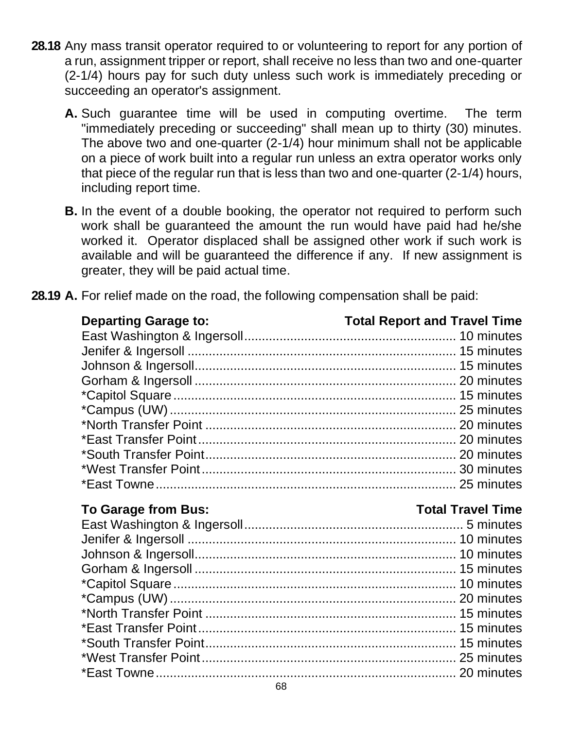- **28.18** Any mass transit operator required to or volunteering to report for any portion of a run, assignment tripper or report, shall receive no less than two and one-quarter (2-1/4) hours pay for such duty unless such work is immediately preceding or succeeding an operator's assignment.
	- **A.** Such guarantee time will be used in computing overtime. The term "immediately preceding or succeeding" shall mean up to thirty (30) minutes. The above two and one-quarter (2-1/4) hour minimum shall not be applicable on a piece of work built into a regular run unless an extra operator works only that piece of the regular run that is less than two and one-quarter (2-1/4) hours, including report time.
	- **B.** In the event of a double booking, the operator not required to perform such work shall be guaranteed the amount the run would have paid had he/she worked it. Operator displaced shall be assigned other work if such work is available and will be guaranteed the difference if any. If new assignment is greater, they will be paid actual time.

| <b>Departing Garage to:</b> | <b>Total Report and Travel Time</b> |
|-----------------------------|-------------------------------------|
|                             |                                     |
|                             |                                     |
|                             |                                     |
|                             |                                     |
|                             |                                     |
|                             |                                     |
|                             |                                     |
|                             |                                     |
|                             |                                     |
|                             |                                     |
|                             |                                     |
|                             |                                     |

**28.19 A.** For relief made on the road, the following compensation shall be paid:

## **To Garage from Bus: Total Travel Time**

#### East Washington & Ingersoll.............................................................. 5 minutes Jenifer & Ingersoll ............................................................................ 10 minutes Johnson & Ingersoll.......................................................................... 10 minutes Gorham & Ingersoll .......................................................................... 15 minutes \*Capitol Square................................................................................ 10 minutes \*Campus (UW)................................................................................. 20 minutes \*North Transfer Point ....................................................................... 15 minutes \*East Transfer Point......................................................................... 15 minutes \*South Transfer Point....................................................................... 15 minutes \*West Transfer Point........................................................................ 25 minutes \*East Towne..................................................................................... 20 minutes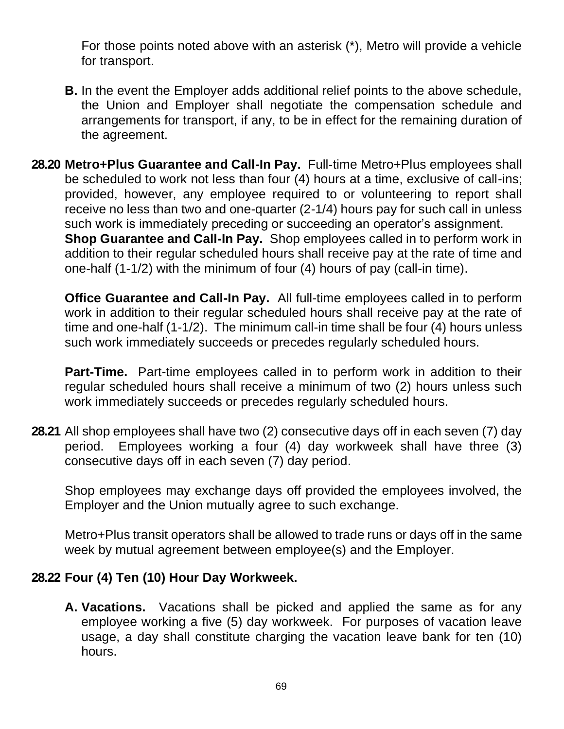For those points noted above with an asterisk (\*), Metro will provide a vehicle for transport.

- **B.** In the event the Employer adds additional relief points to the above schedule, the Union and Employer shall negotiate the compensation schedule and arrangements for transport, if any, to be in effect for the remaining duration of the agreement.
- **28.20 Metro+Plus Guarantee and Call-In Pay.** Full-time Metro+Plus employees shall be scheduled to work not less than four (4) hours at a time, exclusive of call-ins; provided, however, any employee required to or volunteering to report shall receive no less than two and one-quarter (2-1/4) hours pay for such call in unless such work is immediately preceding or succeeding an operator's assignment. **Shop Guarantee and Call-In Pay.** Shop employees called in to perform work in addition to their regular scheduled hours shall receive pay at the rate of time and one-half (1-1/2) with the minimum of four (4) hours of pay (call-in time).

**Office Guarantee and Call-In Pay.** All full-time employees called in to perform work in addition to their regular scheduled hours shall receive pay at the rate of time and one-half (1-1/2). The minimum call-in time shall be four (4) hours unless such work immediately succeeds or precedes regularly scheduled hours.

**Part-Time.** Part-time employees called in to perform work in addition to their regular scheduled hours shall receive a minimum of two (2) hours unless such work immediately succeeds or precedes regularly scheduled hours.

**28.21** All shop employees shall have two (2) consecutive days off in each seven (7) day period. Employees working a four (4) day workweek shall have three (3) consecutive days off in each seven (7) day period.

Shop employees may exchange days off provided the employees involved, the Employer and the Union mutually agree to such exchange.

Metro+Plus transit operators shall be allowed to trade runs or days off in the same week by mutual agreement between employee(s) and the Employer.

#### **28.22 Four (4) Ten (10) Hour Day Workweek.**

**A. Vacations.** Vacations shall be picked and applied the same as for any employee working a five (5) day workweek. For purposes of vacation leave usage, a day shall constitute charging the vacation leave bank for ten (10) hours.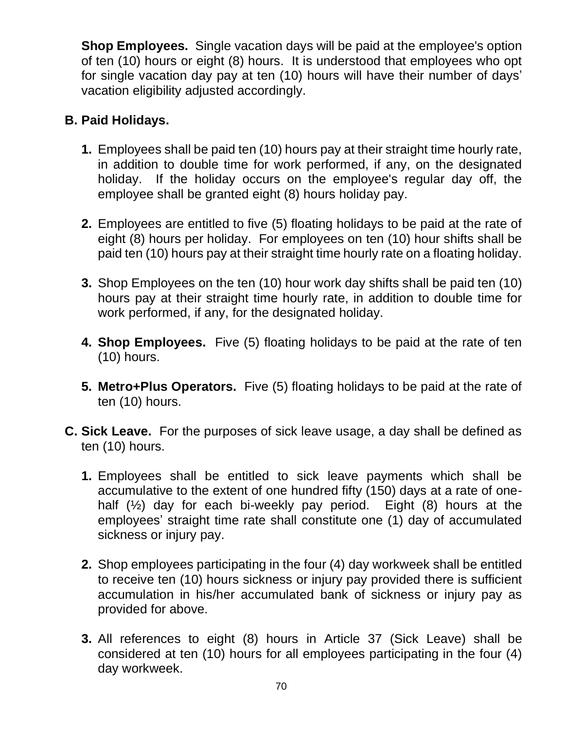**Shop Employees.** Single vacation days will be paid at the employee's option of ten (10) hours or eight (8) hours. It is understood that employees who opt for single vacation day pay at ten (10) hours will have their number of days' vacation eligibility adjusted accordingly.

# **B. Paid Holidays.**

- **1.** Employees shall be paid ten (10) hours pay at their straight time hourly rate, in addition to double time for work performed, if any, on the designated holiday. If the holiday occurs on the employee's regular day off, the employee shall be granted eight (8) hours holiday pay.
- **2.** Employees are entitled to five (5) floating holidays to be paid at the rate of eight (8) hours per holiday. For employees on ten (10) hour shifts shall be paid ten (10) hours pay at their straight time hourly rate on a floating holiday.
- **3.** Shop Employees on the ten (10) hour work day shifts shall be paid ten (10) hours pay at their straight time hourly rate, in addition to double time for work performed, if any, for the designated holiday.
- **4. Shop Employees.** Five (5) floating holidays to be paid at the rate of ten (10) hours.
- **5. Metro+Plus Operators.** Five (5) floating holidays to be paid at the rate of ten (10) hours.
- **C. Sick Leave.** For the purposes of sick leave usage, a day shall be defined as ten (10) hours.
	- **1.** Employees shall be entitled to sick leave payments which shall be accumulative to the extent of one hundred fifty (150) days at a rate of onehalf (½) day for each bi-weekly pay period. Eight (8) hours at the employees' straight time rate shall constitute one (1) day of accumulated sickness or injury pay.
	- **2.** Shop employees participating in the four (4) day workweek shall be entitled to receive ten (10) hours sickness or injury pay provided there is sufficient accumulation in his/her accumulated bank of sickness or injury pay as provided for above.
	- **3.** All references to eight (8) hours in Article 37 (Sick Leave) shall be considered at ten (10) hours for all employees participating in the four (4) day workweek.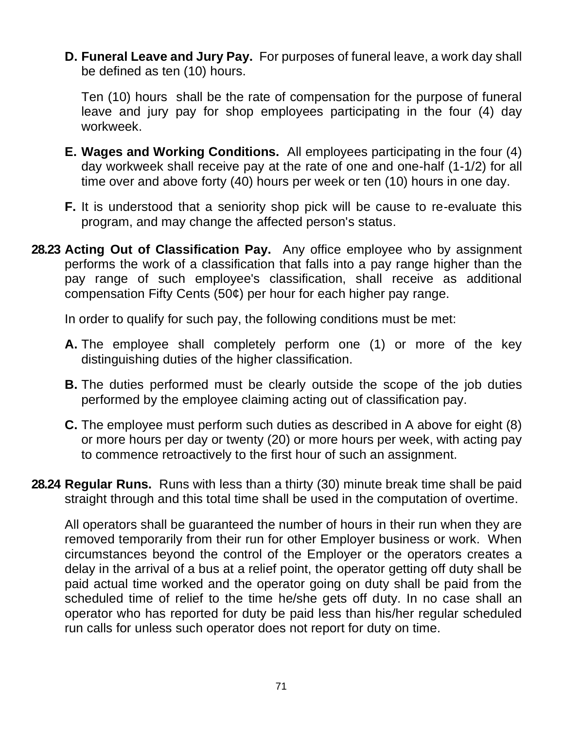**D. Funeral Leave and Jury Pay.** For purposes of funeral leave, a work day shall be defined as ten (10) hours.

Ten (10) hours shall be the rate of compensation for the purpose of funeral leave and jury pay for shop employees participating in the four (4) day workweek.

- **E. Wages and Working Conditions.** All employees participating in the four (4) day workweek shall receive pay at the rate of one and one-half (1-1/2) for all time over and above forty (40) hours per week or ten (10) hours in one day.
- **F.** It is understood that a seniority shop pick will be cause to re-evaluate this program, and may change the affected person's status.
- **28.23 Acting Out of Classification Pay.** Any office employee who by assignment performs the work of a classification that falls into a pay range higher than the pay range of such employee's classification, shall receive as additional compensation Fifty Cents (50¢) per hour for each higher pay range.

In order to qualify for such pay, the following conditions must be met:

- **A.** The employee shall completely perform one (1) or more of the key distinguishing duties of the higher classification.
- **B.** The duties performed must be clearly outside the scope of the job duties performed by the employee claiming acting out of classification pay.
- **C.** The employee must perform such duties as described in A above for eight (8) or more hours per day or twenty (20) or more hours per week, with acting pay to commence retroactively to the first hour of such an assignment.
- **28.24 Regular Runs.** Runs with less than a thirty (30) minute break time shall be paid straight through and this total time shall be used in the computation of overtime.

All operators shall be guaranteed the number of hours in their run when they are removed temporarily from their run for other Employer business or work. When circumstances beyond the control of the Employer or the operators creates a delay in the arrival of a bus at a relief point, the operator getting off duty shall be paid actual time worked and the operator going on duty shall be paid from the scheduled time of relief to the time he/she gets off duty. In no case shall an operator who has reported for duty be paid less than his/her regular scheduled run calls for unless such operator does not report for duty on time.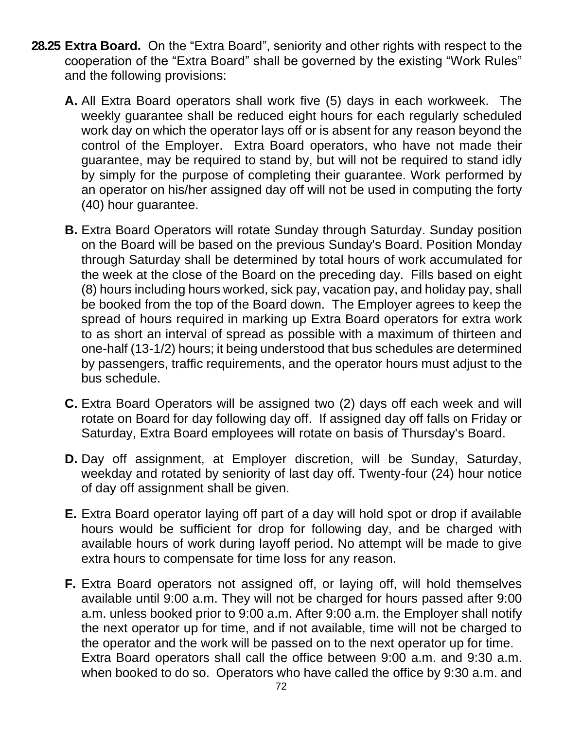- **28.25 Extra Board.** On the "Extra Board", seniority and other rights with respect to the cooperation of the "Extra Board" shall be governed by the existing "Work Rules" and the following provisions:
	- **A.** All Extra Board operators shall work five (5) days in each workweek. The weekly guarantee shall be reduced eight hours for each regularly scheduled work day on which the operator lays off or is absent for any reason beyond the control of the Employer. Extra Board operators, who have not made their guarantee, may be required to stand by, but will not be required to stand idly by simply for the purpose of completing their guarantee. Work performed by an operator on his/her assigned day off will not be used in computing the forty (40) hour guarantee.
	- **B.** Extra Board Operators will rotate Sunday through Saturday. Sunday position on the Board will be based on the previous Sunday's Board. Position Monday through Saturday shall be determined by total hours of work accumulated for the week at the close of the Board on the preceding day. Fills based on eight (8) hours including hours worked, sick pay, vacation pay, and holiday pay, shall be booked from the top of the Board down. The Employer agrees to keep the spread of hours required in marking up Extra Board operators for extra work to as short an interval of spread as possible with a maximum of thirteen and one-half (13-1/2) hours; it being understood that bus schedules are determined by passengers, traffic requirements, and the operator hours must adjust to the bus schedule.
	- **C.** Extra Board Operators will be assigned two (2) days off each week and will rotate on Board for day following day off. If assigned day off falls on Friday or Saturday, Extra Board employees will rotate on basis of Thursday's Board.
	- **D.** Day off assignment, at Employer discretion, will be Sunday, Saturday, weekday and rotated by seniority of last day off. Twenty-four (24) hour notice of day off assignment shall be given.
	- **E.** Extra Board operator laying off part of a day will hold spot or drop if available hours would be sufficient for drop for following day, and be charged with available hours of work during layoff period. No attempt will be made to give extra hours to compensate for time loss for any reason.
	- **F.** Extra Board operators not assigned off, or laying off, will hold themselves available until 9:00 a.m. They will not be charged for hours passed after 9:00 a.m. unless booked prior to 9:00 a.m. After 9:00 a.m. the Employer shall notify the next operator up for time, and if not available, time will not be charged to the operator and the work will be passed on to the next operator up for time. Extra Board operators shall call the office between 9:00 a.m. and 9:30 a.m. when booked to do so. Operators who have called the office by 9:30 a.m. and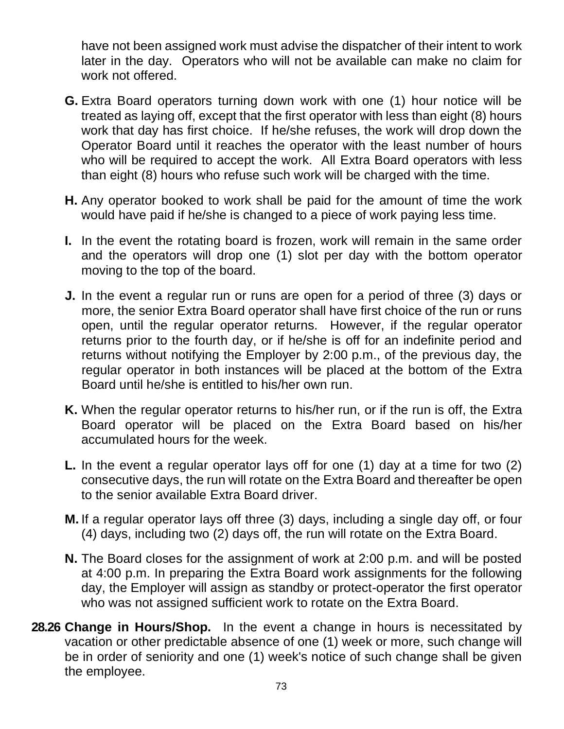have not been assigned work must advise the dispatcher of their intent to work later in the day. Operators who will not be available can make no claim for work not offered.

- **G.** Extra Board operators turning down work with one (1) hour notice will be treated as laying off, except that the first operator with less than eight (8) hours work that day has first choice. If he/she refuses, the work will drop down the Operator Board until it reaches the operator with the least number of hours who will be required to accept the work. All Extra Board operators with less than eight (8) hours who refuse such work will be charged with the time.
- **H.** Any operator booked to work shall be paid for the amount of time the work would have paid if he/she is changed to a piece of work paying less time.
- **I.** In the event the rotating board is frozen, work will remain in the same order and the operators will drop one (1) slot per day with the bottom operator moving to the top of the board.
- **J.** In the event a regular run or runs are open for a period of three (3) days or more, the senior Extra Board operator shall have first choice of the run or runs open, until the regular operator returns. However, if the regular operator returns prior to the fourth day, or if he/she is off for an indefinite period and returns without notifying the Employer by 2:00 p.m., of the previous day, the regular operator in both instances will be placed at the bottom of the Extra Board until he/she is entitled to his/her own run.
- **K.** When the regular operator returns to his/her run, or if the run is off, the Extra Board operator will be placed on the Extra Board based on his/her accumulated hours for the week.
- **L.** In the event a regular operator lays off for one (1) day at a time for two (2) consecutive days, the run will rotate on the Extra Board and thereafter be open to the senior available Extra Board driver.
- **M.** If a regular operator lays off three (3) days, including a single day off, or four (4) days, including two (2) days off, the run will rotate on the Extra Board.
- **N.** The Board closes for the assignment of work at 2:00 p.m. and will be posted at 4:00 p.m. In preparing the Extra Board work assignments for the following day, the Employer will assign as standby or protect-operator the first operator who was not assigned sufficient work to rotate on the Extra Board.
- **28.26 Change in Hours/Shop.** In the event a change in hours is necessitated by vacation or other predictable absence of one (1) week or more, such change will be in order of seniority and one (1) week's notice of such change shall be given the employee.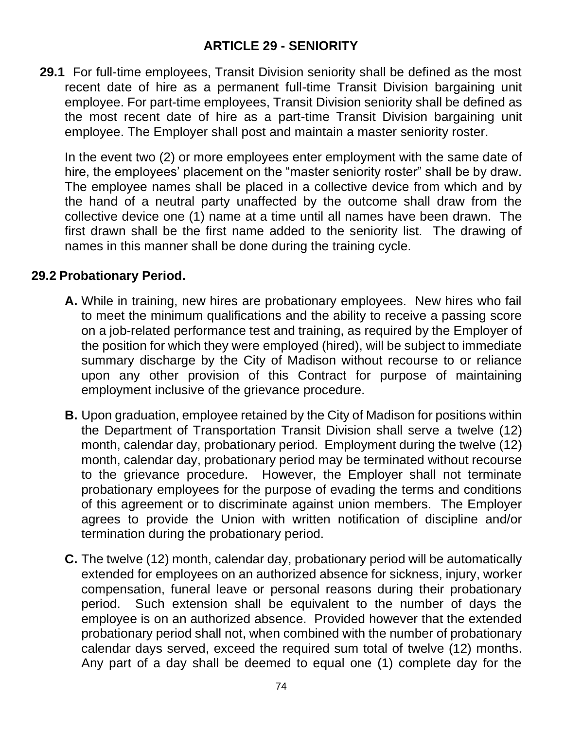### **ARTICLE 29 - SENIORITY**

**29.1** For full-time employees, Transit Division seniority shall be defined as the most recent date of hire as a permanent full-time Transit Division bargaining unit employee. For part-time employees, Transit Division seniority shall be defined as the most recent date of hire as a part-time Transit Division bargaining unit employee. The Employer shall post and maintain a master seniority roster.

In the event two (2) or more employees enter employment with the same date of hire, the employees' placement on the "master seniority roster" shall be by draw. The employee names shall be placed in a collective device from which and by the hand of a neutral party unaffected by the outcome shall draw from the collective device one (1) name at a time until all names have been drawn. The first drawn shall be the first name added to the seniority list. The drawing of names in this manner shall be done during the training cycle.

#### **29.2 Probationary Period.**

- **A.** While in training, new hires are probationary employees. New hires who fail to meet the minimum qualifications and the ability to receive a passing score on a job-related performance test and training, as required by the Employer of the position for which they were employed (hired), will be subject to immediate summary discharge by the City of Madison without recourse to or reliance upon any other provision of this Contract for purpose of maintaining employment inclusive of the grievance procedure.
- **B.** Upon graduation, employee retained by the City of Madison for positions within the Department of Transportation Transit Division shall serve a twelve (12) month, calendar day, probationary period. Employment during the twelve (12) month, calendar day, probationary period may be terminated without recourse to the grievance procedure. However, the Employer shall not terminate probationary employees for the purpose of evading the terms and conditions of this agreement or to discriminate against union members. The Employer agrees to provide the Union with written notification of discipline and/or termination during the probationary period.
- **C.** The twelve (12) month, calendar day, probationary period will be automatically extended for employees on an authorized absence for sickness, injury, worker compensation, funeral leave or personal reasons during their probationary period. Such extension shall be equivalent to the number of days the employee is on an authorized absence. Provided however that the extended probationary period shall not, when combined with the number of probationary calendar days served, exceed the required sum total of twelve (12) months. Any part of a day shall be deemed to equal one (1) complete day for the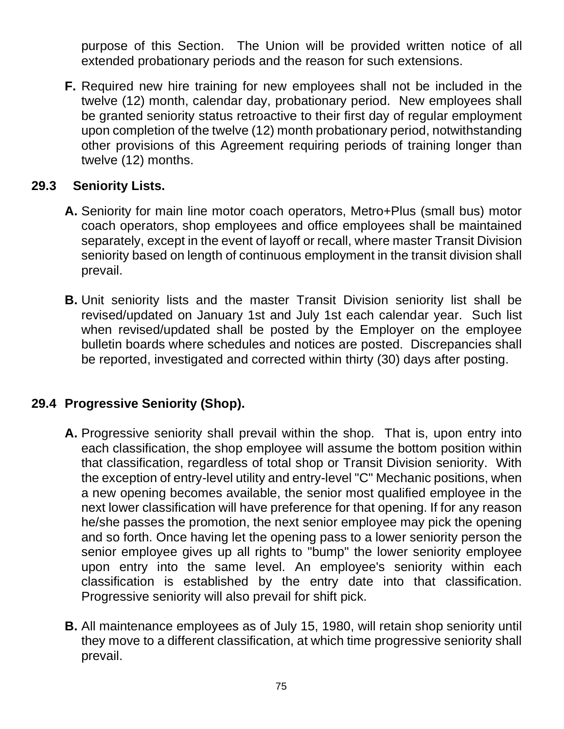purpose of this Section. The Union will be provided written notice of all extended probationary periods and the reason for such extensions.

**F.** Required new hire training for new employees shall not be included in the twelve (12) month, calendar day, probationary period. New employees shall be granted seniority status retroactive to their first day of regular employment upon completion of the twelve (12) month probationary period, notwithstanding other provisions of this Agreement requiring periods of training longer than twelve (12) months.

## **29.3 Seniority Lists.**

- **A.** Seniority for main line motor coach operators, Metro+Plus (small bus) motor coach operators, shop employees and office employees shall be maintained separately, except in the event of layoff or recall, where master Transit Division seniority based on length of continuous employment in the transit division shall prevail.
- **B.** Unit seniority lists and the master Transit Division seniority list shall be revised/updated on January 1st and July 1st each calendar year. Such list when revised/updated shall be posted by the Employer on the employee bulletin boards where schedules and notices are posted. Discrepancies shall be reported, investigated and corrected within thirty (30) days after posting.

#### **29.4 Progressive Seniority (Shop).**

- **A.** Progressive seniority shall prevail within the shop. That is, upon entry into each classification, the shop employee will assume the bottom position within that classification, regardless of total shop or Transit Division seniority. With the exception of entry-level utility and entry-level "C" Mechanic positions, when a new opening becomes available, the senior most qualified employee in the next lower classification will have preference for that opening. If for any reason he/she passes the promotion, the next senior employee may pick the opening and so forth. Once having let the opening pass to a lower seniority person the senior employee gives up all rights to "bump" the lower seniority employee upon entry into the same level. An employee's seniority within each classification is established by the entry date into that classification. Progressive seniority will also prevail for shift pick.
- **B.** All maintenance employees as of July 15, 1980, will retain shop seniority until they move to a different classification, at which time progressive seniority shall prevail.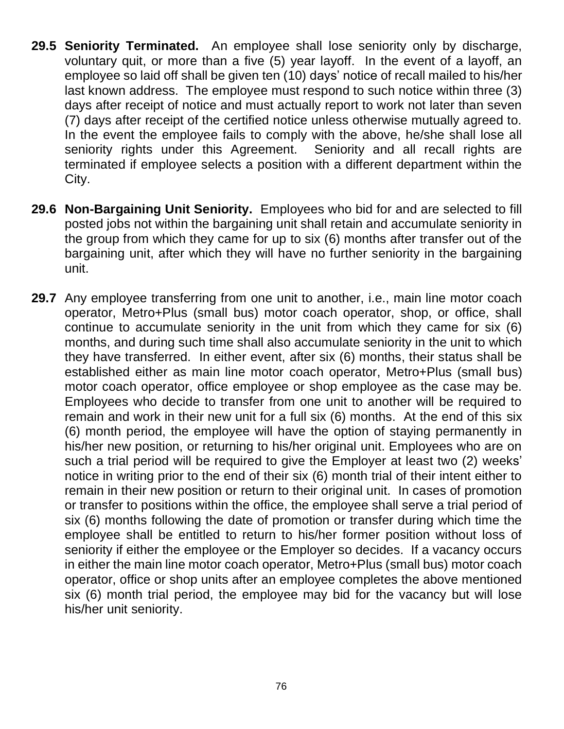- **29.5 Seniority Terminated.** An employee shall lose seniority only by discharge, voluntary quit, or more than a five (5) year layoff. In the event of a layoff, an employee so laid off shall be given ten (10) days' notice of recall mailed to his/her last known address. The employee must respond to such notice within three (3) days after receipt of notice and must actually report to work not later than seven (7) days after receipt of the certified notice unless otherwise mutually agreed to. In the event the employee fails to comply with the above, he/she shall lose all seniority rights under this Agreement. Seniority and all recall rights are terminated if employee selects a position with a different department within the City.
- **29.6 Non-Bargaining Unit Seniority.** Employees who bid for and are selected to fill posted jobs not within the bargaining unit shall retain and accumulate seniority in the group from which they came for up to six (6) months after transfer out of the bargaining unit, after which they will have no further seniority in the bargaining unit.
- **29.7** Any employee transferring from one unit to another, i.e., main line motor coach operator, Metro+Plus (small bus) motor coach operator, shop, or office, shall continue to accumulate seniority in the unit from which they came for six (6) months, and during such time shall also accumulate seniority in the unit to which they have transferred. In either event, after six (6) months, their status shall be established either as main line motor coach operator, Metro+Plus (small bus) motor coach operator, office employee or shop employee as the case may be. Employees who decide to transfer from one unit to another will be required to remain and work in their new unit for a full six (6) months. At the end of this six (6) month period, the employee will have the option of staying permanently in his/her new position, or returning to his/her original unit. Employees who are on such a trial period will be required to give the Employer at least two (2) weeks' notice in writing prior to the end of their six (6) month trial of their intent either to remain in their new position or return to their original unit. In cases of promotion or transfer to positions within the office, the employee shall serve a trial period of six (6) months following the date of promotion or transfer during which time the employee shall be entitled to return to his/her former position without loss of seniority if either the employee or the Employer so decides. If a vacancy occurs in either the main line motor coach operator, Metro+Plus (small bus) motor coach operator, office or shop units after an employee completes the above mentioned six (6) month trial period, the employee may bid for the vacancy but will lose his/her unit seniority.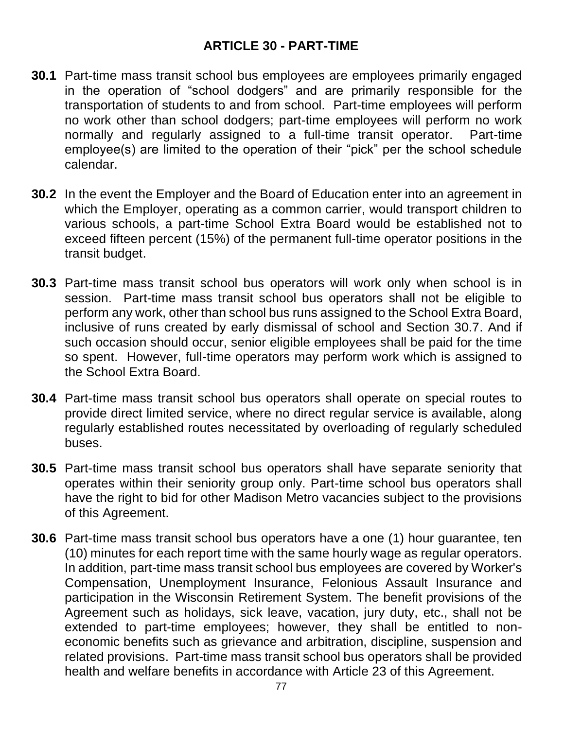### **ARTICLE 30 - PART-TIME**

- **30.1** Part-time mass transit school bus employees are employees primarily engaged in the operation of "school dodgers" and are primarily responsible for the transportation of students to and from school. Part-time employees will perform no work other than school dodgers; part-time employees will perform no work normally and regularly assigned to a full-time transit operator. Part-time employee(s) are limited to the operation of their "pick" per the school schedule calendar.
- **30.2** In the event the Employer and the Board of Education enter into an agreement in which the Employer, operating as a common carrier, would transport children to various schools, a part-time School Extra Board would be established not to exceed fifteen percent (15%) of the permanent full-time operator positions in the transit budget.
- **30.3** Part-time mass transit school bus operators will work only when school is in session. Part-time mass transit school bus operators shall not be eligible to perform any work, other than school bus runs assigned to the School Extra Board, inclusive of runs created by early dismissal of school and Section 30.7. And if such occasion should occur, senior eligible employees shall be paid for the time so spent. However, full-time operators may perform work which is assigned to the School Extra Board.
- **30.4** Part-time mass transit school bus operators shall operate on special routes to provide direct limited service, where no direct regular service is available, along regularly established routes necessitated by overloading of regularly scheduled buses.
- **30.5** Part-time mass transit school bus operators shall have separate seniority that operates within their seniority group only. Part-time school bus operators shall have the right to bid for other Madison Metro vacancies subject to the provisions of this Agreement.
- **30.6** Part-time mass transit school bus operators have a one (1) hour guarantee, ten (10) minutes for each report time with the same hourly wage as regular operators. In addition, part-time mass transit school bus employees are covered by Worker's Compensation, Unemployment Insurance, Felonious Assault Insurance and participation in the Wisconsin Retirement System. The benefit provisions of the Agreement such as holidays, sick leave, vacation, jury duty, etc., shall not be extended to part-time employees; however, they shall be entitled to noneconomic benefits such as grievance and arbitration, discipline, suspension and related provisions. Part-time mass transit school bus operators shall be provided health and welfare benefits in accordance with Article 23 of this Agreement.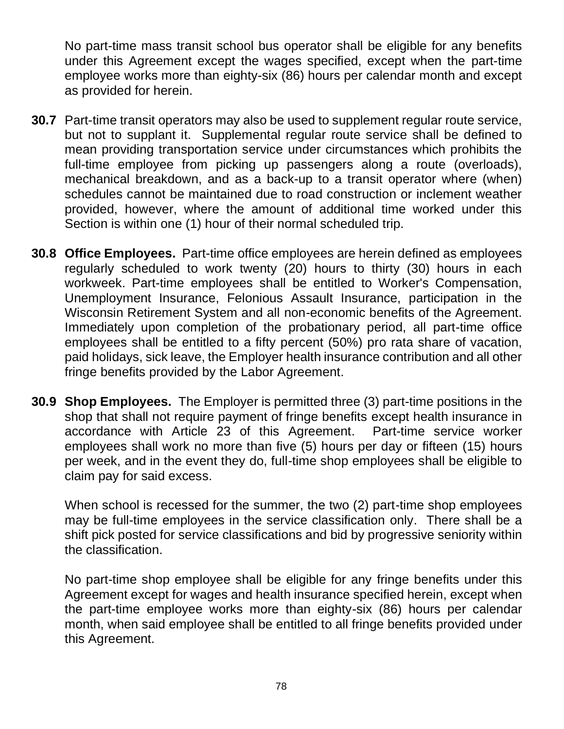No part-time mass transit school bus operator shall be eligible for any benefits under this Agreement except the wages specified, except when the part-time employee works more than eighty-six (86) hours per calendar month and except as provided for herein.

- **30.7** Part-time transit operators may also be used to supplement regular route service, but not to supplant it. Supplemental regular route service shall be defined to mean providing transportation service under circumstances which prohibits the full-time employee from picking up passengers along a route (overloads), mechanical breakdown, and as a back-up to a transit operator where (when) schedules cannot be maintained due to road construction or inclement weather provided, however, where the amount of additional time worked under this Section is within one (1) hour of their normal scheduled trip.
- **30.8 Office Employees.** Part-time office employees are herein defined as employees regularly scheduled to work twenty (20) hours to thirty (30) hours in each workweek. Part-time employees shall be entitled to Worker's Compensation, Unemployment Insurance, Felonious Assault Insurance, participation in the Wisconsin Retirement System and all non-economic benefits of the Agreement. Immediately upon completion of the probationary period, all part-time office employees shall be entitled to a fifty percent (50%) pro rata share of vacation, paid holidays, sick leave, the Employer health insurance contribution and all other fringe benefits provided by the Labor Agreement.
- **30.9 Shop Employees.** The Employer is permitted three (3) part-time positions in the shop that shall not require payment of fringe benefits except health insurance in accordance with Article 23 of this Agreement. Part-time service worker employees shall work no more than five (5) hours per day or fifteen (15) hours per week, and in the event they do, full-time shop employees shall be eligible to claim pay for said excess.

When school is recessed for the summer, the two (2) part-time shop employees may be full-time employees in the service classification only. There shall be a shift pick posted for service classifications and bid by progressive seniority within the classification.

No part-time shop employee shall be eligible for any fringe benefits under this Agreement except for wages and health insurance specified herein, except when the part-time employee works more than eighty-six (86) hours per calendar month, when said employee shall be entitled to all fringe benefits provided under this Agreement.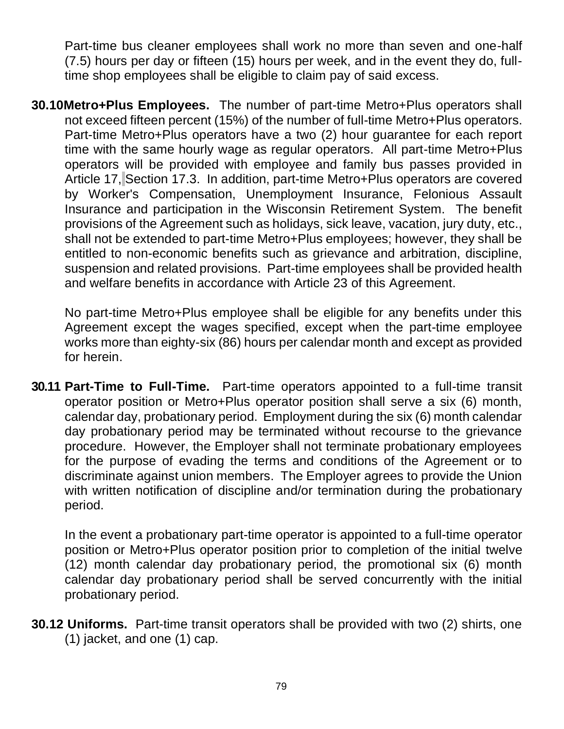Part-time bus cleaner employees shall work no more than seven and one-half (7.5) hours per day or fifteen (15) hours per week, and in the event they do, fulltime shop employees shall be eligible to claim pay of said excess.

**30.10Metro+Plus Employees.** The number of part-time Metro+Plus operators shall not exceed fifteen percent (15%) of the number of full-time Metro+Plus operators. Part-time Metro+Plus operators have a two (2) hour guarantee for each report time with the same hourly wage as regular operators. All part-time Metro+Plus operators will be provided with employee and family bus passes provided in Article 17, Section 17.3. In addition, part-time Metro+Plus operators are covered by Worker's Compensation, Unemployment Insurance, Felonious Assault Insurance and participation in the Wisconsin Retirement System. The benefit provisions of the Agreement such as holidays, sick leave, vacation, jury duty, etc., shall not be extended to part-time Metro+Plus employees; however, they shall be entitled to non-economic benefits such as grievance and arbitration, discipline, suspension and related provisions. Part-time employees shall be provided health and welfare benefits in accordance with Article 23 of this Agreement.

No part-time Metro+Plus employee shall be eligible for any benefits under this Agreement except the wages specified, except when the part-time employee works more than eighty-six (86) hours per calendar month and except as provided for herein.

**30.11 Part-Time to Full-Time.** Part-time operators appointed to a full-time transit operator position or Metro+Plus operator position shall serve a six (6) month, calendar day, probationary period. Employment during the six (6) month calendar day probationary period may be terminated without recourse to the grievance procedure. However, the Employer shall not terminate probationary employees for the purpose of evading the terms and conditions of the Agreement or to discriminate against union members. The Employer agrees to provide the Union with written notification of discipline and/or termination during the probationary period.

In the event a probationary part-time operator is appointed to a full-time operator position or Metro+Plus operator position prior to completion of the initial twelve (12) month calendar day probationary period, the promotional six (6) month calendar day probationary period shall be served concurrently with the initial probationary period.

**30.12 Uniforms.** Part-time transit operators shall be provided with two (2) shirts, one (1) jacket, and one (1) cap.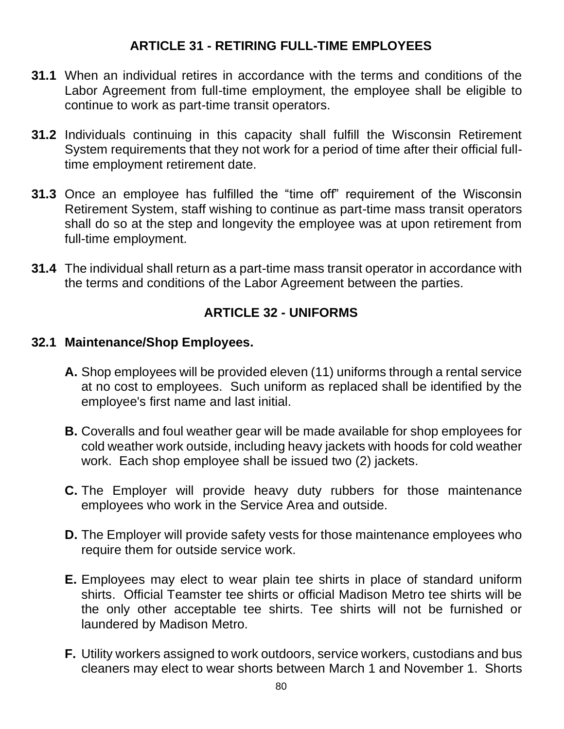### **ARTICLE 31 - RETIRING FULL-TIME EMPLOYEES**

- **31.1** When an individual retires in accordance with the terms and conditions of the Labor Agreement from full-time employment, the employee shall be eligible to continue to work as part-time transit operators.
- **31.2** Individuals continuing in this capacity shall fulfill the Wisconsin Retirement System requirements that they not work for a period of time after their official fulltime employment retirement date.
- **31.3** Once an employee has fulfilled the "time off" requirement of the Wisconsin Retirement System, staff wishing to continue as part-time mass transit operators shall do so at the step and longevity the employee was at upon retirement from full-time employment.
- **31.4** The individual shall return as a part-time mass transit operator in accordance with the terms and conditions of the Labor Agreement between the parties.

## **ARTICLE 32 - UNIFORMS**

#### **32.1 Maintenance/Shop Employees.**

- **A.** Shop employees will be provided eleven (11) uniforms through a rental service at no cost to employees. Such uniform as replaced shall be identified by the employee's first name and last initial.
- **B.** Coveralls and foul weather gear will be made available for shop employees for cold weather work outside, including heavy jackets with hoods for cold weather work. Each shop employee shall be issued two (2) jackets.
- **C.** The Employer will provide heavy duty rubbers for those maintenance employees who work in the Service Area and outside.
- **D.** The Employer will provide safety vests for those maintenance employees who require them for outside service work.
- **E.** Employees may elect to wear plain tee shirts in place of standard uniform shirts. Official Teamster tee shirts or official Madison Metro tee shirts will be the only other acceptable tee shirts. Tee shirts will not be furnished or laundered by Madison Metro.
- **F.** Utility workers assigned to work outdoors, service workers, custodians and bus cleaners may elect to wear shorts between March 1 and November 1. Shorts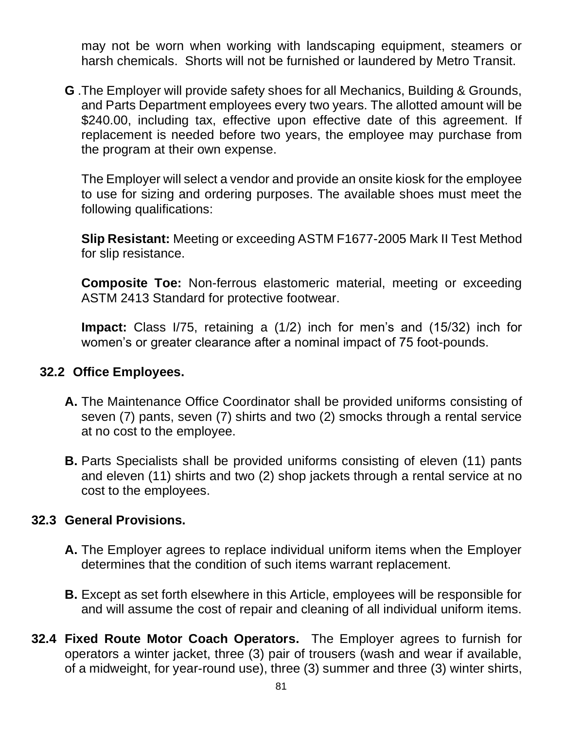may not be worn when working with landscaping equipment, steamers or harsh chemicals. Shorts will not be furnished or laundered by Metro Transit.

**G** .The Employer will provide safety shoes for all Mechanics, Building & Grounds, and Parts Department employees every two years. The allotted amount will be \$240.00, including tax, effective upon effective date of this agreement. If replacement is needed before two years, the employee may purchase from the program at their own expense.

The Employer will select a vendor and provide an onsite kiosk for the employee to use for sizing and ordering purposes. The available shoes must meet the following qualifications:

**Slip Resistant:** Meeting or exceeding ASTM F1677-2005 Mark II Test Method for slip resistance.

**Composite Toe:** Non-ferrous elastomeric material, meeting or exceeding ASTM 2413 Standard for protective footwear.

**Impact:** Class I/75, retaining a (1/2) inch for men's and (15/32) inch for women's or greater clearance after a nominal impact of 75 foot-pounds.

#### **32.2 Office Employees.**

- **A.** The Maintenance Office Coordinator shall be provided uniforms consisting of seven (7) pants, seven (7) shirts and two (2) smocks through a rental service at no cost to the employee.
- **B.** Parts Specialists shall be provided uniforms consisting of eleven (11) pants and eleven (11) shirts and two (2) shop jackets through a rental service at no cost to the employees.

#### **32.3 General Provisions.**

- **A.** The Employer agrees to replace individual uniform items when the Employer determines that the condition of such items warrant replacement.
- **B.** Except as set forth elsewhere in this Article, employees will be responsible for and will assume the cost of repair and cleaning of all individual uniform items.
- **32.4 Fixed Route Motor Coach Operators.** The Employer agrees to furnish for operators a winter jacket, three (3) pair of trousers (wash and wear if available, of a midweight, for year-round use), three (3) summer and three (3) winter shirts,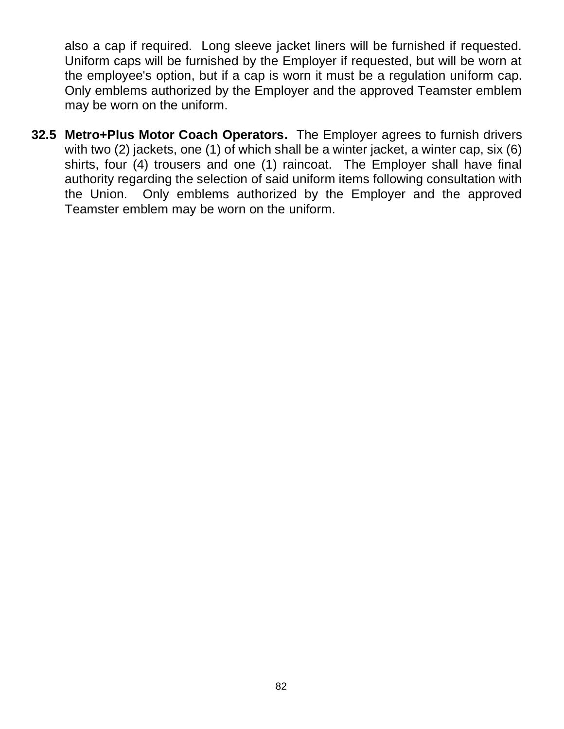also a cap if required. Long sleeve jacket liners will be furnished if requested. Uniform caps will be furnished by the Employer if requested, but will be worn at the employee's option, but if a cap is worn it must be a regulation uniform cap. Only emblems authorized by the Employer and the approved Teamster emblem may be worn on the uniform.

**32.5 Metro+Plus Motor Coach Operators.** The Employer agrees to furnish drivers with two (2) jackets, one (1) of which shall be a winter jacket, a winter cap, six (6) shirts, four (4) trousers and one (1) raincoat. The Employer shall have final authority regarding the selection of said uniform items following consultation with the Union. Only emblems authorized by the Employer and the approved Teamster emblem may be worn on the uniform.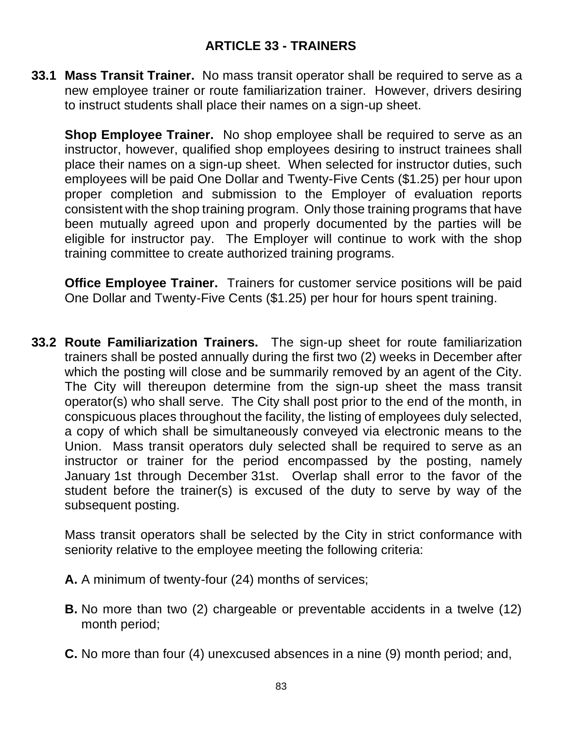### **ARTICLE 33 - TRAINERS**

**33.1 Mass Transit Trainer.** No mass transit operator shall be required to serve as a new employee trainer or route familiarization trainer. However, drivers desiring to instruct students shall place their names on a sign-up sheet.

**Shop Employee Trainer.** No shop employee shall be required to serve as an instructor, however, qualified shop employees desiring to instruct trainees shall place their names on a sign-up sheet. When selected for instructor duties, such employees will be paid One Dollar and Twenty-Five Cents (\$1.25) per hour upon proper completion and submission to the Employer of evaluation reports consistent with the shop training program. Only those training programs that have been mutually agreed upon and properly documented by the parties will be eligible for instructor pay. The Employer will continue to work with the shop training committee to create authorized training programs.

**Office Employee Trainer.** Trainers for customer service positions will be paid One Dollar and Twenty-Five Cents (\$1.25) per hour for hours spent training.

**33.2 Route Familiarization Trainers.** The sign-up sheet for route familiarization trainers shall be posted annually during the first two (2) weeks in December after which the posting will close and be summarily removed by an agent of the City. The City will thereupon determine from the sign-up sheet the mass transit operator(s) who shall serve. The City shall post prior to the end of the month, in conspicuous places throughout the facility, the listing of employees duly selected, a copy of which shall be simultaneously conveyed via electronic means to the Union. Mass transit operators duly selected shall be required to serve as an instructor or trainer for the period encompassed by the posting, namely January 1st through December 31st. Overlap shall error to the favor of the student before the trainer(s) is excused of the duty to serve by way of the subsequent posting.

Mass transit operators shall be selected by the City in strict conformance with seniority relative to the employee meeting the following criteria:

- **A.** A minimum of twenty-four (24) months of services;
- **B.** No more than two (2) chargeable or preventable accidents in a twelve (12) month period;
- **C.** No more than four (4) unexcused absences in a nine (9) month period; and,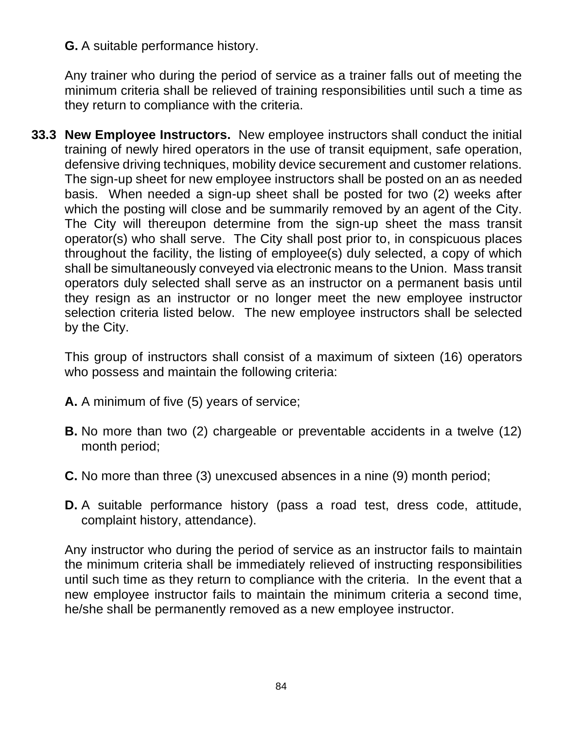**G.** A suitable performance history.

Any trainer who during the period of service as a trainer falls out of meeting the minimum criteria shall be relieved of training responsibilities until such a time as they return to compliance with the criteria.

**33.3 New Employee Instructors.** New employee instructors shall conduct the initial training of newly hired operators in the use of transit equipment, safe operation, defensive driving techniques, mobility device securement and customer relations. The sign-up sheet for new employee instructors shall be posted on an as needed basis. When needed a sign-up sheet shall be posted for two (2) weeks after which the posting will close and be summarily removed by an agent of the City. The City will thereupon determine from the sign-up sheet the mass transit operator(s) who shall serve. The City shall post prior to, in conspicuous places throughout the facility, the listing of employee(s) duly selected, a copy of which shall be simultaneously conveyed via electronic means to the Union. Mass transit operators duly selected shall serve as an instructor on a permanent basis until they resign as an instructor or no longer meet the new employee instructor selection criteria listed below. The new employee instructors shall be selected by the City.

This group of instructors shall consist of a maximum of sixteen (16) operators who possess and maintain the following criteria:

- **A.** A minimum of five (5) years of service;
- **B.** No more than two (2) chargeable or preventable accidents in a twelve (12) month period;
- **C.** No more than three (3) unexcused absences in a nine (9) month period;
- **D.** A suitable performance history (pass a road test, dress code, attitude, complaint history, attendance).

Any instructor who during the period of service as an instructor fails to maintain the minimum criteria shall be immediately relieved of instructing responsibilities until such time as they return to compliance with the criteria. In the event that a new employee instructor fails to maintain the minimum criteria a second time, he/she shall be permanently removed as a new employee instructor.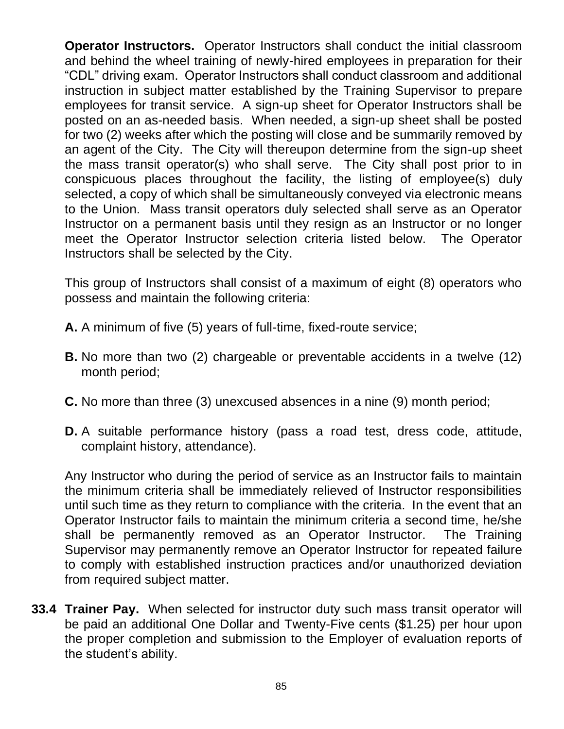**Operator Instructors.** Operator Instructors shall conduct the initial classroom and behind the wheel training of newly-hired employees in preparation for their "CDL" driving exam. Operator Instructors shall conduct classroom and additional instruction in subject matter established by the Training Supervisor to prepare employees for transit service. A sign-up sheet for Operator Instructors shall be posted on an as-needed basis. When needed, a sign-up sheet shall be posted for two (2) weeks after which the posting will close and be summarily removed by an agent of the City. The City will thereupon determine from the sign-up sheet the mass transit operator(s) who shall serve. The City shall post prior to in conspicuous places throughout the facility, the listing of employee(s) duly selected, a copy of which shall be simultaneously conveyed via electronic means to the Union. Mass transit operators duly selected shall serve as an Operator Instructor on a permanent basis until they resign as an Instructor or no longer meet the Operator Instructor selection criteria listed below. The Operator Instructors shall be selected by the City.

This group of Instructors shall consist of a maximum of eight (8) operators who possess and maintain the following criteria:

- **A.** A minimum of five (5) years of full-time, fixed-route service;
- **B.** No more than two (2) chargeable or preventable accidents in a twelve (12) month period;
- **C.** No more than three (3) unexcused absences in a nine (9) month period;
- **D.** A suitable performance history (pass a road test, dress code, attitude, complaint history, attendance).

Any Instructor who during the period of service as an Instructor fails to maintain the minimum criteria shall be immediately relieved of Instructor responsibilities until such time as they return to compliance with the criteria. In the event that an Operator Instructor fails to maintain the minimum criteria a second time, he/she shall be permanently removed as an Operator Instructor. The Training Supervisor may permanently remove an Operator Instructor for repeated failure to comply with established instruction practices and/or unauthorized deviation from required subject matter.

**33.4 Trainer Pay.** When selected for instructor duty such mass transit operator will be paid an additional One Dollar and Twenty-Five cents (\$1.25) per hour upon the proper completion and submission to the Employer of evaluation reports of the student's ability.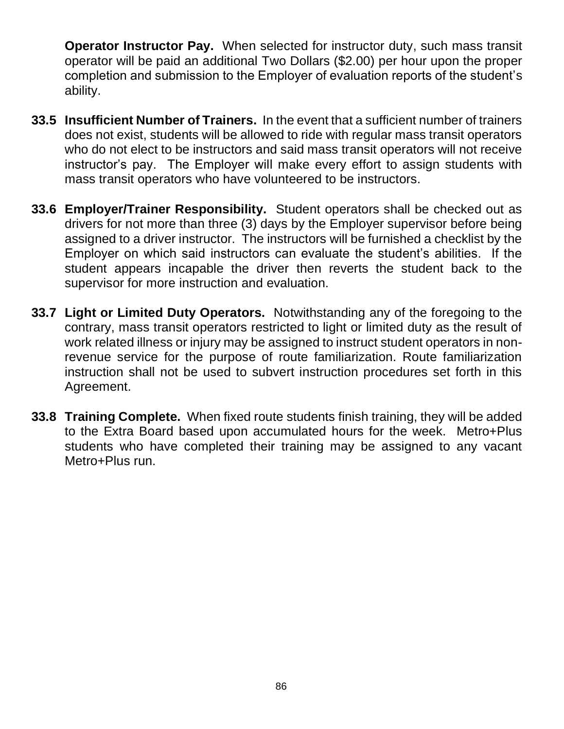**Operator Instructor Pay.** When selected for instructor duty, such mass transit operator will be paid an additional Two Dollars (\$2.00) per hour upon the proper completion and submission to the Employer of evaluation reports of the student's ability.

- **33.5 Insufficient Number of Trainers.** In the event that a sufficient number of trainers does not exist, students will be allowed to ride with regular mass transit operators who do not elect to be instructors and said mass transit operators will not receive instructor's pay. The Employer will make every effort to assign students with mass transit operators who have volunteered to be instructors.
- **33.6 Employer/Trainer Responsibility.** Student operators shall be checked out as drivers for not more than three (3) days by the Employer supervisor before being assigned to a driver instructor. The instructors will be furnished a checklist by the Employer on which said instructors can evaluate the student's abilities. If the student appears incapable the driver then reverts the student back to the supervisor for more instruction and evaluation.
- **33.7 Light or Limited Duty Operators.** Notwithstanding any of the foregoing to the contrary, mass transit operators restricted to light or limited duty as the result of work related illness or injury may be assigned to instruct student operators in nonrevenue service for the purpose of route familiarization. Route familiarization instruction shall not be used to subvert instruction procedures set forth in this Agreement.
- **33.8 Training Complete.** When fixed route students finish training, they will be added to the Extra Board based upon accumulated hours for the week. Metro+Plus students who have completed their training may be assigned to any vacant Metro+Plus run.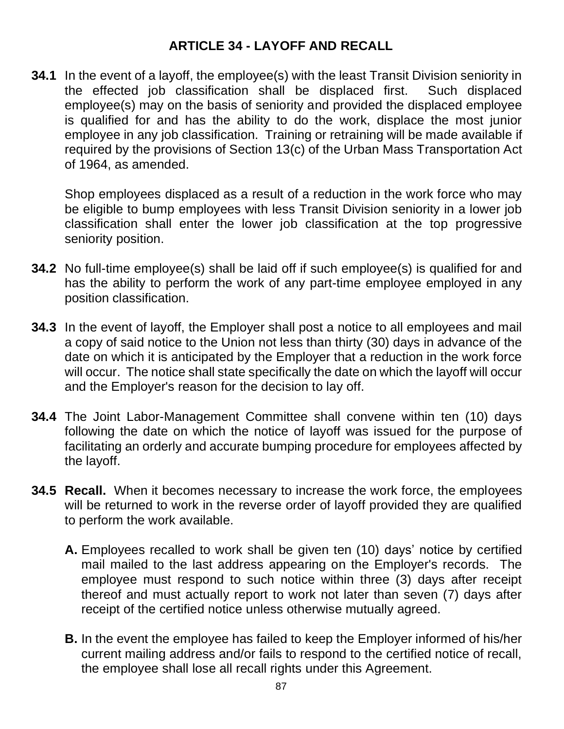#### **ARTICLE 34 - LAYOFF AND RECALL**

**34.1** In the event of a layoff, the employee(s) with the least Transit Division seniority in the effected job classification shall be displaced first. Such displaced employee(s) may on the basis of seniority and provided the displaced employee is qualified for and has the ability to do the work, displace the most junior employee in any job classification. Training or retraining will be made available if required by the provisions of Section 13(c) of the Urban Mass Transportation Act of 1964, as amended.

Shop employees displaced as a result of a reduction in the work force who may be eligible to bump employees with less Transit Division seniority in a lower job classification shall enter the lower job classification at the top progressive seniority position.

- **34.2** No full-time employee(s) shall be laid off if such employee(s) is qualified for and has the ability to perform the work of any part-time employee employed in any position classification.
- **34.3** In the event of layoff, the Employer shall post a notice to all employees and mail a copy of said notice to the Union not less than thirty (30) days in advance of the date on which it is anticipated by the Employer that a reduction in the work force will occur. The notice shall state specifically the date on which the layoff will occur and the Employer's reason for the decision to lay off.
- **34.4** The Joint Labor-Management Committee shall convene within ten (10) days following the date on which the notice of layoff was issued for the purpose of facilitating an orderly and accurate bumping procedure for employees affected by the layoff.
- **34.5 Recall.** When it becomes necessary to increase the work force, the employees will be returned to work in the reverse order of layoff provided they are qualified to perform the work available.
	- **A.** Employees recalled to work shall be given ten (10) days' notice by certified mail mailed to the last address appearing on the Employer's records. The employee must respond to such notice within three (3) days after receipt thereof and must actually report to work not later than seven (7) days after receipt of the certified notice unless otherwise mutually agreed.
	- **B.** In the event the employee has failed to keep the Employer informed of his/her current mailing address and/or fails to respond to the certified notice of recall, the employee shall lose all recall rights under this Agreement.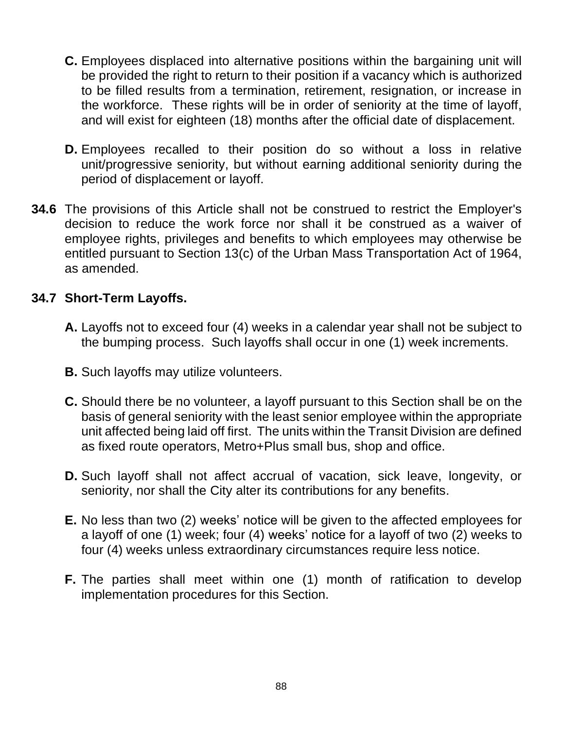- **C.** Employees displaced into alternative positions within the bargaining unit will be provided the right to return to their position if a vacancy which is authorized to be filled results from a termination, retirement, resignation, or increase in the workforce. These rights will be in order of seniority at the time of layoff, and will exist for eighteen (18) months after the official date of displacement.
- **D.** Employees recalled to their position do so without a loss in relative unit/progressive seniority, but without earning additional seniority during the period of displacement or layoff.
- **34.6** The provisions of this Article shall not be construed to restrict the Employer's decision to reduce the work force nor shall it be construed as a waiver of employee rights, privileges and benefits to which employees may otherwise be entitled pursuant to Section 13(c) of the Urban Mass Transportation Act of 1964, as amended.

#### **34.7 Short-Term Layoffs.**

- **A.** Layoffs not to exceed four (4) weeks in a calendar year shall not be subject to the bumping process. Such layoffs shall occur in one (1) week increments.
- **B.** Such layoffs may utilize volunteers.
- **C.** Should there be no volunteer, a layoff pursuant to this Section shall be on the basis of general seniority with the least senior employee within the appropriate unit affected being laid off first. The units within the Transit Division are defined as fixed route operators, Metro+Plus small bus, shop and office.
- **D.** Such layoff shall not affect accrual of vacation, sick leave, longevity, or seniority, nor shall the City alter its contributions for any benefits.
- **E.** No less than two (2) weeks' notice will be given to the affected employees for a layoff of one (1) week; four (4) weeks' notice for a layoff of two (2) weeks to four (4) weeks unless extraordinary circumstances require less notice.
- **F.** The parties shall meet within one (1) month of ratification to develop implementation procedures for this Section.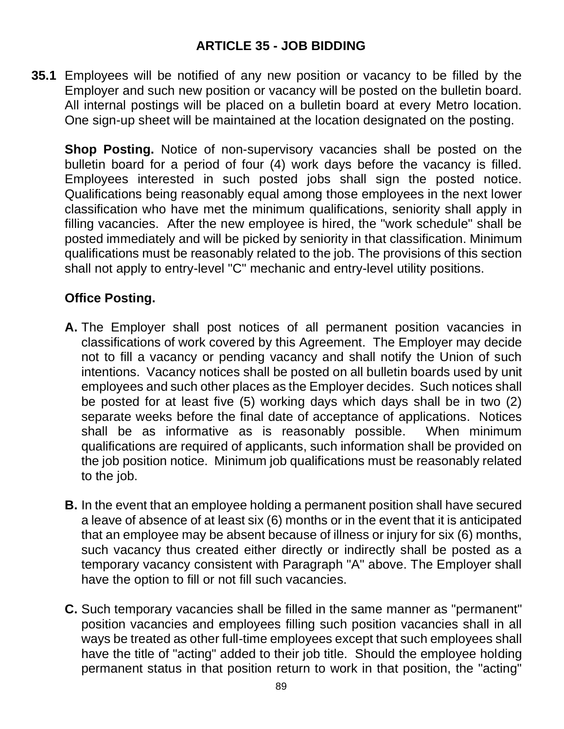### **ARTICLE 35 - JOB BIDDING**

**35.1** Employees will be notified of any new position or vacancy to be filled by the Employer and such new position or vacancy will be posted on the bulletin board. All internal postings will be placed on a bulletin board at every Metro location. One sign-up sheet will be maintained at the location designated on the posting.

**Shop Posting.** Notice of non-supervisory vacancies shall be posted on the bulletin board for a period of four (4) work days before the vacancy is filled. Employees interested in such posted jobs shall sign the posted notice. Qualifications being reasonably equal among those employees in the next lower classification who have met the minimum qualifications, seniority shall apply in filling vacancies. After the new employee is hired, the "work schedule" shall be posted immediately and will be picked by seniority in that classification. Minimum qualifications must be reasonably related to the job. The provisions of this section shall not apply to entry-level "C" mechanic and entry-level utility positions.

### **Office Posting.**

- **A.** The Employer shall post notices of all permanent position vacancies in classifications of work covered by this Agreement. The Employer may decide not to fill a vacancy or pending vacancy and shall notify the Union of such intentions. Vacancy notices shall be posted on all bulletin boards used by unit employees and such other places as the Employer decides. Such notices shall be posted for at least five (5) working days which days shall be in two (2) separate weeks before the final date of acceptance of applications. Notices shall be as informative as is reasonably possible. When minimum qualifications are required of applicants, such information shall be provided on the job position notice. Minimum job qualifications must be reasonably related to the job.
- **B.** In the event that an employee holding a permanent position shall have secured a leave of absence of at least six (6) months or in the event that it is anticipated that an employee may be absent because of illness or injury for six (6) months, such vacancy thus created either directly or indirectly shall be posted as a temporary vacancy consistent with Paragraph "A" above. The Employer shall have the option to fill or not fill such vacancies.
- **C.** Such temporary vacancies shall be filled in the same manner as "permanent" position vacancies and employees filling such position vacancies shall in all ways be treated as other full-time employees except that such employees shall have the title of "acting" added to their job title. Should the employee holding permanent status in that position return to work in that position, the "acting"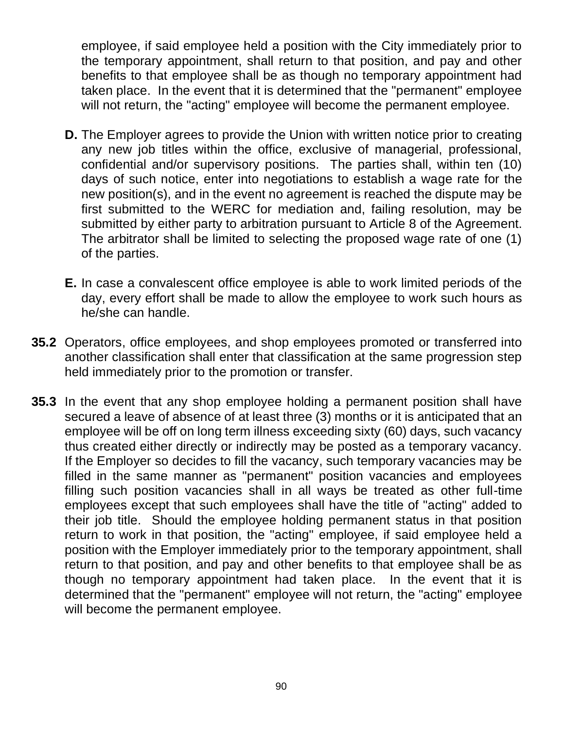employee, if said employee held a position with the City immediately prior to the temporary appointment, shall return to that position, and pay and other benefits to that employee shall be as though no temporary appointment had taken place. In the event that it is determined that the "permanent" employee will not return, the "acting" employee will become the permanent employee.

- **D.** The Employer agrees to provide the Union with written notice prior to creating any new job titles within the office, exclusive of managerial, professional, confidential and/or supervisory positions. The parties shall, within ten (10) days of such notice, enter into negotiations to establish a wage rate for the new position(s), and in the event no agreement is reached the dispute may be first submitted to the WERC for mediation and, failing resolution, may be submitted by either party to arbitration pursuant to Article 8 of the Agreement. The arbitrator shall be limited to selecting the proposed wage rate of one (1) of the parties.
- **E.** In case a convalescent office employee is able to work limited periods of the day, every effort shall be made to allow the employee to work such hours as he/she can handle.
- **35.2** Operators, office employees, and shop employees promoted or transferred into another classification shall enter that classification at the same progression step held immediately prior to the promotion or transfer.
- **35.3** In the event that any shop employee holding a permanent position shall have secured a leave of absence of at least three (3) months or it is anticipated that an employee will be off on long term illness exceeding sixty (60) days, such vacancy thus created either directly or indirectly may be posted as a temporary vacancy. If the Employer so decides to fill the vacancy, such temporary vacancies may be filled in the same manner as "permanent" position vacancies and employees filling such position vacancies shall in all ways be treated as other full-time employees except that such employees shall have the title of "acting" added to their job title. Should the employee holding permanent status in that position return to work in that position, the "acting" employee, if said employee held a position with the Employer immediately prior to the temporary appointment, shall return to that position, and pay and other benefits to that employee shall be as though no temporary appointment had taken place. In the event that it is determined that the "permanent" employee will not return, the "acting" employee will become the permanent employee.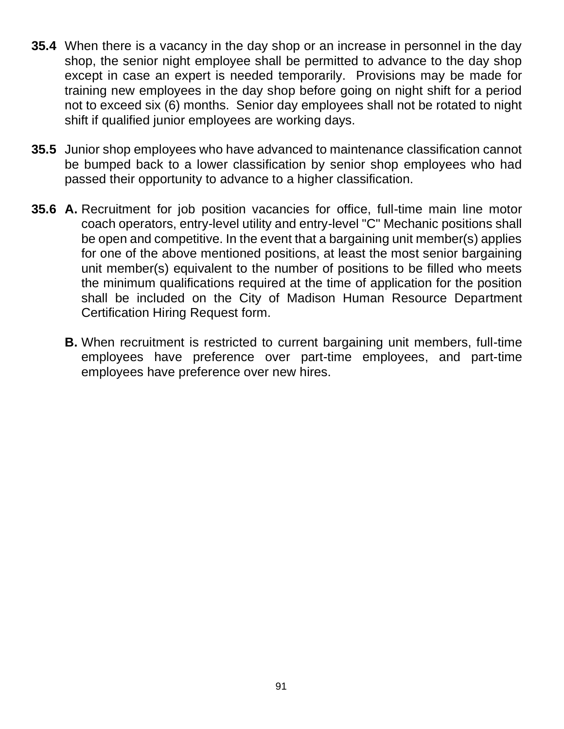- **35.4** When there is a vacancy in the day shop or an increase in personnel in the day shop, the senior night employee shall be permitted to advance to the day shop except in case an expert is needed temporarily. Provisions may be made for training new employees in the day shop before going on night shift for a period not to exceed six (6) months. Senior day employees shall not be rotated to night shift if qualified junior employees are working days.
- **35.5** Junior shop employees who have advanced to maintenance classification cannot be bumped back to a lower classification by senior shop employees who had passed their opportunity to advance to a higher classification.
- **35.6 A.** Recruitment for job position vacancies for office, full-time main line motor coach operators, entry-level utility and entry-level "C" Mechanic positions shall be open and competitive. In the event that a bargaining unit member(s) applies for one of the above mentioned positions, at least the most senior bargaining unit member(s) equivalent to the number of positions to be filled who meets the minimum qualifications required at the time of application for the position shall be included on the City of Madison Human Resource Department Certification Hiring Request form.
	- **B.** When recruitment is restricted to current bargaining unit members, full-time employees have preference over part-time employees, and part-time employees have preference over new hires.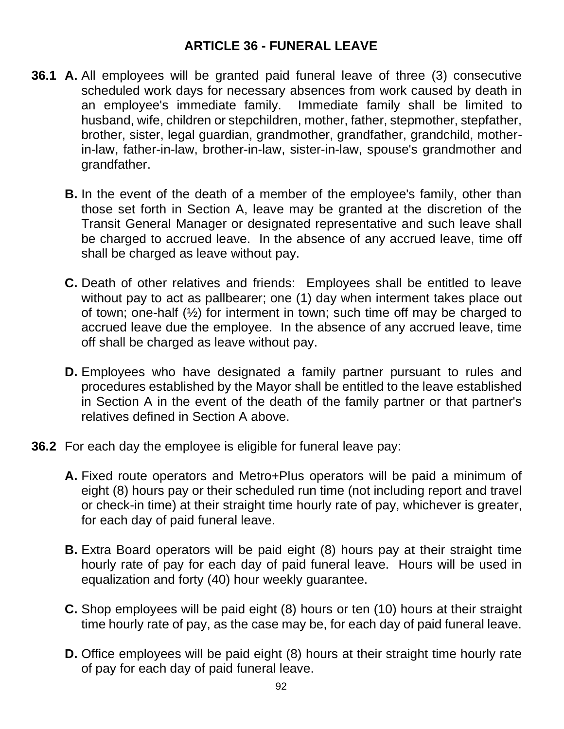#### **ARTICLE 36 - FUNERAL LEAVE**

- **36.1 A.** All employees will be granted paid funeral leave of three (3) consecutive scheduled work days for necessary absences from work caused by death in an employee's immediate family. Immediate family shall be limited to husband, wife, children or stepchildren, mother, father, stepmother, stepfather, brother, sister, legal guardian, grandmother, grandfather, grandchild, motherin-law, father-in-law, brother-in-law, sister-in-law, spouse's grandmother and grandfather.
	- **B.** In the event of the death of a member of the employee's family, other than those set forth in Section A, leave may be granted at the discretion of the Transit General Manager or designated representative and such leave shall be charged to accrued leave. In the absence of any accrued leave, time off shall be charged as leave without pay.
	- **C.** Death of other relatives and friends: Employees shall be entitled to leave without pay to act as pallbearer; one (1) day when interment takes place out of town; one-half (½) for interment in town; such time off may be charged to accrued leave due the employee. In the absence of any accrued leave, time off shall be charged as leave without pay.
	- **D.** Employees who have designated a family partner pursuant to rules and procedures established by the Mayor shall be entitled to the leave established in Section A in the event of the death of the family partner or that partner's relatives defined in Section A above.
- **36.2** For each day the employee is eligible for funeral leave pay:
	- **A.** Fixed route operators and Metro+Plus operators will be paid a minimum of eight (8) hours pay or their scheduled run time (not including report and travel or check-in time) at their straight time hourly rate of pay, whichever is greater, for each day of paid funeral leave.
	- **B.** Extra Board operators will be paid eight (8) hours pay at their straight time hourly rate of pay for each day of paid funeral leave. Hours will be used in equalization and forty (40) hour weekly guarantee.
	- **C.** Shop employees will be paid eight (8) hours or ten (10) hours at their straight time hourly rate of pay, as the case may be, for each day of paid funeral leave.
	- **D.** Office employees will be paid eight (8) hours at their straight time hourly rate of pay for each day of paid funeral leave.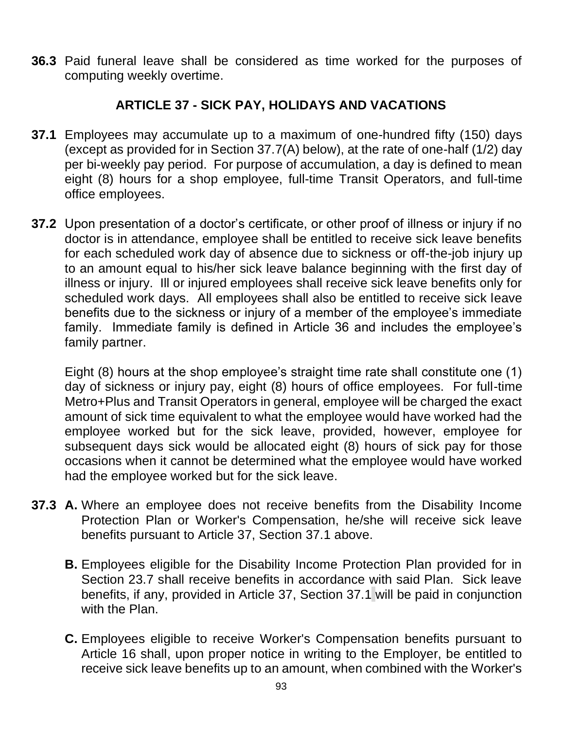**36.3** Paid funeral leave shall be considered as time worked for the purposes of computing weekly overtime.

## **ARTICLE 37 - SICK PAY, HOLIDAYS AND VACATIONS**

- **37.1** Employees may accumulate up to a maximum of one-hundred fifty (150) days (except as provided for in Section 37.7(A) below), at the rate of one-half (1/2) day per bi-weekly pay period. For purpose of accumulation, a day is defined to mean eight (8) hours for a shop employee, full-time Transit Operators, and full-time office employees.
- **37.2** Upon presentation of a doctor's certificate, or other proof of illness or injury if no doctor is in attendance, employee shall be entitled to receive sick leave benefits for each scheduled work day of absence due to sickness or off-the-job injury up to an amount equal to his/her sick leave balance beginning with the first day of illness or injury. Ill or injured employees shall receive sick leave benefits only for scheduled work days. All employees shall also be entitled to receive sick leave benefits due to the sickness or injury of a member of the employee's immediate family. Immediate family is defined in Article 36 and includes the employee's family partner.

Eight (8) hours at the shop employee's straight time rate shall constitute one (1) day of sickness or injury pay, eight (8) hours of office employees. For full-time Metro+Plus and Transit Operators in general, employee will be charged the exact amount of sick time equivalent to what the employee would have worked had the employee worked but for the sick leave, provided, however, employee for subsequent days sick would be allocated eight (8) hours of sick pay for those occasions when it cannot be determined what the employee would have worked had the employee worked but for the sick leave.

- **37.3 A.** Where an employee does not receive benefits from the Disability Income Protection Plan or Worker's Compensation, he/she will receive sick leave benefits pursuant to Article 37, Section 37.1 above.
	- **B.** Employees eligible for the Disability Income Protection Plan provided for in Section 23.7 shall receive benefits in accordance with said Plan. Sick leave benefits, if any, provided in Article 37, Section 37.1 will be paid in conjunction with the Plan.
	- **C.** Employees eligible to receive Worker's Compensation benefits pursuant to Article 16 shall, upon proper notice in writing to the Employer, be entitled to receive sick leave benefits up to an amount, when combined with the Worker's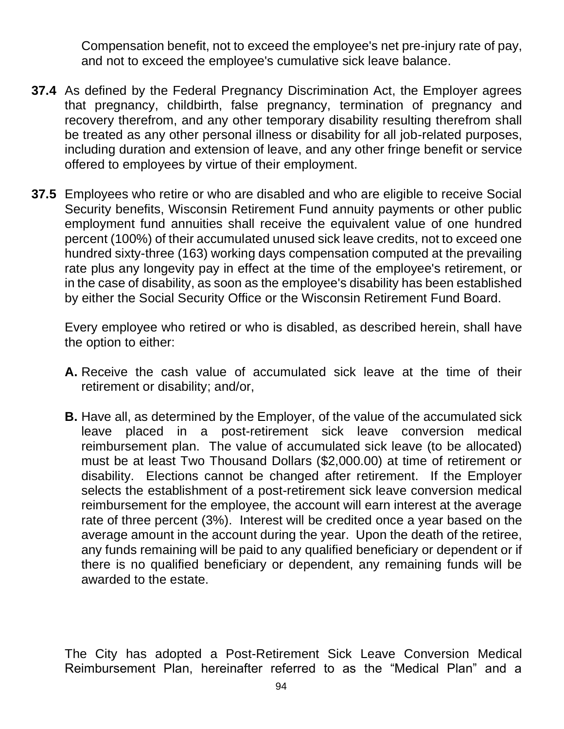Compensation benefit, not to exceed the employee's net pre-injury rate of pay, and not to exceed the employee's cumulative sick leave balance.

- **37.4** As defined by the Federal Pregnancy Discrimination Act, the Employer agrees that pregnancy, childbirth, false pregnancy, termination of pregnancy and recovery therefrom, and any other temporary disability resulting therefrom shall be treated as any other personal illness or disability for all job-related purposes, including duration and extension of leave, and any other fringe benefit or service offered to employees by virtue of their employment.
- **37.5** Employees who retire or who are disabled and who are eligible to receive Social Security benefits, Wisconsin Retirement Fund annuity payments or other public employment fund annuities shall receive the equivalent value of one hundred percent (100%) of their accumulated unused sick leave credits, not to exceed one hundred sixty-three (163) working days compensation computed at the prevailing rate plus any longevity pay in effect at the time of the employee's retirement, or in the case of disability, as soon as the employee's disability has been established by either the Social Security Office or the Wisconsin Retirement Fund Board.

Every employee who retired or who is disabled, as described herein, shall have the option to either:

- **A.** Receive the cash value of accumulated sick leave at the time of their retirement or disability; and/or,
- **B.** Have all, as determined by the Employer, of the value of the accumulated sick leave placed in a post-retirement sick leave conversion medical reimbursement plan. The value of accumulated sick leave (to be allocated) must be at least Two Thousand Dollars (\$2,000.00) at time of retirement or disability. Elections cannot be changed after retirement. If the Employer selects the establishment of a post-retirement sick leave conversion medical reimbursement for the employee, the account will earn interest at the average rate of three percent (3%). Interest will be credited once a year based on the average amount in the account during the year. Upon the death of the retiree, any funds remaining will be paid to any qualified beneficiary or dependent or if there is no qualified beneficiary or dependent, any remaining funds will be awarded to the estate.

The City has adopted a Post-Retirement Sick Leave Conversion Medical Reimbursement Plan, hereinafter referred to as the "Medical Plan" and a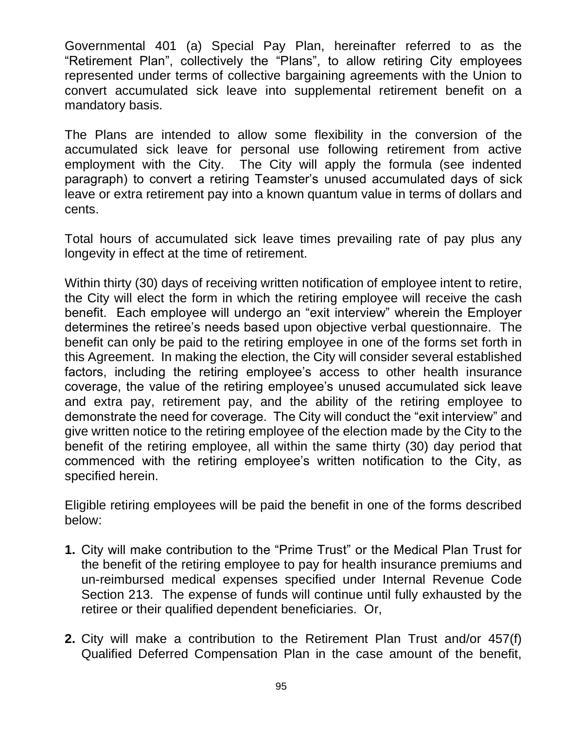Governmental 401 (a) Special Pay Plan, hereinafter referred to as the "Retirement Plan", collectively the "Plans", to allow retiring City employees represented under terms of collective bargaining agreements with the Union to convert accumulated sick leave into supplemental retirement benefit on a mandatory basis.

The Plans are intended to allow some flexibility in the conversion of the accumulated sick leave for personal use following retirement from active employment with the City. The City will apply the formula (see indented paragraph) to convert a retiring Teamster's unused accumulated days of sick leave or extra retirement pay into a known quantum value in terms of dollars and cents.

Total hours of accumulated sick leave times prevailing rate of pay plus any longevity in effect at the time of retirement.

Within thirty (30) days of receiving written notification of employee intent to retire, the City will elect the form in which the retiring employee will receive the cash benefit. Each employee will undergo an "exit interview" wherein the Employer determines the retiree's needs based upon objective verbal questionnaire. The benefit can only be paid to the retiring employee in one of the forms set forth in this Agreement. In making the election, the City will consider several established factors, including the retiring employee's access to other health insurance coverage, the value of the retiring employee's unused accumulated sick leave and extra pay, retirement pay, and the ability of the retiring employee to demonstrate the need for coverage. The City will conduct the "exit interview" and give written notice to the retiring employee of the election made by the City to the benefit of the retiring employee, all within the same thirty (30) day period that commenced with the retiring employee's written notification to the City, as specified herein.

Eligible retiring employees will be paid the benefit in one of the forms described below:

- **1.** City will make contribution to the "Prime Trust" or the Medical Plan Trust for the benefit of the retiring employee to pay for health insurance premiums and un-reimbursed medical expenses specified under Internal Revenue Code Section 213. The expense of funds will continue until fully exhausted by the retiree or their qualified dependent beneficiaries. Or,
- **2.** City will make a contribution to the Retirement Plan Trust and/or 457(f) Qualified Deferred Compensation Plan in the case amount of the benefit,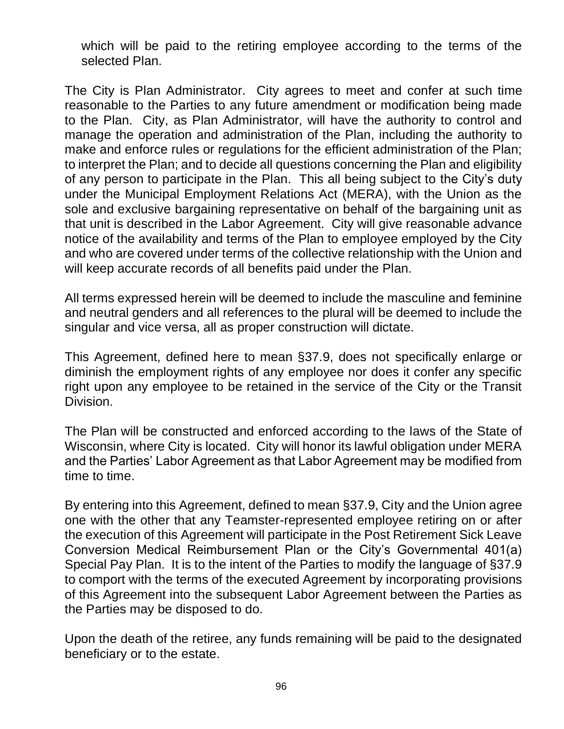which will be paid to the retiring employee according to the terms of the selected Plan.

The City is Plan Administrator. City agrees to meet and confer at such time reasonable to the Parties to any future amendment or modification being made to the Plan. City, as Plan Administrator, will have the authority to control and manage the operation and administration of the Plan, including the authority to make and enforce rules or regulations for the efficient administration of the Plan; to interpret the Plan; and to decide all questions concerning the Plan and eligibility of any person to participate in the Plan. This all being subject to the City's duty under the Municipal Employment Relations Act (MERA), with the Union as the sole and exclusive bargaining representative on behalf of the bargaining unit as that unit is described in the Labor Agreement. City will give reasonable advance notice of the availability and terms of the Plan to employee employed by the City and who are covered under terms of the collective relationship with the Union and will keep accurate records of all benefits paid under the Plan.

All terms expressed herein will be deemed to include the masculine and feminine and neutral genders and all references to the plural will be deemed to include the singular and vice versa, all as proper construction will dictate.

This Agreement, defined here to mean §37.9, does not specifically enlarge or diminish the employment rights of any employee nor does it confer any specific right upon any employee to be retained in the service of the City or the Transit Division.

The Plan will be constructed and enforced according to the laws of the State of Wisconsin, where City is located. City will honor its lawful obligation under MERA and the Parties' Labor Agreement as that Labor Agreement may be modified from time to time.

By entering into this Agreement, defined to mean §37.9, City and the Union agree one with the other that any Teamster-represented employee retiring on or after the execution of this Agreement will participate in the Post Retirement Sick Leave Conversion Medical Reimbursement Plan or the City's Governmental 401(a) Special Pay Plan. It is to the intent of the Parties to modify the language of §37.9 to comport with the terms of the executed Agreement by incorporating provisions of this Agreement into the subsequent Labor Agreement between the Parties as the Parties may be disposed to do.

Upon the death of the retiree, any funds remaining will be paid to the designated beneficiary or to the estate.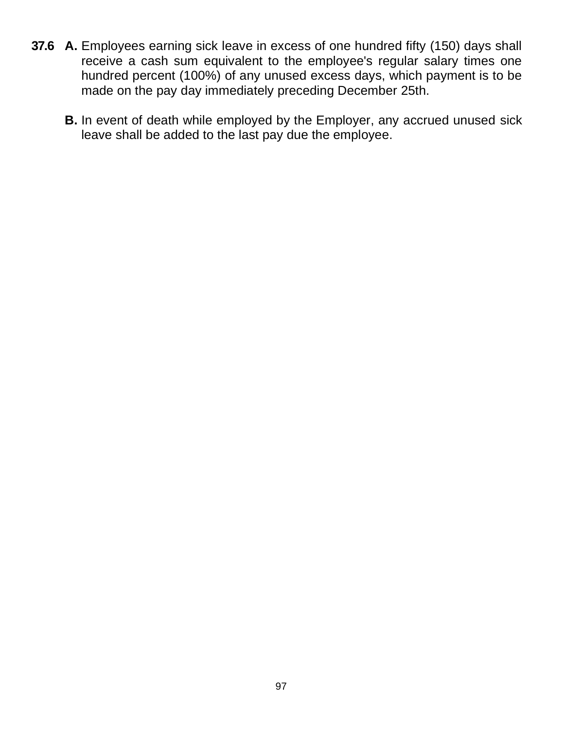- **37.6 A.** Employees earning sick leave in excess of one hundred fifty (150) days shall receive a cash sum equivalent to the employee's regular salary times one hundred percent (100%) of any unused excess days, which payment is to be made on the pay day immediately preceding December 25th.
	- **B.** In event of death while employed by the Employer, any accrued unused sick leave shall be added to the last pay due the employee.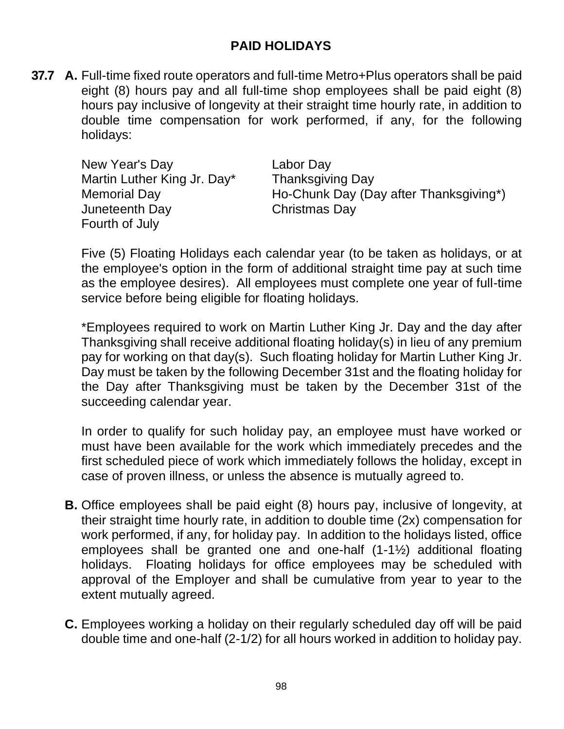### **PAID HOLIDAYS**

**37.7 A.** Full-time fixed route operators and full-time Metro+Plus operators shall be paid eight (8) hours pay and all full-time shop employees shall be paid eight (8) hours pay inclusive of longevity at their straight time hourly rate, in addition to double time compensation for work performed, if any, for the following holidays:

| New Year's Day              | Labor Day                              |
|-----------------------------|----------------------------------------|
| Martin Luther King Jr. Day* | <b>Thanksgiving Day</b>                |
| <b>Memorial Day</b>         | Ho-Chunk Day (Day after Thanksgiving*) |
| Juneteenth Day              | Christmas Day                          |
| Fourth of July              |                                        |

Five (5) Floating Holidays each calendar year (to be taken as holidays, or at the employee's option in the form of additional straight time pay at such time as the employee desires). All employees must complete one year of full-time service before being eligible for floating holidays.

\*Employees required to work on Martin Luther King Jr. Day and the day after Thanksgiving shall receive additional floating holiday(s) in lieu of any premium pay for working on that day(s). Such floating holiday for Martin Luther King Jr. Day must be taken by the following December 31st and the floating holiday for the Day after Thanksgiving must be taken by the December 31st of the succeeding calendar year.

In order to qualify for such holiday pay, an employee must have worked or must have been available for the work which immediately precedes and the first scheduled piece of work which immediately follows the holiday, except in case of proven illness, or unless the absence is mutually agreed to.

- **B.** Office employees shall be paid eight (8) hours pay, inclusive of longevity, at their straight time hourly rate, in addition to double time (2x) compensation for work performed, if any, for holiday pay. In addition to the holidays listed, office employees shall be granted one and one-half (1-1½) additional floating holidays. Floating holidays for office employees may be scheduled with approval of the Employer and shall be cumulative from year to year to the extent mutually agreed.
- **C.** Employees working a holiday on their regularly scheduled day off will be paid double time and one-half (2-1/2) for all hours worked in addition to holiday pay.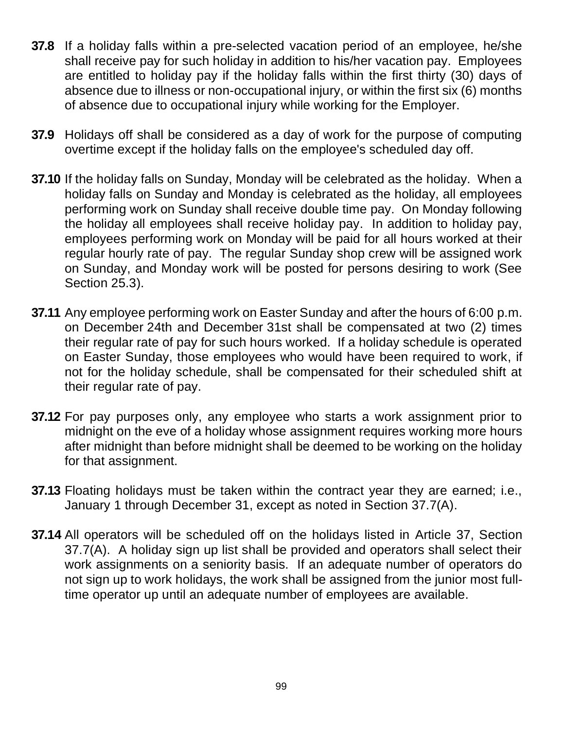- **37.8** If a holiday falls within a pre-selected vacation period of an employee, he/she shall receive pay for such holiday in addition to his/her vacation pay. Employees are entitled to holiday pay if the holiday falls within the first thirty (30) days of absence due to illness or non-occupational injury, or within the first six (6) months of absence due to occupational injury while working for the Employer.
- **37.9** Holidays off shall be considered as a day of work for the purpose of computing overtime except if the holiday falls on the employee's scheduled day off.
- **37.10** If the holiday falls on Sunday, Monday will be celebrated as the holiday. When a holiday falls on Sunday and Monday is celebrated as the holiday, all employees performing work on Sunday shall receive double time pay. On Monday following the holiday all employees shall receive holiday pay. In addition to holiday pay, employees performing work on Monday will be paid for all hours worked at their regular hourly rate of pay. The regular Sunday shop crew will be assigned work on Sunday, and Monday work will be posted for persons desiring to work (See Section 25.3).
- **37.11** Any employee performing work on Easter Sunday and after the hours of 6:00 p.m. on December 24th and December 31st shall be compensated at two (2) times their regular rate of pay for such hours worked. If a holiday schedule is operated on Easter Sunday, those employees who would have been required to work, if not for the holiday schedule, shall be compensated for their scheduled shift at their regular rate of pay.
- **37.12** For pay purposes only, any employee who starts a work assignment prior to midnight on the eve of a holiday whose assignment requires working more hours after midnight than before midnight shall be deemed to be working on the holiday for that assignment.
- **37.13** Floating holidays must be taken within the contract year they are earned; i.e., January 1 through December 31, except as noted in Section 37.7(A).
- **37.14** All operators will be scheduled off on the holidays listed in Article 37, Section 37.7(A). A holiday sign up list shall be provided and operators shall select their work assignments on a seniority basis. If an adequate number of operators do not sign up to work holidays, the work shall be assigned from the junior most fulltime operator up until an adequate number of employees are available.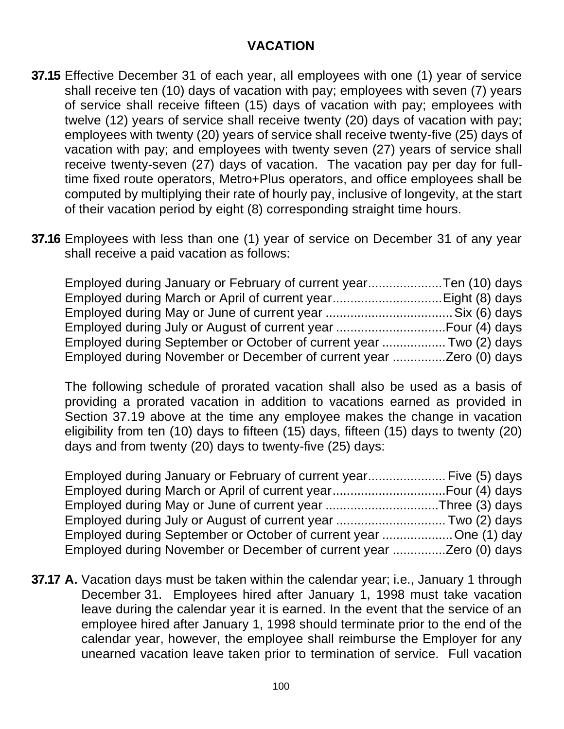#### **VACATION**

- **37.15** Effective December 31 of each year, all employees with one (1) year of service shall receive ten (10) days of vacation with pay; employees with seven (7) years of service shall receive fifteen (15) days of vacation with pay; employees with twelve (12) years of service shall receive twenty (20) days of vacation with pay; employees with twenty (20) years of service shall receive twenty-five (25) days of vacation with pay; and employees with twenty seven (27) years of service shall receive twenty-seven (27) days of vacation. The vacation pay per day for fulltime fixed route operators, Metro+Plus operators, and office employees shall be computed by multiplying their rate of hourly pay, inclusive of longevity, at the start of their vacation period by eight (8) corresponding straight time hours.
- **37.16** Employees with less than one (1) year of service on December 31 of any year shall receive a paid vacation as follows:

| Employed during January or February of current yearTen (10) days   |  |
|--------------------------------------------------------------------|--|
|                                                                    |  |
|                                                                    |  |
|                                                                    |  |
| Employed during September or October of current year  Two (2) days |  |
|                                                                    |  |

The following schedule of prorated vacation shall also be used as a basis of providing a prorated vacation in addition to vacations earned as provided in Section 37.19 above at the time any employee makes the change in vacation eligibility from ten (10) days to fifteen (15) days, fifteen (15) days to twenty (20) days and from twenty (20) days to twenty-five (25) days:

| Employed during January or February of current year Five (5) days |  |
|-------------------------------------------------------------------|--|
|                                                                   |  |
| Employed during May or June of current year Three (3) days        |  |
|                                                                   |  |
| Employed during September or October of current year One (1) day  |  |
|                                                                   |  |

**37.17 A.** Vacation days must be taken within the calendar year; i.e., January 1 through December 31. Employees hired after January 1, 1998 must take vacation leave during the calendar year it is earned. In the event that the service of an employee hired after January 1, 1998 should terminate prior to the end of the calendar year, however, the employee shall reimburse the Employer for any unearned vacation leave taken prior to termination of service. Full vacation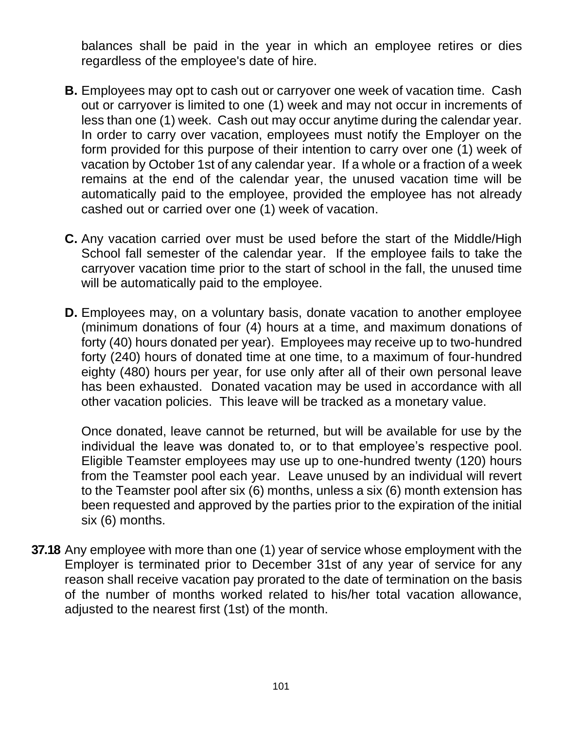balances shall be paid in the year in which an employee retires or dies regardless of the employee's date of hire.

- **B.** Employees may opt to cash out or carryover one week of vacation time. Cash out or carryover is limited to one (1) week and may not occur in increments of less than one (1) week. Cash out may occur anytime during the calendar year. In order to carry over vacation, employees must notify the Employer on the form provided for this purpose of their intention to carry over one (1) week of vacation by October 1st of any calendar year. If a whole or a fraction of a week remains at the end of the calendar year, the unused vacation time will be automatically paid to the employee, provided the employee has not already cashed out or carried over one (1) week of vacation.
- **C.** Any vacation carried over must be used before the start of the Middle/High School fall semester of the calendar year. If the employee fails to take the carryover vacation time prior to the start of school in the fall, the unused time will be automatically paid to the employee.
- **D.** Employees may, on a voluntary basis, donate vacation to another employee (minimum donations of four (4) hours at a time, and maximum donations of forty (40) hours donated per year). Employees may receive up to two-hundred forty (240) hours of donated time at one time, to a maximum of four-hundred eighty (480) hours per year, for use only after all of their own personal leave has been exhausted. Donated vacation may be used in accordance with all other vacation policies. This leave will be tracked as a monetary value.

Once donated, leave cannot be returned, but will be available for use by the individual the leave was donated to, or to that employee's respective pool. Eligible Teamster employees may use up to one-hundred twenty (120) hours from the Teamster pool each year. Leave unused by an individual will revert to the Teamster pool after six (6) months, unless a six (6) month extension has been requested and approved by the parties prior to the expiration of the initial six (6) months.

**37.18** Any employee with more than one (1) year of service whose employment with the Employer is terminated prior to December 31st of any year of service for any reason shall receive vacation pay prorated to the date of termination on the basis of the number of months worked related to his/her total vacation allowance, adjusted to the nearest first (1st) of the month.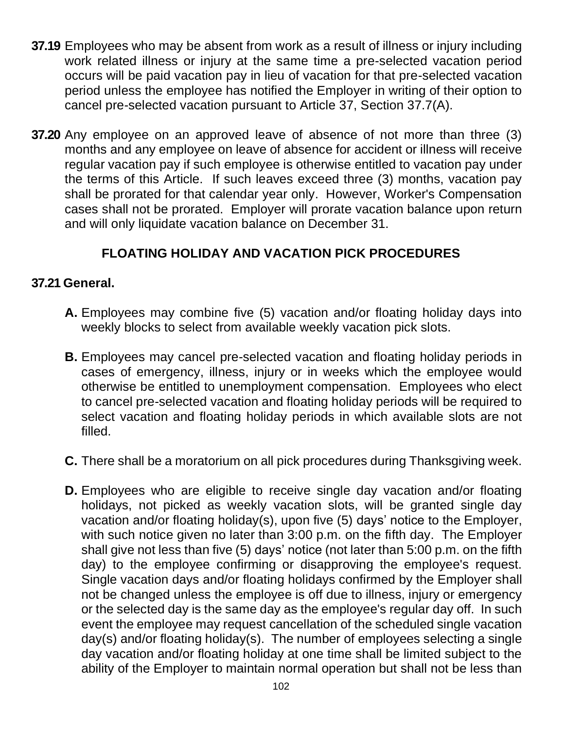- **37.19** Employees who may be absent from work as a result of illness or injury including work related illness or injury at the same time a pre-selected vacation period occurs will be paid vacation pay in lieu of vacation for that pre-selected vacation period unless the employee has notified the Employer in writing of their option to cancel pre-selected vacation pursuant to Article 37, Section 37.7(A).
- **37.20** Any employee on an approved leave of absence of not more than three (3) months and any employee on leave of absence for accident or illness will receive regular vacation pay if such employee is otherwise entitled to vacation pay under the terms of this Article. If such leaves exceed three (3) months, vacation pay shall be prorated for that calendar year only. However, Worker's Compensation cases shall not be prorated. Employer will prorate vacation balance upon return and will only liquidate vacation balance on December 31.

# **FLOATING HOLIDAY AND VACATION PICK PROCEDURES**

#### **37.21 General.**

- **A.** Employees may combine five (5) vacation and/or floating holiday days into weekly blocks to select from available weekly vacation pick slots.
- **B.** Employees may cancel pre-selected vacation and floating holiday periods in cases of emergency, illness, injury or in weeks which the employee would otherwise be entitled to unemployment compensation. Employees who elect to cancel pre-selected vacation and floating holiday periods will be required to select vacation and floating holiday periods in which available slots are not filled.
- **C.** There shall be a moratorium on all pick procedures during Thanksgiving week.
- **D.** Employees who are eligible to receive single day vacation and/or floating holidays, not picked as weekly vacation slots, will be granted single day vacation and/or floating holiday(s), upon five (5) days' notice to the Employer, with such notice given no later than 3:00 p.m. on the fifth day. The Employer shall give not less than five (5) days' notice (not later than 5:00 p.m. on the fifth day) to the employee confirming or disapproving the employee's request. Single vacation days and/or floating holidays confirmed by the Employer shall not be changed unless the employee is off due to illness, injury or emergency or the selected day is the same day as the employee's regular day off. In such event the employee may request cancellation of the scheduled single vacation day(s) and/or floating holiday(s). The number of employees selecting a single day vacation and/or floating holiday at one time shall be limited subject to the ability of the Employer to maintain normal operation but shall not be less than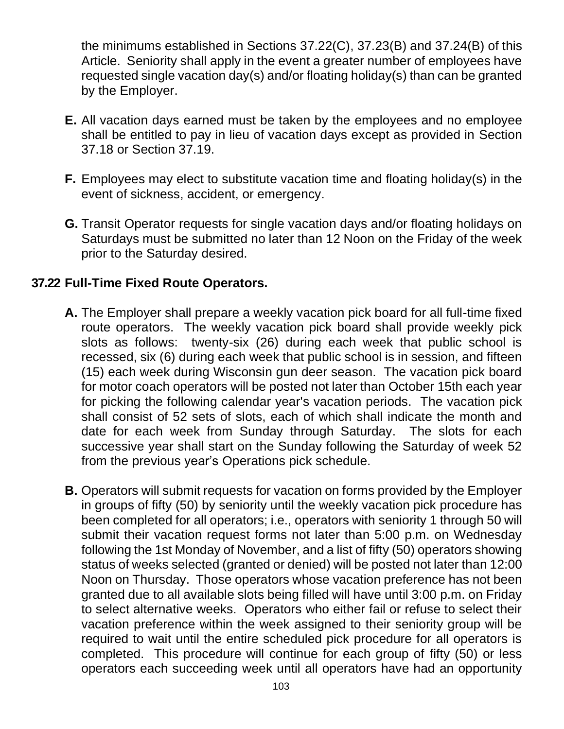the minimums established in Sections 37.22(C), 37.23(B) and 37.24(B) of this Article. Seniority shall apply in the event a greater number of employees have requested single vacation day(s) and/or floating holiday(s) than can be granted by the Employer.

- **E.** All vacation days earned must be taken by the employees and no employee shall be entitled to pay in lieu of vacation days except as provided in Section 37.18 or Section 37.19.
- **F.** Employees may elect to substitute vacation time and floating holiday(s) in the event of sickness, accident, or emergency.
- **G.** Transit Operator requests for single vacation days and/or floating holidays on Saturdays must be submitted no later than 12 Noon on the Friday of the week prior to the Saturday desired.

#### **37.22 Full-Time Fixed Route Operators.**

- **A.** The Employer shall prepare a weekly vacation pick board for all full-time fixed route operators. The weekly vacation pick board shall provide weekly pick slots as follows: twenty-six (26) during each week that public school is recessed, six (6) during each week that public school is in session, and fifteen (15) each week during Wisconsin gun deer season. The vacation pick board for motor coach operators will be posted not later than October 15th each year for picking the following calendar year's vacation periods. The vacation pick shall consist of 52 sets of slots, each of which shall indicate the month and date for each week from Sunday through Saturday. The slots for each successive year shall start on the Sunday following the Saturday of week 52 from the previous year's Operations pick schedule.
- **B.** Operators will submit requests for vacation on forms provided by the Employer in groups of fifty (50) by seniority until the weekly vacation pick procedure has been completed for all operators; i.e., operators with seniority 1 through 50 will submit their vacation request forms not later than 5:00 p.m. on Wednesday following the 1st Monday of November, and a list of fifty (50) operators showing status of weeks selected (granted or denied) will be posted not later than 12:00 Noon on Thursday. Those operators whose vacation preference has not been granted due to all available slots being filled will have until 3:00 p.m. on Friday to select alternative weeks. Operators who either fail or refuse to select their vacation preference within the week assigned to their seniority group will be required to wait until the entire scheduled pick procedure for all operators is completed. This procedure will continue for each group of fifty (50) or less operators each succeeding week until all operators have had an opportunity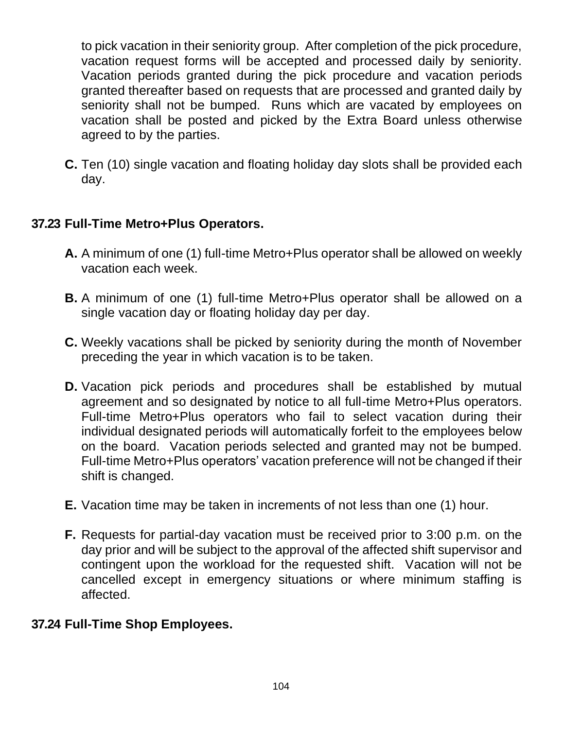to pick vacation in their seniority group. After completion of the pick procedure, vacation request forms will be accepted and processed daily by seniority. Vacation periods granted during the pick procedure and vacation periods granted thereafter based on requests that are processed and granted daily by seniority shall not be bumped. Runs which are vacated by employees on vacation shall be posted and picked by the Extra Board unless otherwise agreed to by the parties.

**C.** Ten (10) single vacation and floating holiday day slots shall be provided each day.

## **37.23 Full-Time Metro+Plus Operators.**

- **A.** A minimum of one (1) full-time Metro+Plus operator shall be allowed on weekly vacation each week.
- **B.** A minimum of one (1) full-time Metro+Plus operator shall be allowed on a single vacation day or floating holiday day per day.
- **C.** Weekly vacations shall be picked by seniority during the month of November preceding the year in which vacation is to be taken.
- **D.** Vacation pick periods and procedures shall be established by mutual agreement and so designated by notice to all full-time Metro+Plus operators. Full-time Metro+Plus operators who fail to select vacation during their individual designated periods will automatically forfeit to the employees below on the board. Vacation periods selected and granted may not be bumped. Full-time Metro+Plus operators' vacation preference will not be changed if their shift is changed.
- **E.** Vacation time may be taken in increments of not less than one (1) hour.
- **F.** Requests for partial-day vacation must be received prior to 3:00 p.m. on the day prior and will be subject to the approval of the affected shift supervisor and contingent upon the workload for the requested shift. Vacation will not be cancelled except in emergency situations or where minimum staffing is affected.

#### **37.24 Full-Time Shop Employees.**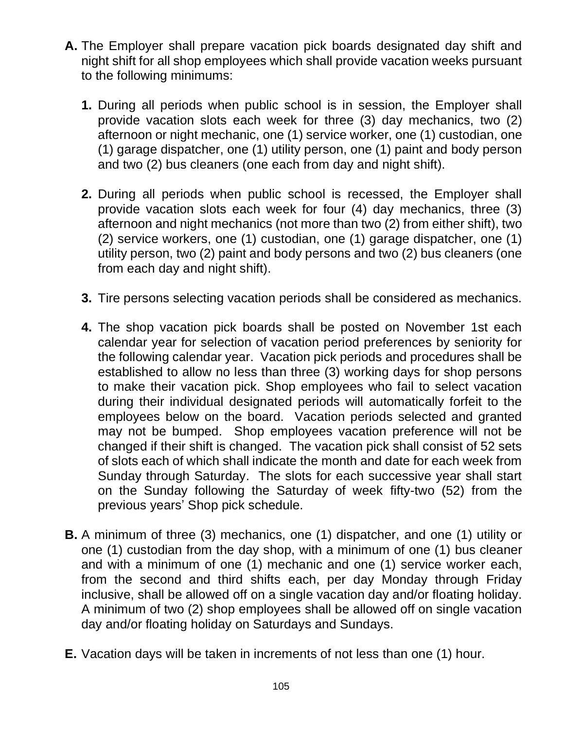- **A.** The Employer shall prepare vacation pick boards designated day shift and night shift for all shop employees which shall provide vacation weeks pursuant to the following minimums:
	- **1.** During all periods when public school is in session, the Employer shall provide vacation slots each week for three (3) day mechanics, two (2) afternoon or night mechanic, one (1) service worker, one (1) custodian, one (1) garage dispatcher, one (1) utility person, one (1) paint and body person and two (2) bus cleaners (one each from day and night shift).
	- **2.** During all periods when public school is recessed, the Employer shall provide vacation slots each week for four (4) day mechanics, three (3) afternoon and night mechanics (not more than two (2) from either shift), two (2) service workers, one (1) custodian, one (1) garage dispatcher, one (1) utility person, two (2) paint and body persons and two (2) bus cleaners (one from each day and night shift).
	- **3.** Tire persons selecting vacation periods shall be considered as mechanics.
	- **4.** The shop vacation pick boards shall be posted on November 1st each calendar year for selection of vacation period preferences by seniority for the following calendar year. Vacation pick periods and procedures shall be established to allow no less than three (3) working days for shop persons to make their vacation pick. Shop employees who fail to select vacation during their individual designated periods will automatically forfeit to the employees below on the board. Vacation periods selected and granted may not be bumped. Shop employees vacation preference will not be changed if their shift is changed. The vacation pick shall consist of 52 sets of slots each of which shall indicate the month and date for each week from Sunday through Saturday. The slots for each successive year shall start on the Sunday following the Saturday of week fifty-two (52) from the previous years' Shop pick schedule.
- **B.** A minimum of three (3) mechanics, one (1) dispatcher, and one (1) utility or one (1) custodian from the day shop, with a minimum of one (1) bus cleaner and with a minimum of one (1) mechanic and one (1) service worker each, from the second and third shifts each, per day Monday through Friday inclusive, shall be allowed off on a single vacation day and/or floating holiday. A minimum of two (2) shop employees shall be allowed off on single vacation day and/or floating holiday on Saturdays and Sundays.
- **E.** Vacation days will be taken in increments of not less than one (1) hour.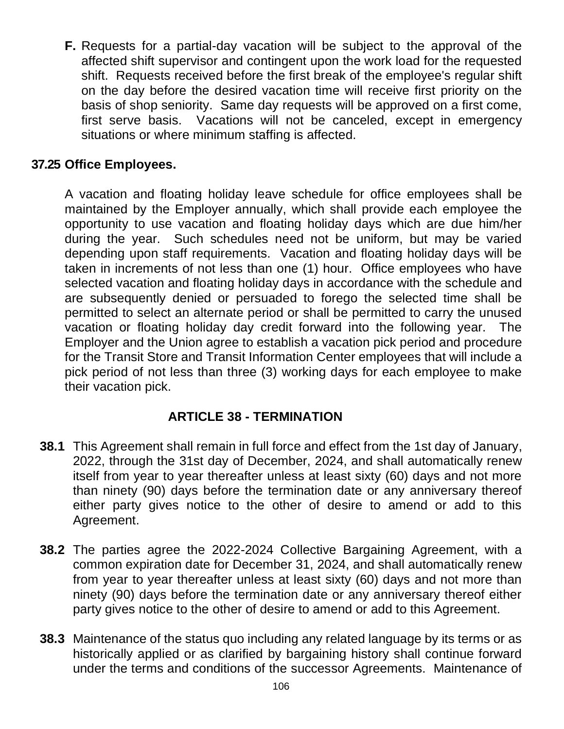**F.** Requests for a partial-day vacation will be subject to the approval of the affected shift supervisor and contingent upon the work load for the requested shift. Requests received before the first break of the employee's regular shift on the day before the desired vacation time will receive first priority on the basis of shop seniority. Same day requests will be approved on a first come, first serve basis. Vacations will not be canceled, except in emergency situations or where minimum staffing is affected.

## **37.25 Office Employees.**

A vacation and floating holiday leave schedule for office employees shall be maintained by the Employer annually, which shall provide each employee the opportunity to use vacation and floating holiday days which are due him/her during the year. Such schedules need not be uniform, but may be varied depending upon staff requirements. Vacation and floating holiday days will be taken in increments of not less than one (1) hour. Office employees who have selected vacation and floating holiday days in accordance with the schedule and are subsequently denied or persuaded to forego the selected time shall be permitted to select an alternate period or shall be permitted to carry the unused vacation or floating holiday day credit forward into the following year. The Employer and the Union agree to establish a vacation pick period and procedure for the Transit Store and Transit Information Center employees that will include a pick period of not less than three (3) working days for each employee to make their vacation pick.

#### **ARTICLE 38 - TERMINATION**

- **38.1** This Agreement shall remain in full force and effect from the 1st day of January, 2022, through the 31st day of December, 2024, and shall automatically renew itself from year to year thereafter unless at least sixty (60) days and not more than ninety (90) days before the termination date or any anniversary thereof either party gives notice to the other of desire to amend or add to this Agreement.
- **38.2** The parties agree the 2022-2024 Collective Bargaining Agreement, with a common expiration date for December 31, 2024, and shall automatically renew from year to year thereafter unless at least sixty (60) days and not more than ninety (90) days before the termination date or any anniversary thereof either party gives notice to the other of desire to amend or add to this Agreement.
- **38.3** Maintenance of the status quo including any related language by its terms or as historically applied or as clarified by bargaining history shall continue forward under the terms and conditions of the successor Agreements. Maintenance of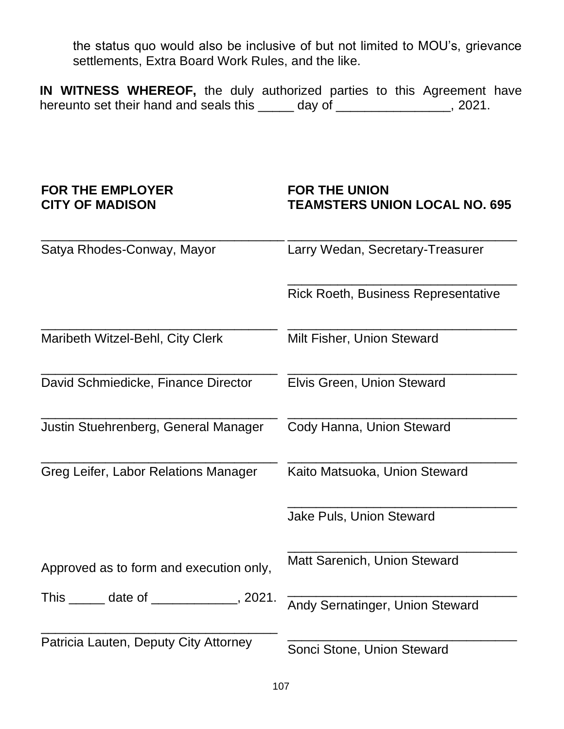the status quo would also be inclusive of but not limited to MOU's, grievance settlements, Extra Board Work Rules, and the like.

**IN WITNESS WHEREOF,** the duly authorized parties to this Agreement have hereunto set their hand and seals this \_\_\_\_\_ day of \_\_\_\_\_\_\_\_\_\_\_\_\_\_, 2021.

#### **FOR THE EMPLOYER CITY OF MADISON**

#### **FOR THE UNION TEAMSTERS UNION LOCAL NO. 695**

| Satya Rhodes-Conway, Mayor                                                                | Larry Wedan, Secretary-Treasurer    |  |  |
|-------------------------------------------------------------------------------------------|-------------------------------------|--|--|
|                                                                                           | Rick Roeth, Business Representative |  |  |
| Maribeth Witzel-Behl, City Clerk                                                          | Milt Fisher, Union Steward          |  |  |
| David Schmiedicke, Finance Director                                                       | Elvis Green, Union Steward          |  |  |
| Justin Stuehrenberg, General Manager                                                      | Cody Hanna, Union Steward           |  |  |
| Greg Leifer, Labor Relations Manager                                                      | Kaito Matsuoka, Union Steward       |  |  |
|                                                                                           | Jake Puls, Union Steward            |  |  |
| Approved as to form and execution only,                                                   | Matt Sarenich, Union Steward        |  |  |
| This $\frac{1}{\sqrt{1-\frac{1}{2}}}$ date of $\frac{1}{\sqrt{1-\frac{1}{2}}}$<br>, 2021. | Andy Sernatinger, Union Steward     |  |  |
| Patricia Lauten, Deputy City Attorney                                                     | Sonci Stone, Union Steward          |  |  |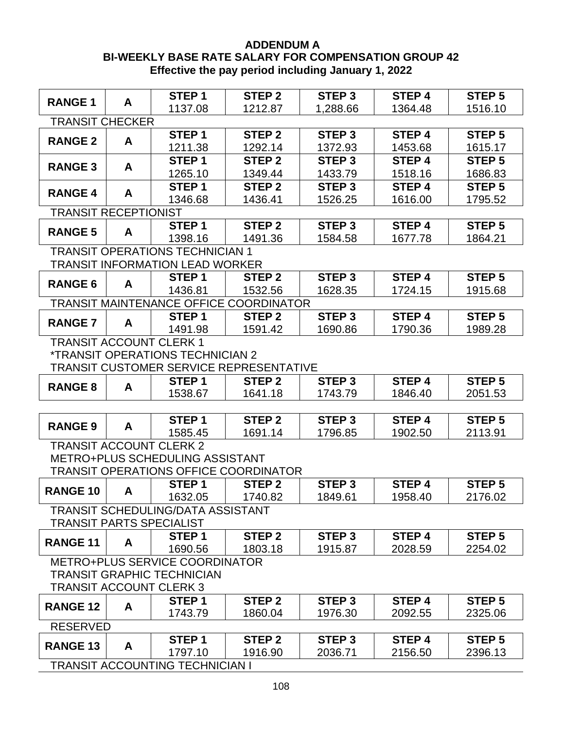#### **ADDENDUM A BI-WEEKLY BASE RATE SALARY FOR COMPENSATION GROUP 42 Effective the pay period including January 1, 2022**

|                                 |   | STEP <sub>1</sub>                              | <b>STEP 2</b>     | STEP <sub>3</sub> | STEP <sub>4</sub> | STEP <sub>5</sub> |
|---------------------------------|---|------------------------------------------------|-------------------|-------------------|-------------------|-------------------|
| <b>RANGE 1</b>                  | A | 1137.08                                        | 1212.87           | 1,288.66          | 1364.48           | 1516.10           |
| <b>TRANSIT CHECKER</b>          |   |                                                |                   |                   |                   |                   |
| <b>RANGE 2</b>                  | A | STEP <sub>1</sub>                              | <b>STEP 2</b>     | <b>STEP 3</b>     | STEP <sub>4</sub> | STEP <sub>5</sub> |
|                                 |   | 1211.38                                        | 1292.14           | 1372.93           | 1453.68           | 1615.17           |
| <b>RANGE 3</b>                  | A | STEP <sub>1</sub>                              | STEP <sub>2</sub> | STEP <sub>3</sub> | STEP <sub>4</sub> | STEP <sub>5</sub> |
|                                 |   | 1265.10                                        | 1349.44           | 1433.79           | 1518.16           | 1686.83           |
| <b>RANGE 4</b>                  | A | STEP <sub>1</sub>                              | STEP <sub>2</sub> | STEP <sub>3</sub> | STEP <sub>4</sub> | STEP <sub>5</sub> |
|                                 |   | 1346.68                                        | 1436.41           | 1526.25           | 1616.00           | 1795.52           |
| <b>TRANSIT RECEPTIONIST</b>     |   |                                                |                   |                   |                   |                   |
| <b>RANGE 5</b>                  | A | STEP <sub>1</sub>                              | STEP <sub>2</sub> | STEP <sub>3</sub> | STEP 4            | STEP <sub>5</sub> |
|                                 |   | 1398.16                                        | 1491.36           | 1584.58           | 1677.78           | 1864.21           |
|                                 |   | <b>TRANSIT OPERATIONS TECHNICIAN 1</b>         |                   |                   |                   |                   |
|                                 |   | <b>TRANSIT INFORMATION LEAD WORKER</b>         |                   |                   |                   |                   |
| <b>RANGE 6</b>                  | A | STEP <sub>1</sub>                              | <b>STEP 2</b>     | STEP <sub>3</sub> | STEP 4            | STEP <sub>5</sub> |
|                                 |   | 1436.81                                        | 1532.56           | 1628.35           | 1724.15           | 1915.68           |
|                                 |   | <b>TRANSIT MAINTENANCE OFFICE COORDINATOR</b>  |                   |                   |                   |                   |
| <b>RANGE 7</b>                  | A | STEP <sub>1</sub>                              | STEP <sub>2</sub> | STEP <sub>3</sub> | STEP 4            | STEP <sub>5</sub> |
|                                 |   | 1491.98                                        | 1591.42           | 1690.86           | 1790.36           | 1989.28           |
| <b>TRANSIT ACCOUNT CLERK 1</b>  |   | <i><b>*TRANSIT OPERATIONS TECHNICIAN 2</b></i> |                   |                   |                   |                   |
|                                 |   | TRANSIT CUSTOMER SERVICE REPRESENTATIVE        |                   |                   |                   |                   |
|                                 |   | STEP <sub>1</sub>                              | STEP <sub>2</sub> | STEP <sub>3</sub> | STEP 4            | STEP <sub>5</sub> |
| <b>RANGE 8</b>                  | A | 1538.67                                        | 1641.18           | 1743.79           | 1846.40           | 2051.53           |
|                                 |   |                                                |                   |                   |                   |                   |
|                                 |   | STEP <sub>1</sub>                              | STEP <sub>2</sub> | STEP <sub>3</sub> | STEP 4            | STEP <sub>5</sub> |
| <b>RANGE 9</b>                  | A | 1585.45                                        | 1691.14           | 1796.85           | 1902.50           | 2113.91           |
| <b>TRANSIT ACCOUNT CLERK 2</b>  |   |                                                |                   |                   |                   |                   |
|                                 |   | METRO+PLUS SCHEDULING ASSISTANT                |                   |                   |                   |                   |
|                                 |   | <b>TRANSIT OPERATIONS OFFICE COORDINATOR</b>   |                   |                   |                   |                   |
|                                 |   | STEP <sub>1</sub>                              | STEP <sub>2</sub> | STEP <sub>3</sub> | STEP 4            | STEP <sub>5</sub> |
| <b>RANGE 10</b>                 | A | 1632.05                                        | 1740.82           | 1849.61           | 1958.40           | 2176.02           |
|                                 |   | TRANSIT SCHEDULING/DATA ASSISTANT              |                   |                   |                   |                   |
| <b>TRANSIT PARTS SPECIALIST</b> |   |                                                |                   |                   |                   |                   |
| <b>RANGE 11</b>                 | A | STEP <sub>1</sub>                              | <b>STEP 2</b>     | STEP <sub>3</sub> | STEP 4            | STEP <sub>5</sub> |
|                                 |   | 1690.56                                        | 1803.18           | 1915.87           | 2028.59           | 2254.02           |
|                                 |   | <b>METRO+PLUS SERVICE COORDINATOR</b>          |                   |                   |                   |                   |
|                                 |   | <b>TRANSIT GRAPHIC TECHNICIAN</b>              |                   |                   |                   |                   |
| <b>TRANSIT ACCOUNT CLERK 3</b>  |   |                                                |                   |                   |                   |                   |
| <b>RANGE 12</b>                 | A | STEP <sub>1</sub>                              | STEP <sub>2</sub> | STEP <sub>3</sub> | STEP <sub>4</sub> | STEP <sub>5</sub> |
|                                 |   | 1743.79                                        | 1860.04           | 1976.30           | 2092.55           | 2325.06           |
| <b>RESERVED</b>                 |   |                                                |                   |                   |                   |                   |
| <b>RANGE 13</b>                 | A | STEP <sub>1</sub>                              | STEP <sub>2</sub> | STEP <sub>3</sub> | STEP <sub>4</sub> | STEP <sub>5</sub> |
|                                 |   | 1797.10                                        | 1916.90           | 2036.71           | 2156.50           | 2396.13           |
|                                 |   | <b>TRANSIT ACCOUNTING TECHNICIAN I</b>         |                   |                   |                   |                   |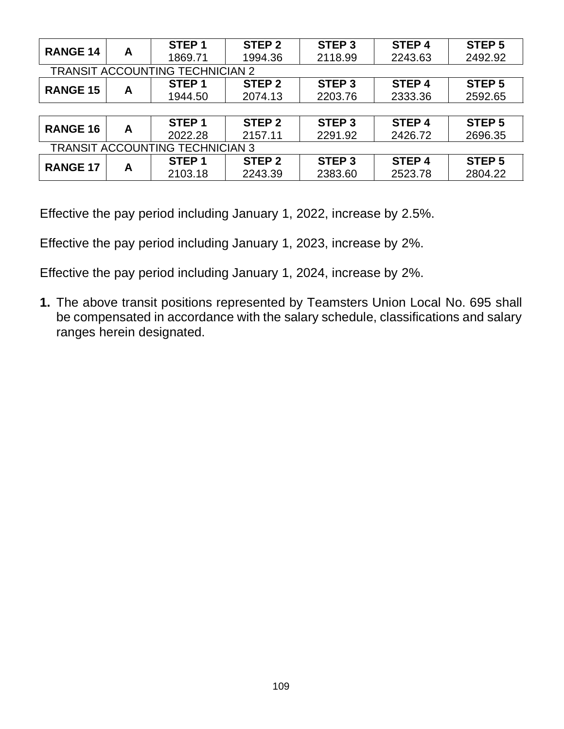|                                        |   | STEP <sub>1</sub> | STEP <sub>2</sub> | STEP <sub>3</sub> | STEP <sub>4</sub> | STEP <sub>5</sub> |  |  |
|----------------------------------------|---|-------------------|-------------------|-------------------|-------------------|-------------------|--|--|
| <b>RANGE 14</b>                        | A | 1869.71           | 1994.36           | 2118.99           | 2243.63           | 2492.92           |  |  |
| <b>TRANSIT ACCOUNTING TECHNICIAN 2</b> |   |                   |                   |                   |                   |                   |  |  |
|                                        |   | STEP <sub>1</sub> | STEP <sub>2</sub> | STEP <sub>3</sub> | STEP <sub>4</sub> | STEP <sub>5</sub> |  |  |
| <b>RANGE 15</b>                        | A | 1944.50           | 2074.13           | 2203.76           | 2333.36           | 2592.65           |  |  |
|                                        |   |                   |                   |                   |                   |                   |  |  |
| <b>RANGE 16</b>                        |   | STEP <sub>1</sub> | STEP <sub>2</sub> | STEP <sub>3</sub> | STEP <sub>4</sub> | STEP <sub>5</sub> |  |  |
|                                        | A | 2022.28           | 2157.11           | 2291.92           | 2426.72           | 2696.35           |  |  |
| <b>TRANSIT ACCOUNTING TECHNICIAN 3</b> |   |                   |                   |                   |                   |                   |  |  |
|                                        |   | STEP <sub>1</sub> | STEP <sub>2</sub> | STEP <sub>3</sub> | STEP <sub>4</sub> | STEP <sub>5</sub> |  |  |
| <b>RANGE 17</b>                        | A | 2103.18           | 2243.39           | 2383.60           | 2523.78           | 2804.22           |  |  |

Effective the pay period including January 1, 2022, increase by 2.5%.

Effective the pay period including January 1, 2023, increase by 2%.

Effective the pay period including January 1, 2024, increase by 2%.

**1.** The above transit positions represented by Teamsters Union Local No. 695 shall be compensated in accordance with the salary schedule, classifications and salary ranges herein designated.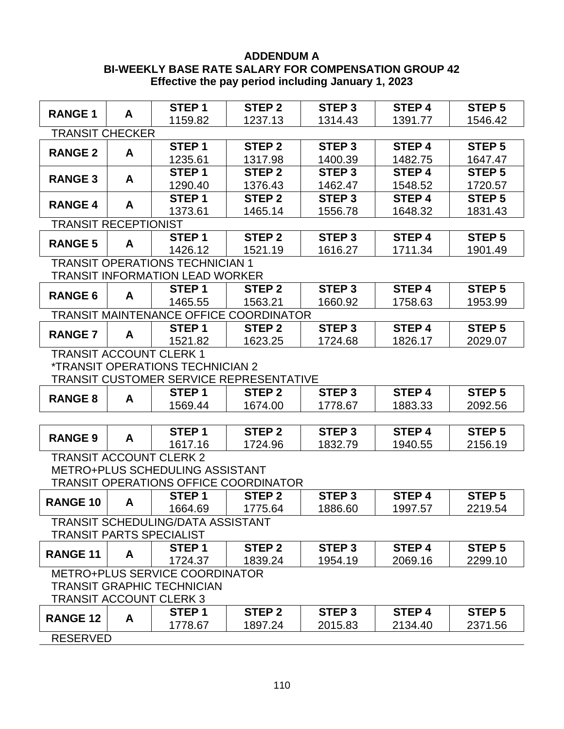#### **ADDENDUM A BI-WEEKLY BASE RATE SALARY FOR COMPENSATION GROUP 42 Effective the pay period including January 1, 2023**

|                                                |                             | STEP <sub>1</sub>                              | STEP <sub>2</sub> | STEP <sub>3</sub> | STEP <sub>4</sub> | STEP <sub>5</sub> |  |  |  |  |
|------------------------------------------------|-----------------------------|------------------------------------------------|-------------------|-------------------|-------------------|-------------------|--|--|--|--|
| <b>RANGE 1</b>                                 | A                           | 1159.82                                        | 1237.13           | 1314.43           | 1391.77           | 1546.42           |  |  |  |  |
| <b>TRANSIT CHECKER</b>                         |                             |                                                |                   |                   |                   |                   |  |  |  |  |
| <b>RANGE 2</b>                                 | A                           | STEP <sub>1</sub>                              | STEP <sub>2</sub> | STEP <sub>3</sub> | STEP <sub>4</sub> | STEP <sub>5</sub> |  |  |  |  |
|                                                |                             | 1235.61                                        | 1317.98           | 1400.39           | 1482.75           | 1647.47           |  |  |  |  |
| <b>RANGE 3</b>                                 | A                           | STEP <sub>1</sub>                              | <b>STEP 2</b>     | STEP <sub>3</sub> | <b>STEP 4</b>     | <b>STEP 5</b>     |  |  |  |  |
|                                                |                             | 1290.40                                        | 1376.43           | 1462.47           | 1548.52           | 1720.57           |  |  |  |  |
| <b>RANGE 4</b>                                 | A                           | STEP <sub>1</sub>                              | STEP <sub>2</sub> | STEP <sub>3</sub> | <b>STEP4</b>      | STEP <sub>5</sub> |  |  |  |  |
|                                                |                             | 1373.61                                        | 1465.14           | 1556.78           | 1648.32           | 1831.43           |  |  |  |  |
|                                                | <b>TRANSIT RECEPTIONIST</b> |                                                |                   |                   |                   |                   |  |  |  |  |
| <b>RANGE 5</b>                                 | A                           | STEP <sub>1</sub>                              | STEP <sub>2</sub> | STEP <sub>3</sub> | STEP 4            | STEP <sub>5</sub> |  |  |  |  |
|                                                |                             | 1426.12                                        | 1521.19           | 1616.27           | 1711.34           | 1901.49           |  |  |  |  |
|                                                |                             | <b>TRANSIT OPERATIONS TECHNICIAN 1</b>         |                   |                   |                   |                   |  |  |  |  |
|                                                |                             | <b>TRANSIT INFORMATION LEAD WORKER</b>         |                   |                   |                   |                   |  |  |  |  |
| <b>RANGE 6</b>                                 | A                           | STEP <sub>1</sub>                              | STEP <sub>2</sub> | STEP <sub>3</sub> | STEP 4            | <b>STEP 5</b>     |  |  |  |  |
|                                                |                             | 1465.55                                        | 1563.21           | 1660.92           | 1758.63           | 1953.99           |  |  |  |  |
|                                                |                             | <b>TRANSIT MAINTENANCE OFFICE COORDINATOR</b>  |                   |                   |                   |                   |  |  |  |  |
| <b>RANGE 7</b>                                 | A                           | STEP <sub>1</sub>                              | STEP <sub>2</sub> | STEP <sub>3</sub> | STEP 4            | STEP <sub>5</sub> |  |  |  |  |
|                                                |                             | 1521.82                                        | 1623.25           | 1724.68           | 1826.17           | 2029.07           |  |  |  |  |
| <b>TRANSIT ACCOUNT CLERK 1</b>                 |                             |                                                |                   |                   |                   |                   |  |  |  |  |
|                                                |                             | <i><b>*TRANSIT OPERATIONS TECHNICIAN 2</b></i> |                   |                   |                   |                   |  |  |  |  |
| <b>TRANSIT CUSTOMER SERVICE REPRESENTATIVE</b> |                             |                                                |                   |                   |                   |                   |  |  |  |  |
| <b>RANGE 8</b>                                 | A                           | STEP <sub>1</sub>                              | STEP <sub>2</sub> | STEP <sub>3</sub> | STEP 4            | STEP <sub>5</sub> |  |  |  |  |
|                                                |                             | 1569.44                                        | 1674.00           | 1778.67           | 1883.33           | 2092.56           |  |  |  |  |
|                                                |                             |                                                |                   |                   |                   |                   |  |  |  |  |
| <b>RANGE 9</b>                                 | A                           | STEP <sub>1</sub>                              | <b>STEP 2</b>     | STEP <sub>3</sub> | STEP 4            | <b>STEP 5</b>     |  |  |  |  |
|                                                |                             | 1617.16                                        | 1724.96           | 1832.79           | 1940.55           | 2156.19           |  |  |  |  |
| <b>TRANSIT ACCOUNT CLERK 2</b>                 |                             |                                                |                   |                   |                   |                   |  |  |  |  |
|                                                |                             | METRO+PLUS SCHEDULING ASSISTANT                |                   |                   |                   |                   |  |  |  |  |
|                                                |                             | <b>TRANSIT OPERATIONS OFFICE COORDINATOR</b>   |                   |                   |                   |                   |  |  |  |  |
| <b>RANGE 10</b>                                | A                           | STEP <sub>1</sub>                              | STEP <sub>2</sub> | STEP <sub>3</sub> | STEP 4            | STEP <sub>5</sub> |  |  |  |  |
|                                                |                             | 1664.69                                        | 1775.64           | 1886.60           | 1997.57           | 2219.54           |  |  |  |  |
|                                                |                             | <b>TRANSIT SCHEDULING/DATA ASSISTANT</b>       |                   |                   |                   |                   |  |  |  |  |
| <b>TRANSIT PARTS SPECIALIST</b>                |                             |                                                |                   |                   |                   |                   |  |  |  |  |
| <b>RANGE 11</b>                                | A                           | STEP <sub>1</sub>                              | STEP <sub>2</sub> | STEP <sub>3</sub> | STEP <sub>4</sub> | STEP <sub>5</sub> |  |  |  |  |
|                                                |                             | 1724.37                                        | 1839.24           | 1954.19           | 2069.16           | 2299.10           |  |  |  |  |
|                                                |                             | <b>METRO+PLUS SERVICE COORDINATOR</b>          |                   |                   |                   |                   |  |  |  |  |
|                                                |                             | <b>TRANSIT GRAPHIC TECHNICIAN</b>              |                   |                   |                   |                   |  |  |  |  |
| <b>TRANSIT ACCOUNT CLERK 3</b>                 |                             |                                                |                   |                   |                   |                   |  |  |  |  |
| <b>RANGE 12</b>                                | A                           | STEP <sub>1</sub>                              | STEP <sub>2</sub> | STEP <sub>3</sub> | STEP 4            | STEP <sub>5</sub> |  |  |  |  |
|                                                |                             | 1778.67                                        | 1897.24           | 2015.83           | 2134.40           | 2371.56           |  |  |  |  |
| <b>RESERVED</b>                                |                             |                                                |                   |                   |                   |                   |  |  |  |  |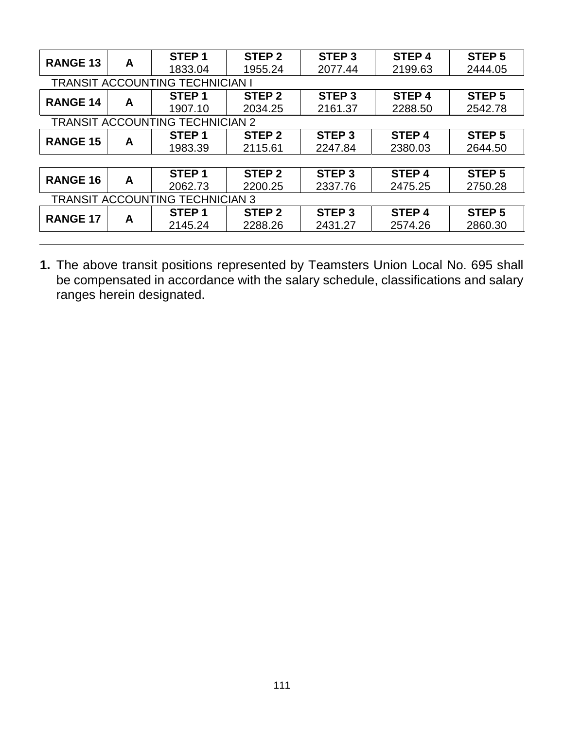| 2444.05<br>STEP <sub>5</sub><br>2542.78 |
|-----------------------------------------|
|                                         |
|                                         |
|                                         |
|                                         |
|                                         |
| STEP <sub>5</sub>                       |
| 2644.50                                 |
|                                         |
| STEP <sub>5</sub>                       |
| 2750.28                                 |
|                                         |
| STEP <sub>5</sub>                       |
| 2860.30                                 |
|                                         |

**1.** The above transit positions represented by Teamsters Union Local No. 695 shall be compensated in accordance with the salary schedule, classifications and salary ranges herein designated.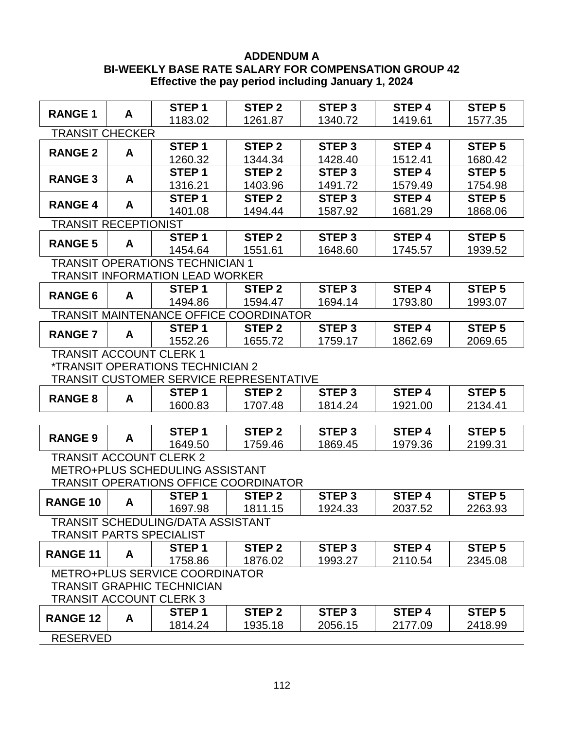#### **ADDENDUM A BI-WEEKLY BASE RATE SALARY FOR COMPENSATION GROUP 42 Effective the pay period including January 1, 2024**

|                                                |   | STEP <sub>1</sub>                              | STEP <sub>2</sub> | STEP <sub>3</sub> | STEP <sub>4</sub> | STEP <sub>5</sub> |  |  |  |
|------------------------------------------------|---|------------------------------------------------|-------------------|-------------------|-------------------|-------------------|--|--|--|
| <b>RANGE 1</b>                                 | A | 1183.02                                        | 1261.87           | 1340.72           | 1419.61           | 1577.35           |  |  |  |
| <b>TRANSIT CHECKER</b>                         |   |                                                |                   |                   |                   |                   |  |  |  |
| <b>RANGE 2</b>                                 | A | STEP <sub>1</sub>                              | <b>STEP 2</b>     | STEP <sub>3</sub> | <b>STEP4</b>      | STEP <sub>5</sub> |  |  |  |
|                                                |   | 1260.32                                        | 1344.34           | 1428.40           | 1512.41           | 1680.42           |  |  |  |
| <b>RANGE 3</b>                                 | A | STEP <sub>1</sub>                              | <b>STEP 2</b>     | STEP <sub>3</sub> | <b>STEP 4</b>     | STEP <sub>5</sub> |  |  |  |
|                                                |   | 1316.21                                        | 1403.96           | 1491.72           | 1579.49           | 1754.98           |  |  |  |
| <b>RANGE 4</b>                                 | A | STEP <sub>1</sub>                              | <b>STEP 2</b>     | STEP <sub>3</sub> | <b>STEP4</b>      | STEP <sub>5</sub> |  |  |  |
|                                                |   | 1401.08                                        | 1494.44           | 1587.92           | 1681.29           | 1868.06           |  |  |  |
| <b>TRANSIT RECEPTIONIST</b>                    |   |                                                |                   |                   |                   |                   |  |  |  |
| <b>RANGE 5</b>                                 | A | STEP <sub>1</sub>                              | STEP <sub>2</sub> | STEP <sub>3</sub> | STEP 4            | STEP <sub>5</sub> |  |  |  |
|                                                |   | 1454.64                                        | 1551.61           | 1648.60           | 1745.57           | 1939.52           |  |  |  |
|                                                |   | <b>TRANSIT OPERATIONS TECHNICIAN 1</b>         |                   |                   |                   |                   |  |  |  |
|                                                |   | <b>TRANSIT INFORMATION LEAD WORKER</b>         |                   |                   |                   |                   |  |  |  |
| <b>RANGE 6</b>                                 | A | STEP <sub>1</sub>                              | STEP <sub>2</sub> | STEP <sub>3</sub> | STEP 4            | <b>STEP 5</b>     |  |  |  |
|                                                |   | 1494.86                                        | 1594.47           | 1694.14           | 1793.80           | 1993.07           |  |  |  |
|                                                |   | <b>TRANSIT MAINTENANCE OFFICE COORDINATOR</b>  |                   |                   |                   |                   |  |  |  |
| <b>RANGE 7</b>                                 | A | STEP <sub>1</sub>                              | <b>STEP 2</b>     | STEP <sub>3</sub> | STEP 4            | STEP <sub>5</sub> |  |  |  |
|                                                |   | 1552.26                                        | 1655.72           | 1759.17           | 1862.69           | 2069.65           |  |  |  |
| <b>TRANSIT ACCOUNT CLERK 1</b>                 |   |                                                |                   |                   |                   |                   |  |  |  |
|                                                |   | <i><b>*TRANSIT OPERATIONS TECHNICIAN 2</b></i> |                   |                   |                   |                   |  |  |  |
| <b>TRANSIT CUSTOMER SERVICE REPRESENTATIVE</b> |   |                                                |                   |                   |                   |                   |  |  |  |
| <b>RANGE 8</b>                                 | A | STEP <sub>1</sub>                              | STEP <sub>2</sub> | STEP <sub>3</sub> | <b>STEP4</b>      | <b>STEP 5</b>     |  |  |  |
|                                                |   | 1600.83                                        | 1707.48           | 1814.24           | 1921.00           | 2134.41           |  |  |  |
|                                                |   |                                                |                   |                   |                   |                   |  |  |  |
| <b>RANGE 9</b>                                 | A | STEP <sub>1</sub>                              | <b>STEP 2</b>     | STEP <sub>3</sub> | STEP 4            | <b>STEP 5</b>     |  |  |  |
|                                                |   | 1649.50                                        | 1759.46           | 1869.45           | 1979.36           | 2199.31           |  |  |  |
| <b>TRANSIT ACCOUNT CLERK 2</b>                 |   |                                                |                   |                   |                   |                   |  |  |  |
|                                                |   | METRO+PLUS SCHEDULING ASSISTANT                |                   |                   |                   |                   |  |  |  |
|                                                |   | <b>TRANSIT OPERATIONS OFFICE COORDINATOR</b>   |                   |                   |                   |                   |  |  |  |
| <b>RANGE 10</b>                                | A | STEP <sub>1</sub>                              | STEP <sub>2</sub> | STEP <sub>3</sub> | STEP 4            | STEP <sub>5</sub> |  |  |  |
|                                                |   | 1697.98                                        | 1811.15           | 1924.33           | 2037.52           | 2263.93           |  |  |  |
|                                                |   | <b>TRANSIT SCHEDULING/DATA ASSISTANT</b>       |                   |                   |                   |                   |  |  |  |
| <b>TRANSIT PARTS SPECIALIST</b>                |   |                                                |                   |                   |                   |                   |  |  |  |
| <b>RANGE 11</b>                                | A | STEP <sub>1</sub>                              | STEP <sub>2</sub> | STEP <sub>3</sub> | STEP <sub>4</sub> | STEP <sub>5</sub> |  |  |  |
|                                                |   | 1758.86                                        | 1876.02           | 1993.27           | 2110.54           | 2345.08           |  |  |  |
|                                                |   | <b>METRO+PLUS SERVICE COORDINATOR</b>          |                   |                   |                   |                   |  |  |  |
|                                                |   | <b>TRANSIT GRAPHIC TECHNICIAN</b>              |                   |                   |                   |                   |  |  |  |
| <b>TRANSIT ACCOUNT CLERK 3</b>                 |   |                                                |                   |                   |                   |                   |  |  |  |
| <b>RANGE 12</b>                                | A | STEP <sub>1</sub>                              | STEP <sub>2</sub> | STEP <sub>3</sub> | STEP <sub>4</sub> | STEP <sub>5</sub> |  |  |  |
|                                                |   | 1814.24                                        | 1935.18           | 2056.15           | 2177.09           | 2418.99           |  |  |  |
| <b>RESERVED</b>                                |   |                                                |                   |                   |                   |                   |  |  |  |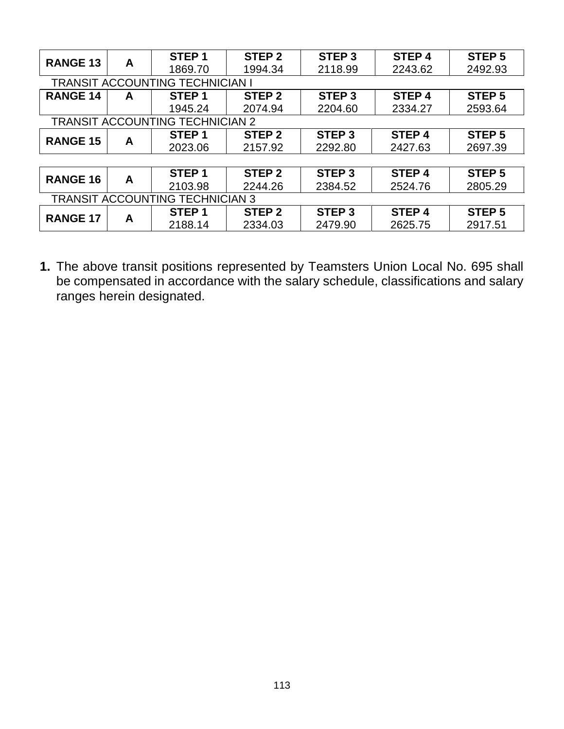| <b>RANGE 13</b>                        | A | STEP <sub>1</sub>                      | STEP <sub>2</sub> | STEP <sub>3</sub> | STEP <sub>4</sub> | STEP <sub>5</sub> |  |  |  |
|----------------------------------------|---|----------------------------------------|-------------------|-------------------|-------------------|-------------------|--|--|--|
|                                        |   | 1869.70                                | 1994.34           | 2118.99           | 2243.62           | 2492.93           |  |  |  |
| <b>TRANSIT ACCOUNTING TECHNICIAN I</b> |   |                                        |                   |                   |                   |                   |  |  |  |
| <b>RANGE 14</b>                        | A | STEP <sub>1</sub>                      | STEP <sub>2</sub> | STEP <sub>3</sub> | STEP <sub>4</sub> | <b>STEP 5</b>     |  |  |  |
|                                        |   | 1945.24                                | 2074.94           | 2204.60           | 2334.27           | 2593.64           |  |  |  |
|                                        |   | <b>TRANSIT ACCOUNTING TECHNICIAN 2</b> |                   |                   |                   |                   |  |  |  |
| <b>RANGE 15</b>                        |   | STEP <sub>1</sub>                      | STEP <sub>2</sub> | STEP <sub>3</sub> | STEP <sub>4</sub> | STEP <sub>5</sub> |  |  |  |
|                                        | A | 2023.06                                | 2157.92           | 2292.80           | 2427.63           | 2697.39           |  |  |  |
|                                        |   |                                        |                   |                   |                   |                   |  |  |  |
| <b>RANGE 16</b>                        |   | STEP <sub>1</sub>                      | STEP <sub>2</sub> | STEP <sub>3</sub> | STEP <sub>4</sub> | STEP <sub>5</sub> |  |  |  |
|                                        | A | 2103.98                                | 2244.26           | 2384.52           | 2524.76           | 2805.29           |  |  |  |
|                                        |   | <b>TRANSIT ACCOUNTING TECHNICIAN 3</b> |                   |                   |                   |                   |  |  |  |
| <b>RANGE 17</b>                        |   | STEP <sub>1</sub>                      | STEP <sub>2</sub> | STEP <sub>3</sub> | STEP <sub>4</sub> | STEP <sub>5</sub> |  |  |  |
|                                        | A | 2188.14                                | 2334.03           | 2479.90           | 2625.75           | 2917.51           |  |  |  |

**1.** The above transit positions represented by Teamsters Union Local No. 695 shall be compensated in accordance with the salary schedule, classifications and salary ranges herein designated.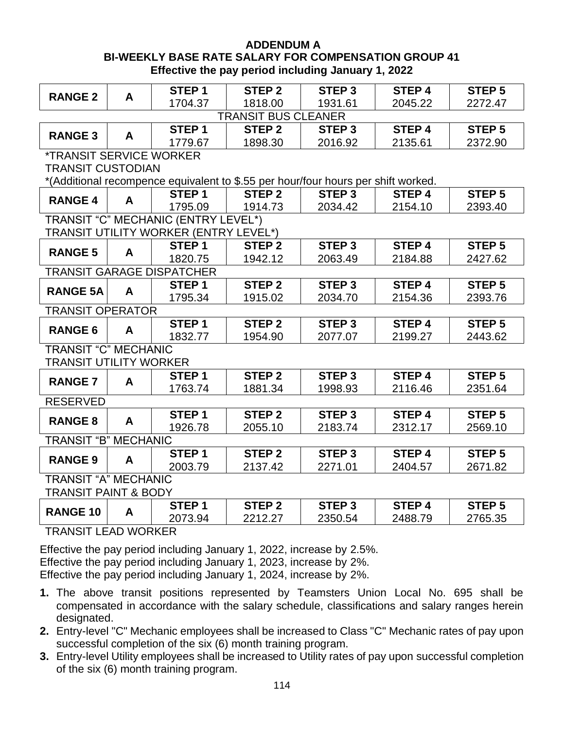#### **ADDENDUM A BI-WEEKLY BASE RATE SALARY FOR COMPENSATION GROUP 41 Effective the pay period including January 1, 2022**

|                                       |   | STEP <sub>1</sub>                                                                 | STEP <sub>2</sub> | STEP <sub>3</sub> | <b>STEP4</b> | STEP <sub>5</sub> |  |  |  |
|---------------------------------------|---|-----------------------------------------------------------------------------------|-------------------|-------------------|--------------|-------------------|--|--|--|
| <b>RANGE 2</b>                        | A | 1704.37                                                                           | 1818.00           | 1931.61           | 2045.22      | 2272.47           |  |  |  |
| <b>TRANSIT BUS CLEANER</b>            |   |                                                                                   |                   |                   |              |                   |  |  |  |
|                                       |   | STEP <sub>1</sub>                                                                 | STEP <sub>2</sub> | STEP <sub>3</sub> | <b>STEP4</b> | <b>STEP 5</b>     |  |  |  |
| <b>RANGE 3</b>                        | A | 1779.67                                                                           | 1898.30           | 2016.92           | 2135.61      | 2372.90           |  |  |  |
| <i><b>*TRANSIT SERVICE WORKER</b></i> |   |                                                                                   |                   |                   |              |                   |  |  |  |
| <b>TRANSIT CUSTODIAN</b>              |   |                                                                                   |                   |                   |              |                   |  |  |  |
|                                       |   | *(Additional recompence equivalent to \$.55 per hour/four hours per shift worked. |                   |                   |              |                   |  |  |  |
| <b>RANGE 4</b>                        | A | STEP <sub>1</sub>                                                                 | STEP <sub>2</sub> | STEP <sub>3</sub> | <b>STEP4</b> | STEP <sub>5</sub> |  |  |  |
|                                       |   | 1795.09                                                                           | 1914.73           | 2034.42           | 2154.10      | 2393.40           |  |  |  |
|                                       |   | TRANSIT "C" MECHANIC (ENTRY LEVEL*)                                               |                   |                   |              |                   |  |  |  |
|                                       |   | TRANSIT UTILITY WORKER (ENTRY LEVEL*)                                             |                   |                   |              |                   |  |  |  |
| <b>RANGE 5</b>                        | A | STEP <sub>1</sub>                                                                 | STEP <sub>2</sub> | STEP <sub>3</sub> | <b>STEP4</b> | STEP <sub>5</sub> |  |  |  |
|                                       |   | 1820.75                                                                           | 1942.12           | 2063.49           | 2184.88      | 2427.62           |  |  |  |
|                                       |   | <b>TRANSIT GARAGE DISPATCHER</b>                                                  |                   |                   |              |                   |  |  |  |
| <b>RANGE 5A</b>                       | A | STEP <sub>1</sub>                                                                 | STEP <sub>2</sub> | STEP <sub>3</sub> | <b>STEP4</b> | <b>STEP 5</b>     |  |  |  |
|                                       |   | 1795.34                                                                           | 1915.02           | 2034.70           | 2154.36      | 2393.76           |  |  |  |
| <b>TRANSIT OPERATOR</b>               |   |                                                                                   |                   |                   |              |                   |  |  |  |
| <b>RANGE 6</b>                        | A | STEP <sub>1</sub>                                                                 | STEP <sub>2</sub> | STEP <sub>3</sub> | <b>STEP4</b> | STEP <sub>5</sub> |  |  |  |
|                                       |   | 1832.77                                                                           | 1954.90           | 2077.07           | 2199.27      | 2443.62           |  |  |  |
| <b>TRANSIT "C" MECHANIC</b>           |   |                                                                                   |                   |                   |              |                   |  |  |  |
| <b>TRANSIT UTILITY WORKER</b>         |   |                                                                                   |                   |                   |              |                   |  |  |  |
| <b>RANGE 7</b>                        | A | STEP <sub>1</sub>                                                                 | STEP <sub>2</sub> | STEP <sub>3</sub> | <b>STEP4</b> | STEP <sub>5</sub> |  |  |  |
|                                       |   | 1763.74                                                                           | 1881.34           | 1998.93           | 2116.46      | 2351.64           |  |  |  |
| <b>RESERVED</b>                       |   |                                                                                   |                   |                   |              |                   |  |  |  |
| <b>RANGE 8</b>                        | A | STEP <sub>1</sub>                                                                 | STEP <sub>2</sub> | STEP <sub>3</sub> | <b>STEP4</b> | STEP <sub>5</sub> |  |  |  |
|                                       |   | 1926.78                                                                           | 2055.10           | 2183.74           | 2312.17      | 2569.10           |  |  |  |
| <b>TRANSIT "B" MECHANIC</b>           |   |                                                                                   |                   |                   |              |                   |  |  |  |
| <b>RANGE 9</b>                        | A | STEP <sub>1</sub>                                                                 | STEP <sub>2</sub> | STEP <sub>3</sub> | <b>STEP4</b> | STEP <sub>5</sub> |  |  |  |
|                                       |   | 2003.79                                                                           | 2137.42           | 2271.01           | 2404.57      | 2671.82           |  |  |  |
| <b>TRANSIT "A" MECHANIC</b>           |   |                                                                                   |                   |                   |              |                   |  |  |  |
| <b>TRANSIT PAINT &amp; BODY</b>       |   |                                                                                   |                   |                   |              |                   |  |  |  |
| <b>RANGE 10</b>                       | A | STEP <sub>1</sub>                                                                 | STEP <sub>2</sub> | STEP <sub>3</sub> | <b>STEP4</b> | STEP <sub>5</sub> |  |  |  |
|                                       |   | 2073.94                                                                           | 2212.27           | 2350.54           | 2488.79      | 2765.35           |  |  |  |

TRANSIT LEAD WORKER

Effective the pay period including January 1, 2022, increase by 2.5%.

Effective the pay period including January 1, 2023, increase by 2%.

Effective the pay period including January 1, 2024, increase by 2%.

- **1.** The above transit positions represented by Teamsters Union Local No. 695 shall be compensated in accordance with the salary schedule, classifications and salary ranges herein designated.
- **2.** Entry-level "C" Mechanic employees shall be increased to Class "C" Mechanic rates of pay upon successful completion of the six (6) month training program.
- **3.** Entry-level Utility employees shall be increased to Utility rates of pay upon successful completion of the six (6) month training program.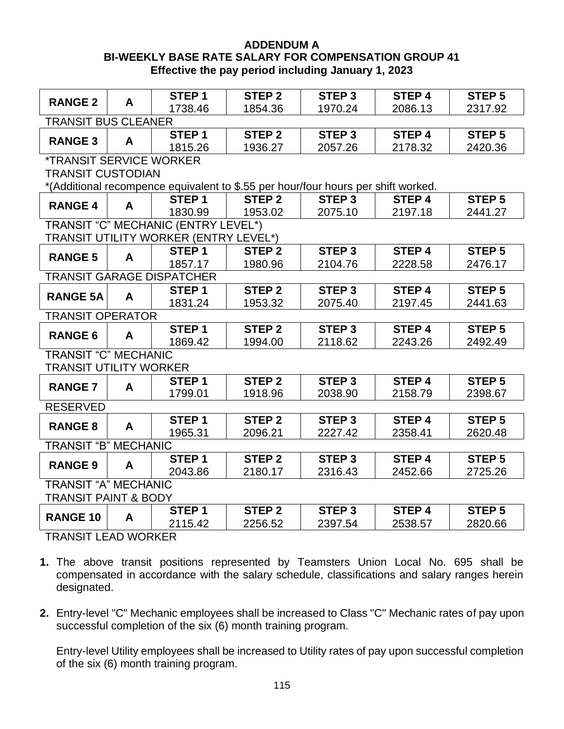#### **ADDENDUM A BI-WEEKLY BASE RATE SALARY FOR COMPENSATION GROUP 41 Effective the pay period including January 1, 2023**

|                                       |   | STEP <sub>1</sub>                     | <b>STEP 2</b>     | <b>STEP 3</b>                                                                     | <b>STEP4</b>      | <b>STEP 5</b>     |  |  |  |
|---------------------------------------|---|---------------------------------------|-------------------|-----------------------------------------------------------------------------------|-------------------|-------------------|--|--|--|
| <b>RANGE 2</b>                        | A | 1738.46                               | 1854.36           | 1970.24                                                                           | 2086.13           | 2317.92           |  |  |  |
| <b>TRANSIT BUS CLEANER</b>            |   |                                       |                   |                                                                                   |                   |                   |  |  |  |
|                                       |   | STEP <sub>1</sub>                     | STEP <sub>2</sub> | STEP <sub>3</sub>                                                                 | <b>STEP4</b>      | STEP <sub>5</sub> |  |  |  |
| <b>RANGE 3</b>                        | A | 1815.26                               | 1936.27           | 2057.26                                                                           | 2178.32           | 2420.36           |  |  |  |
| <i><b>*TRANSIT SERVICE WORKER</b></i> |   |                                       |                   |                                                                                   |                   |                   |  |  |  |
| <b>TRANSIT CUSTODIAN</b>              |   |                                       |                   |                                                                                   |                   |                   |  |  |  |
|                                       |   |                                       |                   | *(Additional recompence equivalent to \$.55 per hour/four hours per shift worked. |                   |                   |  |  |  |
|                                       |   | STEP <sub>1</sub>                     | STEP <sub>2</sub> | STEP <sub>3</sub>                                                                 | STEP <sub>4</sub> | STEP <sub>5</sub> |  |  |  |
| <b>RANGE 4</b>                        | A | 1830.99                               | 1953.02           | 2075.10                                                                           | 2197.18           | 2441.27           |  |  |  |
|                                       |   | TRANSIT "C" MECHANIC (ENTRY LEVEL*)   |                   |                                                                                   |                   |                   |  |  |  |
|                                       |   | TRANSIT UTILITY WORKER (ENTRY LEVEL*) |                   |                                                                                   |                   |                   |  |  |  |
| <b>RANGE 5</b>                        | A | STEP <sub>1</sub>                     | STEP <sub>2</sub> | STEP <sub>3</sub>                                                                 | <b>STEP 4</b>     | STEP <sub>5</sub> |  |  |  |
|                                       |   | 1857.17                               | 1980.96           | 2104.76                                                                           | 2228.58           | 2476.17           |  |  |  |
|                                       |   | <b>TRANSIT GARAGE DISPATCHER</b>      |                   |                                                                                   |                   |                   |  |  |  |
| <b>RANGE 5A</b>                       | A | STEP <sub>1</sub>                     | STEP <sub>2</sub> | STEP <sub>3</sub>                                                                 | STEP <sub>4</sub> | STEP <sub>5</sub> |  |  |  |
|                                       |   | 1831.24                               | 1953.32           | 2075.40                                                                           | 2197.45           | 2441.63           |  |  |  |
| <b>TRANSIT OPERATOR</b>               |   |                                       |                   |                                                                                   |                   |                   |  |  |  |
| <b>RANGE 6</b>                        | A | STEP <sub>1</sub>                     | STEP <sub>2</sub> | STEP <sub>3</sub>                                                                 | <b>STEP4</b>      | STEP <sub>5</sub> |  |  |  |
|                                       |   | 1869.42                               | 1994.00           | 2118.62                                                                           | 2243.26           | 2492.49           |  |  |  |
| <b>TRANSIT "C" MECHANIC</b>           |   |                                       |                   |                                                                                   |                   |                   |  |  |  |
| <b>TRANSIT UTILITY WORKER</b>         |   |                                       |                   |                                                                                   |                   |                   |  |  |  |
| <b>RANGE 7</b>                        | A | STEP <sub>1</sub>                     | STEP <sub>2</sub> | STEP <sub>3</sub>                                                                 | <b>STEP 4</b>     | <b>STEP 5</b>     |  |  |  |
|                                       |   | 1799.01                               | 1918.96           | 2038.90                                                                           | 2158.79           | 2398.67           |  |  |  |
| <b>RESERVED</b>                       |   |                                       |                   |                                                                                   |                   |                   |  |  |  |
| <b>RANGE 8</b>                        | A | STEP <sub>1</sub>                     | STEP <sub>2</sub> | STEP <sub>3</sub>                                                                 | <b>STEP4</b>      | STEP <sub>5</sub> |  |  |  |
|                                       |   | 1965.31                               | 2096.21           | 2227.42                                                                           | 2358.41           | 2620.48           |  |  |  |
| <b>TRANSIT "B" MECHANIC</b>           |   |                                       |                   |                                                                                   |                   |                   |  |  |  |
| <b>RANGE 9</b>                        | A | STEP <sub>1</sub>                     | STEP <sub>2</sub> | STEP <sub>3</sub>                                                                 | <b>STEP4</b>      | <b>STEP 5</b>     |  |  |  |
|                                       |   | 2043.86                               | 2180.17           | 2316.43                                                                           | 2452.66           | 2725.26           |  |  |  |
| <b>TRANSIT "A" MECHANIC</b>           |   |                                       |                   |                                                                                   |                   |                   |  |  |  |
| <b>TRANSIT PAINT &amp; BODY</b>       |   |                                       |                   |                                                                                   |                   |                   |  |  |  |
| <b>RANGE 10</b>                       | A | STEP <sub>1</sub>                     | STEP <sub>2</sub> | STEP <sub>3</sub>                                                                 | <b>STEP 4</b>     | STEP <sub>5</sub> |  |  |  |
|                                       |   | 2115.42                               | 2256.52           | 2397.54                                                                           | 2538.57           | 2820.66           |  |  |  |

TRANSIT LEAD WORKER

- **1.** The above transit positions represented by Teamsters Union Local No. 695 shall be compensated in accordance with the salary schedule, classifications and salary ranges herein designated.
- **2.** Entry-level "C" Mechanic employees shall be increased to Class "C" Mechanic rates of pay upon successful completion of the six (6) month training program.

Entry-level Utility employees shall be increased to Utility rates of pay upon successful completion of the six (6) month training program.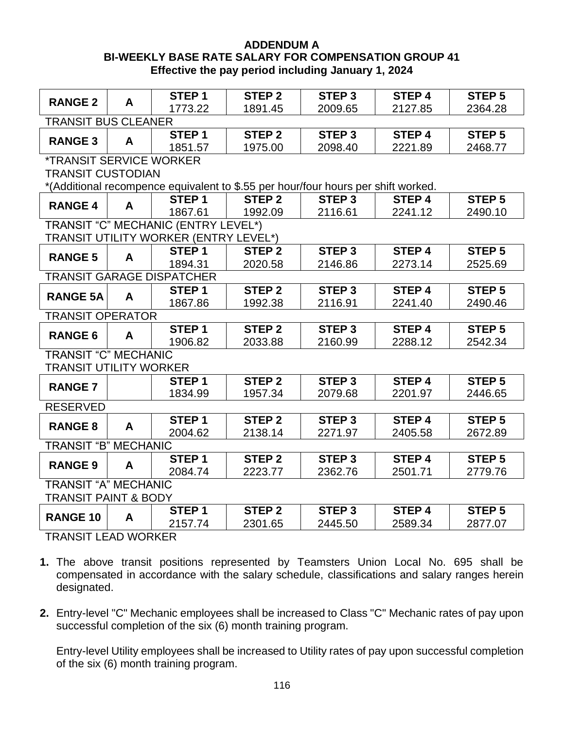#### **ADDENDUM A BI-WEEKLY BASE RATE SALARY FOR COMPENSATION GROUP 41 Effective the pay period including January 1, 2024**

|                                       |   | STEP <sub>1</sub>                     | STEP <sub>2</sub> | <b>STEP 3</b>                                                                     | STEP <sub>4</sub> | <b>STEP 5</b>     |  |  |  |
|---------------------------------------|---|---------------------------------------|-------------------|-----------------------------------------------------------------------------------|-------------------|-------------------|--|--|--|
| <b>RANGE 2</b>                        | A | 1773.22                               | 1891.45           | 2009.65                                                                           | 2127.85           | 2364.28           |  |  |  |
| <b>TRANSIT BUS CLEANER</b>            |   |                                       |                   |                                                                                   |                   |                   |  |  |  |
|                                       |   | STEP <sub>1</sub>                     | STEP <sub>2</sub> | STEP <sub>3</sub>                                                                 | STEP <sub>4</sub> | <b>STEP 5</b>     |  |  |  |
| <b>RANGE 3</b>                        | A | 1851.57                               | 1975.00           | 2098.40                                                                           | 2221.89           | 2468.77           |  |  |  |
| <i><b>*TRANSIT SERVICE WORKER</b></i> |   |                                       |                   |                                                                                   |                   |                   |  |  |  |
| <b>TRANSIT CUSTODIAN</b>              |   |                                       |                   |                                                                                   |                   |                   |  |  |  |
|                                       |   |                                       |                   | *(Additional recompence equivalent to \$.55 per hour/four hours per shift worked. |                   |                   |  |  |  |
| <b>RANGE 4</b>                        | A | STEP <sub>1</sub>                     | STEP <sub>2</sub> | STEP <sub>3</sub>                                                                 | STEP <sub>4</sub> | <b>STEP 5</b>     |  |  |  |
|                                       |   | 1867.61                               | 1992.09           | 2116.61                                                                           | 2241.12           | 2490.10           |  |  |  |
|                                       |   | TRANSIT "C" MECHANIC (ENTRY LEVEL*)   |                   |                                                                                   |                   |                   |  |  |  |
|                                       |   | TRANSIT UTILITY WORKER (ENTRY LEVEL*) |                   |                                                                                   |                   |                   |  |  |  |
| <b>RANGE 5</b>                        | A | STEP <sub>1</sub>                     | STEP <sub>2</sub> | STEP <sub>3</sub>                                                                 | STEP <sub>4</sub> | STEP <sub>5</sub> |  |  |  |
|                                       |   | 1894.31                               | 2020.58           | 2146.86                                                                           | 2273.14           | 2525.69           |  |  |  |
|                                       |   | <b>TRANSIT GARAGE DISPATCHER</b>      |                   |                                                                                   |                   |                   |  |  |  |
| <b>RANGE 5A</b>                       | A | STEP <sub>1</sub>                     | <b>STEP 2</b>     | <b>STEP 3</b>                                                                     | <b>STEP4</b>      | <b>STEP 5</b>     |  |  |  |
|                                       |   | 1867.86                               | 1992.38           | 2116.91                                                                           | 2241.40           | 2490.46           |  |  |  |
| <b>TRANSIT OPERATOR</b>               |   |                                       |                   |                                                                                   |                   |                   |  |  |  |
| <b>RANGE 6</b>                        | A | STEP <sub>1</sub>                     | STEP <sub>2</sub> | STEP <sub>3</sub>                                                                 | <b>STEP4</b>      | <b>STEP 5</b>     |  |  |  |
|                                       |   | 1906.82                               | 2033.88           | 2160.99                                                                           | 2288.12           | 2542.34           |  |  |  |
| <b>TRANSIT "C" MECHANIC</b>           |   |                                       |                   |                                                                                   |                   |                   |  |  |  |
| <b>TRANSIT UTILITY WORKER</b>         |   |                                       |                   |                                                                                   |                   |                   |  |  |  |
| <b>RANGE 7</b>                        |   | STEP <sub>1</sub>                     | STEP <sub>2</sub> | STEP <sub>3</sub>                                                                 | <b>STEP 4</b>     | STEP <sub>5</sub> |  |  |  |
|                                       |   | 1834.99                               | 1957.34           | 2079.68                                                                           | 2201.97           | 2446.65           |  |  |  |
| <b>RESERVED</b>                       |   |                                       |                   |                                                                                   |                   |                   |  |  |  |
| <b>RANGE 8</b>                        | A | STEP <sub>1</sub>                     | STEP <sub>2</sub> | <b>STEP 3</b>                                                                     | <b>STEP4</b>      | <b>STEP 5</b>     |  |  |  |
|                                       |   | 2004.62                               | 2138.14           | 2271.97                                                                           | 2405.58           | 2672.89           |  |  |  |
| <b>TRANSIT "B" MECHANIC</b>           |   |                                       |                   |                                                                                   |                   |                   |  |  |  |
| <b>RANGE 9</b>                        | A | STEP <sub>1</sub>                     | STEP <sub>2</sub> | STEP <sub>3</sub>                                                                 | STEP <sub>4</sub> | <b>STEP 5</b>     |  |  |  |
|                                       |   | 2084.74                               | 2223.77           | 2362.76                                                                           | 2501.71           | 2779.76           |  |  |  |
| <b>TRANSIT "A" MECHANIC</b>           |   |                                       |                   |                                                                                   |                   |                   |  |  |  |
| <b>TRANSIT PAINT &amp; BODY</b>       |   |                                       |                   |                                                                                   |                   |                   |  |  |  |
| <b>RANGE 10</b>                       | A | STEP <sub>1</sub>                     | <b>STEP 2</b>     | STEP <sub>3</sub>                                                                 | <b>STEP4</b>      | <b>STEP 5</b>     |  |  |  |
|                                       |   | 2157.74                               | 2301.65           | 2445.50                                                                           | 2589.34           | 2877.07           |  |  |  |

TRANSIT LEAD WORKER

- **1.** The above transit positions represented by Teamsters Union Local No. 695 shall be compensated in accordance with the salary schedule, classifications and salary ranges herein designated.
- **2.** Entry-level "C" Mechanic employees shall be increased to Class "C" Mechanic rates of pay upon successful completion of the six (6) month training program.

Entry-level Utility employees shall be increased to Utility rates of pay upon successful completion of the six (6) month training program.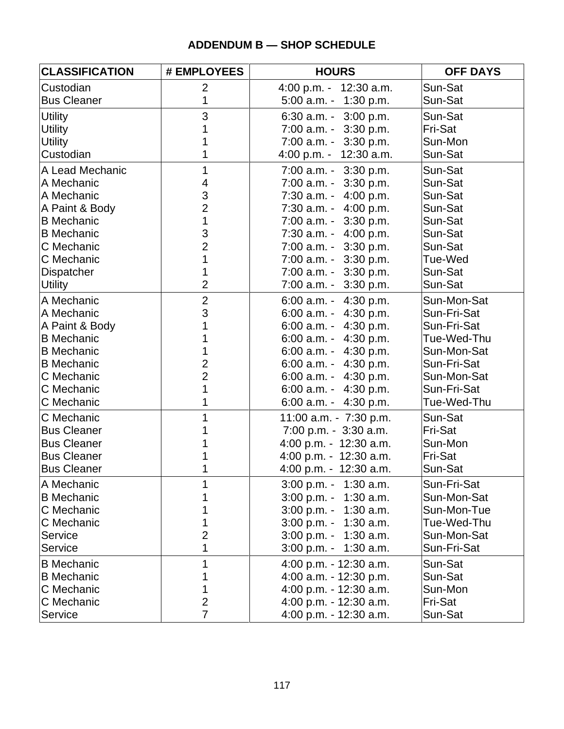#### **ADDENDUM B — SHOP SCHEDULE**

| <b>CLASSIFICATION</b> | # EMPLOYEES    | <b>HOURS</b>             | <b>OFF DAYS</b> |
|-----------------------|----------------|--------------------------|-----------------|
| Custodian             | $\overline{2}$ | 4:00 p.m. - 12:30 a.m.   | Sun-Sat         |
| <b>Bus Cleaner</b>    | 1              | $5:00$ a.m. - 1:30 p.m.  | Sun-Sat         |
| <b>Utility</b>        | 3              | 6:30 a.m. $-3:00$ p.m.   | Sun-Sat         |
| <b>Utility</b>        |                | $7:00$ a.m. $-3:30$ p.m. | Fri-Sat         |
| <b>Utility</b>        |                | $7:00$ a.m. $-3:30$ p.m. | Sun-Mon         |
| Custodian             |                | 4:00 p.m. - 12:30 a.m.   | Sun-Sat         |
| A Lead Mechanic       | 1              | $7:00$ a.m. $-3:30$ p.m. | Sun-Sat         |
| A Mechanic            | 4              | $7:00$ a.m. $-3:30$ p.m. | Sun-Sat         |
| A Mechanic            | 3              | $7:30$ a.m. $-4:00$ p.m. | Sun-Sat         |
| A Paint & Body        | $\overline{2}$ | $7:30$ a.m. $-4:00$ p.m. | Sun-Sat         |
| <b>B</b> Mechanic     | 1              | 7:00 a.m. - 3:30 p.m.    | Sun-Sat         |
| <b>B</b> Mechanic     | 3              | 7:30 a.m. - 4:00 p.m.    | Sun-Sat         |
| C Mechanic            | $\overline{2}$ | $7:00$ a.m. $-3:30$ p.m. | Sun-Sat         |
| C Mechanic            | 1              | $7:00$ a.m. $-3:30$ p.m. | Tue-Wed         |
| <b>Dispatcher</b>     |                | $7:00$ a.m. $-3:30$ p.m. | Sun-Sat         |
| <b>Utility</b>        | $\overline{2}$ | $7:00$ a.m. $-3:30$ p.m. | Sun-Sat         |
| A Mechanic            | $\overline{2}$ | 6:00 a.m. $-$ 4:30 p.m.  | Sun-Mon-Sat     |
| A Mechanic            | 3              | 6:00 a.m. $-$ 4:30 p.m.  | Sun-Fri-Sat     |
| A Paint & Body        |                | 6:00 a.m. - $4:30$ p.m.  | Sun-Fri-Sat     |
| <b>B</b> Mechanic     |                | 6:00 a.m. $-$ 4:30 p.m.  | Tue-Wed-Thu     |
| <b>B</b> Mechanic     |                | 6:00 a.m. $-$ 4:30 p.m.  | Sun-Mon-Sat     |
| <b>B</b> Mechanic     | $\mathbf 2$    | 6:00 a.m. - $4:30$ p.m.  | Sun-Fri-Sat     |
| C Mechanic            | $\overline{2}$ | 6:00 a.m. $-4:30$ p.m.   | Sun-Mon-Sat     |
| C Mechanic            | 1              | 6:00 a.m. $-$ 4:30 p.m.  | Sun-Fri-Sat     |
| C Mechanic            |                | 6:00 a.m. $-$ 4:30 p.m.  | Tue-Wed-Thu     |
| C Mechanic            |                | 11:00 a.m. - 7:30 p.m.   | Sun-Sat         |
| <b>Bus Cleaner</b>    |                | 7:00 p.m. - 3:30 a.m.    | Fri-Sat         |
| <b>Bus Cleaner</b>    |                | 4:00 p.m. - $12:30$ a.m. | Sun-Mon         |
| <b>Bus Cleaner</b>    |                | 4:00 p.m. - 12:30 a.m.   | Fri-Sat         |
| <b>Bus Cleaner</b>    |                | 4:00 p.m. - 12:30 a.m.   | Sun-Sat         |
| A Mechanic            |                | $3:00$ p.m. - 1:30 a.m.  | Sun-Fri-Sat     |
| <b>B</b> Mechanic     |                | $3:00$ p.m. - 1:30 a.m.  | Sun-Mon-Sat     |
| C Mechanic            |                | $3:00$ p.m. - 1:30 a.m.  | Sun-Mon-Tue     |
| C Mechanic            |                | $3:00$ p.m. - 1:30 a.m.  | Tue-Wed-Thu     |
| Service               | 2              | $3:00$ p.m. - 1:30 a.m.  | Sun-Mon-Sat     |
| Service               |                | $3:00$ p.m. - 1:30 a.m.  | Sun-Fri-Sat     |
| <b>B</b> Mechanic     |                | 4:00 p.m. - 12:30 a.m.   | Sun-Sat         |
| <b>B</b> Mechanic     |                | 4:00 a.m. $-$ 12:30 p.m. | Sun-Sat         |
| C Mechanic            |                | 4:00 p.m. - 12:30 a.m.   | Sun-Mon         |
| C Mechanic            | 2              | 4:00 p.m. - 12:30 a.m.   | Fri-Sat         |
| Service               | $\overline{7}$ | 4:00 p.m. - 12:30 a.m.   | Sun-Sat         |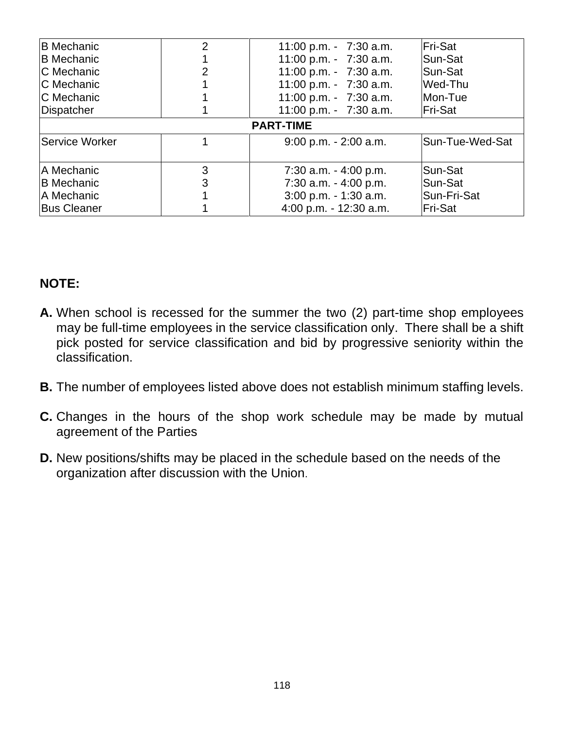| <b>B</b> Mechanic     | $\overline{2}$ | 11:00 p.m. - $7:30$ a.m. | Fri-Sat         |
|-----------------------|----------------|--------------------------|-----------------|
| <b>B</b> Mechanic     |                | 11:00 p.m. - 7:30 a.m.   | Sun-Sat         |
| <b>C</b> Mechanic     | 2              | 11:00 p.m. - 7:30 a.m.   | Sun-Sat         |
| <b>C</b> Mechanic     |                | 11:00 p.m. - 7:30 a.m.   | Wed-Thu         |
| C Mechanic            |                | 11:00 p.m. - 7:30 a.m.   | Mon-Tue         |
| Dispatcher            |                | 11:00 p.m. - $7:30$ a.m. | Fri-Sat         |
|                       |                | <b>PART-TIME</b>         |                 |
| <b>Service Worker</b> |                | $9:00$ p.m. $-2:00$ a.m. | Sun-Tue-Wed-Sat |
| A Mechanic            | 3              | $7:30$ a.m. $-4:00$ p.m. | Sun-Sat         |
| <b>B</b> Mechanic     | 3              | 7:30 a.m. - 4:00 p.m.    | Sun-Sat         |
| <b>A Mechanic</b>     |                | $3:00$ p.m. - 1:30 a.m.  | Sun-Fri-Sat     |
| <b>Bus Cleaner</b>    |                | 4:00 p.m. - 12:30 a.m.   | Fri-Sat         |

## **NOTE:**

- **A.** When school is recessed for the summer the two (2) part-time shop employees may be full-time employees in the service classification only. There shall be a shift pick posted for service classification and bid by progressive seniority within the classification.
- **B.** The number of employees listed above does not establish minimum staffing levels.
- **C.** Changes in the hours of the shop work schedule may be made by mutual agreement of the Parties
- **D.** New positions/shifts may be placed in the schedule based on the needs of the organization after discussion with the Union.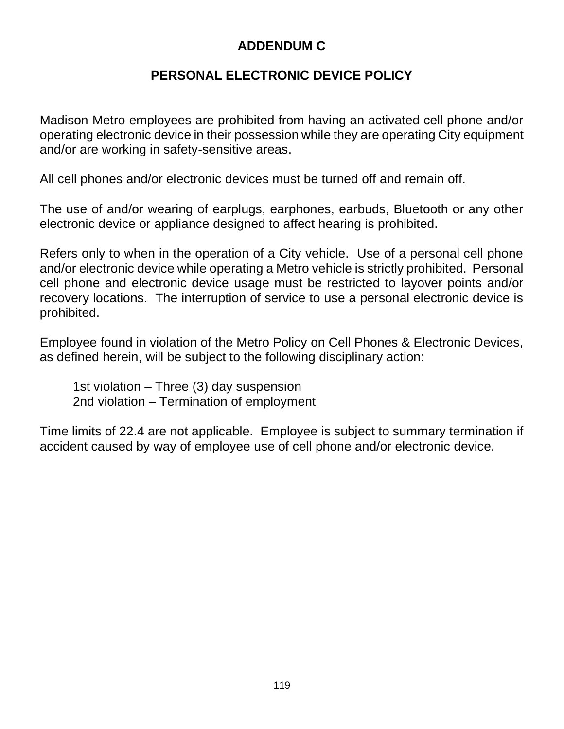# **ADDENDUM C**

# **PERSONAL ELECTRONIC DEVICE POLICY**

Madison Metro employees are prohibited from having an activated cell phone and/or operating electronic device in their possession while they are operating City equipment and/or are working in safety-sensitive areas.

All cell phones and/or electronic devices must be turned off and remain off.

The use of and/or wearing of earplugs, earphones, earbuds, Bluetooth or any other electronic device or appliance designed to affect hearing is prohibited.

Refers only to when in the operation of a City vehicle. Use of a personal cell phone and/or electronic device while operating a Metro vehicle is strictly prohibited. Personal cell phone and electronic device usage must be restricted to layover points and/or recovery locations. The interruption of service to use a personal electronic device is prohibited.

Employee found in violation of the Metro Policy on Cell Phones & Electronic Devices, as defined herein, will be subject to the following disciplinary action:

1st violation – Three (3) day suspension 2nd violation – Termination of employment

Time limits of 22.4 are not applicable. Employee is subject to summary termination if accident caused by way of employee use of cell phone and/or electronic device.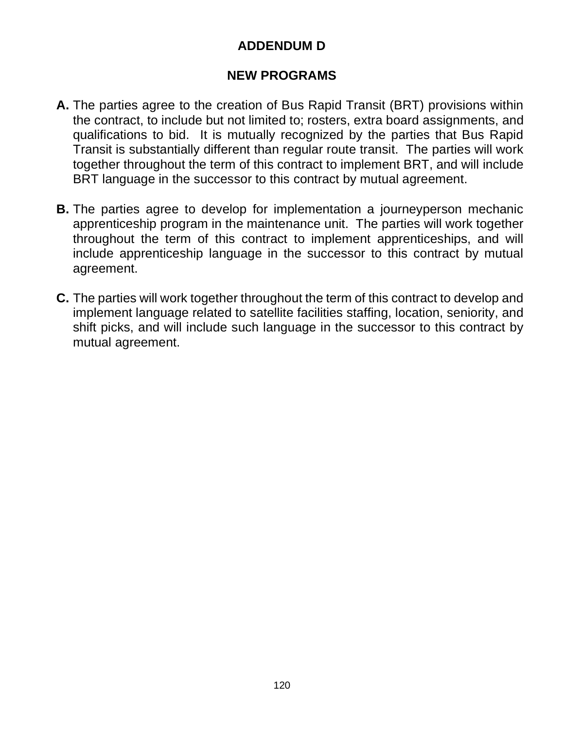# **ADDENDUM D**

### **NEW PROGRAMS**

- **A.** The parties agree to the creation of Bus Rapid Transit (BRT) provisions within the contract, to include but not limited to; rosters, extra board assignments, and qualifications to bid. It is mutually recognized by the parties that Bus Rapid Transit is substantially different than regular route transit. The parties will work together throughout the term of this contract to implement BRT, and will include BRT language in the successor to this contract by mutual agreement.
- **B.** The parties agree to develop for implementation a journeyperson mechanic apprenticeship program in the maintenance unit. The parties will work together throughout the term of this contract to implement apprenticeships, and will include apprenticeship language in the successor to this contract by mutual agreement.
- **C.** The parties will work together throughout the term of this contract to develop and implement language related to satellite facilities staffing, location, seniority, and shift picks, and will include such language in the successor to this contract by mutual agreement.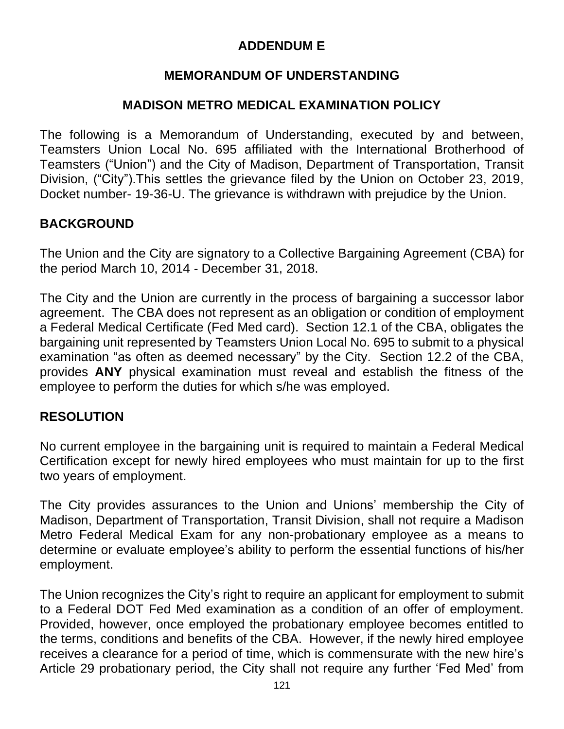# **ADDENDUM E**

## **MEMORANDUM OF UNDERSTANDING**

#### **MADISON METRO MEDICAL EXAMINATION POLICY**

The following is a Memorandum of Understanding, executed by and between, Teamsters Union Local No. 695 affiliated with the International Brotherhood of Teamsters ("Union") and the City of Madison, Department of Transportation, Transit Division, ("City").This settles the grievance filed by the Union on October 23, 2019, Docket number- 19-36-U. The grievance is withdrawn with prejudice by the Union.

## **BACKGROUND**

The Union and the City are signatory to a Collective Bargaining Agreement (CBA) for the period March 10, 2014 - December 31, 2018.

The City and the Union are currently in the process of bargaining a successor labor agreement. The CBA does not represent as an obligation or condition of employment a Federal Medical Certificate (Fed Med card). Section 12.1 of the CBA, obligates the bargaining unit represented by Teamsters Union Local No. 695 to submit to a physical examination "as often as deemed necessary" by the City. Section 12.2 of the CBA, provides **ANY** physical examination must reveal and establish the fitness of the employee to perform the duties for which s/he was employed.

#### **RESOLUTION**

No current employee in the bargaining unit is required to maintain a Federal Medical Certification except for newly hired employees who must maintain for up to the first two years of employment.

The City provides assurances to the Union and Unions' membership the City of Madison, Department of Transportation, Transit Division, shall not require a Madison Metro Federal Medical Exam for any non-probationary employee as a means to determine or evaluate employee's ability to perform the essential functions of his/her employment.

The Union recognizes the City's right to require an applicant for employment to submit to a Federal DOT Fed Med examination as a condition of an offer of employment. Provided, however, once employed the probationary employee becomes entitled to the terms, conditions and benefits of the CBA. However, if the newly hired employee receives a clearance for a period of time, which is commensurate with the new hire's Article 29 probationary period, the City shall not require any further 'Fed Med' from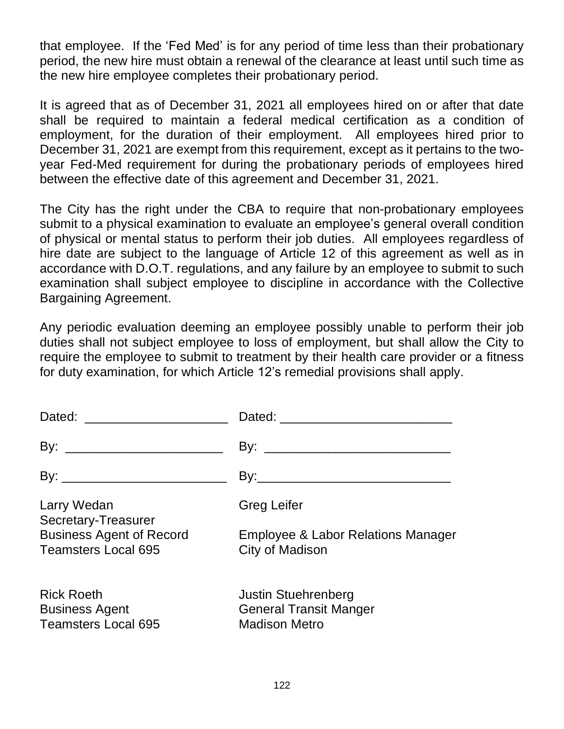that employee. If the 'Fed Med' is for any period of time less than their probationary period, the new hire must obtain a renewal of the clearance at least until such time as the new hire employee completes their probationary period.

It is agreed that as of December 31, 2021 all employees hired on or after that date shall be required to maintain a federal medical certification as a condition of employment, for the duration of their employment. All employees hired prior to December 31, 2021 are exempt from this requirement, except as it pertains to the twoyear Fed-Med requirement for during the probationary periods of employees hired between the effective date of this agreement and December 31, 2021.

The City has the right under the CBA to require that non-probationary employees submit to a physical examination to evaluate an employee's general overall condition of physical or mental status to perform their job duties. All employees regardless of hire date are subject to the language of Article 12 of this agreement as well as in accordance with D.O.T. regulations, and any failure by an employee to submit to such examination shall subject employee to discipline in accordance with the Collective Bargaining Agreement.

Any periodic evaluation deeming an employee possibly unable to perform their job duties shall not subject employee to loss of employment, but shall allow the City to require the employee to submit to treatment by their health care provider or a fitness for duty examination, for which Article 12's remedial provisions shall apply.

| Larry Wedan<br>Secretary-Treasurer                                       | <b>Greg Leifer</b>                                                                  |
|--------------------------------------------------------------------------|-------------------------------------------------------------------------------------|
| <b>Business Agent of Record</b><br><b>Teamsters Local 695</b>            | Employee & Labor Relations Manager<br>City of Madison                               |
| <b>Rick Roeth</b><br><b>Business Agent</b><br><b>Teamsters Local 695</b> | <b>Justin Stuehrenberg</b><br><b>General Transit Manger</b><br><b>Madison Metro</b> |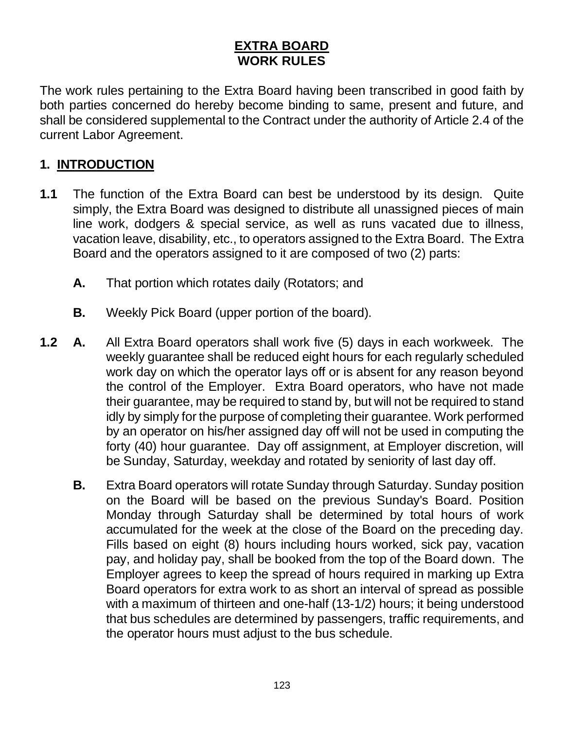# **EXTRA BOARD WORK RULES**

The work rules pertaining to the Extra Board having been transcribed in good faith by both parties concerned do hereby become binding to same, present and future, and shall be considered supplemental to the Contract under the authority of Article 2.4 of the current Labor Agreement.

# **1. INTRODUCTION**

- **1.1** The function of the Extra Board can best be understood by its design. Quite simply, the Extra Board was designed to distribute all unassigned pieces of main line work, dodgers & special service, as well as runs vacated due to illness, vacation leave, disability, etc., to operators assigned to the Extra Board. The Extra Board and the operators assigned to it are composed of two (2) parts:
	- **A.** That portion which rotates daily (Rotators; and
	- **B.** Weekly Pick Board (upper portion of the board).
- **1.2 A.** All Extra Board operators shall work five (5) days in each workweek. The weekly guarantee shall be reduced eight hours for each regularly scheduled work day on which the operator lays off or is absent for any reason beyond the control of the Employer. Extra Board operators, who have not made their guarantee, may be required to stand by, but will not be required to stand idly by simply for the purpose of completing their guarantee. Work performed by an operator on his/her assigned day off will not be used in computing the forty (40) hour guarantee. Day off assignment, at Employer discretion, will be Sunday, Saturday, weekday and rotated by seniority of last day off.
	- **B.** Extra Board operators will rotate Sunday through Saturday. Sunday position on the Board will be based on the previous Sunday's Board. Position Monday through Saturday shall be determined by total hours of work accumulated for the week at the close of the Board on the preceding day. Fills based on eight (8) hours including hours worked, sick pay, vacation pay, and holiday pay, shall be booked from the top of the Board down. The Employer agrees to keep the spread of hours required in marking up Extra Board operators for extra work to as short an interval of spread as possible with a maximum of thirteen and one-half (13-1/2) hours; it being understood that bus schedules are determined by passengers, traffic requirements, and the operator hours must adjust to the bus schedule.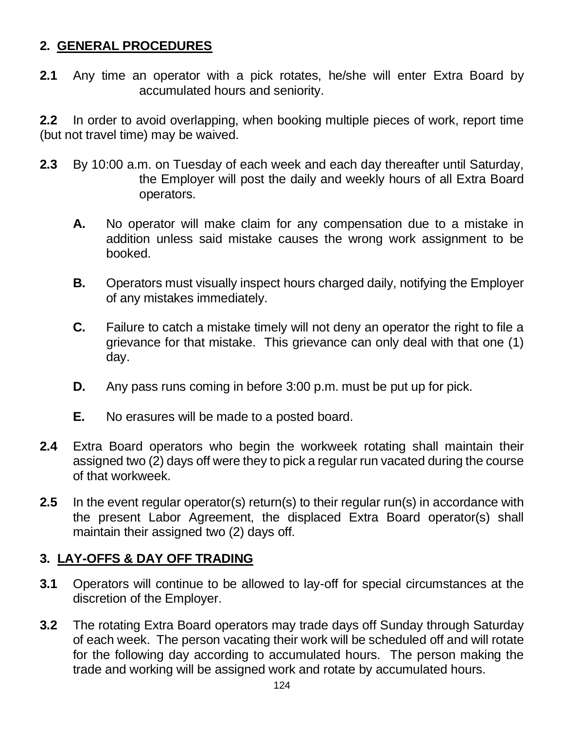# **2. GENERAL PROCEDURES**

**2.1** Any time an operator with a pick rotates, he/she will enter Extra Board by accumulated hours and seniority.

**2.2** In order to avoid overlapping, when booking multiple pieces of work, report time (but not travel time) may be waived.

- **2.3** By 10:00 a.m. on Tuesday of each week and each day thereafter until Saturday, the Employer will post the daily and weekly hours of all Extra Board operators.
	- **A.** No operator will make claim for any compensation due to a mistake in addition unless said mistake causes the wrong work assignment to be booked.
	- **B.** Operators must visually inspect hours charged daily, notifying the Employer of any mistakes immediately.
	- **C.** Failure to catch a mistake timely will not deny an operator the right to file a grievance for that mistake. This grievance can only deal with that one (1) day.
	- **D.** Any pass runs coming in before 3:00 p.m. must be put up for pick.
	- **E.** No erasures will be made to a posted board.
- **2.4** Extra Board operators who begin the workweek rotating shall maintain their assigned two (2) days off were they to pick a regular run vacated during the course of that workweek.
- **2.5** In the event regular operator(s) return(s) to their regular run(s) in accordance with the present Labor Agreement, the displaced Extra Board operator(s) shall maintain their assigned two (2) days off.

#### **3. LAY-OFFS & DAY OFF TRADING**

- **3.1** Operators will continue to be allowed to lay-off for special circumstances at the discretion of the Employer.
- **3.2** The rotating Extra Board operators may trade days off Sunday through Saturday of each week. The person vacating their work will be scheduled off and will rotate for the following day according to accumulated hours. The person making the trade and working will be assigned work and rotate by accumulated hours.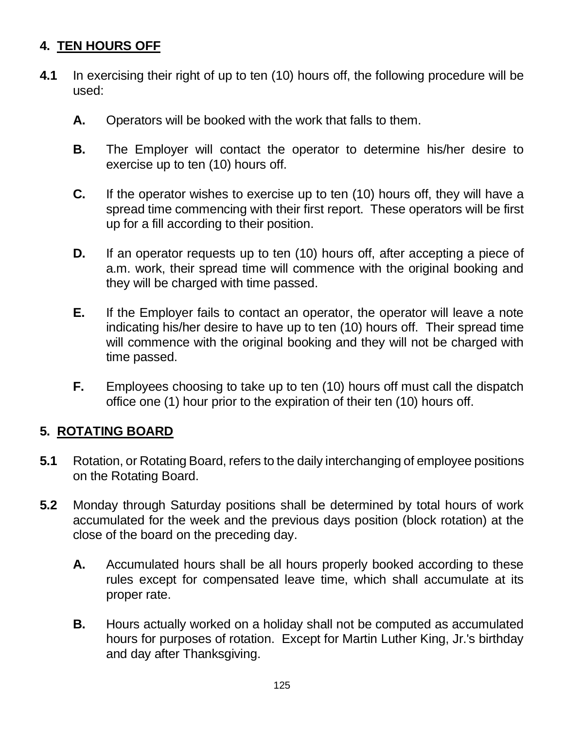# **4. TEN HOURS OFF**

- **4.1** In exercising their right of up to ten (10) hours off, the following procedure will be used:
	- **A.** Operators will be booked with the work that falls to them.
	- **B.** The Employer will contact the operator to determine his/her desire to exercise up to ten (10) hours off.
	- **C.** If the operator wishes to exercise up to ten (10) hours off, they will have a spread time commencing with their first report. These operators will be first up for a fill according to their position.
	- **D.** If an operator requests up to ten (10) hours off, after accepting a piece of a.m. work, their spread time will commence with the original booking and they will be charged with time passed.
	- **E.** If the Employer fails to contact an operator, the operator will leave a note indicating his/her desire to have up to ten (10) hours off. Their spread time will commence with the original booking and they will not be charged with time passed.
	- **F.** Employees choosing to take up to ten (10) hours off must call the dispatch office one (1) hour prior to the expiration of their ten (10) hours off.

# **5. ROTATING BOARD**

- **5.1** Rotation, or Rotating Board, refers to the daily interchanging of employee positions on the Rotating Board.
- **5.2** Monday through Saturday positions shall be determined by total hours of work accumulated for the week and the previous days position (block rotation) at the close of the board on the preceding day.
	- **A.** Accumulated hours shall be all hours properly booked according to these rules except for compensated leave time, which shall accumulate at its proper rate.
	- **B.** Hours actually worked on a holiday shall not be computed as accumulated hours for purposes of rotation. Except for Martin Luther King, Jr.'s birthday and day after Thanksgiving.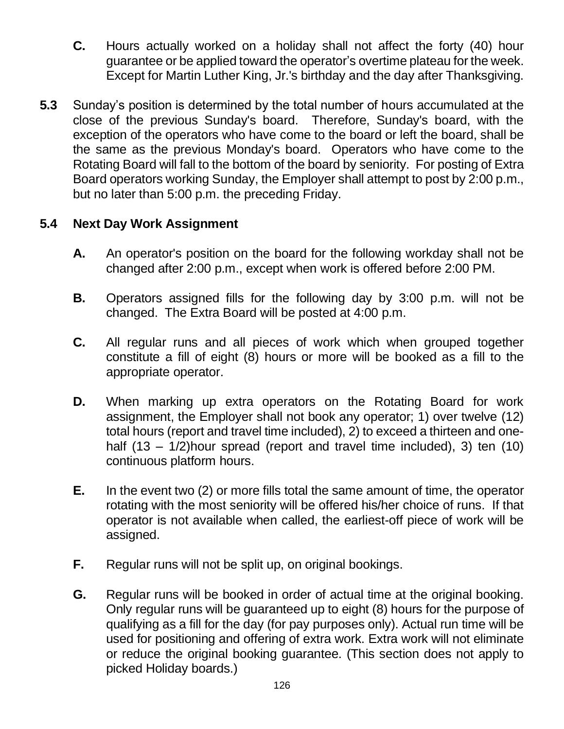- **C.** Hours actually worked on a holiday shall not affect the forty (40) hour guarantee or be applied toward the operator's overtime plateau for the week. Except for Martin Luther King, Jr.'s birthday and the day after Thanksgiving.
- **5.3** Sunday's position is determined by the total number of hours accumulated at the close of the previous Sunday's board. Therefore, Sunday's board, with the exception of the operators who have come to the board or left the board, shall be the same as the previous Monday's board. Operators who have come to the Rotating Board will fall to the bottom of the board by seniority. For posting of Extra Board operators working Sunday, the Employer shall attempt to post by 2:00 p.m., but no later than 5:00 p.m. the preceding Friday.

## **5.4 Next Day Work Assignment**

- **A.** An operator's position on the board for the following workday shall not be changed after 2:00 p.m., except when work is offered before 2:00 PM.
- **B.** Operators assigned fills for the following day by 3:00 p.m. will not be changed. The Extra Board will be posted at 4:00 p.m.
- **C.** All regular runs and all pieces of work which when grouped together constitute a fill of eight (8) hours or more will be booked as a fill to the appropriate operator.
- **D.** When marking up extra operators on the Rotating Board for work assignment, the Employer shall not book any operator; 1) over twelve (12) total hours (report and travel time included), 2) to exceed a thirteen and onehalf (13 – 1/2)hour spread (report and travel time included), 3) ten (10) continuous platform hours.
- **E.** In the event two (2) or more fills total the same amount of time, the operator rotating with the most seniority will be offered his/her choice of runs. If that operator is not available when called, the earliest-off piece of work will be assigned.
- **F.** Regular runs will not be split up, on original bookings.
- **G.** Regular runs will be booked in order of actual time at the original booking. Only regular runs will be guaranteed up to eight (8) hours for the purpose of qualifying as a fill for the day (for pay purposes only). Actual run time will be used for positioning and offering of extra work. Extra work will not eliminate or reduce the original booking guarantee. (This section does not apply to picked Holiday boards.)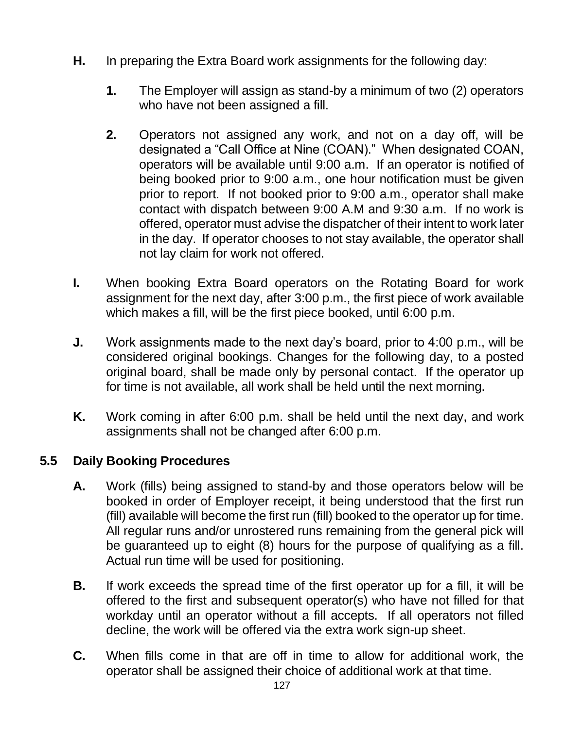- **H.** In preparing the Extra Board work assignments for the following day:
	- **1.** The Employer will assign as stand-by a minimum of two (2) operators who have not been assigned a fill.
	- **2.** Operators not assigned any work, and not on a day off, will be designated a "Call Office at Nine (COAN)." When designated COAN, operators will be available until 9:00 a.m. If an operator is notified of being booked prior to 9:00 a.m., one hour notification must be given prior to report. If not booked prior to 9:00 a.m., operator shall make contact with dispatch between 9:00 A.M and 9:30 a.m. If no work is offered, operator must advise the dispatcher of their intent to work later in the day. If operator chooses to not stay available, the operator shall not lay claim for work not offered.
- **I.** When booking Extra Board operators on the Rotating Board for work assignment for the next day, after 3:00 p.m., the first piece of work available which makes a fill, will be the first piece booked, until 6:00 p.m.
- **J.** Work assignments made to the next day's board, prior to 4:00 p.m., will be considered original bookings. Changes for the following day, to a posted original board, shall be made only by personal contact. If the operator up for time is not available, all work shall be held until the next morning.
- **K.** Work coming in after 6:00 p.m. shall be held until the next day, and work assignments shall not be changed after 6:00 p.m.

# **5.5 Daily Booking Procedures**

- **A.** Work (fills) being assigned to stand-by and those operators below will be booked in order of Employer receipt, it being understood that the first run (fill) available will become the first run (fill) booked to the operator up for time. All regular runs and/or unrostered runs remaining from the general pick will be guaranteed up to eight (8) hours for the purpose of qualifying as a fill. Actual run time will be used for positioning.
- **B.** If work exceeds the spread time of the first operator up for a fill, it will be offered to the first and subsequent operator(s) who have not filled for that workday until an operator without a fill accepts. If all operators not filled decline, the work will be offered via the extra work sign-up sheet.
- **C.** When fills come in that are off in time to allow for additional work, the operator shall be assigned their choice of additional work at that time.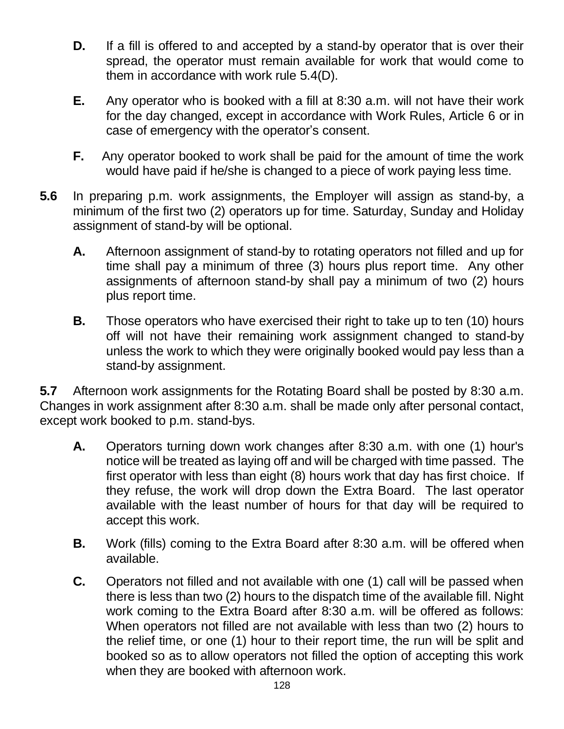- **D.** If a fill is offered to and accepted by a stand-by operator that is over their spread, the operator must remain available for work that would come to them in accordance with work rule 5.4(D).
- **E.** Any operator who is booked with a fill at 8:30 a.m. will not have their work for the day changed, except in accordance with Work Rules, Article 6 or in case of emergency with the operator's consent.
- **F.** Any operator booked to work shall be paid for the amount of time the work would have paid if he/she is changed to a piece of work paying less time.
- **5.6** In preparing p.m. work assignments, the Employer will assign as stand-by, a minimum of the first two (2) operators up for time. Saturday, Sunday and Holiday assignment of stand-by will be optional.
	- **A.** Afternoon assignment of stand-by to rotating operators not filled and up for time shall pay a minimum of three (3) hours plus report time. Any other assignments of afternoon stand-by shall pay a minimum of two (2) hours plus report time.
	- **B.** Those operators who have exercised their right to take up to ten (10) hours off will not have their remaining work assignment changed to stand-by unless the work to which they were originally booked would pay less than a stand-by assignment.

**5.7** Afternoon work assignments for the Rotating Board shall be posted by 8:30 a.m. Changes in work assignment after 8:30 a.m. shall be made only after personal contact, except work booked to p.m. stand-bys.

- **A.** Operators turning down work changes after 8:30 a.m. with one (1) hour's notice will be treated as laying off and will be charged with time passed. The first operator with less than eight (8) hours work that day has first choice. If they refuse, the work will drop down the Extra Board. The last operator available with the least number of hours for that day will be required to accept this work.
- **B.** Work (fills) coming to the Extra Board after 8:30 a.m. will be offered when available.
- **C.** Operators not filled and not available with one (1) call will be passed when there is less than two (2) hours to the dispatch time of the available fill. Night work coming to the Extra Board after 8:30 a.m. will be offered as follows: When operators not filled are not available with less than two (2) hours to the relief time, or one (1) hour to their report time, the run will be split and booked so as to allow operators not filled the option of accepting this work when they are booked with afternoon work.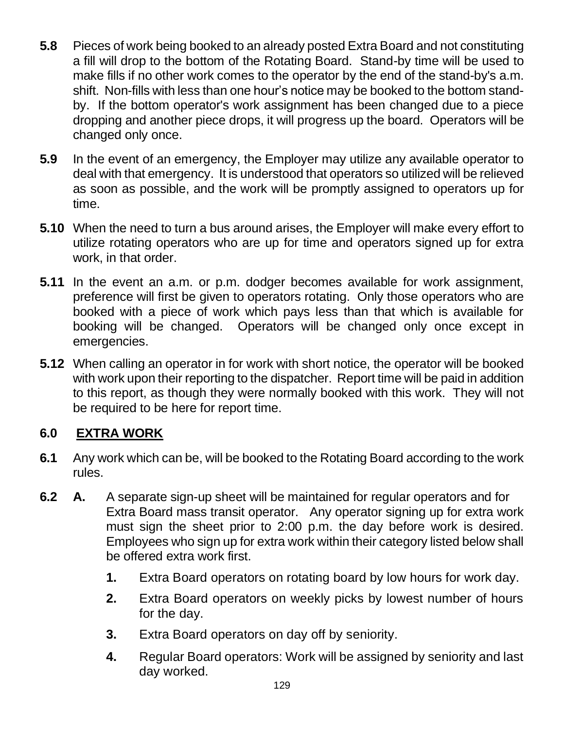- **5.8** Pieces of work being booked to an already posted Extra Board and not constituting a fill will drop to the bottom of the Rotating Board. Stand-by time will be used to make fills if no other work comes to the operator by the end of the stand-by's a.m. shift. Non-fills with less than one hour's notice may be booked to the bottom standby. If the bottom operator's work assignment has been changed due to a piece dropping and another piece drops, it will progress up the board. Operators will be changed only once.
- **5.9** In the event of an emergency, the Employer may utilize any available operator to deal with that emergency. It is understood that operators so utilized will be relieved as soon as possible, and the work will be promptly assigned to operators up for time.
- **5.10** When the need to turn a bus around arises, the Employer will make every effort to utilize rotating operators who are up for time and operators signed up for extra work, in that order.
- **5.11** In the event an a.m. or p.m. dodger becomes available for work assignment, preference will first be given to operators rotating. Only those operators who are booked with a piece of work which pays less than that which is available for booking will be changed. Operators will be changed only once except in emergencies.
- **5.12** When calling an operator in for work with short notice, the operator will be booked with work upon their reporting to the dispatcher. Report time will be paid in addition to this report, as though they were normally booked with this work. They will not be required to be here for report time.

# **6.0 EXTRA WORK**

- **6.1** Any work which can be, will be booked to the Rotating Board according to the work rules.
- **6.2 A.** A separate sign-up sheet will be maintained for regular operators and for Extra Board mass transit operator. Any operator signing up for extra work must sign the sheet prior to 2:00 p.m. the day before work is desired. Employees who sign up for extra work within their category listed below shall be offered extra work first.
	- **1.** Extra Board operators on rotating board by low hours for work day.
	- **2.** Extra Board operators on weekly picks by lowest number of hours for the day.
	- **3.** Extra Board operators on day off by seniority.
	- **4.** Regular Board operators: Work will be assigned by seniority and last day worked.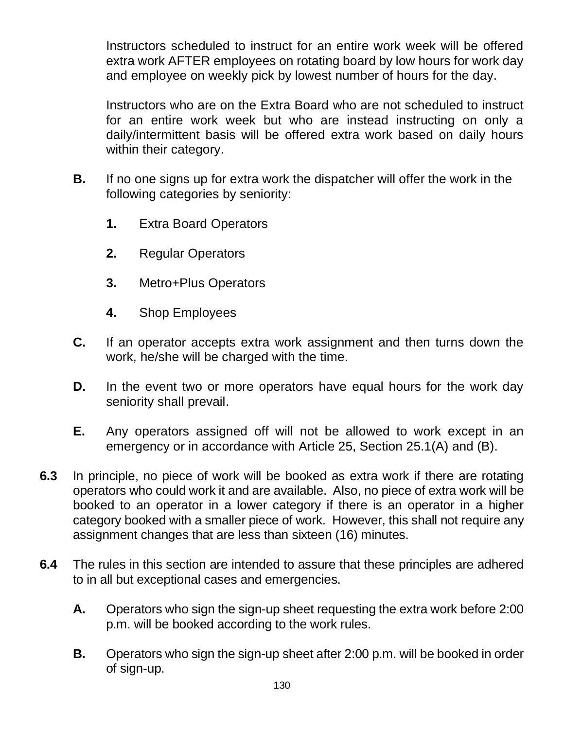Instructors scheduled to instruct for an entire work week will be offered extra work AFTER employees on rotating board by low hours for work day and employee on weekly pick by lowest number of hours for the day.

Instructors who are on the Extra Board who are not scheduled to instruct for an entire work week but who are instead instructing on only a daily/intermittent basis will be offered extra work based on daily hours within their category.

- **B.** If no one signs up for extra work the dispatcher will offer the work in the following categories by seniority:
	- **1.** Extra Board Operators
	- **2.** Regular Operators
	- **3.** Metro+Plus Operators
	- **4.** Shop Employees
- **C.** If an operator accepts extra work assignment and then turns down the work, he/she will be charged with the time.
- **D.** In the event two or more operators have equal hours for the work day seniority shall prevail.
- **E.** Any operators assigned off will not be allowed to work except in an emergency or in accordance with Article 25, Section 25.1(A) and (B).
- **6.3** In principle, no piece of work will be booked as extra work if there are rotating operators who could work it and are available. Also, no piece of extra work will be booked to an operator in a lower category if there is an operator in a higher category booked with a smaller piece of work. However, this shall not require any assignment changes that are less than sixteen (16) minutes.
- **6.4** The rules in this section are intended to assure that these principles are adhered to in all but exceptional cases and emergencies.
	- **A.** Operators who sign the sign-up sheet requesting the extra work before 2:00 p.m. will be booked according to the work rules.
	- **B.** Operators who sign the sign-up sheet after 2:00 p.m. will be booked in order of sign-up.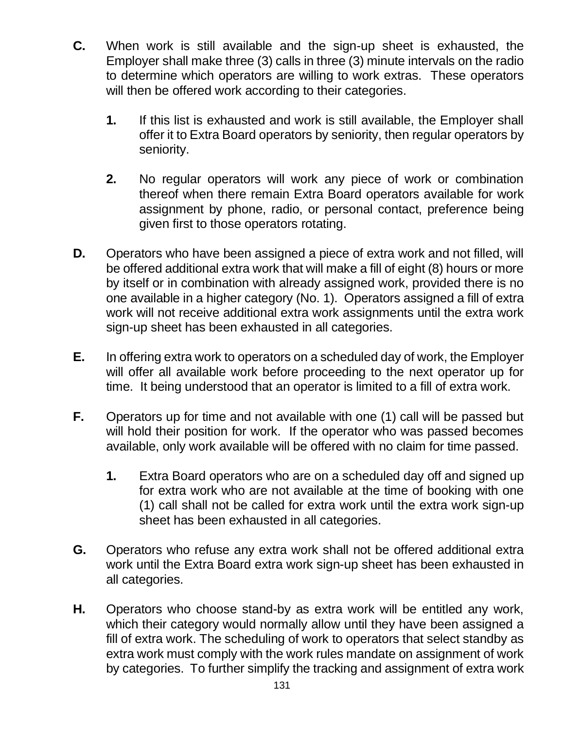- **C.** When work is still available and the sign-up sheet is exhausted, the Employer shall make three (3) calls in three (3) minute intervals on the radio to determine which operators are willing to work extras. These operators will then be offered work according to their categories.
	- **1.** If this list is exhausted and work is still available, the Employer shall offer it to Extra Board operators by seniority, then regular operators by seniority.
	- **2.** No regular operators will work any piece of work or combination thereof when there remain Extra Board operators available for work assignment by phone, radio, or personal contact, preference being given first to those operators rotating.
- **D.** Operators who have been assigned a piece of extra work and not filled, will be offered additional extra work that will make a fill of eight (8) hours or more by itself or in combination with already assigned work, provided there is no one available in a higher category (No. 1). Operators assigned a fill of extra work will not receive additional extra work assignments until the extra work sign-up sheet has been exhausted in all categories.
- **E.** In offering extra work to operators on a scheduled day of work, the Employer will offer all available work before proceeding to the next operator up for time. It being understood that an operator is limited to a fill of extra work.
- **F.** Operators up for time and not available with one (1) call will be passed but will hold their position for work. If the operator who was passed becomes available, only work available will be offered with no claim for time passed.
	- **1.** Extra Board operators who are on a scheduled day off and signed up for extra work who are not available at the time of booking with one (1) call shall not be called for extra work until the extra work sign-up sheet has been exhausted in all categories.
- **G.** Operators who refuse any extra work shall not be offered additional extra work until the Extra Board extra work sign-up sheet has been exhausted in all categories.
- **H.** Operators who choose stand-by as extra work will be entitled any work, which their category would normally allow until they have been assigned a fill of extra work. The scheduling of work to operators that select standby as extra work must comply with the work rules mandate on assignment of work by categories. To further simplify the tracking and assignment of extra work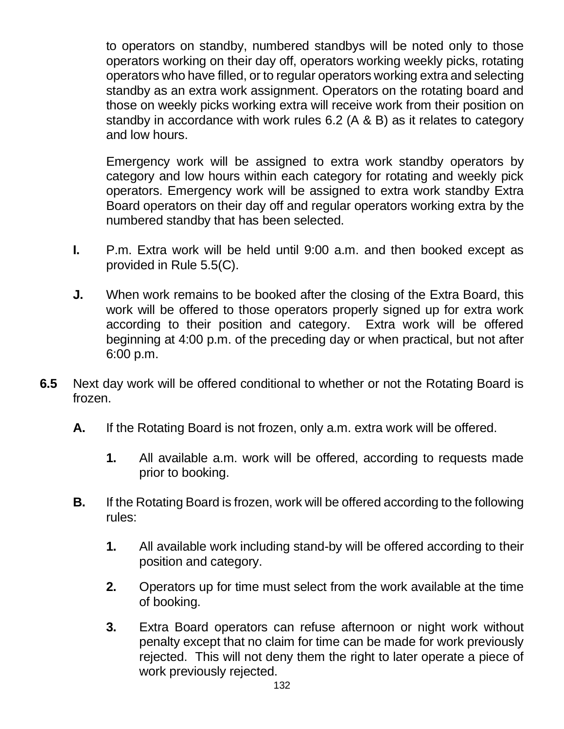to operators on standby, numbered standbys will be noted only to those operators working on their day off, operators working weekly picks, rotating operators who have filled, or to regular operators working extra and selecting standby as an extra work assignment. Operators on the rotating board and those on weekly picks working extra will receive work from their position on standby in accordance with work rules 6.2 (A & B) as it relates to category and low hours.

Emergency work will be assigned to extra work standby operators by category and low hours within each category for rotating and weekly pick operators. Emergency work will be assigned to extra work standby Extra Board operators on their day off and regular operators working extra by the numbered standby that has been selected.

- **I.** P.m. Extra work will be held until 9:00 a.m. and then booked except as provided in Rule 5.5(C).
- **J.** When work remains to be booked after the closing of the Extra Board, this work will be offered to those operators properly signed up for extra work according to their position and category. Extra work will be offered beginning at 4:00 p.m. of the preceding day or when practical, but not after 6:00 p.m.
- **6.5** Next day work will be offered conditional to whether or not the Rotating Board is frozen.
	- **A.** If the Rotating Board is not frozen, only a.m. extra work will be offered.
		- **1.** All available a.m. work will be offered, according to requests made prior to booking.
	- **B.** If the Rotating Board is frozen, work will be offered according to the following rules:
		- **1.** All available work including stand-by will be offered according to their position and category.
		- **2.** Operators up for time must select from the work available at the time of booking.
		- **3.** Extra Board operators can refuse afternoon or night work without penalty except that no claim for time can be made for work previously rejected. This will not deny them the right to later operate a piece of work previously rejected.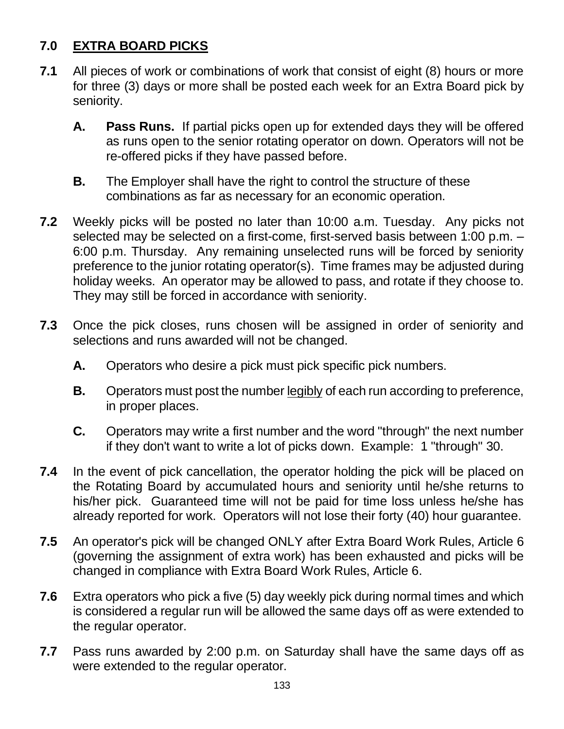# **7.0 EXTRA BOARD PICKS**

- **7.1** All pieces of work or combinations of work that consist of eight (8) hours or more for three (3) days or more shall be posted each week for an Extra Board pick by seniority.
	- **A. Pass Runs.** If partial picks open up for extended days they will be offered as runs open to the senior rotating operator on down. Operators will not be re-offered picks if they have passed before.
	- **B.** The Employer shall have the right to control the structure of these combinations as far as necessary for an economic operation.
- **7.2** Weekly picks will be posted no later than 10:00 a.m. Tuesday. Any picks not selected may be selected on a first-come, first-served basis between 1:00 p.m. – 6:00 p.m. Thursday. Any remaining unselected runs will be forced by seniority preference to the junior rotating operator(s). Time frames may be adjusted during holiday weeks. An operator may be allowed to pass, and rotate if they choose to. They may still be forced in accordance with seniority.
- **7.3** Once the pick closes, runs chosen will be assigned in order of seniority and selections and runs awarded will not be changed.
	- **A.** Operators who desire a pick must pick specific pick numbers.
	- **B.** Operators must post the number legibly of each run according to preference, in proper places.
	- **C.** Operators may write a first number and the word "through" the next number if they don't want to write a lot of picks down. Example: 1 "through" 30.
- **7.4** In the event of pick cancellation, the operator holding the pick will be placed on the Rotating Board by accumulated hours and seniority until he/she returns to his/her pick. Guaranteed time will not be paid for time loss unless he/she has already reported for work. Operators will not lose their forty (40) hour guarantee.
- **7.5** An operator's pick will be changed ONLY after Extra Board Work Rules, Article 6 (governing the assignment of extra work) has been exhausted and picks will be changed in compliance with Extra Board Work Rules, Article 6.
- **7.6** Extra operators who pick a five (5) day weekly pick during normal times and which is considered a regular run will be allowed the same days off as were extended to the regular operator.
- **7.7** Pass runs awarded by 2:00 p.m. on Saturday shall have the same days off as were extended to the regular operator.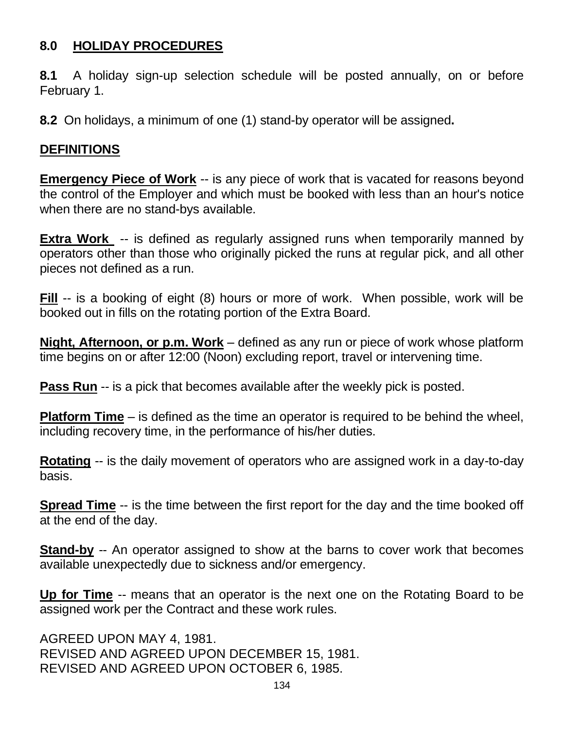# **8.0 HOLIDAY PROCEDURES**

**8.1** A holiday sign-up selection schedule will be posted annually, on or before February 1.

**8.2** On holidays, a minimum of one (1) stand-by operator will be assigned**.**

#### **DEFINITIONS**

**Emergency Piece of Work** -- is any piece of work that is vacated for reasons beyond the control of the Employer and which must be booked with less than an hour's notice when there are no stand-bys available.

**Extra Work** -- is defined as regularly assigned runs when temporarily manned by operators other than those who originally picked the runs at regular pick, and all other pieces not defined as a run.

**Fill** -- is a booking of eight (8) hours or more of work. When possible, work will be booked out in fills on the rotating portion of the Extra Board.

**Night, Afternoon, or p.m. Work** – defined as any run or piece of work whose platform time begins on or after 12:00 (Noon) excluding report, travel or intervening time.

**Pass Run** -- is a pick that becomes available after the weekly pick is posted.

**Platform Time** – is defined as the time an operator is required to be behind the wheel, including recovery time, in the performance of his/her duties.

**Rotating** -- is the daily movement of operators who are assigned work in a day-to-day basis.

**Spread Time** -- is the time between the first report for the day and the time booked off at the end of the day.

**Stand-by** -- An operator assigned to show at the barns to cover work that becomes available unexpectedly due to sickness and/or emergency.

**Up for Time** -- means that an operator is the next one on the Rotating Board to be assigned work per the Contract and these work rules.

AGREED UPON MAY 4, 1981. REVISED AND AGREED UPON DECEMBER 15, 1981. REVISED AND AGREED UPON OCTOBER 6, 1985.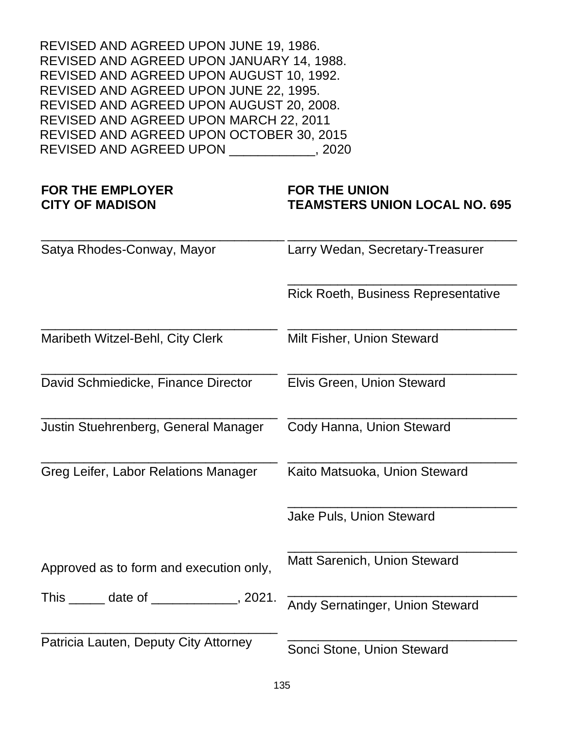REVISED AND AGREED UPON JUNE 19, 1986. REVISED AND AGREED UPON JANUARY 14, 1988. REVISED AND AGREED UPON AUGUST 10, 1992. REVISED AND AGREED UPON JUNE 22, 1995. REVISED AND AGREED UPON AUGUST 20, 2008. REVISED AND AGREED UPON MARCH 22, 2011 REVISED AND AGREED UPON OCTOBER 30, 2015 REVISED AND AGREED UPON \_\_\_\_\_\_\_\_\_\_\_\_, 2020

#### **FOR THE EMPLOYER CITY OF MADISON**

#### **FOR THE UNION TEAMSTERS UNION LOCAL NO. 695**

\_\_\_\_\_\_\_\_\_\_\_\_\_\_\_\_\_\_\_\_\_\_\_\_\_\_\_\_\_\_\_\_\_\_ Satya Rhodes-Conway, Mayor \_\_\_\_\_\_\_\_\_\_\_\_\_\_\_\_\_\_\_\_\_\_\_\_\_\_\_\_\_\_\_\_ Larry Wedan, Secretary-Treasurer \_\_\_\_\_\_\_\_\_\_\_\_\_\_\_\_\_\_\_\_\_\_\_\_\_\_\_\_\_\_\_\_ Rick Roeth, Business Representative \_\_\_\_\_\_\_\_\_\_\_\_\_\_\_\_\_\_\_\_\_\_\_\_\_\_\_\_\_\_\_\_\_ Maribeth Witzel-Behl, City Clerk \_\_\_\_\_\_\_\_\_\_\_\_\_\_\_\_\_\_\_\_\_\_\_\_\_\_\_\_\_\_\_\_ Milt Fisher, Union Steward \_\_\_\_\_\_\_\_\_\_\_\_\_\_\_\_\_\_\_\_\_\_\_\_\_\_\_\_\_\_\_\_\_ David Schmiedicke, Finance Director \_\_\_\_\_\_\_\_\_\_\_\_\_\_\_\_\_\_\_\_\_\_\_\_\_\_\_\_\_\_\_\_ Elvis Green, Union Steward \_\_\_\_\_\_\_\_\_\_\_\_\_\_\_\_\_\_\_\_\_\_\_\_\_\_\_\_\_\_\_\_\_ Justin Stuehrenberg, General Manager \_\_\_\_\_\_\_\_\_\_\_\_\_\_\_\_\_\_\_\_\_\_\_\_\_\_\_\_\_\_\_\_ Cody Hanna, Union Steward \_\_\_\_\_\_\_\_\_\_\_\_\_\_\_\_\_\_\_\_\_\_\_\_\_\_\_\_\_\_\_\_\_ Greg Leifer, Labor Relations Manager \_\_\_\_\_\_\_\_\_\_\_\_\_\_\_\_\_\_\_\_\_\_\_\_\_\_\_\_\_\_\_\_ Kaito Matsuoka, Union Steward \_\_\_\_\_\_\_\_\_\_\_\_\_\_\_\_\_\_\_\_\_\_\_\_\_\_\_\_\_\_\_\_ Jake Puls, Union Steward Approved as to form and execution only, This date of the set of the set of the set of the set of the set of the set of the set of the set of the set o \_\_\_\_\_\_\_\_\_\_\_\_\_\_\_\_\_\_\_\_\_\_\_\_\_\_\_\_\_\_\_\_\_ Patricia Lauten, Deputy City Attorney \_\_\_\_\_\_\_\_\_\_\_\_\_\_\_\_\_\_\_\_\_\_\_\_\_\_\_\_\_\_\_\_ Matt Sarenich, Union Steward \_\_\_\_\_\_\_\_\_\_\_\_\_\_\_\_\_\_\_\_\_\_\_\_\_\_\_\_\_\_\_\_ Andy Sernatinger, Union Steward \_\_\_\_\_\_\_\_\_\_\_\_\_\_\_\_\_\_\_\_\_\_\_\_\_\_\_\_\_\_\_\_ Sonci Stone, Union Steward